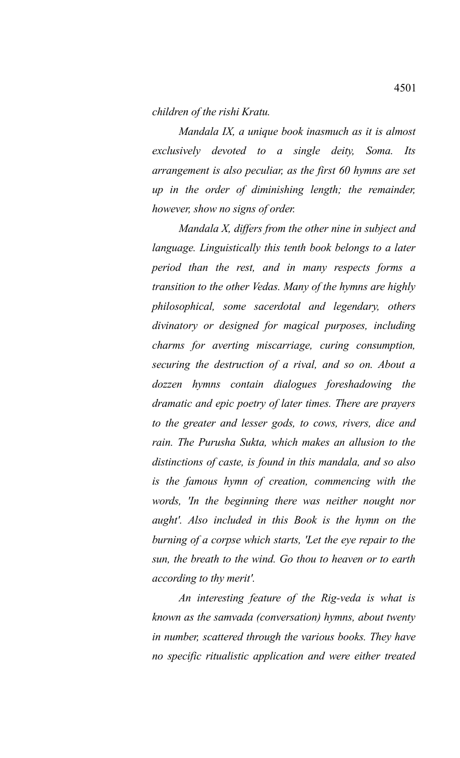*children of the rishi Kratu.*

*Mandala IX, a unique book inasmuch as it is almost exclusively devoted to a single deity, Soma. Its arrangement is also peculiar, as the first 60 hymns are set up in the order of diminishing length; the remainder, however, show no signs of order.*

*Mandala X, differs from the other nine in subject and language. Linguistically this tenth book belongs to a later period than the rest, and in many respects forms a transition to the other Vedas. Many of the hymns are highly philosophical, some sacerdotal and legendary, others divinatory or designed for magical purposes, including charms for averting miscarriage, curing consumption, securing the destruction of a rival, and so on. About a dozzen hymns contain dialogues foreshadowing the dramatic and epic poetry of later times. There are prayers to the greater and lesser gods, to cows, rivers, dice and rain. The Purusha Sukta, which makes an allusion to the distinctions of caste, is found in this mandala, and so also is the famous hymn of creation, commencing with the words, 'In the beginning there was neither nought nor aught'. Also included in this Book is the hymn on the burning of a corpse which starts, 'Let the eye repair to the sun, the breath to the wind. Go thou to heaven or to earth according to thy merit'.*

*An interesting feature of the Rig-veda is what is known as the samvada (conversation) hymns, about twenty in number, scattered through the various books. They have no specific ritualistic application and were either treated*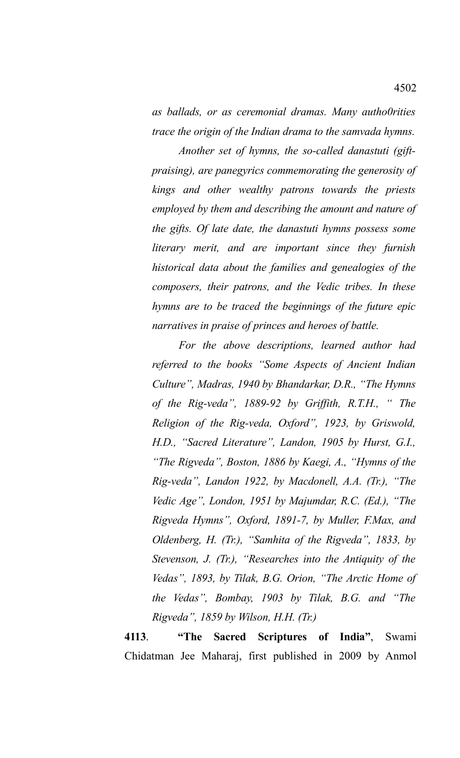*as ballads, or as ceremonial dramas. Many autho0rities trace the origin of the Indian drama to the samvada hymns.*

*Another set of hymns, the so-called danastuti (giftpraising), are panegyrics commemorating the generosity of kings and other wealthy patrons towards the priests employed by them and describing the amount and nature of the gifts. Of late date, the danastuti hymns possess some literary merit, and are important since they furnish historical data about the families and genealogies of the composers, their patrons, and the Vedic tribes. In these hymns are to be traced the beginnings of the future epic narratives in praise of princes and heroes of battle.*

*For the above descriptions, learned author had referred to the books "Some Aspects of Ancient Indian Culture", Madras, 1940 by Bhandarkar, D.R., "The Hymns of the Rig-veda", 1889-92 by Griffith, R.T.H., " The Religion of the Rig-veda, Oxford", 1923, by Griswold, H.D., "Sacred Literature", Landon, 1905 by Hurst, G.I., "The Rigveda", Boston, 1886 by Kaegi, A., "Hymns of the Rig-veda", Landon 1922, by Macdonell, A.A. (Tr.), "The Vedic Age", London, 1951 by Majumdar, R.C. (Ed.), "The Rigveda Hymns", Oxford, 1891-7, by Muller, F.Max, and Oldenberg, H. (Tr.), "Samhita of the Rigveda", 1833, by Stevenson, J. (Tr.), "Researches into the Antiquity of the Vedas", 1893, by Tilak, B.G. Orion, "The Arctic Home of the Vedas", Bombay, 1903 by Tilak, B.G. and "The Rigveda", 1859 by Wilson, H.H. (Tr.)* 

**4113**. **"The Sacred Scriptures of India"**, Swami Chidatman Jee Maharaj, first published in 2009 by Anmol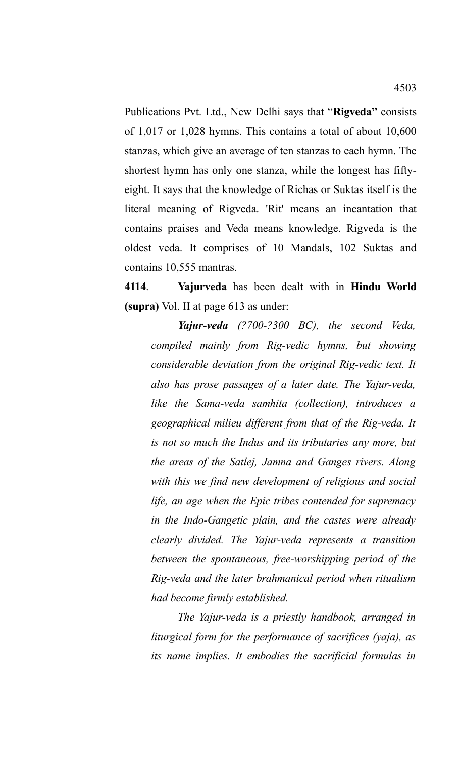Publications Pvt. Ltd., New Delhi says that "**Rigveda"** consists of 1,017 or 1,028 hymns. This contains a total of about 10,600 stanzas, which give an average of ten stanzas to each hymn. The shortest hymn has only one stanza, while the longest has fiftyeight. It says that the knowledge of Richas or Suktas itself is the literal meaning of Rigveda. 'Rit' means an incantation that contains praises and Veda means knowledge. Rigveda is the oldest veda. It comprises of 10 Mandals, 102 Suktas and contains 10,555 mantras.

**4114**. **Yajurveda** has been dealt with in **Hindu World (supra)** Vol. II at page 613 as under:

*Yajur-veda (?700-?300 BC), the second Veda, compiled mainly from Rig-vedic hymns, but showing considerable deviation from the original Rig-vedic text. It also has prose passages of a later date. The Yajur-veda, like the Sama-veda samhita (collection), introduces a geographical milieu different from that of the Rig-veda. It is not so much the Indus and its tributaries any more, but the areas of the Satlej, Jamna and Ganges rivers. Along with this we find new development of religious and social life, an age when the Epic tribes contended for supremacy in the Indo-Gangetic plain, and the castes were already clearly divided. The Yajur-veda represents a transition between the spontaneous, free-worshipping period of the Rig-veda and the later brahmanical period when ritualism had become firmly established.*

*The Yajur-veda is a priestly handbook, arranged in liturgical form for the performance of sacrifices (yaja), as its name implies. It embodies the sacrificial formulas in*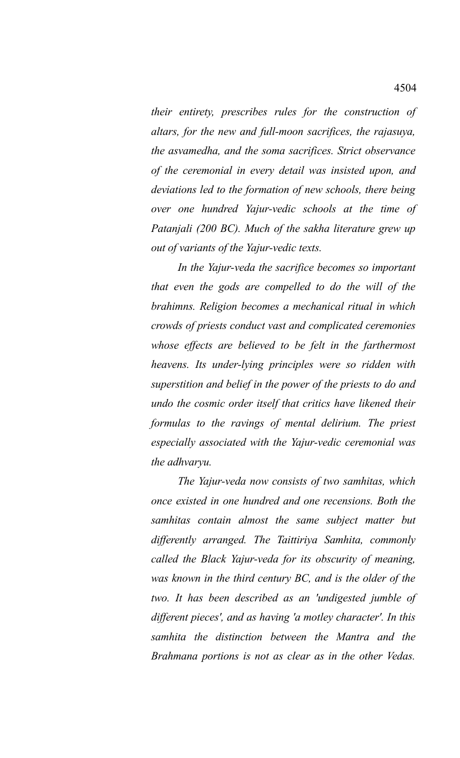*their entirety, prescribes rules for the construction of altars, for the new and full-moon sacrifices, the rajasuya, the asvamedha, and the soma sacrifices. Strict observance of the ceremonial in every detail was insisted upon, and deviations led to the formation of new schools, there being over one hundred Yajur-vedic schools at the time of Patanjali (200 BC). Much of the sakha literature grew up out of variants of the Yajur-vedic texts.*

*In the Yajur-veda the sacrifice becomes so important that even the gods are compelled to do the will of the brahimns. Religion becomes a mechanical ritual in which crowds of priests conduct vast and complicated ceremonies whose effects are believed to be felt in the farthermost heavens. Its under-lying principles were so ridden with superstition and belief in the power of the priests to do and undo the cosmic order itself that critics have likened their formulas to the ravings of mental delirium. The priest especially associated with the Yajur-vedic ceremonial was the adhvaryu.*

*The Yajur-veda now consists of two samhitas, which once existed in one hundred and one recensions. Both the samhitas contain almost the same subject matter but differently arranged. The Taittiriya Samhita, commonly called the Black Yajur-veda for its obscurity of meaning, was known in the third century BC, and is the older of the two. It has been described as an 'undigested jumble of different pieces', and as having 'a motley character'. In this samhita the distinction between the Mantra and the Brahmana portions is not as clear as in the other Vedas.*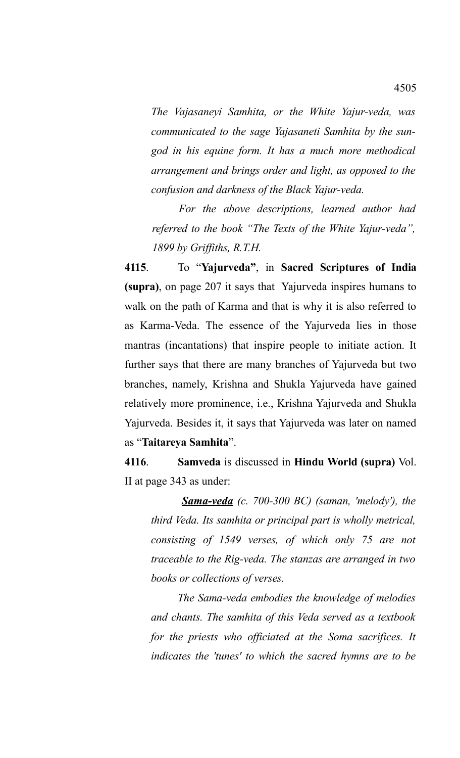*The Vajasaneyi Samhita, or the White Yajur-veda, was communicated to the sage Yajasaneti Samhita by the sungod in his equine form. It has a much more methodical arrangement and brings order and light, as opposed to the confusion and darkness of the Black Yajur-veda.* 

*For the above descriptions, learned author had referred to the book "The Texts of the White Yajur-veda", 1899 by Griffiths, R.T.H.*

**4115**. To "**Yajurveda"**, in **Sacred Scriptures of India (supra)**, on page 207 it says that Yajurveda inspires humans to walk on the path of Karma and that is why it is also referred to as Karma-Veda. The essence of the Yajurveda lies in those mantras (incantations) that inspire people to initiate action. It further says that there are many branches of Yajurveda but two branches, namely, Krishna and Shukla Yajurveda have gained relatively more prominence, i.e., Krishna Yajurveda and Shukla Yajurveda. Besides it, it says that Yajurveda was later on named as "**Taitareya Samhita**".

**4116**. **Samveda** is discussed in **Hindu World (supra)** Vol. II at page 343 as under:

*Sama-veda (c. 700-300 BC) (saman, 'melody'), the third Veda. Its samhita or principal part is wholly metrical, consisting of 1549 verses, of which only 75 are not traceable to the Rig-veda. The stanzas are arranged in two books or collections of verses.*

*The Sama-veda embodies the knowledge of melodies and chants. The samhita of this Veda served as a textbook for the priests who officiated at the Soma sacrifices. It indicates the 'tunes' to which the sacred hymns are to be*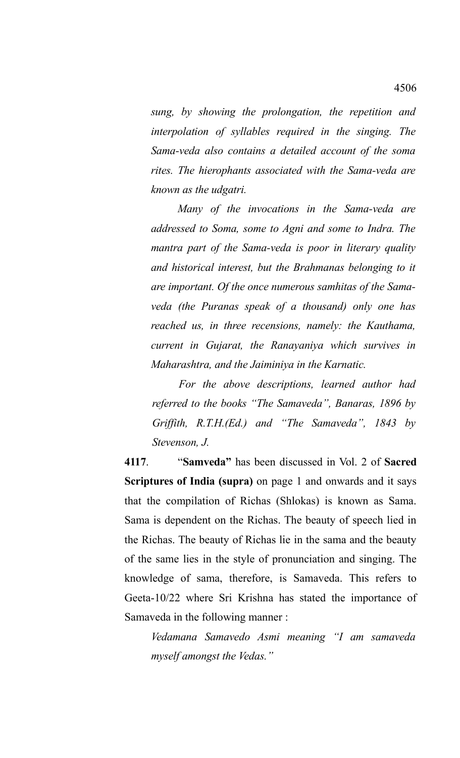*sung, by showing the prolongation, the repetition and interpolation of syllables required in the singing. The Sama-veda also contains a detailed account of the soma rites. The hierophants associated with the Sama-veda are known as the udgatri.*

*Many of the invocations in the Sama-veda are addressed to Soma, some to Agni and some to Indra. The mantra part of the Sama-veda is poor in literary quality and historical interest, but the Brahmanas belonging to it are important. Of the once numerous samhitas of the Samaveda (the Puranas speak of a thousand) only one has reached us, in three recensions, namely: the Kauthama, current in Gujarat, the Ranayaniya which survives in Maharashtra, and the Jaiminiya in the Karnatic.*

*For the above descriptions, learned author had referred to the books "The Samaveda", Banaras, 1896 by Griffith, R.T.H.(Ed.) and "The Samaveda", 1843 by Stevenson, J.*

**4117**. "**Samveda"** has been discussed in Vol. 2 of **Sacred Scriptures of India (supra)** on page 1 and onwards and it says that the compilation of Richas (Shlokas) is known as Sama. Sama is dependent on the Richas. The beauty of speech lied in the Richas. The beauty of Richas lie in the sama and the beauty of the same lies in the style of pronunciation and singing. The knowledge of sama, therefore, is Samaveda. This refers to Geeta-10/22 where Sri Krishna has stated the importance of Samaveda in the following manner :

*Vedamana Samavedo Asmi meaning "I am samaveda myself amongst the Vedas."*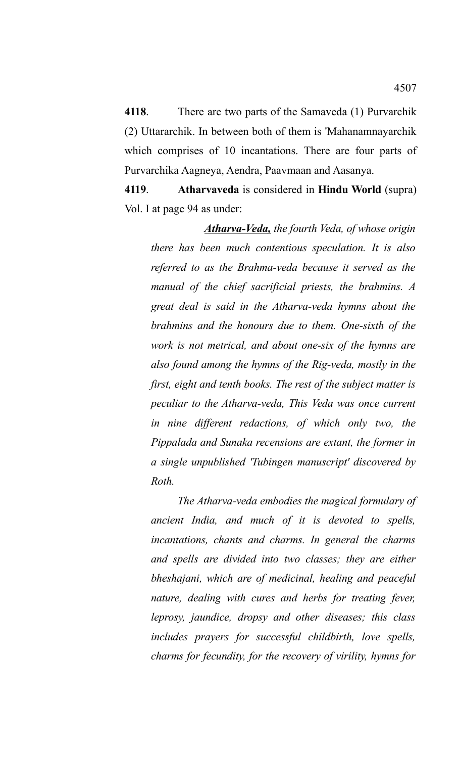**4118**. There are two parts of the Samaveda (1) Purvarchik (2) Uttararchik. In between both of them is 'Mahanamnayarchik which comprises of 10 incantations. There are four parts of Purvarchika Aagneya, Aendra, Paavmaan and Aasanya.

**4119**. **Atharvaveda** is considered in **Hindu World** (supra) Vol. I at page 94 as under:

*Atharva-Veda, the fourth Veda, of whose origin there has been much contentious speculation. It is also referred to as the Brahma-veda because it served as the manual of the chief sacrificial priests, the brahmins. A great deal is said in the Atharva-veda hymns about the brahmins and the honours due to them. One-sixth of the work is not metrical, and about one-six of the hymns are also found among the hymns of the Rig-veda, mostly in the first, eight and tenth books. The rest of the subject matter is peculiar to the Atharva-veda, This Veda was once current in nine different redactions, of which only two, the Pippalada and Sunaka recensions are extant, the former in a single unpublished 'Tubingen manuscript' discovered by Roth.*

*The Atharva-veda embodies the magical formulary of ancient India, and much of it is devoted to spells, incantations, chants and charms. In general the charms and spells are divided into two classes; they are either bheshajani, which are of medicinal, healing and peaceful nature, dealing with cures and herbs for treating fever, leprosy, jaundice, dropsy and other diseases; this class includes prayers for successful childbirth, love spells, charms for fecundity, for the recovery of virility, hymns for*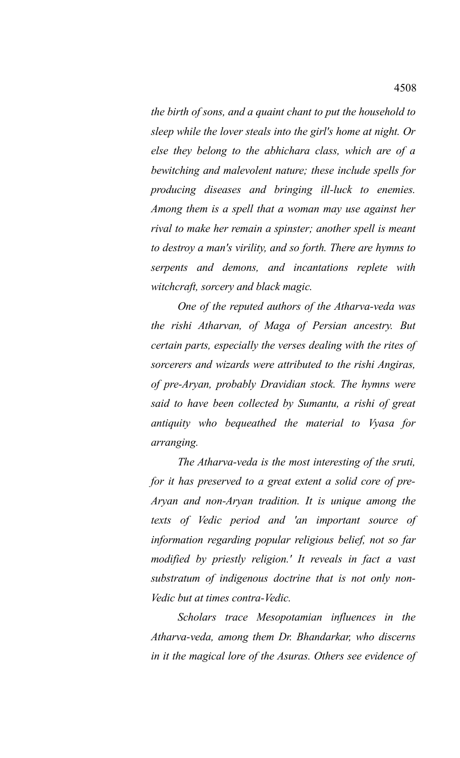*the birth of sons, and a quaint chant to put the household to sleep while the lover steals into the girl's home at night. Or else they belong to the abhichara class, which are of a bewitching and malevolent nature; these include spells for producing diseases and bringing ill-luck to enemies. Among them is a spell that a woman may use against her rival to make her remain a spinster; another spell is meant to destroy a man's virility, and so forth. There are hymns to serpents and demons, and incantations replete with witchcraft, sorcery and black magic.* 

*One of the reputed authors of the Atharva-veda was the rishi Atharvan, of Maga of Persian ancestry. But certain parts, especially the verses dealing with the rites of sorcerers and wizards were attributed to the rishi Angiras, of pre-Aryan, probably Dravidian stock. The hymns were said to have been collected by Sumantu, a rishi of great antiquity who bequeathed the material to Vyasa for arranging.* 

*The Atharva-veda is the most interesting of the sruti, for it has preserved to a great extent a solid core of pre-Aryan and non-Aryan tradition. It is unique among the texts of Vedic period and 'an important source of information regarding popular religious belief, not so far modified by priestly religion.' It reveals in fact a vast substratum of indigenous doctrine that is not only non-Vedic but at times contra-Vedic.* 

*Scholars trace Mesopotamian influences in the Atharva-veda, among them Dr. Bhandarkar, who discerns in it the magical lore of the Asuras. Others see evidence of*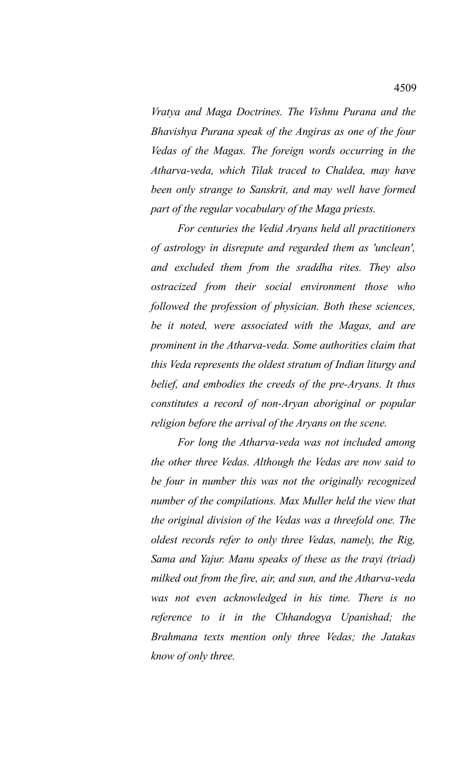*Vratya and Maga Doctrines. The Vishnu Purana and the Bhavishya Purana speak of the Angiras as one of the four Vedas of the Magas. The foreign words occurring in the Atharva-veda, which Tilak traced to Chaldea, may have been only strange to Sanskrit, and may well have formed part of the regular vocabulary of the Maga priests.* 

*For centuries the Vedid Aryans held all practitioners of astrology in disrepute and regarded them as 'unclean', and excluded them from the sraddha rites. They also ostracized from their social environment those who followed the profession of physician. Both these sciences, be it noted, were associated with the Magas, and are prominent in the Atharva-veda. Some authorities claim that this Veda represents the oldest stratum of Indian liturgy and belief, and embodies the creeds of the pre-Aryans. It thus constitutes a record of non-Aryan aboriginal or popular religion before the arrival of the Aryans on the scene.* 

*For long the Atharva-veda was not included among the other three Vedas. Although the Vedas are now said to be four in number this was not the originally recognized number of the compilations. Max Muller held the view that the original division of the Vedas was a threefold one. The oldest records refer to only three Vedas, namely, the Rig, Sama and Yajur. Manu speaks of these as the trayi (triad) milked out from the fire, air, and sun, and the Atharva-veda was not even acknowledged in his time. There is no reference to it in the Chhandogya Upanishad; the Brahmana texts mention only three Vedas; the Jatakas know of only three.*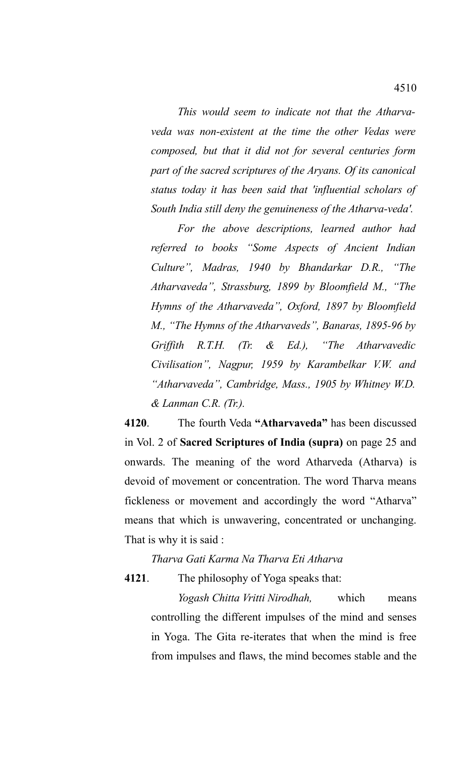*This would seem to indicate not that the Atharvaveda was non-existent at the time the other Vedas were composed, but that it did not for several centuries form part of the sacred scriptures of the Aryans. Of its canonical status today it has been said that 'influential scholars of South India still deny the genuineness of the Atharva-veda'.*

*For the above descriptions, learned author had referred to books "Some Aspects of Ancient Indian Culture", Madras, 1940 by Bhandarkar D.R., "The Atharvaveda", Strassburg, 1899 by Bloomfield M., "The Hymns of the Atharvaveda", Oxford, 1897 by Bloomfield M., "The Hymns of the Atharvaveds", Banaras, 1895-96 by Griffith R.T.H. (Tr. & Ed.), "The Atharvavedic Civilisation", Nagpur, 1959 by Karambelkar V.W. and "Atharvaveda", Cambridge, Mass., 1905 by Whitney W.D. & Lanman C.R. (Tr.).*

**4120**. The fourth Veda **"Atharvaveda"** has been discussed in Vol. 2 of **Sacred Scriptures of India (supra)** on page 25 and onwards. The meaning of the word Atharveda (Atharva) is devoid of movement or concentration. The word Tharva means fickleness or movement and accordingly the word "Atharva" means that which is unwavering, concentrated or unchanging. That is why it is said :

*Tharva Gati Karma Na Tharva Eti Atharva*

**4121**. The philosophy of Yoga speaks that:

*Yogash Chitta Vritti Nirodhah,* which means controlling the different impulses of the mind and senses in Yoga. The Gita re-iterates that when the mind is free from impulses and flaws, the mind becomes stable and the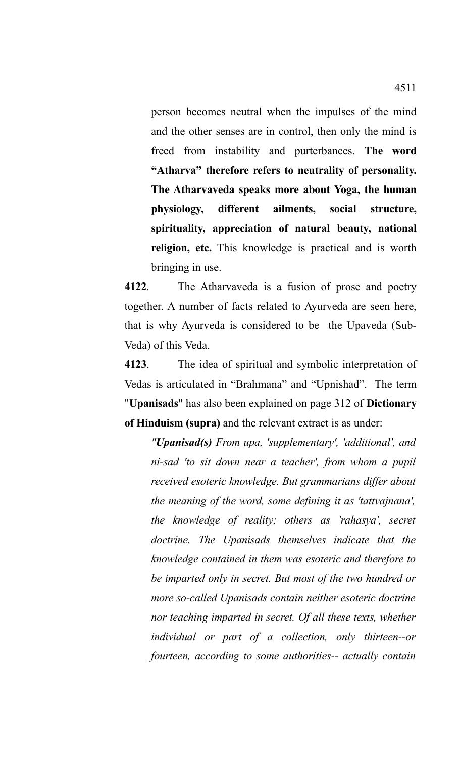person becomes neutral when the impulses of the mind and the other senses are in control, then only the mind is freed from instability and purterbances. **The word "Atharva" therefore refers to neutrality of personality. The Atharvaveda speaks more about Yoga, the human physiology, different ailments, social structure, spirituality, appreciation of natural beauty, national religion, etc.** This knowledge is practical and is worth bringing in use.

**4122**. The Atharvaveda is a fusion of prose and poetry together. A number of facts related to Ayurveda are seen here, that is why Ayurveda is considered to be the Upaveda (Sub-Veda) of this Veda.

**4123**. The idea of spiritual and symbolic interpretation of Vedas is articulated in "Brahmana" and "Upnishad". The term "**Upanisads**" has also been explained on page 312 of **Dictionary of Hinduism (supra)** and the relevant extract is as under:

*"Upanisad(s) From upa, 'supplementary', 'additional', and ni-sad 'to sit down near a teacher', from whom a pupil received esoteric knowledge. But grammarians differ about the meaning of the word, some defining it as 'tattvajnana', the knowledge of reality; others as 'rahasya', secret doctrine. The Upanisads themselves indicate that the knowledge contained in them was esoteric and therefore to be imparted only in secret. But most of the two hundred or more so-called Upanisads contain neither esoteric doctrine nor teaching imparted in secret. Of all these texts, whether individual or part of a collection, only thirteen--or fourteen, according to some authorities-- actually contain*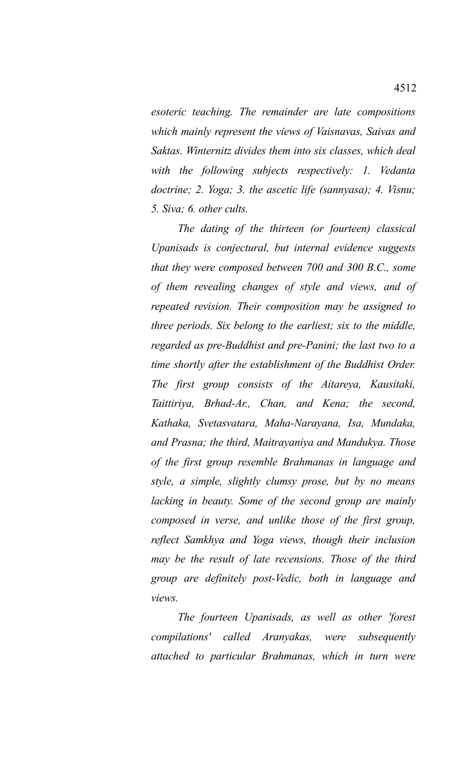*esoteric teaching. The remainder are late compositions which mainly represent the views of Vaisnavas, Saivas and Saktas. Winternitz divides them into six classes, which deal with the following subjects respectively: 1. Vedanta doctrine; 2. Yoga; 3. the ascetic life (sannyasa); 4. Visnu; 5. Siva; 6. other cults.*

*The dating of the thirteen (or fourteen) classical Upanisads is conjectural, but internal evidence suggests that they were composed between 700 and 300 B.C., some of them revealing changes of style and views, and of repeated revision. Their composition may be assigned to three periods. Six belong to the earliest; six to the middle, regarded as pre-Buddhist and pre-Panini; the last two to a time shortly after the establishment of the Buddhist Order. The first group consists of the Aitareya, Kausitaki, Taittiriya, Brhad-Ar., Chan, and Kena; the second, Kathaka, Svetasvatara, Maha-Narayana, Isa, Mundaka, and Prasna; the third, Maitrayaniya and Mandukya. Those of the first group resemble Brahmanas in language and style, a simple, slightly clumsy prose, but by no means lacking in beauty. Some of the second group are mainly composed in verse, and unlike those of the first group, reflect Samkhya and Yoga views, though their inclusion may be the result of late recensions. Those of the third group are definitely post-Vedic, both in language and views.* 

*The fourteen Upanisads, as well as other 'forest compilations' called Aranyakas, were subsequently attached to particular Brahmanas, which in turn were*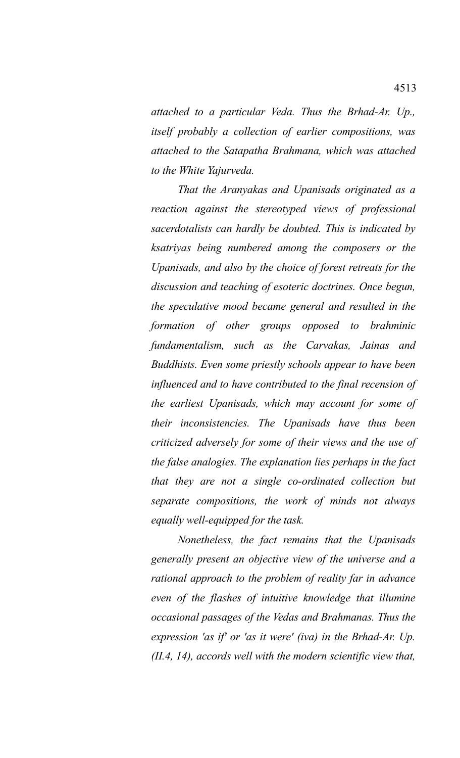*attached to a particular Veda. Thus the Brhad-Ar. Up., itself probably a collection of earlier compositions, was attached to the Satapatha Brahmana, which was attached to the White Yajurveda.*

*That the Aranyakas and Upanisads originated as a reaction against the stereotyped views of professional sacerdotalists can hardly be doubted. This is indicated by ksatriyas being numbered among the composers or the Upanisads, and also by the choice of forest retreats for the discussion and teaching of esoteric doctrines. Once begun, the speculative mood became general and resulted in the formation of other groups opposed to brahminic fundamentalism, such as the Carvakas, Jainas and Buddhists. Even some priestly schools appear to have been influenced and to have contributed to the final recension of the earliest Upanisads, which may account for some of their inconsistencies. The Upanisads have thus been criticized adversely for some of their views and the use of the false analogies. The explanation lies perhaps in the fact that they are not a single co-ordinated collection but separate compositions, the work of minds not always equally well-equipped for the task.* 

*Nonetheless, the fact remains that the Upanisads generally present an objective view of the universe and a rational approach to the problem of reality far in advance even of the flashes of intuitive knowledge that illumine occasional passages of the Vedas and Brahmanas. Thus the expression 'as if' or 'as it were' (iva) in the Brhad-Ar. Up. (II.4, 14), accords well with the modern scientific view that,*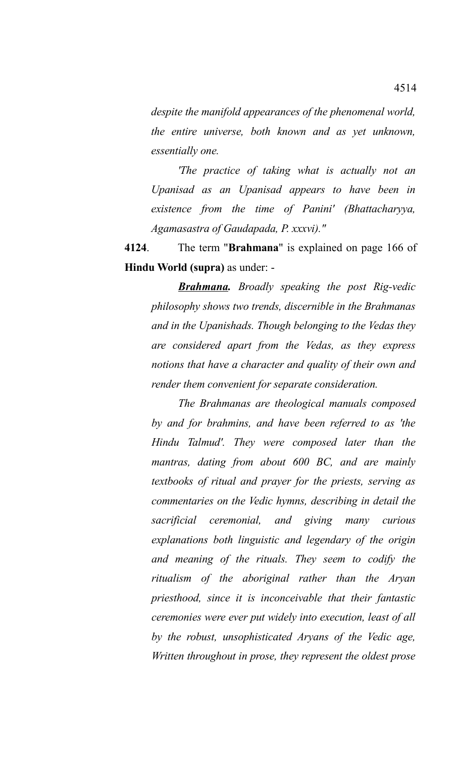*despite the manifold appearances of the phenomenal world, the entire universe, both known and as yet unknown, essentially one.* 

*'The practice of taking what is actually not an Upanisad as an Upanisad appears to have been in existence from the time of Panini' (Bhattacharyya, Agamasastra of Gaudapada, P. xxxvi)."*

**4124**. The term "**Brahmana**" is explained on page 166 of **Hindu World (supra)** as under: -

*Brahmana. Broadly speaking the post Rig-vedic philosophy shows two trends, discernible in the Brahmanas and in the Upanishads. Though belonging to the Vedas they are considered apart from the Vedas, as they express notions that have a character and quality of their own and render them convenient for separate consideration.* 

*The Brahmanas are theological manuals composed by and for brahmins, and have been referred to as 'the Hindu Talmud'. They were composed later than the mantras, dating from about 600 BC, and are mainly textbooks of ritual and prayer for the priests, serving as commentaries on the Vedic hymns, describing in detail the sacrificial ceremonial, and giving many curious explanations both linguistic and legendary of the origin and meaning of the rituals. They seem to codify the ritualism of the aboriginal rather than the Aryan priesthood, since it is inconceivable that their fantastic ceremonies were ever put widely into execution, least of all by the robust, unsophisticated Aryans of the Vedic age, Written throughout in prose, they represent the oldest prose*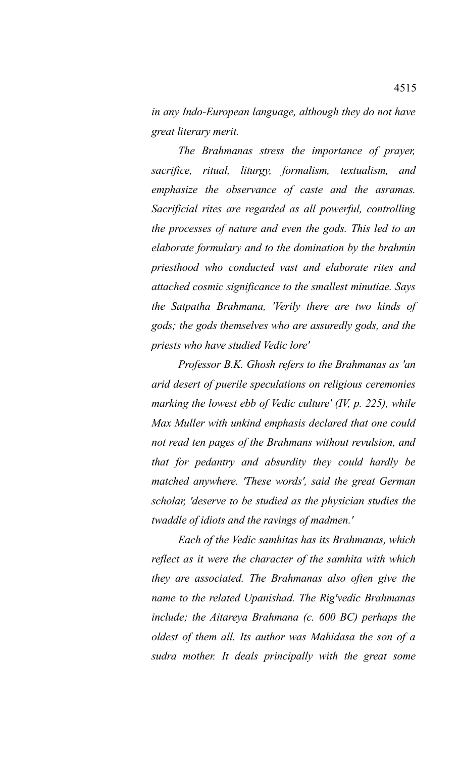*in any Indo-European language, although they do not have great literary merit.* 

*The Brahmanas stress the importance of prayer, sacrifice, ritual, liturgy, formalism, textualism, and emphasize the observance of caste and the asramas. Sacrificial rites are regarded as all powerful, controlling the processes of nature and even the gods. This led to an elaborate formulary and to the domination by the brahmin priesthood who conducted vast and elaborate rites and attached cosmic significance to the smallest minutiae. Says the Satpatha Brahmana, 'Verily there are two kinds of gods; the gods themselves who are assuredly gods, and the priests who have studied Vedic lore'*

*Professor B.K. Ghosh refers to the Brahmanas as 'an arid desert of puerile speculations on religious ceremonies marking the lowest ebb of Vedic culture' (IV, p. 225), while Max Muller with unkind emphasis declared that one could not read ten pages of the Brahmans without revulsion, and that for pedantry and absurdity they could hardly be matched anywhere. 'These words', said the great German scholar, 'deserve to be studied as the physician studies the twaddle of idiots and the ravings of madmen.'*

*Each of the Vedic samhitas has its Brahmanas, which reflect as it were the character of the samhita with which they are associated. The Brahmanas also often give the name to the related Upanishad. The Rig'vedic Brahmanas include; the Aitareya Brahmana (c. 600 BC) perhaps the oldest of them all. Its author was Mahidasa the son of a sudra mother. It deals principally with the great some*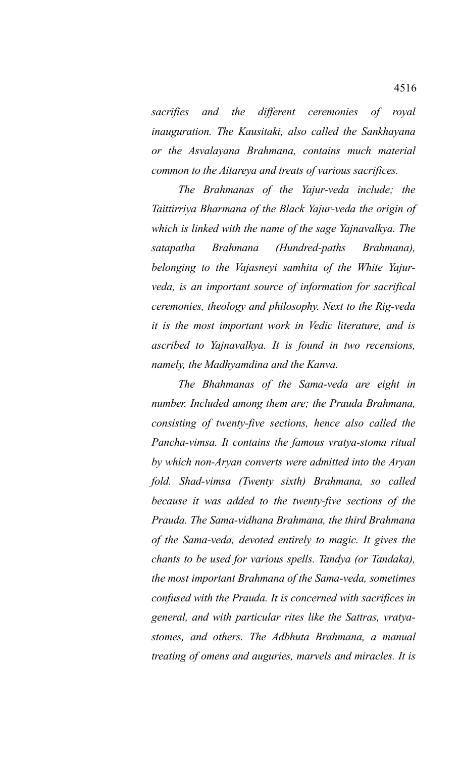*sacrifies and the different ceremonies of royal inauguration. The Kausitaki, also called the Sankhayana or the Asvalayana Brahmana, contains much material common to the Aitareya and treats of various sacrifices.* 

*The Brahmanas of the Yajur-veda include; the Taittirriya Bharmana of the Black Yajur-veda the origin of which is linked with the name of the sage Yajnavalkya. The satapatha Brahmana (Hundred-paths Brahmana), belonging to the Vajasneyi samhita of the White Yajurveda, is an important source of information for sacrifical ceremonies, theology and philosophy. Next to the Rig-veda it is the most important work in Vedic literature, and is ascribed to Yajnavalkya. It is found in two recensions, namely, the Madhyamdina and the Kanva.* 

*The Bhahmanas of the Sama-veda are eight in number. Included among them are; the Prauda Brahmana, consisting of twenty-five sections, hence also called the Pancha-vimsa. It contains the famous vratya-stoma ritual by which non-Aryan converts were admitted into the Aryan fold. Shad-vimsa (Twenty sixth) Brahmana, so called because it was added to the twenty-five sections of the Prauda. The Sama-vidhana Brahmana, the third Brahmana of the Sama-veda, devoted entirely to magic. It gives the chants to be used for various spells. Tandya (or Tandaka), the most important Brahmana of the Sama-veda, sometimes confused with the Prauda. It is concerned with sacrifices in general, and with particular rites like the Sattras, vratyastomes, and others. The Adbhuta Brahmana, a manual treating of omens and auguries, marvels and miracles. It is*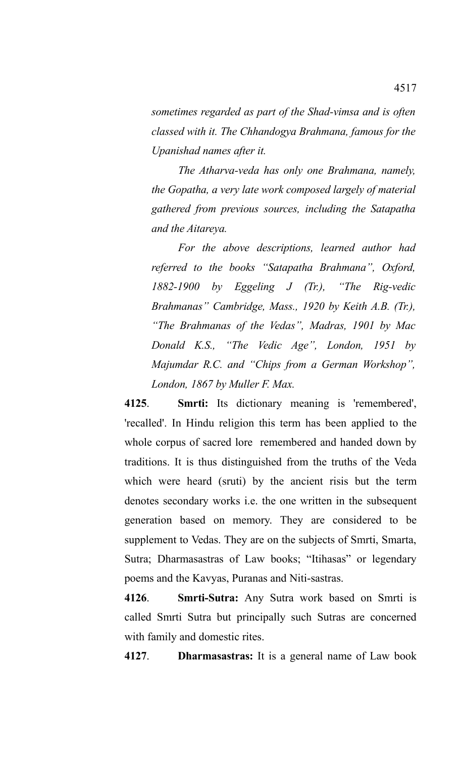*sometimes regarded as part of the Shad-vimsa and is often classed with it. The Chhandogya Brahmana, famous for the Upanishad names after it.*

*The Atharva-veda has only one Brahmana, namely, the Gopatha, a very late work composed largely of material gathered from previous sources, including the Satapatha and the Aitareya.* 

*For the above descriptions, learned author had referred to the books "Satapatha Brahmana", Oxford, 1882-1900 by Eggeling J (Tr.), "The Rig-vedic Brahmanas" Cambridge, Mass., 1920 by Keith A.B. (Tr.), "The Brahmanas of the Vedas", Madras, 1901 by Mac Donald K.S., "The Vedic Age", London, 1951 by Majumdar R.C. and "Chips from a German Workshop", London, 1867 by Muller F. Max.*

**4125**. **Smrti:** Its dictionary meaning is 'remembered', 'recalled'. In Hindu religion this term has been applied to the whole corpus of sacred lore remembered and handed down by traditions. It is thus distinguished from the truths of the Veda which were heard (sruti) by the ancient risis but the term denotes secondary works i.e. the one written in the subsequent generation based on memory. They are considered to be supplement to Vedas. They are on the subjects of Smrti, Smarta, Sutra; Dharmasastras of Law books; "Itihasas" or legendary poems and the Kavyas, Puranas and Niti-sastras.

**4126**. **Smrti-Sutra:** Any Sutra work based on Smrti is called Smrti Sutra but principally such Sutras are concerned with family and domestic rites.

**4127**. **Dharmasastras:** It is a general name of Law book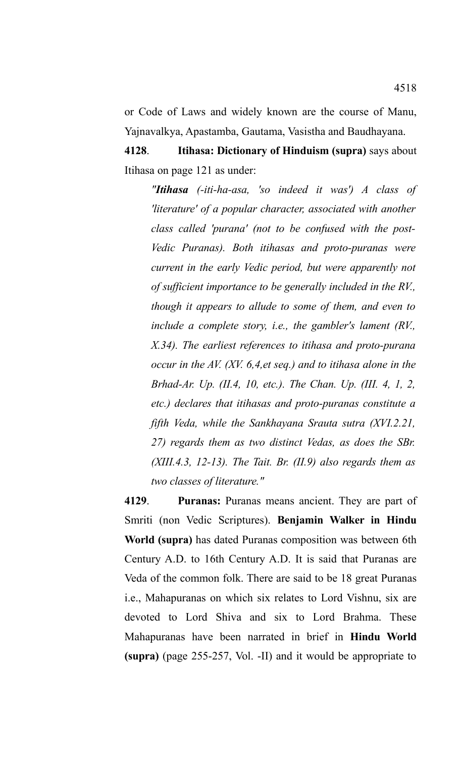or Code of Laws and widely known are the course of Manu, Yajnavalkya, Apastamba, Gautama, Vasistha and Baudhayana.

**4128**. **Itihasa: Dictionary of Hinduism (supra)** says about Itihasa on page 121 as under:

*"Itihasa (-iti-ha-asa, 'so indeed it was') A class of 'literature' of a popular character, associated with another class called 'purana' (not to be confused with the post-Vedic Puranas). Both itihasas and proto-puranas were current in the early Vedic period, but were apparently not of sufficient importance to be generally included in the RV., though it appears to allude to some of them, and even to include a complete story, i.e., the gambler's lament (RV., X.34). The earliest references to itihasa and proto-purana occur in the AV. (XV. 6,4,et seq.) and to itihasa alone in the Brhad-Ar. Up. (II.4, 10, etc.). The Chan. Up. (III. 4, 1, 2, etc.) declares that itihasas and proto-puranas constitute a fifth Veda, while the Sankhayana Srauta sutra (XVI.2.21, 27) regards them as two distinct Vedas, as does the SBr. (XIII.4.3, 12-13). The Tait. Br. (II.9) also regards them as two classes of literature."*

**4129**. **Puranas:** Puranas means ancient. They are part of Smriti (non Vedic Scriptures). **Benjamin Walker in Hindu World (supra)** has dated Puranas composition was between 6th Century A.D. to 16th Century A.D. It is said that Puranas are Veda of the common folk. There are said to be 18 great Puranas i.e., Mahapuranas on which six relates to Lord Vishnu, six are devoted to Lord Shiva and six to Lord Brahma. These Mahapuranas have been narrated in brief in **Hindu World (supra)** (page 255-257, Vol. -II) and it would be appropriate to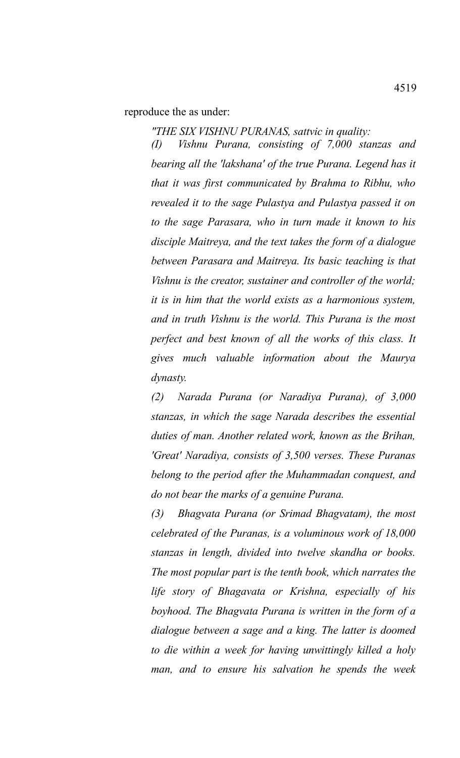reproduce the as under:

*"THE SIX VISHNU PURANAS, sattvic in quality:*

*(I) Vishnu Purana, consisting of 7,000 stanzas and bearing all the 'lakshana' of the true Purana. Legend has it that it was first communicated by Brahma to Ribhu, who revealed it to the sage Pulastya and Pulastya passed it on to the sage Parasara, who in turn made it known to his disciple Maitreya, and the text takes the form of a dialogue between Parasara and Maitreya. Its basic teaching is that Vishnu is the creator, sustainer and controller of the world; it is in him that the world exists as a harmonious system, and in truth Vishnu is the world. This Purana is the most perfect and best known of all the works of this class. It gives much valuable information about the Maurya dynasty.* 

*(2) Narada Purana (or Naradiya Purana), of 3,000 stanzas, in which the sage Narada describes the essential duties of man. Another related work, known as the Brihan, 'Great' Naradiya, consists of 3,500 verses. These Puranas belong to the period after the Muhammadan conquest, and do not bear the marks of a genuine Purana.* 

*(3) Bhagvata Purana (or Srimad Bhagvatam), the most celebrated of the Puranas, is a voluminous work of 18,000 stanzas in length, divided into twelve skandha or books. The most popular part is the tenth book, which narrates the life story of Bhagavata or Krishna, especially of his boyhood. The Bhagvata Purana is written in the form of a dialogue between a sage and a king. The latter is doomed to die within a week for having unwittingly killed a holy man, and to ensure his salvation he spends the week*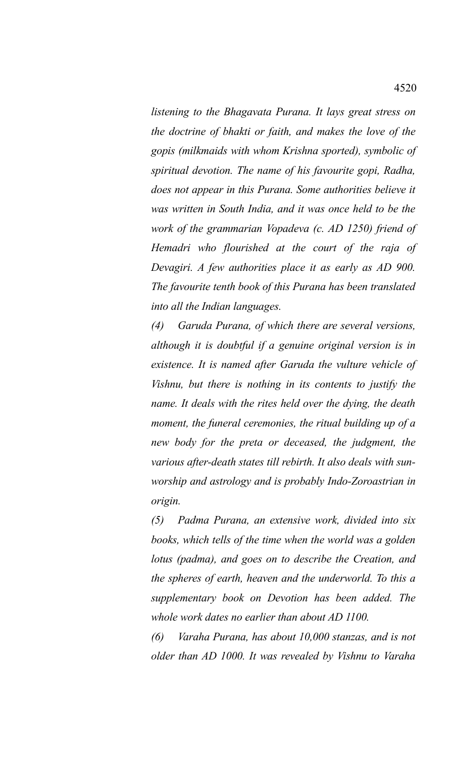*listening to the Bhagavata Purana. It lays great stress on the doctrine of bhakti or faith, and makes the love of the gopis (milkmaids with whom Krishna sported), symbolic of spiritual devotion. The name of his favourite gopi, Radha, does not appear in this Purana. Some authorities believe it was written in South India, and it was once held to be the work of the grammarian Vopadeva (c. AD 1250) friend of Hemadri who flourished at the court of the raja of Devagiri. A few authorities place it as early as AD 900. The favourite tenth book of this Purana has been translated into all the Indian languages.* 

*(4) Garuda Purana, of which there are several versions, although it is doubtful if a genuine original version is in existence. It is named after Garuda the vulture vehicle of Vishnu, but there is nothing in its contents to justify the name. It deals with the rites held over the dying, the death moment, the funeral ceremonies, the ritual building up of a new body for the preta or deceased, the judgment, the various after-death states till rebirth. It also deals with sunworship and astrology and is probably Indo-Zoroastrian in origin.* 

*(5) Padma Purana, an extensive work, divided into six books, which tells of the time when the world was a golden lotus (padma), and goes on to describe the Creation, and the spheres of earth, heaven and the underworld. To this a supplementary book on Devotion has been added. The whole work dates no earlier than about AD 1100.* 

*(6) Varaha Purana, has about 10,000 stanzas, and is not older than AD 1000. It was revealed by Vishnu to Varaha*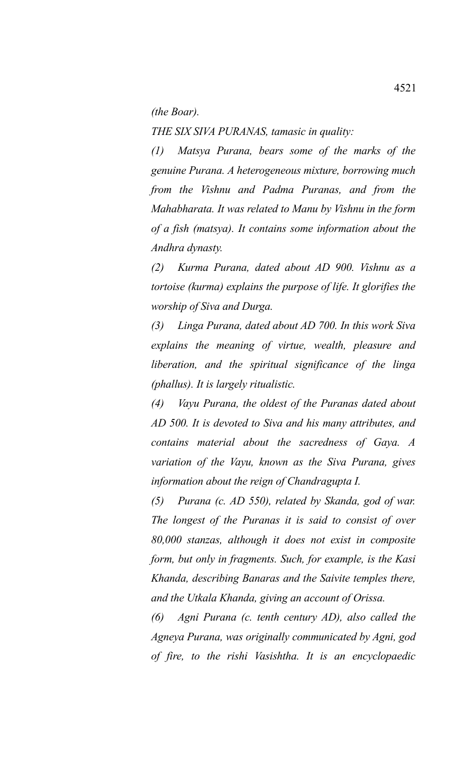*(the Boar).* 

*THE SIX SIVA PURANAS, tamasic in quality:*

*(1) Matsya Purana, bears some of the marks of the genuine Purana. A heterogeneous mixture, borrowing much from the Vishnu and Padma Puranas, and from the Mahabharata. It was related to Manu by Vishnu in the form of a fish (matsya). It contains some information about the Andhra dynasty.* 

*(2) Kurma Purana, dated about AD 900. Vishnu as a tortoise (kurma) explains the purpose of life. It glorifies the worship of Siva and Durga.* 

*(3) Linga Purana, dated about AD 700. In this work Siva explains the meaning of virtue, wealth, pleasure and liberation, and the spiritual significance of the linga (phallus). It is largely ritualistic.* 

*(4) Vayu Purana, the oldest of the Puranas dated about AD 500. It is devoted to Siva and his many attributes, and contains material about the sacredness of Gaya. A variation of the Vayu, known as the Siva Purana, gives information about the reign of Chandragupta I.* 

*(5) Purana (c. AD 550), related by Skanda, god of war. The longest of the Puranas it is said to consist of over 80,000 stanzas, although it does not exist in composite form, but only in fragments. Such, for example, is the Kasi Khanda, describing Banaras and the Saivite temples there, and the Utkala Khanda, giving an account of Orissa.* 

*(6) Agni Purana (c. tenth century AD), also called the Agneya Purana, was originally communicated by Agni, god of fire, to the rishi Vasishtha. It is an encyclopaedic*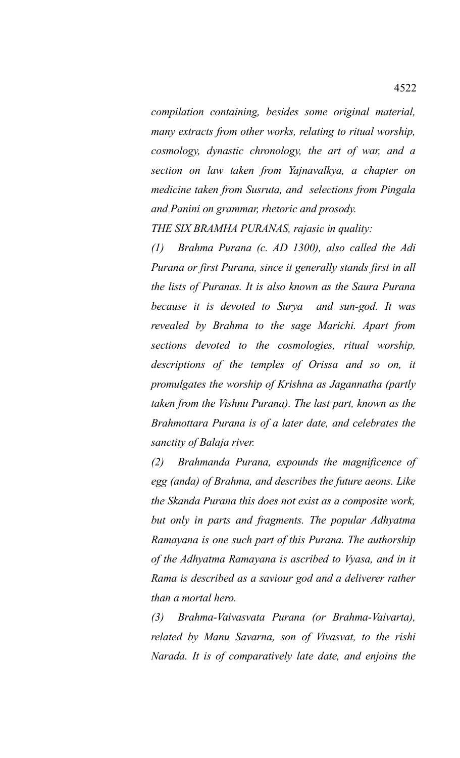*compilation containing, besides some original material, many extracts from other works, relating to ritual worship, cosmology, dynastic chronology, the art of war, and a section on law taken from Yajnavalkya, a chapter on medicine taken from Susruta, and selections from Pingala and Panini on grammar, rhetoric and prosody.* 

*THE SIX BRAMHA PURANAS, rajasic in quality:*

*(1) Brahma Purana (c. AD 1300), also called the Adi Purana or first Purana, since it generally stands first in all the lists of Puranas. It is also known as the Saura Purana because it is devoted to Surya and sun-god. It was revealed by Brahma to the sage Marichi. Apart from sections devoted to the cosmologies, ritual worship, descriptions of the temples of Orissa and so on, it promulgates the worship of Krishna as Jagannatha (partly taken from the Vishnu Purana). The last part, known as the Brahmottara Purana is of a later date, and celebrates the sanctity of Balaja river.* 

*(2) Brahmanda Purana, expounds the magnificence of egg (anda) of Brahma, and describes the future aeons. Like the Skanda Purana this does not exist as a composite work, but only in parts and fragments. The popular Adhyatma Ramayana is one such part of this Purana. The authorship of the Adhyatma Ramayana is ascribed to Vyasa, and in it Rama is described as a saviour god and a deliverer rather than a mortal hero.* 

*(3) Brahma-Vaivasvata Purana (or Brahma-Vaivarta), related by Manu Savarna, son of Vivasvat, to the rishi Narada. It is of comparatively late date, and enjoins the*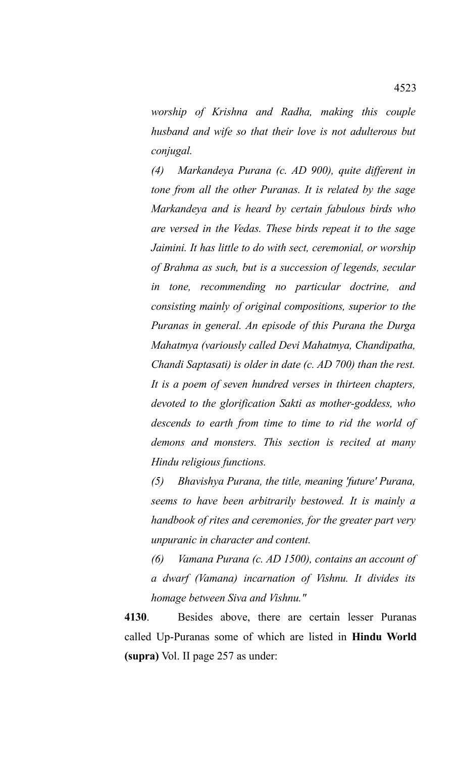*worship of Krishna and Radha, making this couple husband and wife so that their love is not adulterous but conjugal.* 

*(4) Markandeya Purana (c. AD 900), quite different in tone from all the other Puranas. It is related by the sage Markandeya and is heard by certain fabulous birds who are versed in the Vedas. These birds repeat it to the sage Jaimini. It has little to do with sect, ceremonial, or worship of Brahma as such, but is a succession of legends, secular in tone, recommending no particular doctrine, and consisting mainly of original compositions, superior to the Puranas in general. An episode of this Purana the Durga Mahatmya (variously called Devi Mahatmya, Chandipatha, Chandi Saptasati) is older in date (c. AD 700) than the rest. It is a poem of seven hundred verses in thirteen chapters, devoted to the glorification Sakti as mother-goddess, who descends to earth from time to time to rid the world of demons and monsters. This section is recited at many Hindu religious functions.* 

*(5) Bhavishya Purana, the title, meaning 'future' Purana, seems to have been arbitrarily bestowed. It is mainly a handbook of rites and ceremonies, for the greater part very unpuranic in character and content.* 

*(6) Vamana Purana (c. AD 1500), contains an account of a dwarf (Vamana) incarnation of Vishnu. It divides its homage between Siva and Vishnu."*

**4130**. Besides above, there are certain lesser Puranas called Up-Puranas some of which are listed in **Hindu World (supra)** Vol. II page 257 as under: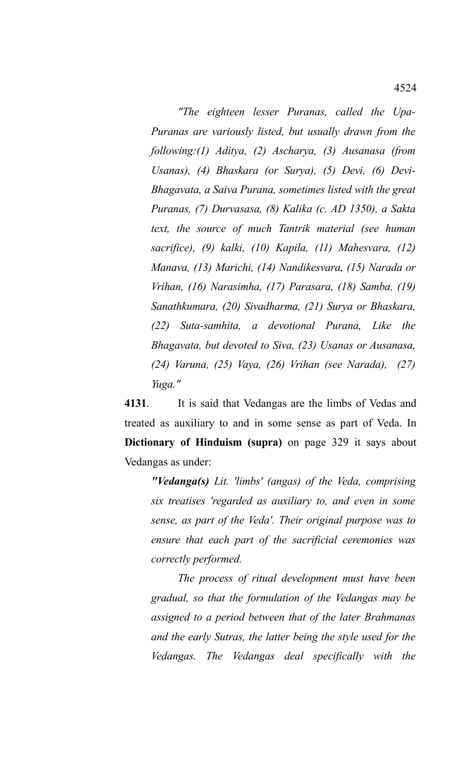*"The eighteen lesser Puranas, called the Upa-Puranas are variously listed, but usually drawn from the following:(1) Aditya, (2) Ascharya, (3) Ausanasa (from Usanas), (4) Bhaskara (or Surya), (5) Devi, (6) Devi-Bhagavata, a Saiva Purana, sometimes listed with the great Puranas, (7) Durvasasa, (8) Kalika (c. AD 1350), a Sakta text, the source of much Tantrik material (see human sacrifice), (9) kalki, (10) Kapila, (11) Mahesvara, (12) Manava, (13) Marichi, (14) Nandikesvara, (15) Narada or Vrihan, (16) Narasimha, (17) Parasara, (18) Samba, (19) Sanathkumara, (20) Sivadharma, (21) Surya or Bhaskara, (22) Suta-samhita, a devotional Purana, Like the Bhagavata, but devoted to Siva, (23) Usanas or Ausanasa, (24) Varuna, (25) Vaya, (26) Vrihan (see Narada), (27) Yuga."*

**4131**. It is said that Vedangas are the limbs of Vedas and treated as auxiliary to and in some sense as part of Veda. In **Dictionary of Hinduism (supra)** on page 329 it says about Vedangas as under:

*"Vedanga(s) Lit. 'limbs' (angas) of the Veda, comprising six treatises 'regarded as auxiliary to, and even in some sense, as part of the Veda'. Their original purpose was to ensure that each part of the sacrificial ceremonies was correctly performed.* 

*The process of ritual development must have been gradual, so that the formulation of the Vedangas may be assigned to a period between that of the later Brahmanas and the early Sutras, the latter being the style used for the Vedangas. The Vedangas deal specifically with the*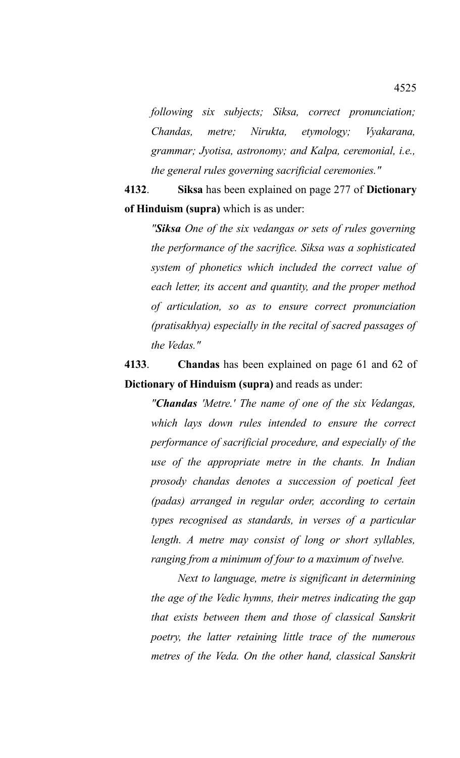*following six subjects; Siksa, correct pronunciation; Chandas, metre; Nirukta, etymology; Vyakarana, grammar; Jyotisa, astronomy; and Kalpa, ceremonial, i.e., the general rules governing sacrificial ceremonies."*

**4132**. **Siksa** has been explained on page 277 of **Dictionary of Hinduism (supra)** which is as under:

*"Siksa One of the six vedangas or sets of rules governing the performance of the sacrifice. Siksa was a sophisticated system of phonetics which included the correct value of each letter, its accent and quantity, and the proper method of articulation, so as to ensure correct pronunciation (pratisakhya) especially in the recital of sacred passages of the Vedas."* 

**4133**. **Chandas** has been explained on page 61 and 62 of **Dictionary of Hinduism (supra)** and reads as under:

*"Chandas 'Metre.' The name of one of the six Vedangas, which lays down rules intended to ensure the correct performance of sacrificial procedure, and especially of the use of the appropriate metre in the chants. In Indian prosody chandas denotes a succession of poetical feet (padas) arranged in regular order, according to certain types recognised as standards, in verses of a particular length. A metre may consist of long or short syllables, ranging from a minimum of four to a maximum of twelve.* 

*Next to language, metre is significant in determining the age of the Vedic hymns, their metres indicating the gap that exists between them and those of classical Sanskrit poetry, the latter retaining little trace of the numerous metres of the Veda. On the other hand, classical Sanskrit*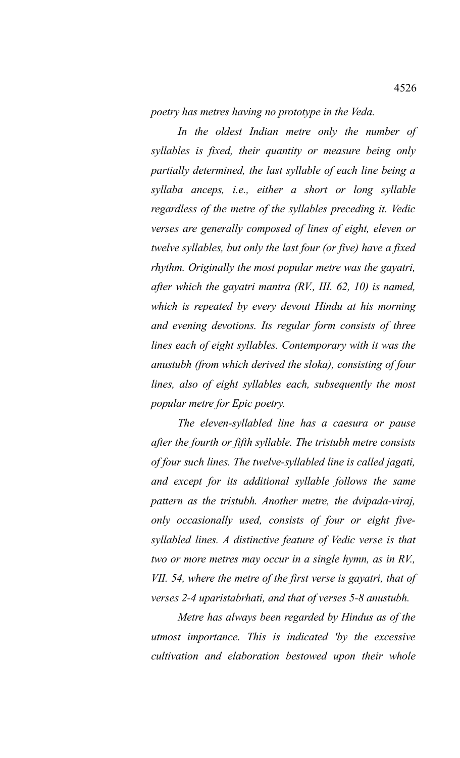*poetry has metres having no prototype in the Veda.* 

*In the oldest Indian metre only the number of syllables is fixed, their quantity or measure being only partially determined, the last syllable of each line being a syllaba anceps, i.e., either a short or long syllable regardless of the metre of the syllables preceding it. Vedic verses are generally composed of lines of eight, eleven or twelve syllables, but only the last four (or five) have a fixed rhythm. Originally the most popular metre was the gayatri, after which the gayatri mantra (RV., III. 62, 10) is named, which is repeated by every devout Hindu at his morning and evening devotions. Its regular form consists of three lines each of eight syllables. Contemporary with it was the anustubh (from which derived the sloka), consisting of four lines, also of eight syllables each, subsequently the most popular metre for Epic poetry.* 

*The eleven-syllabled line has a caesura or pause after the fourth or fifth syllable. The tristubh metre consists of four such lines. The twelve-syllabled line is called jagati, and except for its additional syllable follows the same pattern as the tristubh. Another metre, the dvipada-viraj, only occasionally used, consists of four or eight fivesyllabled lines. A distinctive feature of Vedic verse is that two or more metres may occur in a single hymn, as in RV., VII. 54, where the metre of the first verse is gayatri, that of verses 2-4 uparistabrhati, and that of verses 5-8 anustubh.* 

*Metre has always been regarded by Hindus as of the utmost importance. This is indicated 'by the excessive cultivation and elaboration bestowed upon their whole*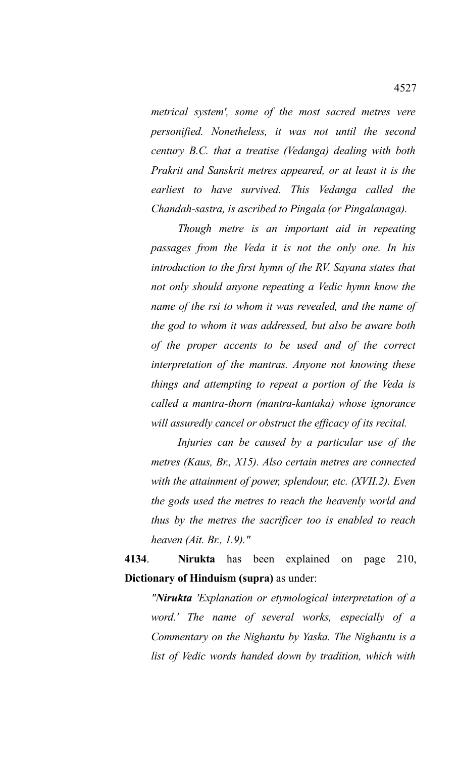*metrical system', some of the most sacred metres vere personified. Nonetheless, it was not until the second century B.C. that a treatise (Vedanga) dealing with both Prakrit and Sanskrit metres appeared, or at least it is the earliest to have survived. This Vedanga called the Chandah-sastra, is ascribed to Pingala (or Pingalanaga).* 

*Though metre is an important aid in repeating passages from the Veda it is not the only one. In his introduction to the first hymn of the RV. Sayana states that not only should anyone repeating a Vedic hymn know the name of the rsi to whom it was revealed, and the name of the god to whom it was addressed, but also be aware both of the proper accents to be used and of the correct interpretation of the mantras. Anyone not knowing these things and attempting to repeat a portion of the Veda is called a mantra-thorn (mantra-kantaka) whose ignorance will assuredly cancel or obstruct the efficacy of its recital.*

*Injuries can be caused by a particular use of the metres (Kaus, Br., X15). Also certain metres are connected with the attainment of power, splendour, etc. (XVII.2). Even the gods used the metres to reach the heavenly world and thus by the metres the sacrificer too is enabled to reach heaven (Ait. Br., 1.9)."*

**4134**. **Nirukta** has been explained on page 210, **Dictionary of Hinduism (supra)** as under:

*"Nirukta 'Explanation or etymological interpretation of a word.' The name of several works, especially of a Commentary on the Nighantu by Yaska. The Nighantu is a list of Vedic words handed down by tradition, which with*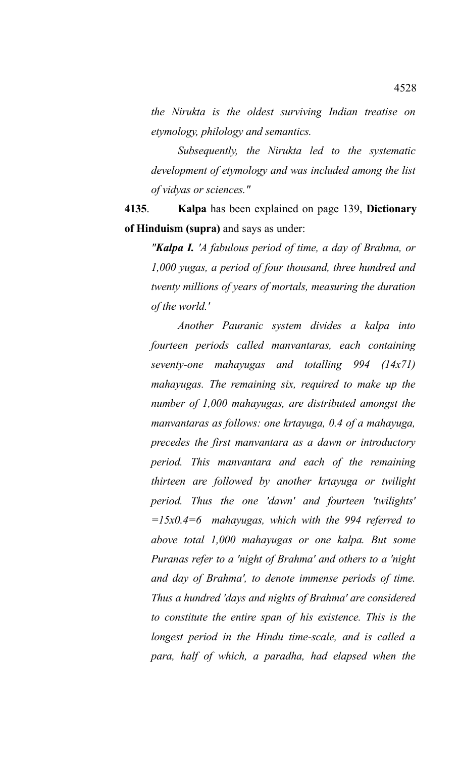*the Nirukta is the oldest surviving Indian treatise on etymology, philology and semantics.* 

*Subsequently, the Nirukta led to the systematic development of etymology and was included among the list of vidyas or sciences."*

**4135**. **Kalpa** has been explained on page 139, **Dictionary of Hinduism (supra)** and says as under:

*"Kalpa I. 'A fabulous period of time, a day of Brahma, or 1,000 yugas, a period of four thousand, three hundred and twenty millions of years of mortals, measuring the duration of the world.'*

*Another Pauranic system divides a kalpa into fourteen periods called manvantaras, each containing seventy-one mahayugas and totalling 994 (14x71) mahayugas. The remaining six, required to make up the number of 1,000 mahayugas, are distributed amongst the manvantaras as follows: one krtayuga, 0.4 of a mahayuga, precedes the first manvantara as a dawn or introductory period. This manvantara and each of the remaining thirteen are followed by another krtayuga or twilight period. Thus the one 'dawn' and fourteen 'twilights' =15x0.4=6 mahayugas, which with the 994 referred to above total 1,000 mahayugas or one kalpa. But some Puranas refer to a 'night of Brahma' and others to a 'night and day of Brahma', to denote immense periods of time. Thus a hundred 'days and nights of Brahma' are considered to constitute the entire span of his existence. This is the longest period in the Hindu time-scale, and is called a para, half of which, a paradha, had elapsed when the*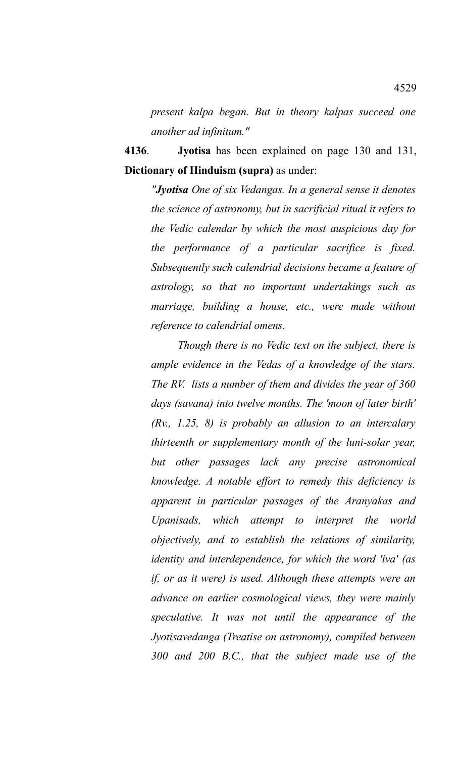*present kalpa began. But in theory kalpas succeed one another ad infinitum."* 

**4136**. **Jyotisa** has been explained on page 130 and 131, **Dictionary of Hinduism (supra)** as under:

*"Jyotisa One of six Vedangas. In a general sense it denotes the science of astronomy, but in sacrificial ritual it refers to the Vedic calendar by which the most auspicious day for the performance of a particular sacrifice is fixed. Subsequently such calendrial decisions became a feature of astrology, so that no important undertakings such as marriage, building a house, etc., were made without reference to calendrial omens.*

*Though there is no Vedic text on the subject, there is ample evidence in the Vedas of a knowledge of the stars. The RV. lists a number of them and divides the year of 360 days (savana) into twelve months. The 'moon of later birth' (Rv., 1.25, 8) is probably an allusion to an intercalary thirteenth or supplementary month of the luni-solar year, but other passages lack any precise astronomical knowledge. A notable effort to remedy this deficiency is apparent in particular passages of the Aranyakas and Upanisads, which attempt to interpret the world objectively, and to establish the relations of similarity, identity and interdependence, for which the word 'iva' (as if, or as it were) is used. Although these attempts were an advance on earlier cosmological views, they were mainly speculative. It was not until the appearance of the Jyotisavedanga (Treatise on astronomy), compiled between 300 and 200 B.C., that the subject made use of the*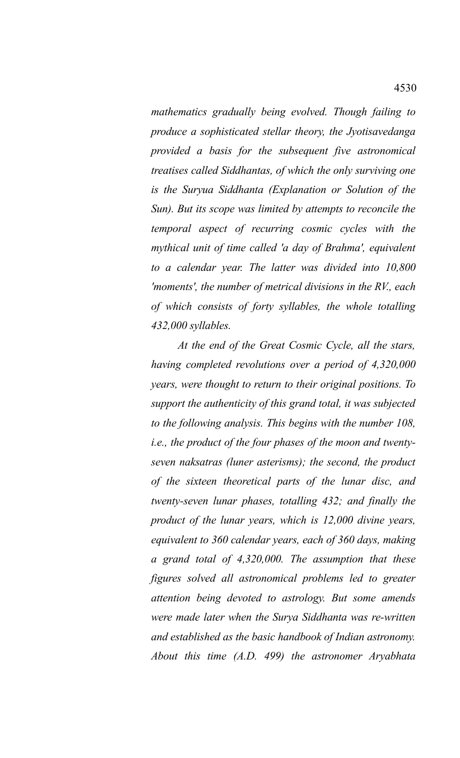*mathematics gradually being evolved. Though failing to produce a sophisticated stellar theory, the Jyotisavedanga provided a basis for the subsequent five astronomical treatises called Siddhantas, of which the only surviving one is the Suryua Siddhanta (Explanation or Solution of the Sun). But its scope was limited by attempts to reconcile the temporal aspect of recurring cosmic cycles with the mythical unit of time called 'a day of Brahma', equivalent to a calendar year. The latter was divided into 10,800 'moments', the number of metrical divisions in the RV., each of which consists of forty syllables, the whole totalling 432,000 syllables.* 

*At the end of the Great Cosmic Cycle, all the stars, having completed revolutions over a period of 4,320,000 years, were thought to return to their original positions. To support the authenticity of this grand total, it was subjected to the following analysis. This begins with the number 108, i.e., the product of the four phases of the moon and twentyseven naksatras (luner asterisms); the second, the product of the sixteen theoretical parts of the lunar disc, and twenty-seven lunar phases, totalling 432; and finally the product of the lunar years, which is 12,000 divine years, equivalent to 360 calendar years, each of 360 days, making a grand total of 4,320,000. The assumption that these figures solved all astronomical problems led to greater attention being devoted to astrology. But some amends were made later when the Surya Siddhanta was re-written and established as the basic handbook of Indian astronomy. About this time (A.D. 499) the astronomer Aryabhata*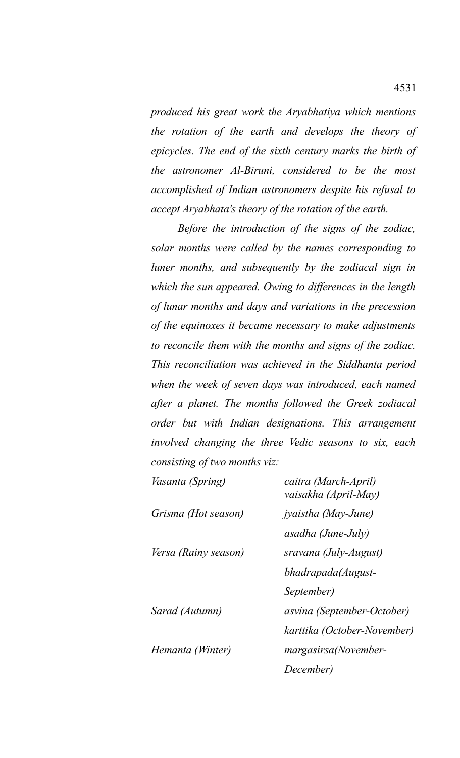*produced his great work the Aryabhatiya which mentions the rotation of the earth and develops the theory of epicycles. The end of the sixth century marks the birth of the astronomer Al-Biruni, considered to be the most accomplished of Indian astronomers despite his refusal to accept Aryabhata's theory of the rotation of the earth.* 

*Before the introduction of the signs of the zodiac, solar months were called by the names corresponding to luner months, and subsequently by the zodiacal sign in which the sun appeared. Owing to differences in the length of lunar months and days and variations in the precession of the equinoxes it became necessary to make adjustments to reconcile them with the months and signs of the zodiac. This reconciliation was achieved in the Siddhanta period when the week of seven days was introduced, each named after a planet. The months followed the Greek zodiacal order but with Indian designations. This arrangement involved changing the three Vedic seasons to six, each consisting of two months viz:*

| <i>Vasanta (Spring)</i> | caitra (March-April)<br>vaisakha (April-May) |
|-------------------------|----------------------------------------------|
| Grisma (Hot season)     | jyaistha (May-June)                          |
|                         | asadha (June-July)                           |
| Versa (Rainy season)    | sravana (July-August)                        |
|                         | bhadrapada(August-                           |
|                         | September)                                   |
| Sarad (Autumn)          | asvina (September-October)                   |
|                         | karttika (October-November)                  |
| Hemanta (Winter)        | margasirsa(November-                         |
|                         | December)                                    |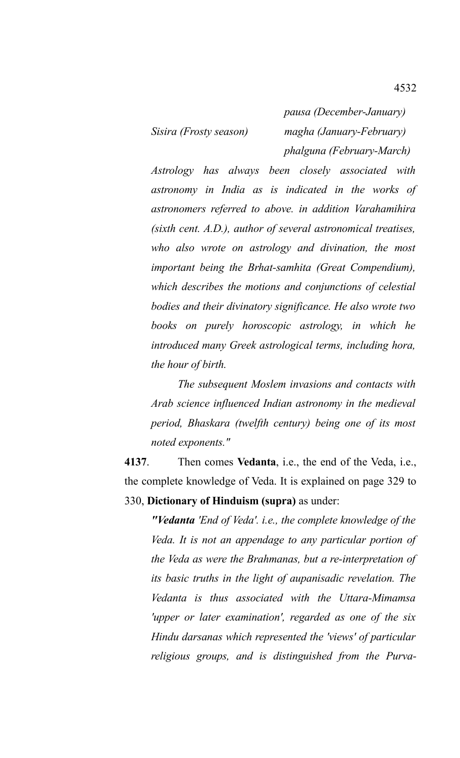*pausa (December-January) Sisira (Frosty season) magha (January-February) phalguna (February-March)*

*Astrology has always been closely associated with astronomy in India as is indicated in the works of astronomers referred to above. in addition Varahamihira (sixth cent. A.D.), author of several astronomical treatises, who also wrote on astrology and divination, the most important being the Brhat-samhita (Great Compendium), which describes the motions and conjunctions of celestial bodies and their divinatory significance. He also wrote two books on purely horoscopic astrology, in which he introduced many Greek astrological terms, including hora, the hour of birth.*

*The subsequent Moslem invasions and contacts with Arab science influenced Indian astronomy in the medieval period, Bhaskara (twelfth century) being one of its most noted exponents."*

**4137**. Then comes **Vedanta**, i.e., the end of the Veda, i.e., the complete knowledge of Veda. It is explained on page 329 to 330, **Dictionary of Hinduism (supra)** as under:

*"Vedanta 'End of Veda'. i.e., the complete knowledge of the Veda. It is not an appendage to any particular portion of the Veda as were the Brahmanas, but a re-interpretation of its basic truths in the light of aupanisadic revelation. The Vedanta is thus associated with the Uttara-Mimamsa 'upper or later examination', regarded as one of the six Hindu darsanas which represented the 'views' of particular religious groups, and is distinguished from the Purva-*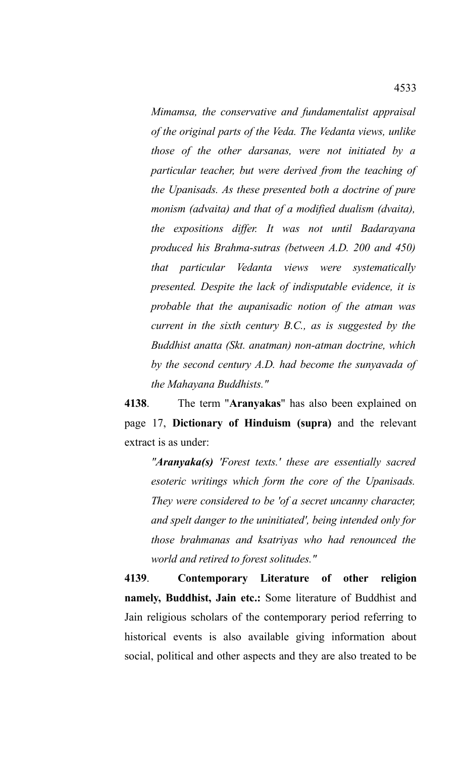*Mimamsa, the conservative and fundamentalist appraisal of the original parts of the Veda. The Vedanta views, unlike those of the other darsanas, were not initiated by a particular teacher, but were derived from the teaching of the Upanisads. As these presented both a doctrine of pure monism (advaita) and that of a modified dualism (dvaita), the expositions differ. It was not until Badarayana produced his Brahma-sutras (between A.D. 200 and 450) that particular Vedanta views were systematically presented. Despite the lack of indisputable evidence, it is probable that the aupanisadic notion of the atman was current in the sixth century B.C., as is suggested by the Buddhist anatta (Skt. anatman) non-atman doctrine, which by the second century A.D. had become the sunyavada of the Mahayana Buddhists."*

**4138**. The term "**Aranyakas**" has also been explained on page 17, **Dictionary of Hinduism (supra)** and the relevant extract is as under:

*"Aranyaka(s) 'Forest texts.' these are essentially sacred esoteric writings which form the core of the Upanisads. They were considered to be 'of a secret uncanny character, and spelt danger to the uninitiated', being intended only for those brahmanas and ksatriyas who had renounced the world and retired to forest solitudes."*

**4139**. **Contemporary Literature of other religion namely, Buddhist, Jain etc.:** Some literature of Buddhist and Jain religious scholars of the contemporary period referring to historical events is also available giving information about social, political and other aspects and they are also treated to be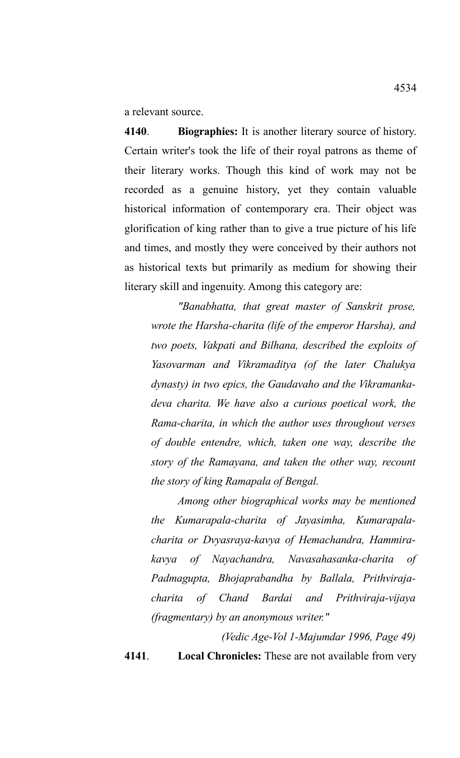a relevant source.

**4140**. **Biographies:** It is another literary source of history. Certain writer's took the life of their royal patrons as theme of their literary works. Though this kind of work may not be recorded as a genuine history, yet they contain valuable historical information of contemporary era. Their object was glorification of king rather than to give a true picture of his life and times, and mostly they were conceived by their authors not as historical texts but primarily as medium for showing their literary skill and ingenuity. Among this category are:

*"Banabhatta, that great master of Sanskrit prose, wrote the Harsha-charita (life of the emperor Harsha), and two poets, Vakpati and Bilhana, described the exploits of Yasovarman and Vikramaditya (of the later Chalukya dynasty) in two epics, the Gaudavaho and the Vikramankadeva charita. We have also a curious poetical work, the Rama-charita, in which the author uses throughout verses of double entendre, which, taken one way, describe the story of the Ramayana, and taken the other way, recount the story of king Ramapala of Bengal.* 

*Among other biographical works may be mentioned the Kumarapala-charita of Jayasimha, Kumarapalacharita or Dvyasraya-kavya of Hemachandra, Hammirakavya of Nayachandra, Navasahasanka-charita of Padmagupta, Bhojaprabandha by Ballala, Prithvirajacharita of Chand Bardai and Prithviraja-vijaya (fragmentary) by an anonymous writer."*

*(Vedic Age-Vol 1-Majumdar 1996, Page 49)*

**4141**. **Local Chronicles:** These are not available from very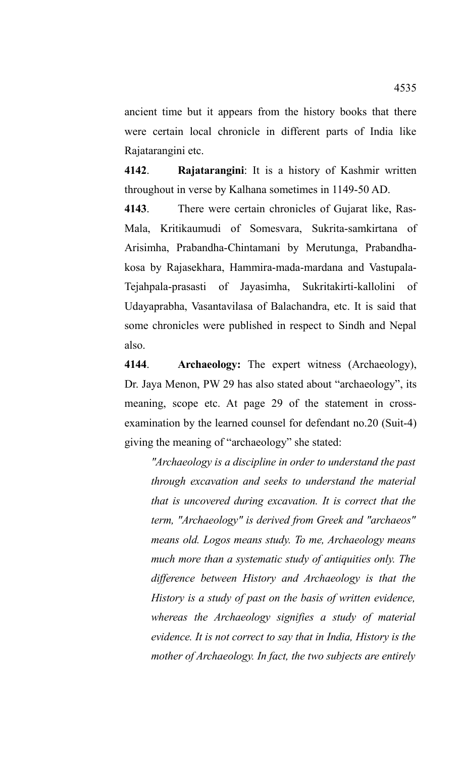ancient time but it appears from the history books that there were certain local chronicle in different parts of India like Rajatarangini etc.

**4142**. **Rajatarangini**: It is a history of Kashmir written throughout in verse by Kalhana sometimes in 1149-50 AD.

**4143**. There were certain chronicles of Gujarat like, Ras-Mala, Kritikaumudi of Somesvara, Sukrita-samkirtana of Arisimha, Prabandha-Chintamani by Merutunga, Prabandhakosa by Rajasekhara, Hammira-mada-mardana and Vastupala-Tejahpala-prasasti of Jayasimha, Sukritakirti-kallolini of Udayaprabha, Vasantavilasa of Balachandra, etc. It is said that some chronicles were published in respect to Sindh and Nepal also.

**4144**. **Archaeology:** The expert witness (Archaeology), Dr. Jaya Menon, PW 29 has also stated about "archaeology", its meaning, scope etc. At page 29 of the statement in crossexamination by the learned counsel for defendant no.20 (Suit-4) giving the meaning of "archaeology" she stated:

*"Archaeology is a discipline in order to understand the past through excavation and seeks to understand the material that is uncovered during excavation. It is correct that the term, "Archaeology" is derived from Greek and "archaeos" means old. Logos means study. To me, Archaeology means much more than a systematic study of antiquities only. The difference between History and Archaeology is that the History is a study of past on the basis of written evidence, whereas the Archaeology signifies a study of material evidence. It is not correct to say that in India, History is the mother of Archaeology. In fact, the two subjects are entirely*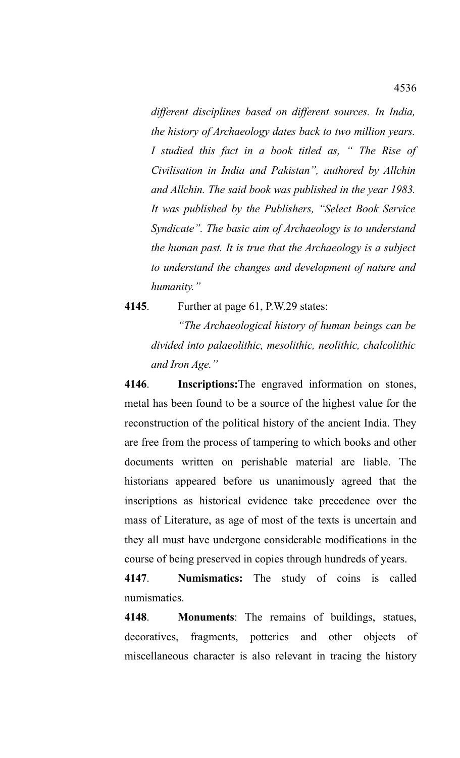*different disciplines based on different sources. In India, the history of Archaeology dates back to two million years. I studied this fact in a book titled as, " The Rise of Civilisation in India and Pakistan", authored by Allchin and Allchin. The said book was published in the year 1983. It was published by the Publishers, "Select Book Service Syndicate". The basic aim of Archaeology is to understand the human past. It is true that the Archaeology is a subject to understand the changes and development of nature and humanity."*

**4145**. Further at page 61, P.W.29 states:

*"The Archaeological history of human beings can be divided into palaeolithic, mesolithic, neolithic, chalcolithic and Iron Age."*

**4146**. **Inscriptions:**The engraved information on stones, metal has been found to be a source of the highest value for the reconstruction of the political history of the ancient India. They are free from the process of tampering to which books and other documents written on perishable material are liable. The historians appeared before us unanimously agreed that the inscriptions as historical evidence take precedence over the mass of Literature, as age of most of the texts is uncertain and they all must have undergone considerable modifications in the course of being preserved in copies through hundreds of years.

**4147**. **Numismatics:** The study of coins is called numismatics.

**4148**. **Monuments**: The remains of buildings, statues, decoratives, fragments, potteries and other objects of miscellaneous character is also relevant in tracing the history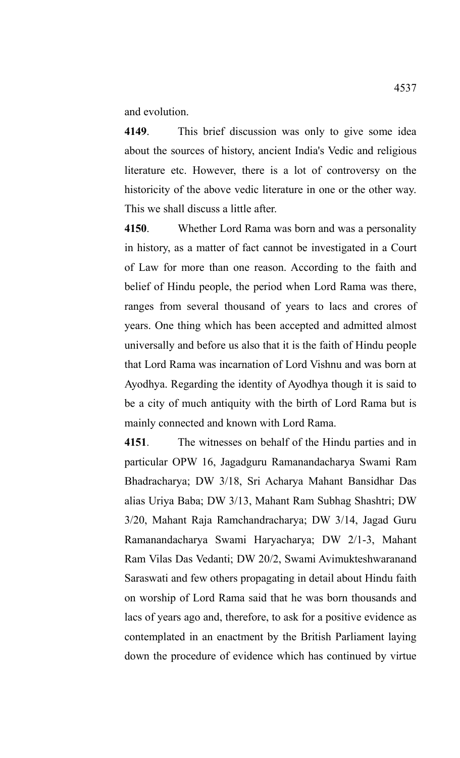and evolution.

**4149**. This brief discussion was only to give some idea about the sources of history, ancient India's Vedic and religious literature etc. However, there is a lot of controversy on the historicity of the above vedic literature in one or the other way. This we shall discuss a little after.

**4150**. Whether Lord Rama was born and was a personality in history, as a matter of fact cannot be investigated in a Court of Law for more than one reason. According to the faith and belief of Hindu people, the period when Lord Rama was there, ranges from several thousand of years to lacs and crores of years. One thing which has been accepted and admitted almost universally and before us also that it is the faith of Hindu people that Lord Rama was incarnation of Lord Vishnu and was born at Ayodhya. Regarding the identity of Ayodhya though it is said to be a city of much antiquity with the birth of Lord Rama but is mainly connected and known with Lord Rama.

**4151**. The witnesses on behalf of the Hindu parties and in particular OPW 16, Jagadguru Ramanandacharya Swami Ram Bhadracharya; DW 3/18, Sri Acharya Mahant Bansidhar Das alias Uriya Baba; DW 3/13, Mahant Ram Subhag Shashtri; DW 3/20, Mahant Raja Ramchandracharya; DW 3/14, Jagad Guru Ramanandacharya Swami Haryacharya; DW 2/1-3, Mahant Ram Vilas Das Vedanti; DW 20/2, Swami Avimukteshwaranand Saraswati and few others propagating in detail about Hindu faith on worship of Lord Rama said that he was born thousands and lacs of years ago and, therefore, to ask for a positive evidence as contemplated in an enactment by the British Parliament laying down the procedure of evidence which has continued by virtue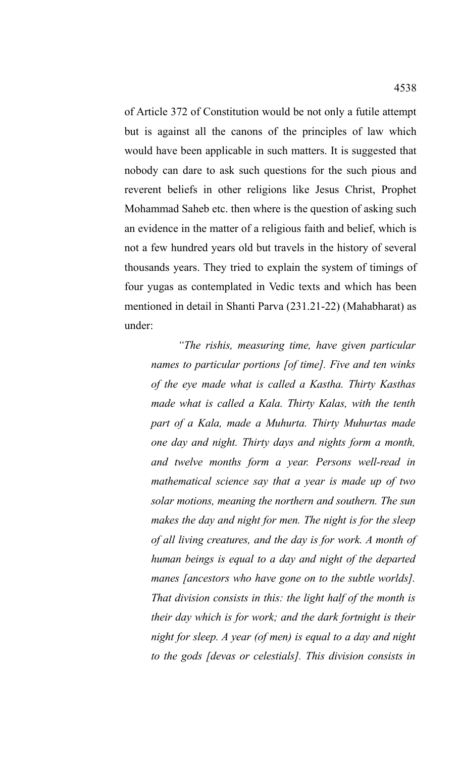of Article 372 of Constitution would be not only a futile attempt but is against all the canons of the principles of law which would have been applicable in such matters. It is suggested that nobody can dare to ask such questions for the such pious and reverent beliefs in other religions like Jesus Christ, Prophet Mohammad Saheb etc. then where is the question of asking such an evidence in the matter of a religious faith and belief, which is not a few hundred years old but travels in the history of several thousands years. They tried to explain the system of timings of four yugas as contemplated in Vedic texts and which has been mentioned in detail in Shanti Parva (231.21-22) (Mahabharat) as under:

*"The rishis, measuring time, have given particular names to particular portions [of time]. Five and ten winks of the eye made what is called a Kastha. Thirty Kasthas made what is called a Kala. Thirty Kalas, with the tenth part of a Kala, made a Muhurta. Thirty Muhurtas made one day and night. Thirty days and nights form a month, and twelve months form a year. Persons well-read in mathematical science say that a year is made up of two solar motions, meaning the northern and southern. The sun makes the day and night for men. The night is for the sleep of all living creatures, and the day is for work. A month of human beings is equal to a day and night of the departed manes [ancestors who have gone on to the subtle worlds]. That division consists in this: the light half of the month is their day which is for work; and the dark fortnight is their night for sleep. A year (of men) is equal to a day and night to the gods [devas or celestials]. This division consists in*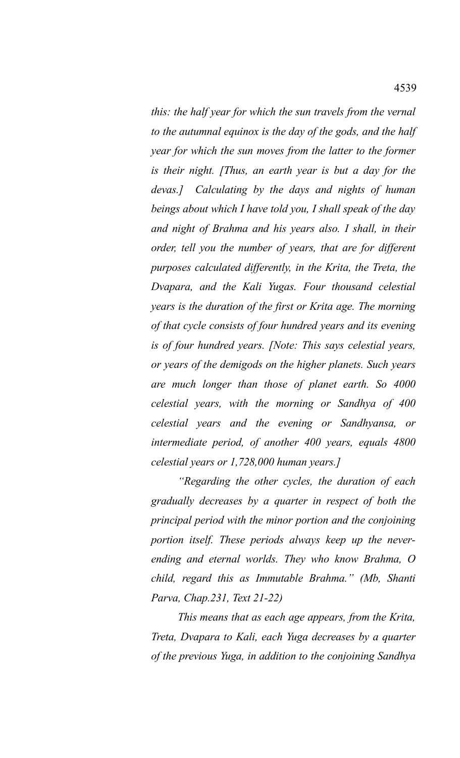*this: the half year for which the sun travels from the vernal to the autumnal equinox is the day of the gods, and the half year for which the sun moves from the latter to the former is their night. [Thus, an earth year is but a day for the devas.] Calculating by the days and nights of human beings about which I have told you, I shall speak of the day and night of Brahma and his years also. I shall, in their order, tell you the number of years, that are for different purposes calculated differently, in the Krita, the Treta, the Dvapara, and the Kali Yugas. Four thousand celestial years is the duration of the first or Krita age. The morning of that cycle consists of four hundred years and its evening is of four hundred years. [Note: This says celestial years, or years of the demigods on the higher planets. Such years are much longer than those of planet earth. So 4000 celestial years, with the morning or Sandhya of 400 celestial years and the evening or Sandhyansa, or intermediate period, of another 400 years, equals 4800 celestial years or 1,728,000 human years.]* 

*"Regarding the other cycles, the duration of each gradually decreases by a quarter in respect of both the principal period with the minor portion and the conjoining portion itself. These periods always keep up the neverending and eternal worlds. They who know Brahma, O child, regard this as Immutable Brahma." (Mb, Shanti Parva, Chap.231, Text 21-22)*

*This means that as each age appears, from the Krita, Treta, Dvapara to Kali, each Yuga decreases by a quarter of the previous Yuga, in addition to the conjoining Sandhya*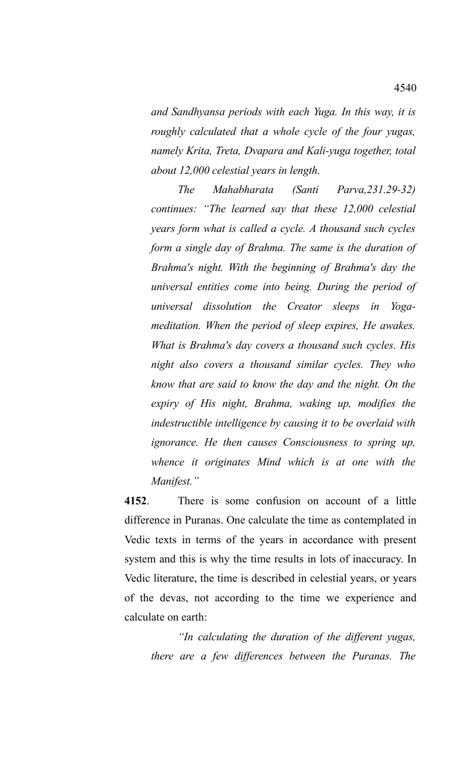*and Sandhyansa periods with each Yuga. In this way, it is roughly calculated that a whole cycle of the four yugas, namely Krita, Treta, Dvapara and Kali-yuga together, total about 12,000 celestial years in length.*

*The Mahabharata (Santi Parva,231.29-32) continues: "The learned say that these 12,000 celestial years form what is called a cycle. A thousand such cycles form a single day of Brahma. The same is the duration of Brahma's night. With the beginning of Brahma's day the universal entities come into being. During the period of universal dissolution the Creator sleeps in Yogameditation. When the period of sleep expires, He awakes. What is Brahma's day covers a thousand such cycles. His night also covers a thousand similar cycles. They who know that are said to know the day and the night. On the expiry of His night, Brahma, waking up, modifies the indestructible intelligence by causing it to be overlaid with ignorance. He then causes Consciousness to spring up, whence it originates Mind which is at one with the Manifest."*

**4152**. There is some confusion on account of a little difference in Puranas. One calculate the time as contemplated in Vedic texts in terms of the years in accordance with present system and this is why the time results in lots of inaccuracy. In Vedic literature, the time is described in celestial years, or years of the devas, not according to the time we experience and calculate on earth:

*"In calculating the duration of the different yugas, there are a few differences between the Puranas. The*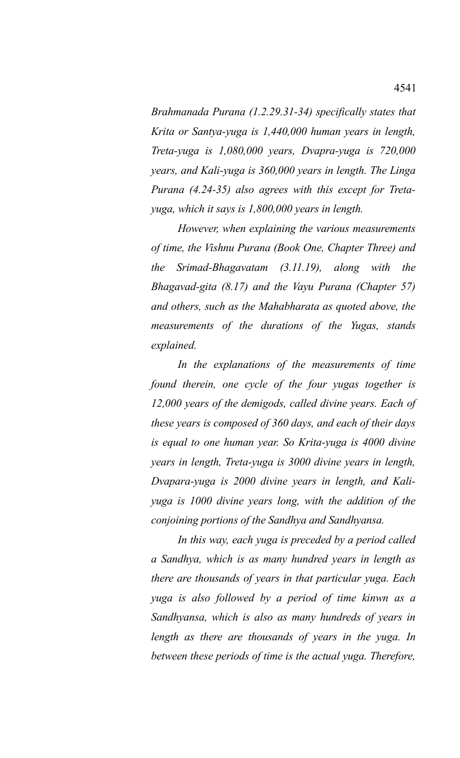*Brahmanada Purana (1.2.29.31-34) specifically states that Krita or Santya-yuga is 1,440,000 human years in length, Treta-yuga is 1,080,000 years, Dvapra-yuga is 720,000 years, and Kali-yuga is 360,000 years in length. The Linga Purana (4.24-35) also agrees with this except for Tretayuga, which it says is 1,800,000 years in length.* 

*However, when explaining the various measurements of time, the Vishnu Purana (Book One, Chapter Three) and the Srimad-Bhagavatam (3.11.19), along with the Bhagavad-gita (8.17) and the Vayu Purana (Chapter 57) and others, such as the Mahabharata as quoted above, the measurements of the durations of the Yugas, stands explained.* 

*In the explanations of the measurements of time found therein, one cycle of the four yugas together is 12,000 years of the demigods, called divine years. Each of these years is composed of 360 days, and each of their days is equal to one human year. So Krita-yuga is 4000 divine years in length, Treta-yuga is 3000 divine years in length, Dvapara-yuga is 2000 divine years in length, and Kaliyuga is 1000 divine years long, with the addition of the conjoining portions of the Sandhya and Sandhyansa.* 

*In this way, each yuga is preceded by a period called a Sandhya, which is as many hundred years in length as there are thousands of years in that particular yuga. Each yuga is also followed by a period of time kinwn as a Sandhyansa, which is also as many hundreds of years in length as there are thousands of years in the yuga. In between these periods of time is the actual yuga. Therefore,*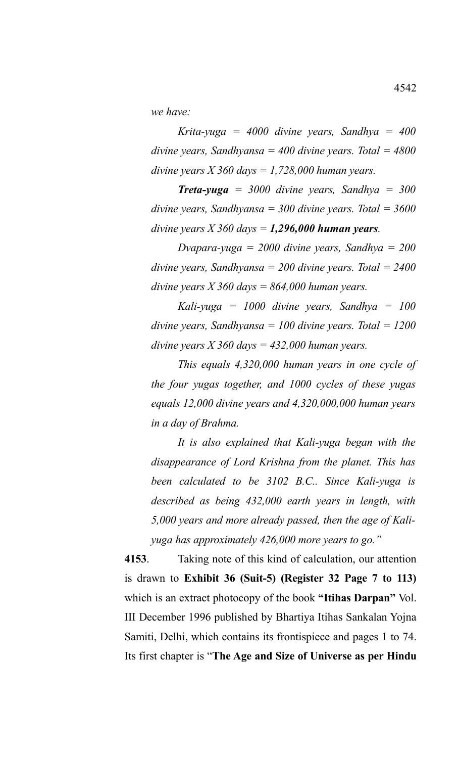*we have:*

*Krita-yuga = 4000 divine years, Sandhya = 400 divine years, Sandhyansa = 400 divine years. Total = 4800 divine years X 360 days = 1,728,000 human years.*

*Treta-yuga = 3000 divine years, Sandhya = 300 divine years, Sandhyansa = 300 divine years. Total = 3600 divine years X 360 days = 1,296,000 human years.* 

*Dvapara-yuga = 2000 divine years, Sandhya = 200 divine years, Sandhyansa = 200 divine years. Total = 2400 divine years X 360 days = 864,000 human years.* 

*Kali-yuga = 1000 divine years, Sandhya = 100 divine years, Sandhyansa = 100 divine years. Total = 1200 divine years X 360 days = 432,000 human years.*

*This equals 4,320,000 human years in one cycle of the four yugas together, and 1000 cycles of these yugas equals 12,000 divine years and 4,320,000,000 human years in a day of Brahma.* 

*It is also explained that Kali-yuga began with the disappearance of Lord Krishna from the planet. This has been calculated to be 3102 B.C.. Since Kali-yuga is described as being 432,000 earth years in length, with 5,000 years and more already passed, then the age of Kaliyuga has approximately 426,000 more years to go."*

**4153**. Taking note of this kind of calculation, our attention is drawn to **Exhibit 36 (Suit-5) (Register 32 Page 7 to 113)** which is an extract photocopy of the book **"Itihas Darpan"** Vol. III December 1996 published by Bhartiya Itihas Sankalan Yojna Samiti, Delhi, which contains its frontispiece and pages 1 to 74. Its first chapter is "**The Age and Size of Universe as per Hindu**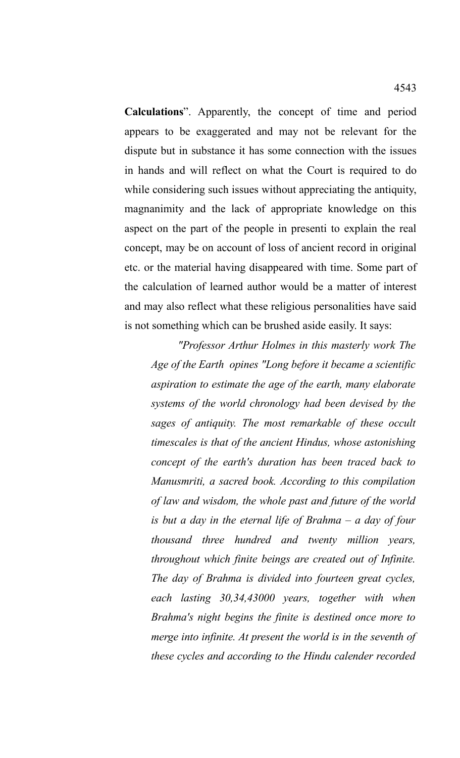**Calculations**". Apparently, the concept of time and period appears to be exaggerated and may not be relevant for the dispute but in substance it has some connection with the issues in hands and will reflect on what the Court is required to do while considering such issues without appreciating the antiquity, magnanimity and the lack of appropriate knowledge on this aspect on the part of the people in presenti to explain the real concept, may be on account of loss of ancient record in original etc. or the material having disappeared with time. Some part of the calculation of learned author would be a matter of interest and may also reflect what these religious personalities have said is not something which can be brushed aside easily. It says:

*"Professor Arthur Holmes in this masterly work The Age of the Earth opines "Long before it became a scientific aspiration to estimate the age of the earth, many elaborate systems of the world chronology had been devised by the sages of antiquity. The most remarkable of these occult timescales is that of the ancient Hindus, whose astonishing concept of the earth's duration has been traced back to Manusmriti, a sacred book. According to this compilation of law and wisdom, the whole past and future of the world is but a day in the eternal life of Brahma – a day of four thousand three hundred and twenty million years, throughout which finite beings are created out of Infinite. The day of Brahma is divided into fourteen great cycles, each lasting 30,34,43000 years, together with when Brahma's night begins the finite is destined once more to merge into infinite. At present the world is in the seventh of these cycles and according to the Hindu calender recorded*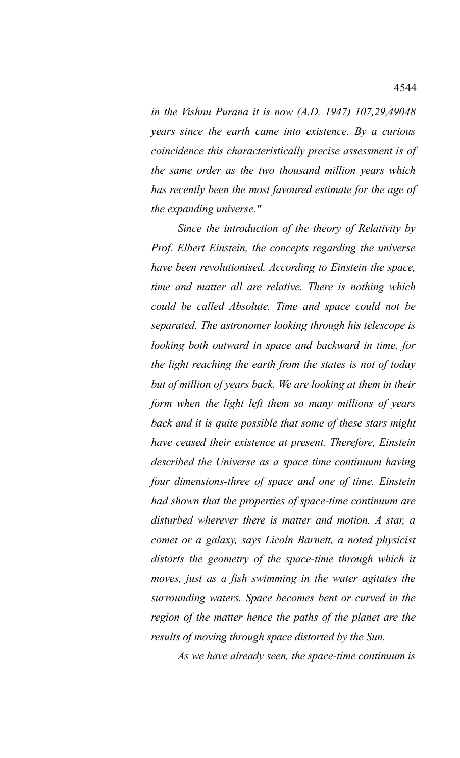*in the Vishnu Purana it is now (A.D. 1947) 107,29,49048 years since the earth came into existence. By a curious coincidence this characteristically precise assessment is of the same order as the two thousand million years which has recently been the most favoured estimate for the age of the expanding universe."*

*Since the introduction of the theory of Relativity by Prof. Elbert Einstein, the concepts regarding the universe have been revolutionised. According to Einstein the space, time and matter all are relative. There is nothing which could be called Absolute. Time and space could not be separated. The astronomer looking through his telescope is looking both outward in space and backward in time, for the light reaching the earth from the states is not of today but of million of years back. We are looking at them in their form when the light left them so many millions of years back and it is quite possible that some of these stars might have ceased their existence at present. Therefore, Einstein described the Universe as a space time continuum having four dimensions-three of space and one of time. Einstein had shown that the properties of space-time continuum are disturbed wherever there is matter and motion. A star, a comet or a galaxy, says Licoln Barnett, a noted physicist distorts the geometry of the space-time through which it moves, just as a fish swimming in the water agitates the surrounding waters. Space becomes bent or curved in the region of the matter hence the paths of the planet are the results of moving through space distorted by the Sun.*

*As we have already seen, the space-time continuum is*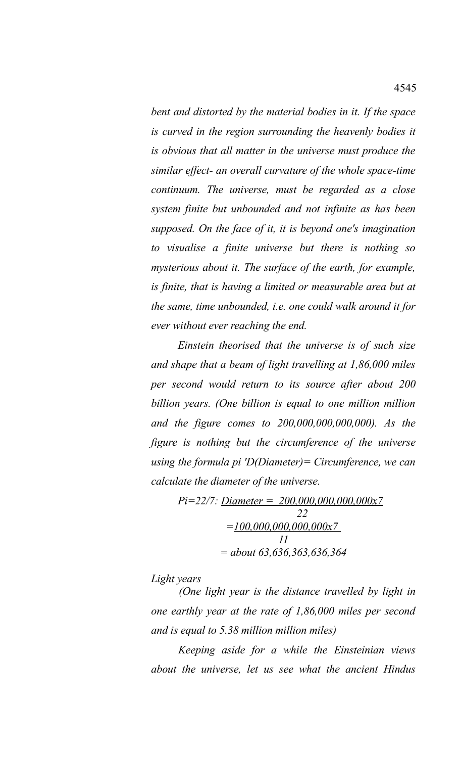*bent and distorted by the material bodies in it. If the space is curved in the region surrounding the heavenly bodies it is obvious that all matter in the universe must produce the similar effect- an overall curvature of the whole space-time continuum. The universe, must be regarded as a close system finite but unbounded and not infinite as has been supposed. On the face of it, it is beyond one's imagination to visualise a finite universe but there is nothing so mysterious about it. The surface of the earth, for example, is finite, that is having a limited or measurable area but at the same, time unbounded, i.e. one could walk around it for ever without ever reaching the end.*

*Einstein theorised that the universe is of such size and shape that a beam of light travelling at 1,86,000 miles per second would return to its source after about 200 billion years. (One billion is equal to one million million and the figure comes to 200,000,000,000,000). As the figure is nothing but the circumference of the universe using the formula pi 'D(Diameter)= Circumference, we can calculate the diameter of the universe.*

> *Pi=22/7: Diameter = 200,000,000,000,000x7 22 =100,000,000,000,000x7 11 = about 63,636,363,636,364*

*Light years*

*(One light year is the distance travelled by light in one earthly year at the rate of 1,86,000 miles per second and is equal to 5.38 million million miles)*

*Keeping aside for a while the Einsteinian views about the universe, let us see what the ancient Hindus*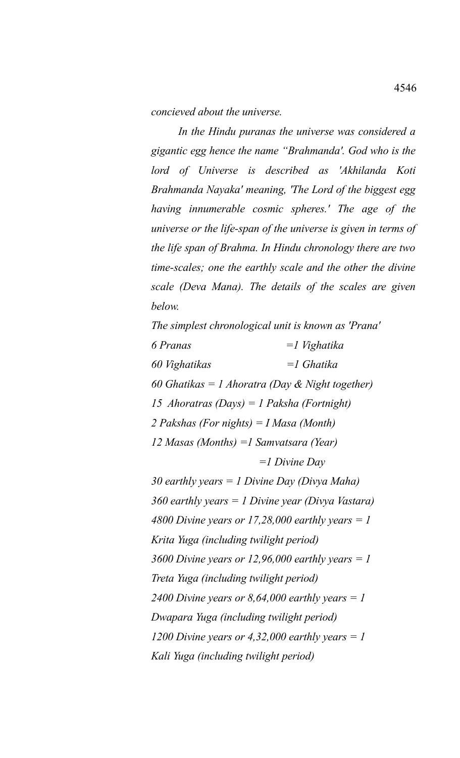*concieved about the universe.*

*In the Hindu puranas the universe was considered a gigantic egg hence the name "Brahmanda'. God who is the lord of Universe is described as 'Akhilanda Koti Brahmanda Nayaka' meaning, 'The Lord of the biggest egg having innumerable cosmic spheres.' The age of the universe or the life-span of the universe is given in terms of the life span of Brahma. In Hindu chronology there are two time-scales; one the earthly scale and the other the divine scale (Deva Mana). The details of the scales are given below.*

*The simplest chronological unit is known as 'Prana' 6 Pranas =1 Vighatika 60 Vighatikas =1 Ghatika 60 Ghatikas = 1 Ahoratra (Day & Night together) 15 Ahoratras (Days) = 1 Paksha (Fortnight) 2 Pakshas (For nights) = I Masa (Month) 12 Masas (Months) =1 Samvatsara (Year) =1 Divine Day 30 earthly years = 1 Divine Day (Divya Maha) 360 earthly years = 1 Divine year (Divya Vastara) 4800 Divine years or 17,28,000 earthly years = 1 Krita Yuga (including twilight period) 3600 Divine years or 12,96,000 earthly years = 1 Treta Yuga (including twilight period) 2400 Divine years or 8,64,000 earthly years = 1 Dwapara Yuga (including twilight period) 1200 Divine years or 4,32,000 earthly years = 1 Kali Yuga (including twilight period)*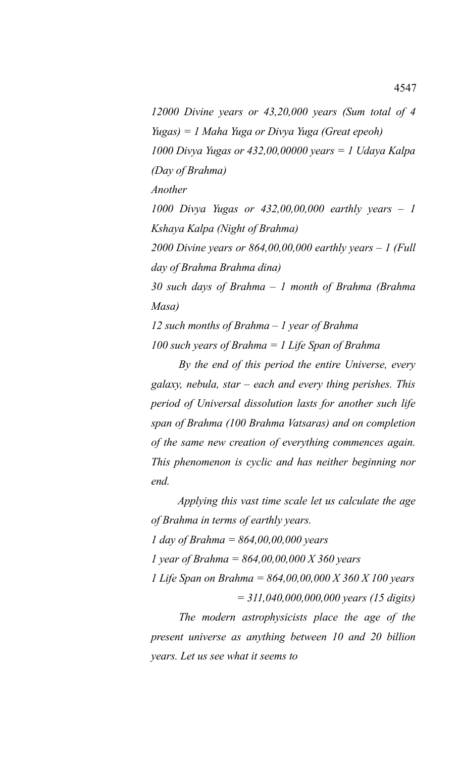*12000 Divine years or 43,20,000 years (Sum total of 4 Yugas) = 1 Maha Yuga or Divya Yuga (Great epeoh) 1000 Divya Yugas or 432,00,00000 years = 1 Udaya Kalpa (Day of Brahma)*

*Another*

*1000 Divya Yugas or 432,00,00,000 earthly years – 1 Kshaya Kalpa (Night of Brahma)*

*2000 Divine years or 864,00,00,000 earthly years – 1 (Full day of Brahma Brahma dina)*

*30 such days of Brahma – 1 month of Brahma (Brahma Masa)*

*12 such months of Brahma – 1 year of Brahma 100 such years of Brahma = 1 Life Span of Brahma*

*By the end of this period the entire Universe, every galaxy, nebula, star – each and every thing perishes. This period of Universal dissolution lasts for another such life span of Brahma (100 Brahma Vatsaras) and on completion of the same new creation of everything commences again. This phenomenon is cyclic and has neither beginning nor end.* 

*Applying this vast time scale let us calculate the age of Brahma in terms of earthly years. 1 day of Brahma = 864,00,00,000 years 1 year of Brahma = 864,00,00,000 X 360 years 1 Life Span on Brahma = 864,00,00,000 X 360 X 100 years = 311,040,000,000,000 years (15 digits)*

*The modern astrophysicists place the age of the present universe as anything between 10 and 20 billion years. Let us see what it seems to*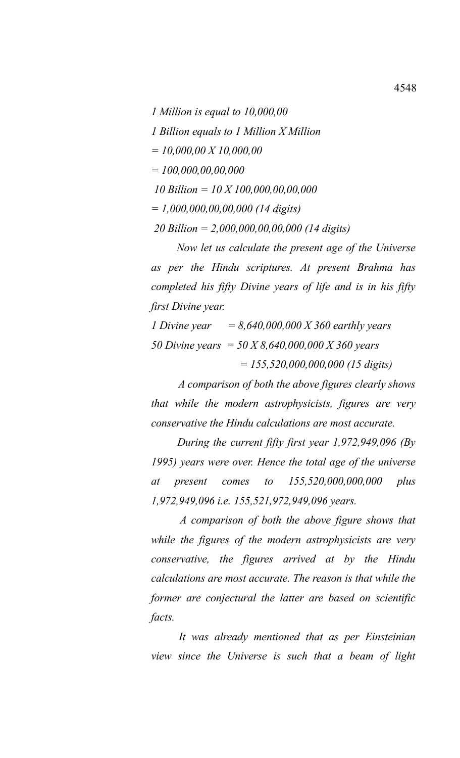*1 Million is equal to 10,000,00*

*1 Billion equals to 1 Million X Million*

*= 10,000,00 X 10,000,00*

*= 100,000,00,00,000*

 *10 Billion = 10 X 100,000,00,00,000*

*= 1,000,000,00,00,000 (14 digits)*

 *20 Billion = 2,000,000,00,00,000 (14 digits)*

*Now let us calculate the present age of the Universe as per the Hindu scriptures. At present Brahma has completed his fifty Divine years of life and is in his fifty first Divine year.*

*1 Divine year = 8,640,000,000 X 360 earthly years 50 Divine years = 50 X 8,640,000,000 X 360 years = 155,520,000,000,000 (15 digits)*

*A comparison of both the above figures clearly shows that while the modern astrophysicists, figures are very conservative the Hindu calculations are most accurate.*

*During the current fifty first year 1,972,949,096 (By 1995) years were over. Hence the total age of the universe at present comes to 155,520,000,000,000 plus 1,972,949,096 i.e. 155,521,972,949,096 years.*

*A comparison of both the above figure shows that while the figures of the modern astrophysicists are very conservative, the figures arrived at by the Hindu calculations are most accurate. The reason is that while the former are conjectural the latter are based on scientific facts.* 

*It was already mentioned that as per Einsteinian view since the Universe is such that a beam of light*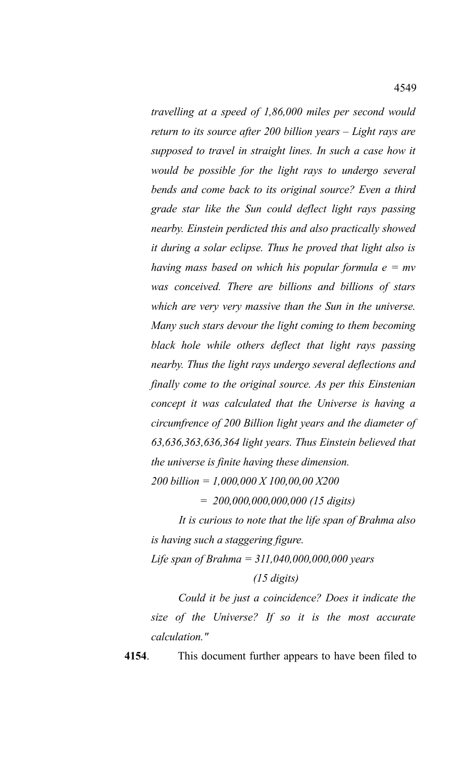*travelling at a speed of 1,86,000 miles per second would return to its source after 200 billion years – Light rays are supposed to travel in straight lines. In such a case how it would be possible for the light rays to undergo several bends and come back to its original source? Even a third grade star like the Sun could deflect light rays passing nearby. Einstein perdicted this and also practically showed it during a solar eclipse. Thus he proved that light also is having mass based on which his popular formula e = mv was conceived. There are billions and billions of stars which are very very massive than the Sun in the universe. Many such stars devour the light coming to them becoming black hole while others deflect that light rays passing nearby. Thus the light rays undergo several deflections and finally come to the original source. As per this Einstenian concept it was calculated that the Universe is having a circumfrence of 200 Billion light years and the diameter of 63,636,363,636,364 light years. Thus Einstein believed that the universe is finite having these dimension.*

*200 billion = 1,000,000 X 100,00,00 X200* 

*= 200,000,000,000,000 (15 digits)*

*It is curious to note that the life span of Brahma also is having such a staggering figure.*

*Life span of Brahma = 311,040,000,000,000 years*

## *(15 digits)*

*Could it be just a coincidence? Does it indicate the size of the Universe? If so it is the most accurate calculation."*

**4154**. This document further appears to have been filed to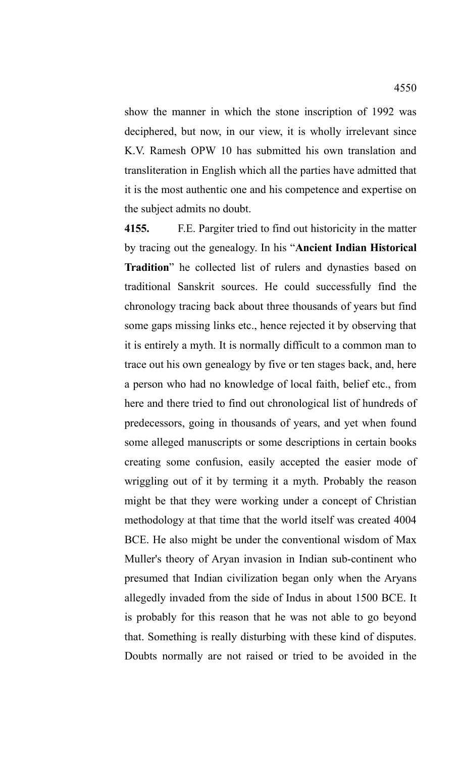show the manner in which the stone inscription of 1992 was deciphered, but now, in our view, it is wholly irrelevant since K.V. Ramesh OPW 10 has submitted his own translation and transliteration in English which all the parties have admitted that it is the most authentic one and his competence and expertise on the subject admits no doubt.

**4155.** F.E. Pargiter tried to find out historicity in the matter by tracing out the genealogy. In his "**Ancient Indian Historical Tradition**" he collected list of rulers and dynasties based on traditional Sanskrit sources. He could successfully find the chronology tracing back about three thousands of years but find some gaps missing links etc., hence rejected it by observing that it is entirely a myth. It is normally difficult to a common man to trace out his own genealogy by five or ten stages back, and, here a person who had no knowledge of local faith, belief etc., from here and there tried to find out chronological list of hundreds of predecessors, going in thousands of years, and yet when found some alleged manuscripts or some descriptions in certain books creating some confusion, easily accepted the easier mode of wriggling out of it by terming it a myth. Probably the reason might be that they were working under a concept of Christian methodology at that time that the world itself was created 4004 BCE. He also might be under the conventional wisdom of Max Muller's theory of Aryan invasion in Indian sub-continent who presumed that Indian civilization began only when the Aryans allegedly invaded from the side of Indus in about 1500 BCE. It is probably for this reason that he was not able to go beyond that. Something is really disturbing with these kind of disputes. Doubts normally are not raised or tried to be avoided in the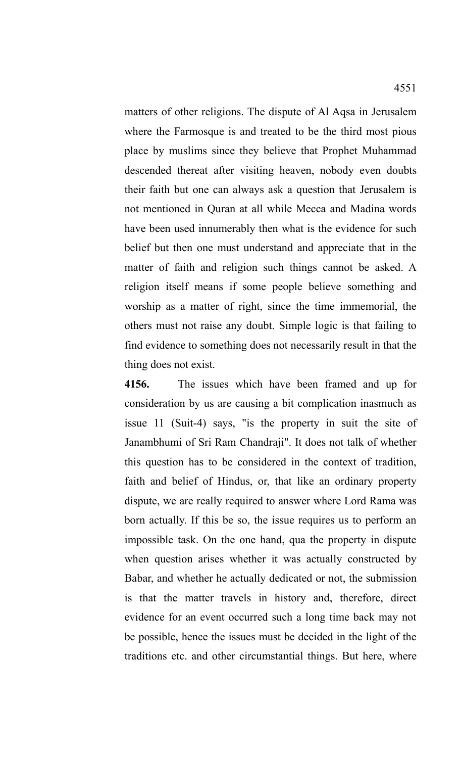matters of other religions. The dispute of Al Aqsa in Jerusalem where the Farmosque is and treated to be the third most pious place by muslims since they believe that Prophet Muhammad descended thereat after visiting heaven, nobody even doubts their faith but one can always ask a question that Jerusalem is not mentioned in Quran at all while Mecca and Madina words have been used innumerably then what is the evidence for such belief but then one must understand and appreciate that in the matter of faith and religion such things cannot be asked. A religion itself means if some people believe something and worship as a matter of right, since the time immemorial, the others must not raise any doubt. Simple logic is that failing to find evidence to something does not necessarily result in that the thing does not exist.

**4156.** The issues which have been framed and up for consideration by us are causing a bit complication inasmuch as issue 11 (Suit-4) says, "is the property in suit the site of Janambhumi of Sri Ram Chandraji". It does not talk of whether this question has to be considered in the context of tradition, faith and belief of Hindus, or, that like an ordinary property dispute, we are really required to answer where Lord Rama was born actually. If this be so, the issue requires us to perform an impossible task. On the one hand, qua the property in dispute when question arises whether it was actually constructed by Babar, and whether he actually dedicated or not, the submission is that the matter travels in history and, therefore, direct evidence for an event occurred such a long time back may not be possible, hence the issues must be decided in the light of the traditions etc. and other circumstantial things. But here, where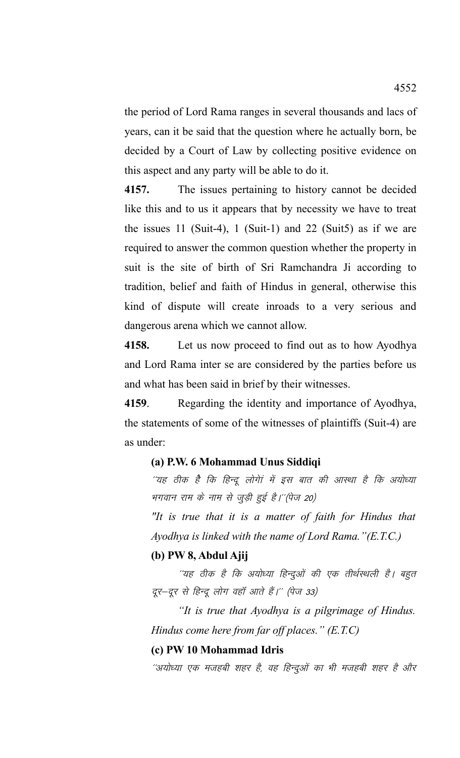the period of Lord Rama ranges in several thousands and lacs of years, can it be said that the question where he actually born, be decided by a Court of Law by collecting positive evidence on this aspect and any party will be able to do it.

**4157.** The issues pertaining to history cannot be decided like this and to us it appears that by necessity we have to treat the issues 11 (Suit-4), 1 (Suit-1) and 22 (Suit5) as if we are required to answer the common question whether the property in suit is the site of birth of Sri Ramchandra Ji according to tradition, belief and faith of Hindus in general, otherwise this kind of dispute will create inroads to a very serious and dangerous arena which we cannot allow.

**4158.** Let us now proceed to find out as to how Ayodhya and Lord Rama inter se are considered by the parties before us and what has been said in brief by their witnesses.

**4159**. Regarding the identity and importance of Ayodhya, the statements of some of the witnesses of plaintiffs (Suit-4) are as under:

## **(a) P.W. 6 Mohammad Unus Siddiqi**

''यह ठीक है कि हिन्दू लोगेां में इस बात की आस्था है कि अयोध्या भगवान राम के नाम से जुड़ी हुई है।''(पेज 20)

*"It is true that it is a matter of faith for Hindus that Ayodhya is linked with the name of Lord Rama."(E.T.C.)*

## **(b) PW 8, Abdul Ajij**

''यह ठीक है कि अयोध्या हिन्दुओं की एक तीर्थस्थली है। बहुत दूर-दूर से हिन्दू लोग वहाँ आते हैं।" (पेज 33)

*"It is true that Ayodhya is a pilgrimage of Hindus. Hindus come here from far off places." (E.T.C)*

#### **(c) PW 10 Mohammad Idris**

''अयोध्या एक मजहबी शहर है, वह हिन्दुओं का भी मजहबी शहर है और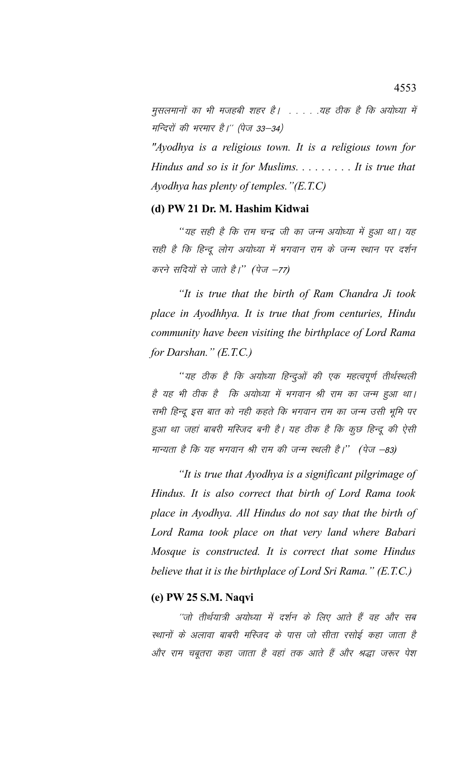मुसलमानों का भी मजहबी शहर है। . . . . .यह ठीक है कि अयोध्या में मन्दिरों की भरमार है।'' (पेज 33–34)

*"Ayodhya is a religious town. It is a religious town for Hindus and so is it for Muslims. . . . . . . . . It is true that Ayodhya has plenty of temples."(E.T.C)*

# **(d) PW 21 Dr. M. Hashim Kidwai**

''यह सही है कि राम चन्द्र जी का जन्म अयोध्या में हुआ था। यह सही है कि हिन्दू लोग अयोध्या में भगवान राम के जन्म स्थान पर दर्शन करने सदियों से जाते हैं।'' (पेज –77)

*"It is true that the birth of Ram Chandra Ji took place in Ayodhhya. It is true that from centuries, Hindu community have been visiting the birthplace of Lord Rama for Darshan." (E.T.C.)*

''यह ठीक है कि अयोध्या हिन्दुओं की एक महत्वपूर्ण तीर्थस्थली है यह भी ठीक है कि अयोध्या में भगवान श्री राम का जन्म हुआ था। सभी हिन्दू इस बात को नही कहते कि भगवान राम का जन्म उसी भूमि पर हुआ था जहां बाबरी मस्जिद बनी है। यह ठीक है कि कुछ हिन्दू की ऐसी मान्यता है कि यह भगवान श्री राम की जन्म स्थली है।'' (पेज –83)

*"It is true that Ayodhya is a significant pilgrimage of Hindus. It is also correct that birth of Lord Rama took place in Ayodhya. All Hindus do not say that the birth of Lord Rama took place on that very land where Babari Mosque is constructed. It is correct that some Hindus believe that it is the birthplace of Lord Sri Rama." (E.T.C.)*

## **(e) PW 25 S.M. Naqvi**

''जो तीर्थयात्री अयोध्या में दर्शन के लिए आते हैं वह और सब स्थानों के अलावा बाबरी मस्जिद के पास जो सीता रसोई कहा जाता है ओर राम चबूतरा कहा जाता है वहां तक आते हैं और श्रद्धा जरूर पेश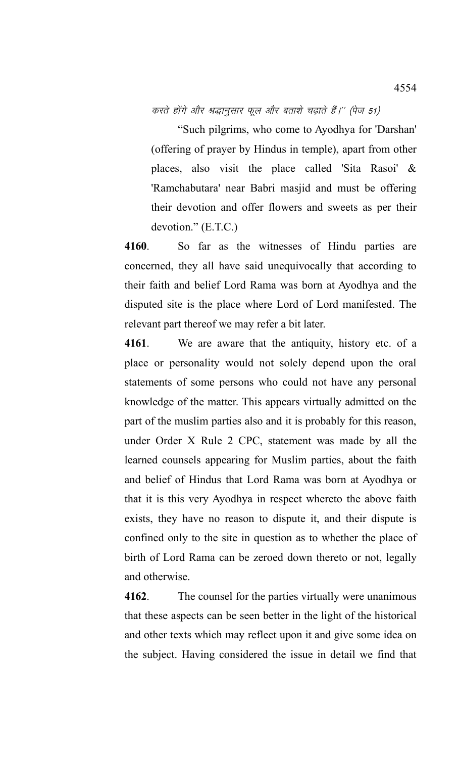करते होंगे और श्रद्धानुसार फूल और बताशे चढ़ाते हैं।'' (पेज 51)

"Such pilgrims, who come to Ayodhya for 'Darshan' (offering of prayer by Hindus in temple), apart from other places, also visit the place called 'Sita Rasoi' & 'Ramchabutara' near Babri masjid and must be offering their devotion and offer flowers and sweets as per their devotion." (E.T.C.)

**4160**. So far as the witnesses of Hindu parties are concerned, they all have said unequivocally that according to their faith and belief Lord Rama was born at Ayodhya and the disputed site is the place where Lord of Lord manifested. The relevant part thereof we may refer a bit later.

**4161**. We are aware that the antiquity, history etc. of a place or personality would not solely depend upon the oral statements of some persons who could not have any personal knowledge of the matter. This appears virtually admitted on the part of the muslim parties also and it is probably for this reason, under Order X Rule 2 CPC, statement was made by all the learned counsels appearing for Muslim parties, about the faith and belief of Hindus that Lord Rama was born at Ayodhya or that it is this very Ayodhya in respect whereto the above faith exists, they have no reason to dispute it, and their dispute is confined only to the site in question as to whether the place of birth of Lord Rama can be zeroed down thereto or not, legally and otherwise.

**4162**. The counsel for the parties virtually were unanimous that these aspects can be seen better in the light of the historical and other texts which may reflect upon it and give some idea on the subject. Having considered the issue in detail we find that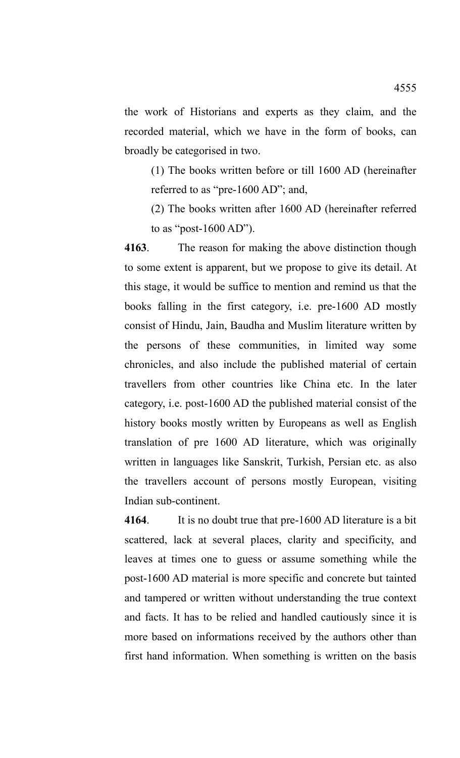the work of Historians and experts as they claim, and the recorded material, which we have in the form of books, can broadly be categorised in two.

(1) The books written before or till 1600 AD (hereinafter referred to as "pre-1600 AD"; and,

(2) The books written after 1600 AD (hereinafter referred to as "post-1600 AD").

**4163**. The reason for making the above distinction though to some extent is apparent, but we propose to give its detail. At this stage, it would be suffice to mention and remind us that the books falling in the first category, i.e. pre-1600 AD mostly consist of Hindu, Jain, Baudha and Muslim literature written by the persons of these communities, in limited way some chronicles, and also include the published material of certain travellers from other countries like China etc. In the later category, i.e. post-1600 AD the published material consist of the history books mostly written by Europeans as well as English translation of pre 1600 AD literature, which was originally written in languages like Sanskrit, Turkish, Persian etc. as also the travellers account of persons mostly European, visiting Indian sub-continent.

**4164**. It is no doubt true that pre-1600 AD literature is a bit scattered, lack at several places, clarity and specificity, and leaves at times one to guess or assume something while the post-1600 AD material is more specific and concrete but tainted and tampered or written without understanding the true context and facts. It has to be relied and handled cautiously since it is more based on informations received by the authors other than first hand information. When something is written on the basis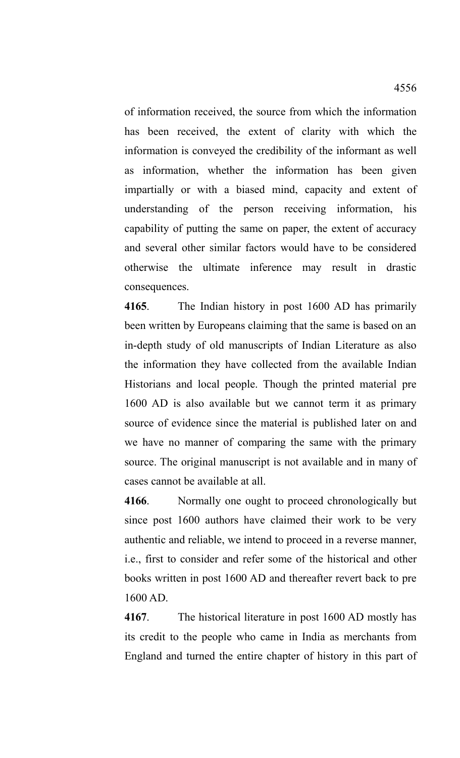of information received, the source from which the information has been received, the extent of clarity with which the information is conveyed the credibility of the informant as well as information, whether the information has been given impartially or with a biased mind, capacity and extent of understanding of the person receiving information, his capability of putting the same on paper, the extent of accuracy and several other similar factors would have to be considered otherwise the ultimate inference may result in drastic consequences.

**4165**. The Indian history in post 1600 AD has primarily been written by Europeans claiming that the same is based on an in-depth study of old manuscripts of Indian Literature as also the information they have collected from the available Indian Historians and local people. Though the printed material pre 1600 AD is also available but we cannot term it as primary source of evidence since the material is published later on and we have no manner of comparing the same with the primary source. The original manuscript is not available and in many of cases cannot be available at all.

**4166**. Normally one ought to proceed chronologically but since post 1600 authors have claimed their work to be very authentic and reliable, we intend to proceed in a reverse manner, i.e., first to consider and refer some of the historical and other books written in post 1600 AD and thereafter revert back to pre 1600 AD.

**4167**. The historical literature in post 1600 AD mostly has its credit to the people who came in India as merchants from England and turned the entire chapter of history in this part of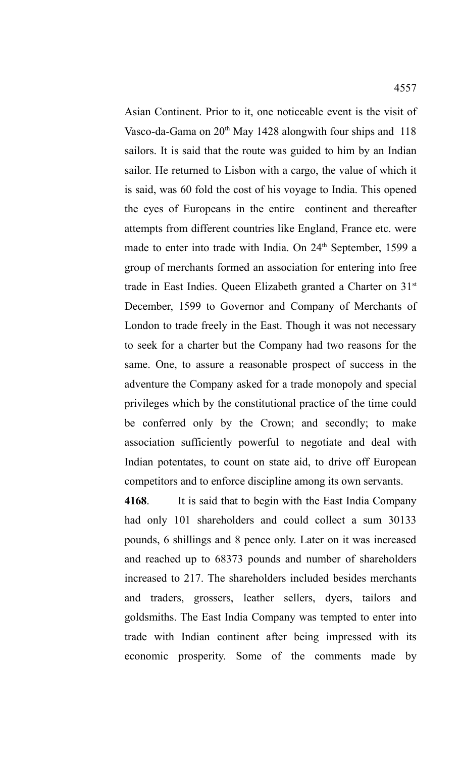Asian Continent. Prior to it, one noticeable event is the visit of Vasco-da-Gama on 20<sup>th</sup> May 1428 alongwith four ships and 118 sailors. It is said that the route was guided to him by an Indian sailor. He returned to Lisbon with a cargo, the value of which it is said, was 60 fold the cost of his voyage to India. This opened the eyes of Europeans in the entire continent and thereafter attempts from different countries like England, France etc. were made to enter into trade with India. On 24<sup>th</sup> September, 1599 a group of merchants formed an association for entering into free trade in East Indies. Queen Elizabeth granted a Charter on 31<sup>st</sup> December, 1599 to Governor and Company of Merchants of London to trade freely in the East. Though it was not necessary to seek for a charter but the Company had two reasons for the same. One, to assure a reasonable prospect of success in the adventure the Company asked for a trade monopoly and special privileges which by the constitutional practice of the time could be conferred only by the Crown; and secondly; to make association sufficiently powerful to negotiate and deal with Indian potentates, to count on state aid, to drive off European competitors and to enforce discipline among its own servants.

**4168**. It is said that to begin with the East India Company had only 101 shareholders and could collect a sum 30133 pounds, 6 shillings and 8 pence only. Later on it was increased and reached up to 68373 pounds and number of shareholders increased to 217. The shareholders included besides merchants and traders, grossers, leather sellers, dyers, tailors and goldsmiths. The East India Company was tempted to enter into trade with Indian continent after being impressed with its economic prosperity. Some of the comments made by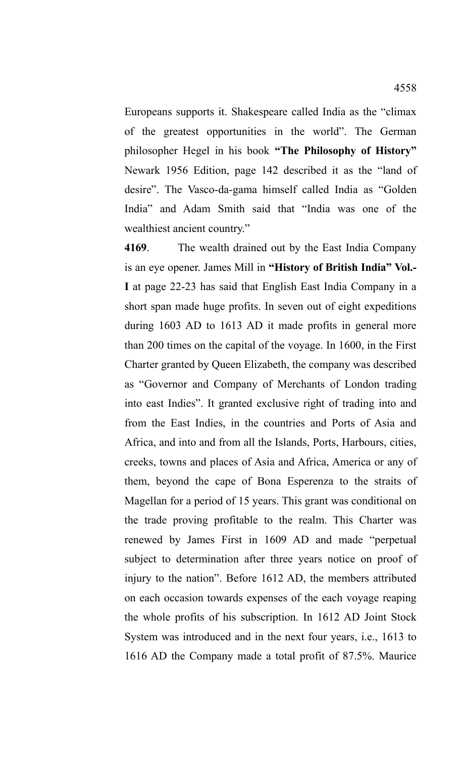Europeans supports it. Shakespeare called India as the "climax of the greatest opportunities in the world". The German philosopher Hegel in his book **"The Philosophy of History"** Newark 1956 Edition, page 142 described it as the "land of desire". The Vasco-da-gama himself called India as "Golden India" and Adam Smith said that "India was one of the wealthiest ancient country."

**4169**. The wealth drained out by the East India Company is an eye opener. James Mill in **"History of British India" Vol.- I** at page 22-23 has said that English East India Company in a short span made huge profits. In seven out of eight expeditions during 1603 AD to 1613 AD it made profits in general more than 200 times on the capital of the voyage. In 1600, in the First Charter granted by Queen Elizabeth, the company was described as "Governor and Company of Merchants of London trading into east Indies". It granted exclusive right of trading into and from the East Indies, in the countries and Ports of Asia and Africa, and into and from all the Islands, Ports, Harbours, cities, creeks, towns and places of Asia and Africa, America or any of them, beyond the cape of Bona Esperenza to the straits of Magellan for a period of 15 years. This grant was conditional on the trade proving profitable to the realm. This Charter was renewed by James First in 1609 AD and made "perpetual subject to determination after three years notice on proof of injury to the nation". Before 1612 AD, the members attributed on each occasion towards expenses of the each voyage reaping the whole profits of his subscription. In 1612 AD Joint Stock System was introduced and in the next four years, i.e., 1613 to 1616 AD the Company made a total profit of 87.5%. Maurice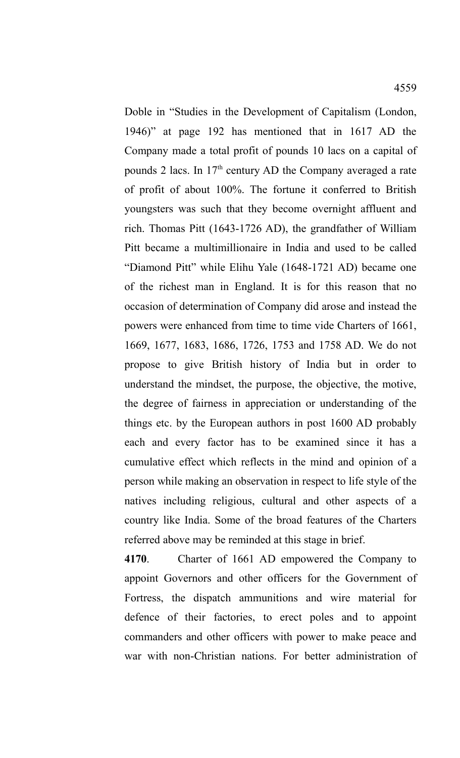Doble in "Studies in the Development of Capitalism (London, 1946)" at page 192 has mentioned that in 1617 AD the Company made a total profit of pounds 10 lacs on a capital of pounds 2 lacs. In 17th century AD the Company averaged a rate of profit of about 100%. The fortune it conferred to British youngsters was such that they become overnight affluent and rich. Thomas Pitt (1643-1726 AD), the grandfather of William Pitt became a multimillionaire in India and used to be called "Diamond Pitt" while Elihu Yale (1648-1721 AD) became one of the richest man in England. It is for this reason that no occasion of determination of Company did arose and instead the powers were enhanced from time to time vide Charters of 1661, 1669, 1677, 1683, 1686, 1726, 1753 and 1758 AD. We do not propose to give British history of India but in order to understand the mindset, the purpose, the objective, the motive, the degree of fairness in appreciation or understanding of the things etc. by the European authors in post 1600 AD probably each and every factor has to be examined since it has a cumulative effect which reflects in the mind and opinion of a person while making an observation in respect to life style of the natives including religious, cultural and other aspects of a country like India. Some of the broad features of the Charters referred above may be reminded at this stage in brief.

**4170**. Charter of 1661 AD empowered the Company to appoint Governors and other officers for the Government of Fortress, the dispatch ammunitions and wire material for defence of their factories, to erect poles and to appoint commanders and other officers with power to make peace and war with non-Christian nations. For better administration of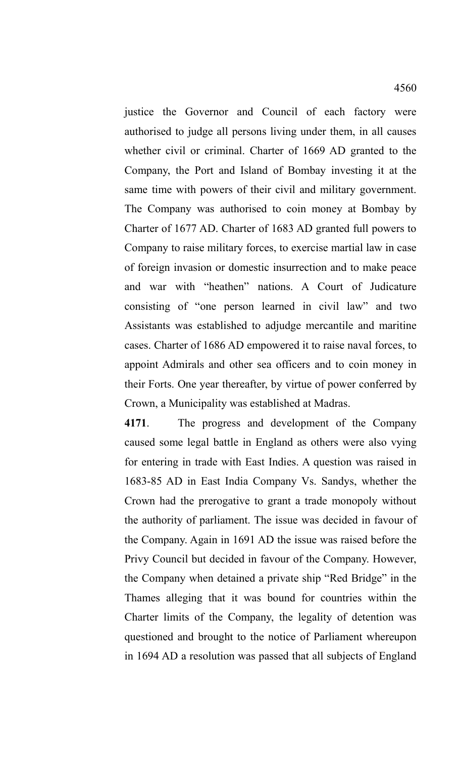justice the Governor and Council of each factory were authorised to judge all persons living under them, in all causes whether civil or criminal. Charter of 1669 AD granted to the Company, the Port and Island of Bombay investing it at the same time with powers of their civil and military government. The Company was authorised to coin money at Bombay by Charter of 1677 AD. Charter of 1683 AD granted full powers to Company to raise military forces, to exercise martial law in case of foreign invasion or domestic insurrection and to make peace and war with "heathen" nations. A Court of Judicature consisting of "one person learned in civil law" and two Assistants was established to adjudge mercantile and maritine cases. Charter of 1686 AD empowered it to raise naval forces, to appoint Admirals and other sea officers and to coin money in their Forts. One year thereafter, by virtue of power conferred by Crown, a Municipality was established at Madras.

**4171**. The progress and development of the Company caused some legal battle in England as others were also vying for entering in trade with East Indies. A question was raised in 1683-85 AD in East India Company Vs. Sandys, whether the Crown had the prerogative to grant a trade monopoly without the authority of parliament. The issue was decided in favour of the Company. Again in 1691 AD the issue was raised before the Privy Council but decided in favour of the Company. However, the Company when detained a private ship "Red Bridge" in the Thames alleging that it was bound for countries within the Charter limits of the Company, the legality of detention was questioned and brought to the notice of Parliament whereupon in 1694 AD a resolution was passed that all subjects of England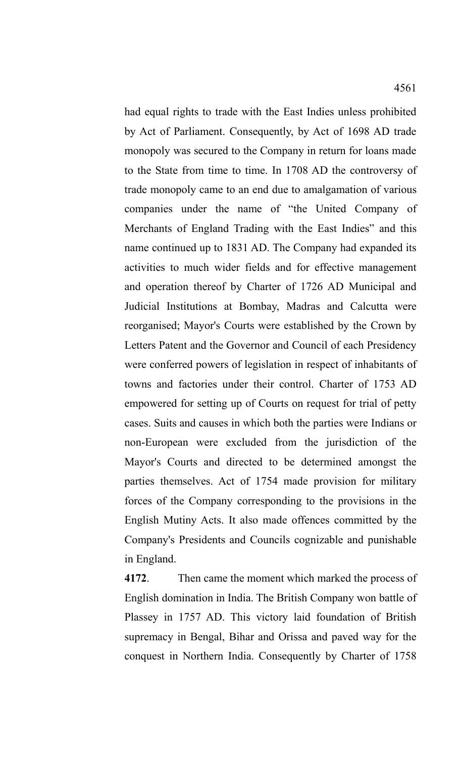had equal rights to trade with the East Indies unless prohibited by Act of Parliament. Consequently, by Act of 1698 AD trade monopoly was secured to the Company in return for loans made to the State from time to time. In 1708 AD the controversy of trade monopoly came to an end due to amalgamation of various companies under the name of "the United Company of Merchants of England Trading with the East Indies" and this name continued up to 1831 AD. The Company had expanded its activities to much wider fields and for effective management and operation thereof by Charter of 1726 AD Municipal and Judicial Institutions at Bombay, Madras and Calcutta were reorganised; Mayor's Courts were established by the Crown by Letters Patent and the Governor and Council of each Presidency were conferred powers of legislation in respect of inhabitants of towns and factories under their control. Charter of 1753 AD empowered for setting up of Courts on request for trial of petty cases. Suits and causes in which both the parties were Indians or non-European were excluded from the jurisdiction of the Mayor's Courts and directed to be determined amongst the parties themselves. Act of 1754 made provision for military forces of the Company corresponding to the provisions in the English Mutiny Acts. It also made offences committed by the Company's Presidents and Councils cognizable and punishable in England.

**4172**. Then came the moment which marked the process of English domination in India. The British Company won battle of Plassey in 1757 AD. This victory laid foundation of British supremacy in Bengal, Bihar and Orissa and paved way for the conquest in Northern India. Consequently by Charter of 1758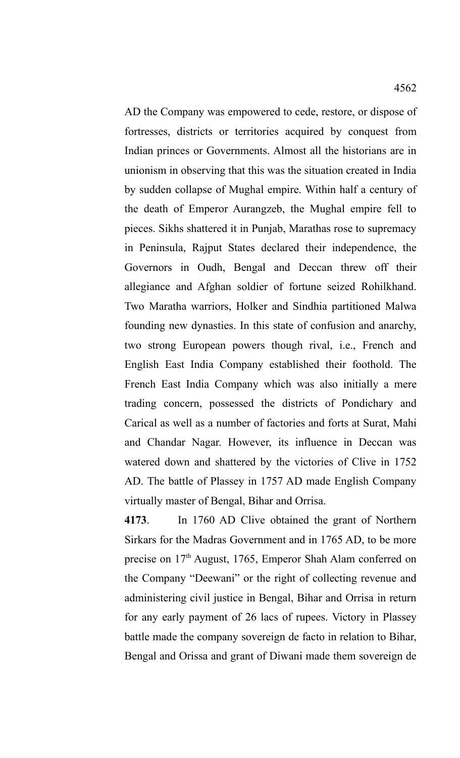AD the Company was empowered to cede, restore, or dispose of fortresses, districts or territories acquired by conquest from Indian princes or Governments. Almost all the historians are in unionism in observing that this was the situation created in India by sudden collapse of Mughal empire. Within half a century of the death of Emperor Aurangzeb, the Mughal empire fell to pieces. Sikhs shattered it in Punjab, Marathas rose to supremacy in Peninsula, Rajput States declared their independence, the Governors in Oudh, Bengal and Deccan threw off their allegiance and Afghan soldier of fortune seized Rohilkhand. Two Maratha warriors, Holker and Sindhia partitioned Malwa founding new dynasties. In this state of confusion and anarchy, two strong European powers though rival, i.e., French and English East India Company established their foothold. The French East India Company which was also initially a mere trading concern, possessed the districts of Pondichary and Carical as well as a number of factories and forts at Surat, Mahi and Chandar Nagar. However, its influence in Deccan was watered down and shattered by the victories of Clive in 1752 AD. The battle of Plassey in 1757 AD made English Company virtually master of Bengal, Bihar and Orrisa.

**4173**. In 1760 AD Clive obtained the grant of Northern Sirkars for the Madras Government and in 1765 AD, to be more precise on 17<sup>th</sup> August, 1765, Emperor Shah Alam conferred on the Company "Deewani" or the right of collecting revenue and administering civil justice in Bengal, Bihar and Orrisa in return for any early payment of 26 lacs of rupees. Victory in Plassey battle made the company sovereign de facto in relation to Bihar, Bengal and Orissa and grant of Diwani made them sovereign de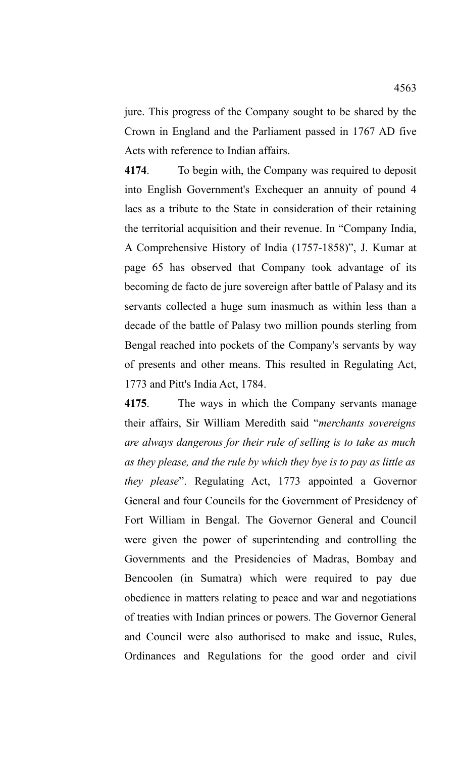jure. This progress of the Company sought to be shared by the Crown in England and the Parliament passed in 1767 AD five Acts with reference to Indian affairs.

**4174**. To begin with, the Company was required to deposit into English Government's Exchequer an annuity of pound 4 lacs as a tribute to the State in consideration of their retaining the territorial acquisition and their revenue. In "Company India, A Comprehensive History of India (1757-1858)", J. Kumar at page 65 has observed that Company took advantage of its becoming de facto de jure sovereign after battle of Palasy and its servants collected a huge sum inasmuch as within less than a decade of the battle of Palasy two million pounds sterling from Bengal reached into pockets of the Company's servants by way of presents and other means. This resulted in Regulating Act, 1773 and Pitt's India Act, 1784.

**4175**. The ways in which the Company servants manage their affairs, Sir William Meredith said "*merchants sovereigns are always dangerous for their rule of selling is to take as much as they please, and the rule by which they bye is to pay as little as they please*". Regulating Act, 1773 appointed a Governor General and four Councils for the Government of Presidency of Fort William in Bengal. The Governor General and Council were given the power of superintending and controlling the Governments and the Presidencies of Madras, Bombay and Bencoolen (in Sumatra) which were required to pay due obedience in matters relating to peace and war and negotiations of treaties with Indian princes or powers. The Governor General and Council were also authorised to make and issue, Rules, Ordinances and Regulations for the good order and civil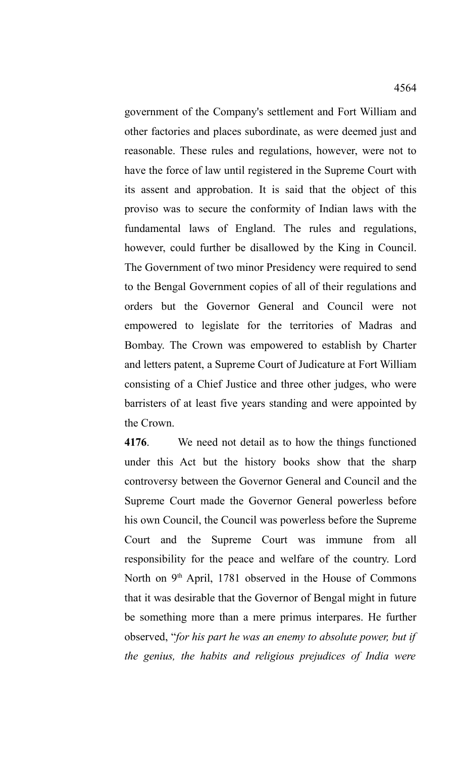government of the Company's settlement and Fort William and other factories and places subordinate, as were deemed just and

reasonable. These rules and regulations, however, were not to have the force of law until registered in the Supreme Court with its assent and approbation. It is said that the object of this proviso was to secure the conformity of Indian laws with the fundamental laws of England. The rules and regulations, however, could further be disallowed by the King in Council. The Government of two minor Presidency were required to send to the Bengal Government copies of all of their regulations and orders but the Governor General and Council were not empowered to legislate for the territories of Madras and Bombay. The Crown was empowered to establish by Charter and letters patent, a Supreme Court of Judicature at Fort William consisting of a Chief Justice and three other judges, who were barristers of at least five years standing and were appointed by the Crown.

**4176**. We need not detail as to how the things functioned under this Act but the history books show that the sharp controversy between the Governor General and Council and the Supreme Court made the Governor General powerless before his own Council, the Council was powerless before the Supreme Court and the Supreme Court was immune from all responsibility for the peace and welfare of the country. Lord North on  $9<sup>th</sup>$  April, 1781 observed in the House of Commons that it was desirable that the Governor of Bengal might in future be something more than a mere primus interpares. He further observed, "*for his part he was an enemy to absolute power, but if the genius, the habits and religious prejudices of India were*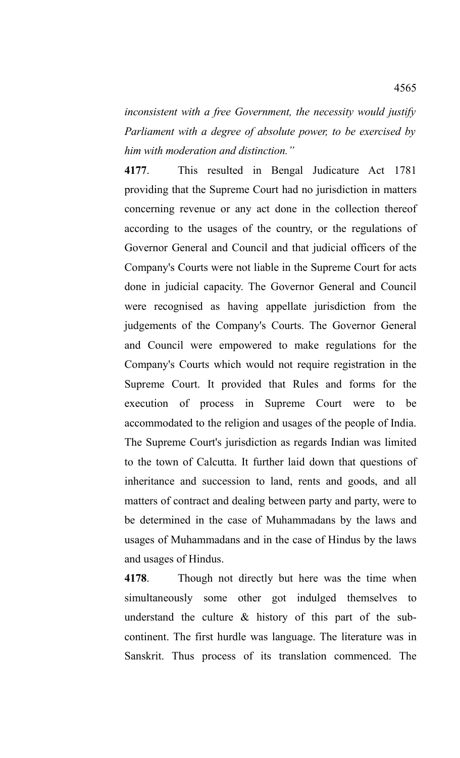*inconsistent with a free Government, the necessity would justify Parliament with a degree of absolute power, to be exercised by him with moderation and distinction."* 

**4177**. This resulted in Bengal Judicature Act 1781 providing that the Supreme Court had no jurisdiction in matters concerning revenue or any act done in the collection thereof according to the usages of the country, or the regulations of Governor General and Council and that judicial officers of the Company's Courts were not liable in the Supreme Court for acts done in judicial capacity. The Governor General and Council were recognised as having appellate jurisdiction from the judgements of the Company's Courts. The Governor General and Council were empowered to make regulations for the Company's Courts which would not require registration in the Supreme Court. It provided that Rules and forms for the execution of process in Supreme Court were to be accommodated to the religion and usages of the people of India. The Supreme Court's jurisdiction as regards Indian was limited to the town of Calcutta. It further laid down that questions of inheritance and succession to land, rents and goods, and all matters of contract and dealing between party and party, were to be determined in the case of Muhammadans by the laws and usages of Muhammadans and in the case of Hindus by the laws and usages of Hindus.

**4178**. Though not directly but here was the time when simultaneously some other got indulged themselves to understand the culture & history of this part of the subcontinent. The first hurdle was language. The literature was in Sanskrit. Thus process of its translation commenced. The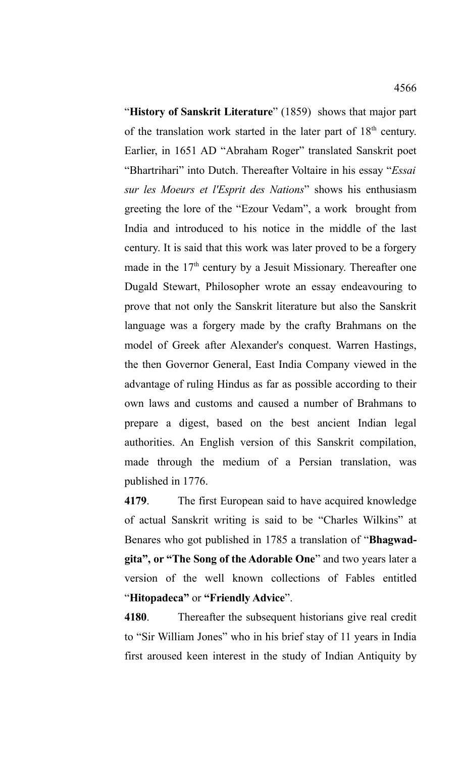"**History of Sanskrit Literature**" (1859) shows that major part of the translation work started in the later part of  $18<sup>th</sup>$  century. Earlier, in 1651 AD "Abraham Roger" translated Sanskrit poet "Bhartrihari" into Dutch. Thereafter Voltaire in his essay "*Essai sur les Moeurs et l'Esprit des Nations*" shows his enthusiasm greeting the lore of the "Ezour Vedam", a work brought from India and introduced to his notice in the middle of the last century. It is said that this work was later proved to be a forgery made in the 17<sup>th</sup> century by a Jesuit Missionary. Thereafter one Dugald Stewart, Philosopher wrote an essay endeavouring to prove that not only the Sanskrit literature but also the Sanskrit language was a forgery made by the crafty Brahmans on the model of Greek after Alexander's conquest. Warren Hastings, the then Governor General, East India Company viewed in the advantage of ruling Hindus as far as possible according to their own laws and customs and caused a number of Brahmans to prepare a digest, based on the best ancient Indian legal authorities. An English version of this Sanskrit compilation, made through the medium of a Persian translation, was published in 1776.

**4179**. The first European said to have acquired knowledge of actual Sanskrit writing is said to be "Charles Wilkins" at Benares who got published in 1785 a translation of "**Bhagwadgita", or "The Song of the Adorable One**" and two years later a version of the well known collections of Fables entitled "**Hitopadeca"** or **"Friendly Advice**".

**4180**. Thereafter the subsequent historians give real credit to "Sir William Jones" who in his brief stay of 11 years in India first aroused keen interest in the study of Indian Antiquity by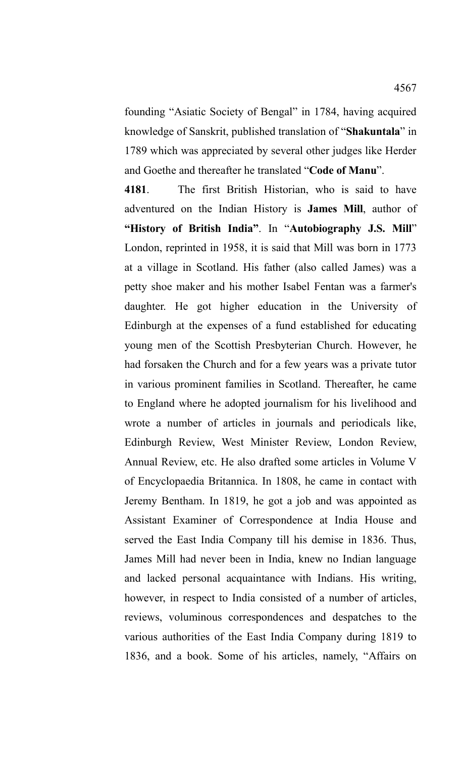founding "Asiatic Society of Bengal" in 1784, having acquired knowledge of Sanskrit, published translation of "**Shakuntala**" in 1789 which was appreciated by several other judges like Herder and Goethe and thereafter he translated "**Code of Manu**".

**4181**. The first British Historian, who is said to have adventured on the Indian History is **James Mill**, author of **"History of British India"**. In "**Autobiography J.S. Mill**" London, reprinted in 1958, it is said that Mill was born in 1773 at a village in Scotland. His father (also called James) was a petty shoe maker and his mother Isabel Fentan was a farmer's daughter. He got higher education in the University of Edinburgh at the expenses of a fund established for educating young men of the Scottish Presbyterian Church. However, he had forsaken the Church and for a few years was a private tutor in various prominent families in Scotland. Thereafter, he came to England where he adopted journalism for his livelihood and wrote a number of articles in journals and periodicals like, Edinburgh Review, West Minister Review, London Review, Annual Review, etc. He also drafted some articles in Volume V of Encyclopaedia Britannica. In 1808, he came in contact with Jeremy Bentham. In 1819, he got a job and was appointed as Assistant Examiner of Correspondence at India House and served the East India Company till his demise in 1836. Thus, James Mill had never been in India, knew no Indian language and lacked personal acquaintance with Indians. His writing, however, in respect to India consisted of a number of articles, reviews, voluminous correspondences and despatches to the various authorities of the East India Company during 1819 to 1836, and a book. Some of his articles, namely, "Affairs on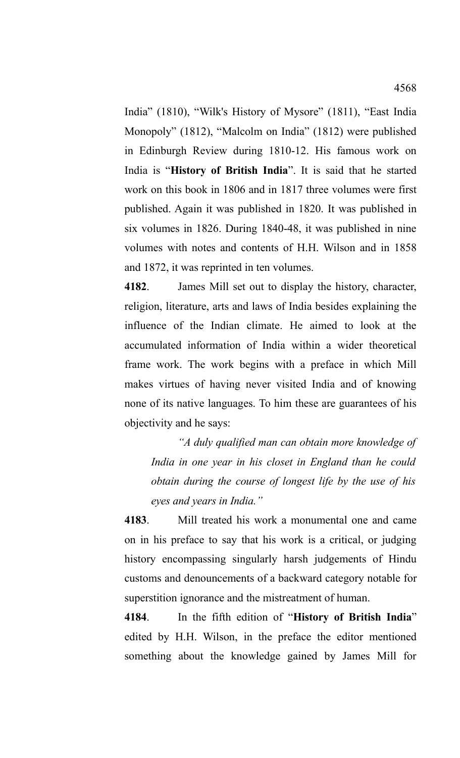India" (1810), "Wilk's History of Mysore" (1811), "East India Monopoly" (1812), "Malcolm on India" (1812) were published in Edinburgh Review during 1810-12. His famous work on India is "**History of British India**". It is said that he started work on this book in 1806 and in 1817 three volumes were first published. Again it was published in 1820. It was published in six volumes in 1826. During 1840-48, it was published in nine volumes with notes and contents of H.H. Wilson and in 1858 and 1872, it was reprinted in ten volumes.

**4182**. James Mill set out to display the history, character, religion, literature, arts and laws of India besides explaining the influence of the Indian climate. He aimed to look at the accumulated information of India within a wider theoretical frame work. The work begins with a preface in which Mill makes virtues of having never visited India and of knowing none of its native languages. To him these are guarantees of his objectivity and he says:

*"A duly qualified man can obtain more knowledge of India in one year in his closet in England than he could obtain during the course of longest life by the use of his eyes and years in India."*

**4183**. Mill treated his work a monumental one and came on in his preface to say that his work is a critical, or judging history encompassing singularly harsh judgements of Hindu customs and denouncements of a backward category notable for superstition ignorance and the mistreatment of human.

**4184**. In the fifth edition of "**History of British India**" edited by H.H. Wilson, in the preface the editor mentioned something about the knowledge gained by James Mill for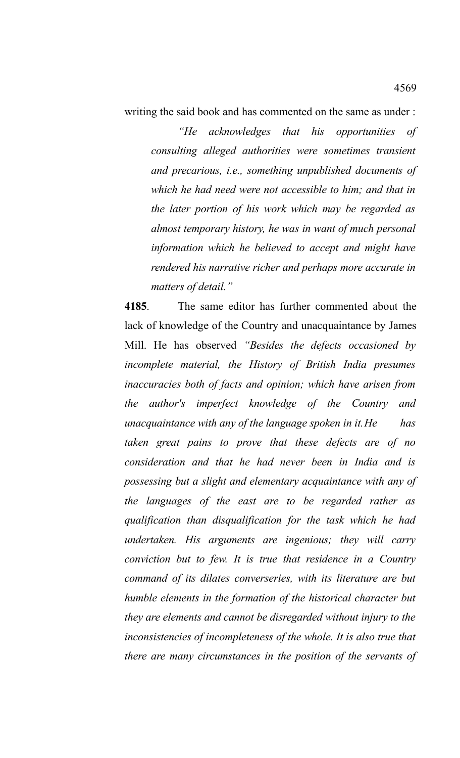writing the said book and has commented on the same as under :

*"He acknowledges that his opportunities of consulting alleged authorities were sometimes transient and precarious, i.e., something unpublished documents of which he had need were not accessible to him; and that in the later portion of his work which may be regarded as almost temporary history, he was in want of much personal information which he believed to accept and might have rendered his narrative richer and perhaps more accurate in matters of detail."* 

**4185**. The same editor has further commented about the lack of knowledge of the Country and unacquaintance by James Mill. He has observed *"Besides the defects occasioned by incomplete material, the History of British India presumes inaccuracies both of facts and opinion; which have arisen from the author's imperfect knowledge of the Country and unacquaintance with any of the language spoken in it.He has taken great pains to prove that these defects are of no consideration and that he had never been in India and is possessing but a slight and elementary acquaintance with any of the languages of the east are to be regarded rather as qualification than disqualification for the task which he had undertaken. His arguments are ingenious; they will carry conviction but to few. It is true that residence in a Country command of its dilates converseries, with its literature are but humble elements in the formation of the historical character but they are elements and cannot be disregarded without injury to the inconsistencies of incompleteness of the whole. It is also true that there are many circumstances in the position of the servants of*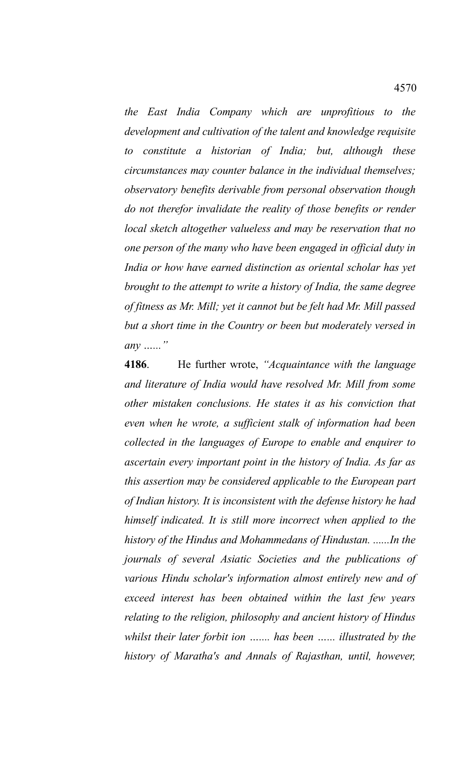*the East India Company which are unprofitious to the development and cultivation of the talent and knowledge requisite to constitute a historian of India; but, although these circumstances may counter balance in the individual themselves; observatory benefits derivable from personal observation though do not therefor invalidate the reality of those benefits or render local sketch altogether valueless and may be reservation that no one person of the many who have been engaged in official duty in India or how have earned distinction as oriental scholar has yet brought to the attempt to write a history of India, the same degree of fitness as Mr. Mill; yet it cannot but be felt had Mr. Mill passed but a short time in the Country or been but moderately versed in any …..."* 

**4186**. He further wrote, *"Acquaintance with the language and literature of India would have resolved Mr. Mill from some other mistaken conclusions. He states it as his conviction that even when he wrote, a sufficient stalk of information had been collected in the languages of Europe to enable and enquirer to ascertain every important point in the history of India. As far as this assertion may be considered applicable to the European part of Indian history. It is inconsistent with the defense history he had himself indicated. It is still more incorrect when applied to the history of the Hindus and Mohammedans of Hindustan. ......In the journals of several Asiatic Societies and the publications of various Hindu scholar's information almost entirely new and of exceed interest has been obtained within the last few years relating to the religion, philosophy and ancient history of Hindus whilst their later forbit ion ….... has been …... illustrated by the history of Maratha's and Annals of Rajasthan, until, however,*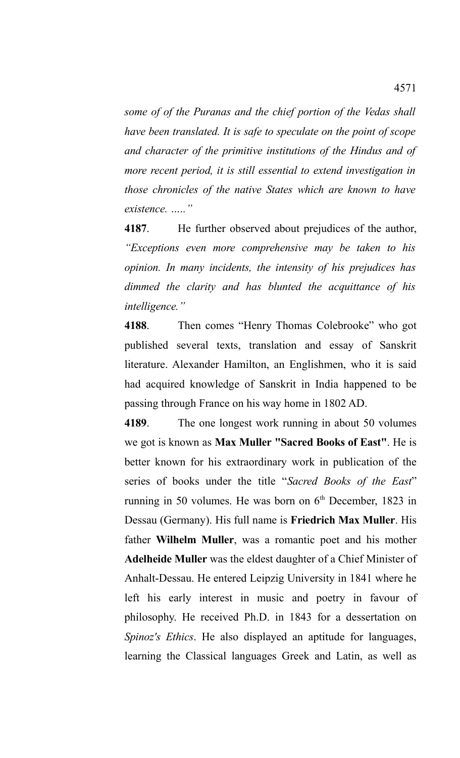*some of of the Puranas and the chief portion of the Vedas shall have been translated. It is safe to speculate on the point of scope and character of the primitive institutions of the Hindus and of more recent period, it is still essential to extend investigation in those chronicles of the native States which are known to have existence. ….."*

**4187**. He further observed about prejudices of the author, *"Exceptions even more comprehensive may be taken to his opinion. In many incidents, the intensity of his prejudices has dimmed the clarity and has blunted the acquittance of his intelligence."*

**4188**. Then comes "Henry Thomas Colebrooke" who got published several texts, translation and essay of Sanskrit literature. Alexander Hamilton, an Englishmen, who it is said had acquired knowledge of Sanskrit in India happened to be passing through France on his way home in 1802 AD.

**4189**. The one longest work running in about 50 volumes we got is known as **Max Muller "Sacred Books of East"**. He is better known for his extraordinary work in publication of the series of books under the title "*Sacred Books of the East*" running in 50 volumes. He was born on  $6<sup>th</sup>$  December, 1823 in Dessau (Germany). His full name is **Friedrich Max Muller**. His father **Wilhelm Muller**, was a romantic poet and his mother **Adelheide Muller** was the eldest daughter of a Chief Minister of Anhalt-Dessau. He entered Leipzig University in 1841 where he left his early interest in music and poetry in favour of philosophy. He received Ph.D. in 1843 for a dessertation on *Spinoz's Ethics*. He also displayed an aptitude for languages, learning the Classical languages Greek and Latin, as well as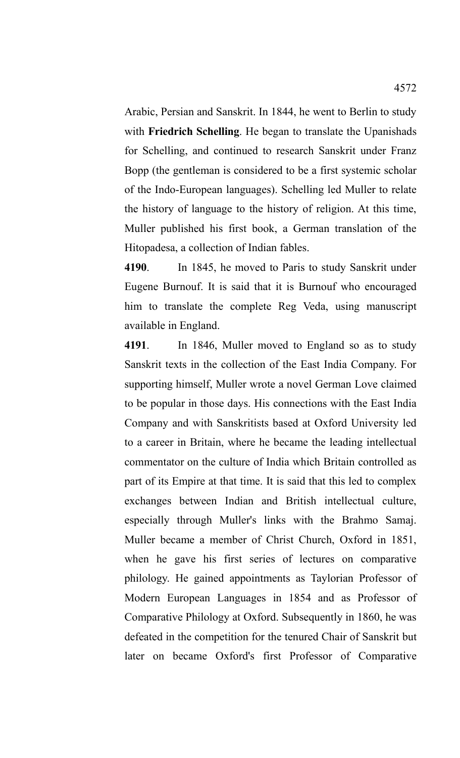Arabic, Persian and Sanskrit. In 1844, he went to Berlin to study with **Friedrich Schelling**. He began to translate the Upanishads for Schelling, and continued to research Sanskrit under Franz Bopp (the gentleman is considered to be a first systemic scholar of the Indo-European languages). Schelling led Muller to relate the history of language to the history of religion. At this time, Muller published his first book, a German translation of the Hitopadesa, a collection of Indian fables.

**4190**. In 1845, he moved to Paris to study Sanskrit under Eugene Burnouf. It is said that it is Burnouf who encouraged him to translate the complete Reg Veda, using manuscript available in England.

**4191**. In 1846, Muller moved to England so as to study Sanskrit texts in the collection of the East India Company. For supporting himself, Muller wrote a novel German Love claimed to be popular in those days. His connections with the East India Company and with Sanskritists based at Oxford University led to a career in Britain, where he became the leading intellectual commentator on the culture of India which Britain controlled as part of its Empire at that time. It is said that this led to complex exchanges between Indian and British intellectual culture, especially through Muller's links with the Brahmo Samaj. Muller became a member of Christ Church, Oxford in 1851, when he gave his first series of lectures on comparative philology. He gained appointments as Taylorian Professor of Modern European Languages in 1854 and as Professor of Comparative Philology at Oxford. Subsequently in 1860, he was defeated in the competition for the tenured Chair of Sanskrit but later on became Oxford's first Professor of Comparative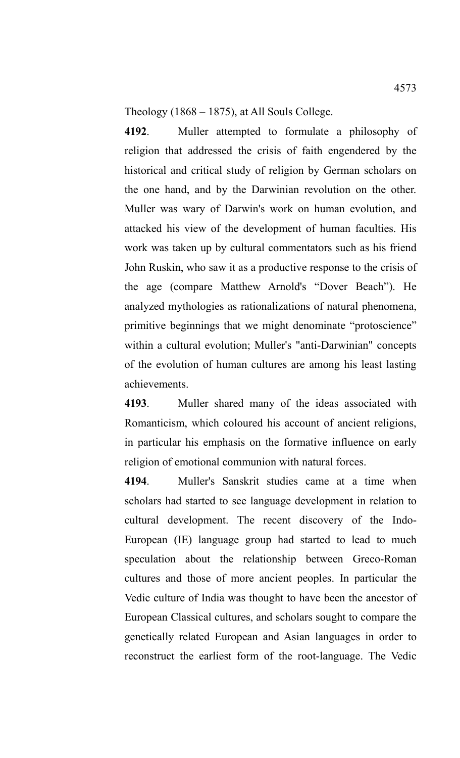Theology (1868 – 1875), at All Souls College.

**4192**. Muller attempted to formulate a philosophy of religion that addressed the crisis of faith engendered by the historical and critical study of religion by German scholars on the one hand, and by the Darwinian revolution on the other. Muller was wary of Darwin's work on human evolution, and attacked his view of the development of human faculties. His work was taken up by cultural commentators such as his friend John Ruskin, who saw it as a productive response to the crisis of the age (compare Matthew Arnold's "Dover Beach"). He analyzed mythologies as rationalizations of natural phenomena, primitive beginnings that we might denominate "protoscience" within a cultural evolution; Muller's "anti-Darwinian" concepts of the evolution of human cultures are among his least lasting achievements.

**4193**. Muller shared many of the ideas associated with Romanticism, which coloured his account of ancient religions, in particular his emphasis on the formative influence on early religion of emotional communion with natural forces.

**4194**. Muller's Sanskrit studies came at a time when scholars had started to see language development in relation to cultural development. The recent discovery of the Indo-European (IE) language group had started to lead to much speculation about the relationship between Greco-Roman cultures and those of more ancient peoples. In particular the Vedic culture of India was thought to have been the ancestor of European Classical cultures, and scholars sought to compare the genetically related European and Asian languages in order to reconstruct the earliest form of the root-language. The Vedic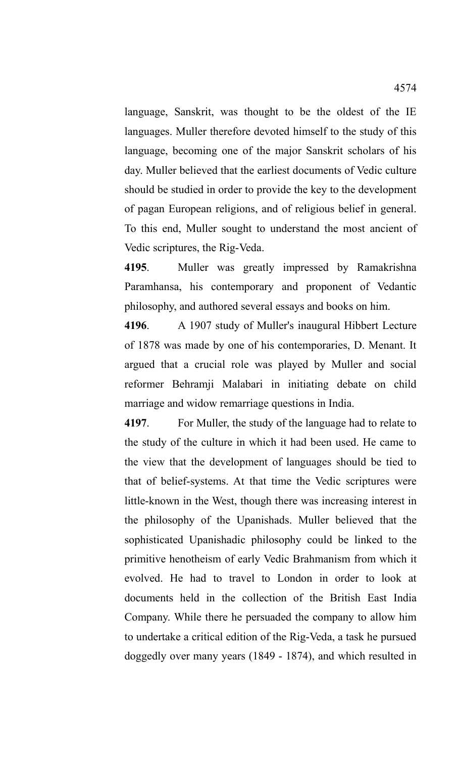language, Sanskrit, was thought to be the oldest of the IE languages. Muller therefore devoted himself to the study of this language, becoming one of the major Sanskrit scholars of his day. Muller believed that the earliest documents of Vedic culture should be studied in order to provide the key to the development of pagan European religions, and of religious belief in general. To this end, Muller sought to understand the most ancient of Vedic scriptures, the Rig-Veda.

**4195**. Muller was greatly impressed by Ramakrishna Paramhansa, his contemporary and proponent of Vedantic philosophy, and authored several essays and books on him.

**4196**. A 1907 study of Muller's inaugural Hibbert Lecture of 1878 was made by one of his contemporaries, D. Menant. It argued that a crucial role was played by Muller and social reformer Behramji Malabari in initiating debate on child marriage and widow remarriage questions in India.

**4197**. For Muller, the study of the language had to relate to the study of the culture in which it had been used. He came to the view that the development of languages should be tied to that of belief-systems. At that time the Vedic scriptures were little-known in the West, though there was increasing interest in the philosophy of the Upanishads. Muller believed that the sophisticated Upanishadic philosophy could be linked to the primitive henotheism of early Vedic Brahmanism from which it evolved. He had to travel to London in order to look at documents held in the collection of the British East India Company. While there he persuaded the company to allow him to undertake a critical edition of the Rig-Veda, a task he pursued doggedly over many years (1849 - 1874), and which resulted in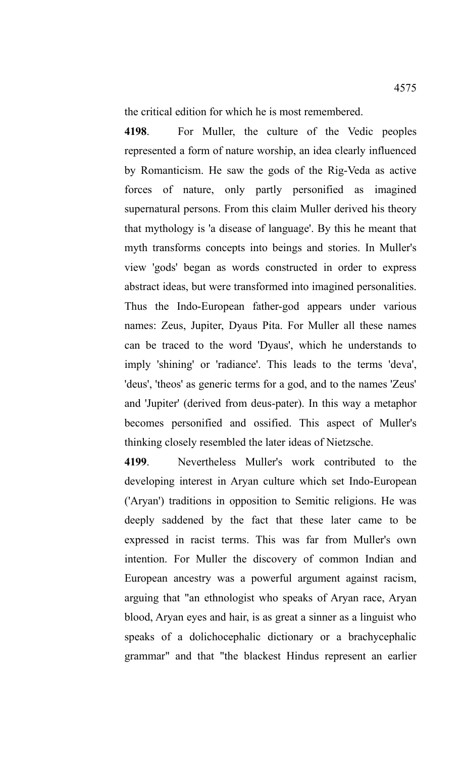the critical edition for which he is most remembered.

**4198**. For Muller, the culture of the Vedic peoples represented a form of nature worship, an idea clearly influenced by Romanticism. He saw the gods of the Rig-Veda as active forces of nature, only partly personified as imagined supernatural persons. From this claim Muller derived his theory that mythology is 'a disease of language'. By this he meant that myth transforms concepts into beings and stories. In Muller's view 'gods' began as words constructed in order to express abstract ideas, but were transformed into imagined personalities. Thus the Indo-European father-god appears under various names: Zeus, Jupiter, Dyaus Pita. For Muller all these names can be traced to the word 'Dyaus', which he understands to imply 'shining' or 'radiance'. This leads to the terms 'deva', 'deus', 'theos' as generic terms for a god, and to the names 'Zeus' and 'Jupiter' (derived from deus-pater). In this way a metaphor becomes personified and ossified. This aspect of Muller's thinking closely resembled the later ideas of Nietzsche.

**4199**. Nevertheless Muller's work contributed to the developing interest in Aryan culture which set Indo-European ('Aryan') traditions in opposition to Semitic religions. He was deeply saddened by the fact that these later came to be expressed in racist terms. This was far from Muller's own intention. For Muller the discovery of common Indian and European ancestry was a powerful argument against racism, arguing that "an ethnologist who speaks of Aryan race, Aryan blood, Aryan eyes and hair, is as great a sinner as a linguist who speaks of a dolichocephalic dictionary or a brachycephalic grammar" and that "the blackest Hindus represent an earlier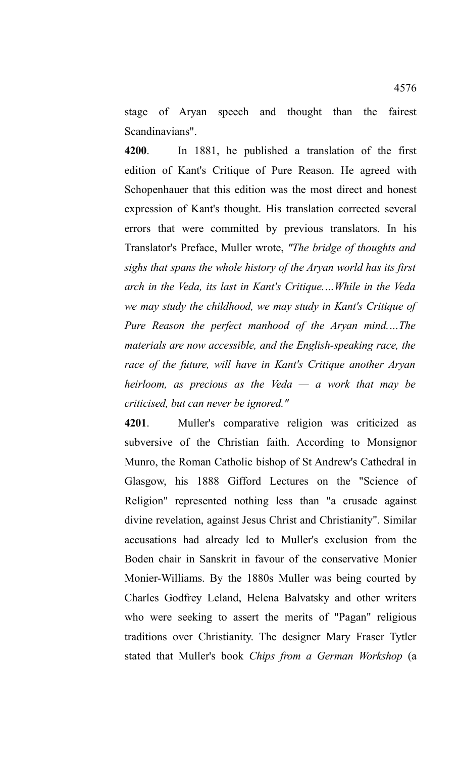stage of Aryan speech and thought than the fairest Scandinavians".

**4200**. In 1881, he published a translation of the first edition of Kant's Critique of Pure Reason. He agreed with Schopenhauer that this edition was the most direct and honest expression of Kant's thought. His translation corrected several errors that were committed by previous translators. In his Translator's Preface, Muller wrote, *"The bridge of thoughts and sighs that spans the whole history of the Aryan world has its first arch in the Veda, its last in Kant's Critique.…While in the Veda we may study the childhood, we may study in Kant's Critique of Pure Reason the perfect manhood of the Aryan mind.…The materials are now accessible, and the English-speaking race, the race of the future, will have in Kant's Critique another Aryan heirloom, as precious as the Veda — a work that may be criticised, but can never be ignored."*

**4201**. Muller's comparative religion was criticized as subversive of the Christian faith. According to Monsignor Munro, the Roman Catholic bishop of St Andrew's Cathedral in Glasgow, his 1888 Gifford Lectures on the "Science of Religion" represented nothing less than "a crusade against divine revelation, against Jesus Christ and Christianity". Similar accusations had already led to Muller's exclusion from the Boden chair in Sanskrit in favour of the conservative Monier Monier-Williams. By the 1880s Muller was being courted by Charles Godfrey Leland, Helena Balvatsky and other writers who were seeking to assert the merits of "Pagan" religious traditions over Christianity. The designer Mary Fraser Tytler stated that Muller's book *Chips from a German Workshop* (a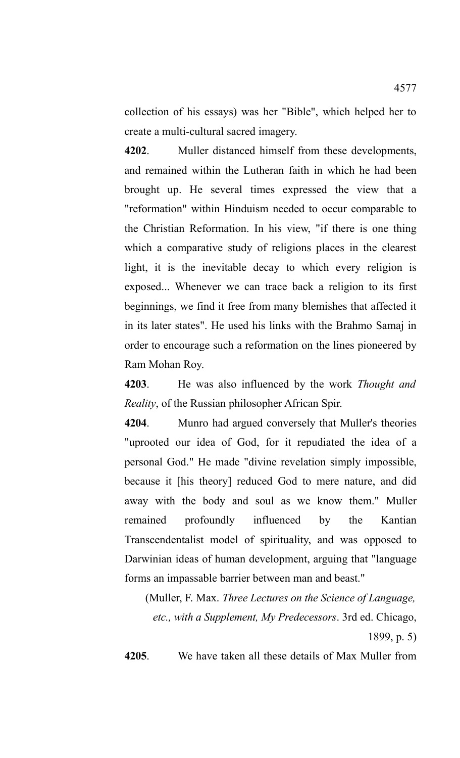collection of his essays) was her "Bible", which helped her to create a multi-cultural sacred imagery.

**4202**. Muller distanced himself from these developments, and remained within the Lutheran faith in which he had been brought up. He several times expressed the view that a "reformation" within Hinduism needed to occur comparable to the Christian Reformation. In his view, "if there is one thing which a comparative study of religions places in the clearest light, it is the inevitable decay to which every religion is exposed... Whenever we can trace back a religion to its first beginnings, we find it free from many blemishes that affected it in its later states". He used his links with the Brahmo Samaj in order to encourage such a reformation on the lines pioneered by Ram Mohan Roy.

**4203**. He was also influenced by the work *Thought and Reality*, of the Russian philosopher African Spir.

**4204**. Munro had argued conversely that Muller's theories "uprooted our idea of God, for it repudiated the idea of a personal God." He made "divine revelation simply impossible, because it [his theory] reduced God to mere nature, and did away with the body and soul as we know them." Muller remained profoundly influenced by the Kantian Transcendentalist model of spirituality, and was opposed to Darwinian ideas of human development, arguing that "language forms an impassable barrier between man and beast."

(Muller, F. Max. *Three Lectures on the Science of Language, etc., with a Supplement, My Predecessors*. 3rd ed. Chicago,

1899, p. 5)

**4205**. We have taken all these details of Max Muller from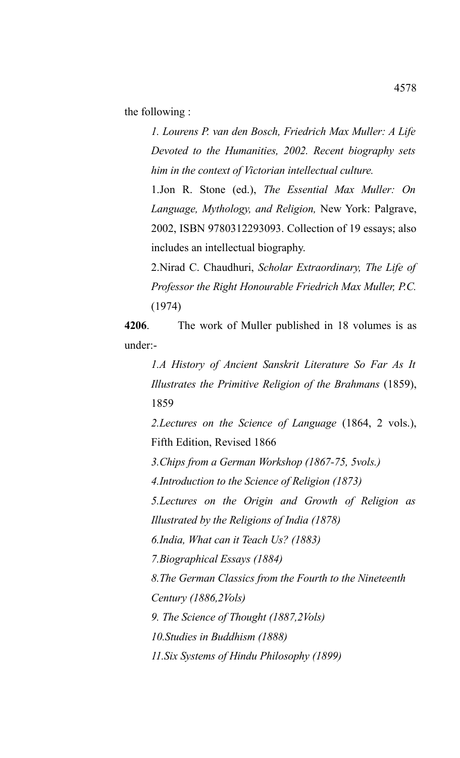the following :

*1. Lourens P. van den Bosch, Friedrich Max Muller: A Life Devoted to the Humanities, 2002. Recent biography sets him in the context of Victorian intellectual culture.* 

1.Jon R. Stone (ed.), *The Essential Max Muller: On Language, Mythology, and Religion,* New York: Palgrave, 2002, ISBN 9780312293093. Collection of 19 essays; also includes an intellectual biography.

2.Nirad C. Chaudhuri, *Scholar Extraordinary, The Life of Professor the Right Honourable Friedrich Max Muller, P.C.* (1974)

**4206**. The work of Muller published in 18 volumes is as under:-

*1.A History of Ancient Sanskrit Literature So Far As It Illustrates the Primitive Religion of the Brahmans* (1859), 1859

*2.Lectures on the Science of Language* (1864, 2 vols.), Fifth Edition, Revised 1866

*3.Chips from a German Workshop (1867-75, 5vols.)*

*4.Introduction to the Science of Religion (1873)*

*5.Lectures on the Origin and Growth of Religion as Illustrated by the Religions of India (1878)* 

*6.India, What can it Teach Us? (1883)* 

*7.Biographical Essays (1884)*

*8.The German Classics from the Fourth to the Nineteenth Century (1886,2Vols)* 

*9. The Science of Thought (1887,2Vols)*

*10.Studies in Buddhism (1888)* 

*11.Six Systems of Hindu Philosophy (1899)*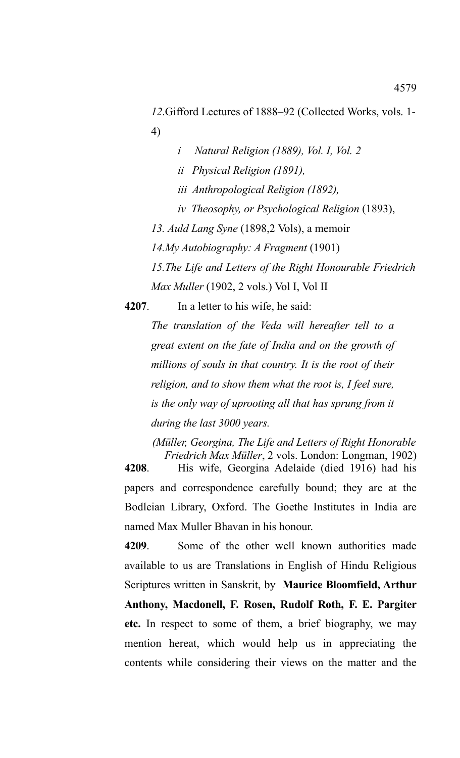*12*.Gifford Lectures of 1888–92 (Collected Works, vols. 1- 4)

- *i Natural Religion (1889), Vol. I, Vol. 2*
- *ii Physical Religion (1891),*
- *iii Anthropological Religion (1892),*
- *iv Theosophy, or Psychological Religion* (1893),

*13. Auld Lang Syne* (1898,2 Vols), a memoir

*14.My Autobiography: A Fragment* (1901)

*15.The Life and Letters of the Right Honourable Friedrich Max Muller* (1902, 2 vols.) Vol I, Vol II

**4207**. In a letter to his wife, he said:

*The translation of the Veda will hereafter tell to a great extent on the fate of India and on the growth of millions of souls in that country. It is the root of their religion, and to show them what the root is, I feel sure, is the only way of uprooting all that has sprung from it during the last 3000 years.*

*(Müller, Georgina, The Life and Letters of Right Honorable Friedrich Max Müller*, 2 vols. London: Longman, 1902) **4208**. His wife, Georgina Adelaide (died 1916) had his

papers and correspondence carefully bound; they are at the Bodleian Library, Oxford. The Goethe Institutes in India are named Max Muller Bhavan in his honour.

**4209**. Some of the other well known authorities made available to us are Translations in English of Hindu Religious Scriptures written in Sanskrit, by **Maurice Bloomfield, Arthur Anthony, Macdonell, F. Rosen, Rudolf Roth, F. E. Pargiter etc.** In respect to some of them, a brief biography, we may mention hereat, which would help us in appreciating the contents while considering their views on the matter and the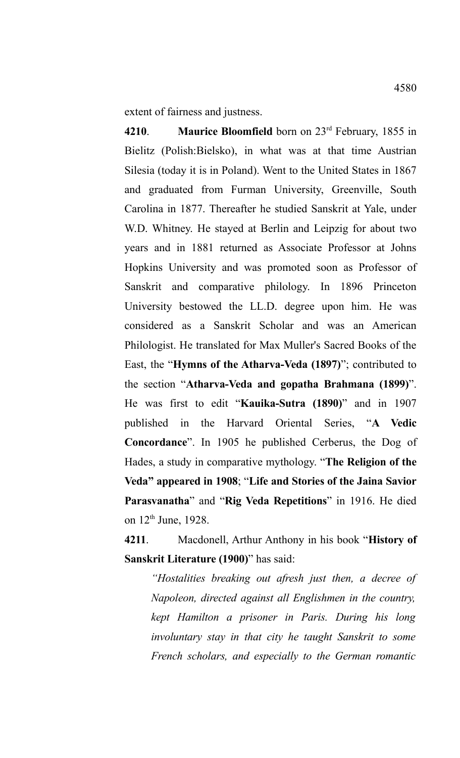extent of fairness and justness.

**4210**. **Maurice Bloomfield** born on 23rd February, 1855 in Bielitz (Polish:Bielsko), in what was at that time Austrian Silesia (today it is in Poland). Went to the United States in 1867 and graduated from Furman University, Greenville, South Carolina in 1877. Thereafter he studied Sanskrit at Yale, under W.D. Whitney. He stayed at Berlin and Leipzig for about two years and in 1881 returned as Associate Professor at Johns Hopkins University and was promoted soon as Professor of Sanskrit and comparative philology. In 1896 Princeton University bestowed the LL.D. degree upon him. He was considered as a Sanskrit Scholar and was an American Philologist. He translated for Max Muller's Sacred Books of the East, the "**Hymns of the Atharva-Veda (1897)**"; contributed to the section "**Atharva-Veda and gopatha Brahmana (1899)**". He was first to edit "**Kauika-Sutra (1890)**" and in 1907 published in the Harvard Oriental Series, "**A Vedic Concordance**". In 1905 he published Cerberus, the Dog of Hades, a study in comparative mythology. "**The Religion of the Veda" appeared in 1908**; "**Life and Stories of the Jaina Savior Parasvanatha**" and "**Rig Veda Repetitions**" in 1916. He died on 12<sup>th</sup> June, 1928.

**4211**. Macdonell, Arthur Anthony in his book "**History of Sanskrit Literature (1900)**" has said:

*"Hostalities breaking out afresh just then, a decree of Napoleon, directed against all Englishmen in the country, kept Hamilton a prisoner in Paris. During his long involuntary stay in that city he taught Sanskrit to some French scholars, and especially to the German romantic*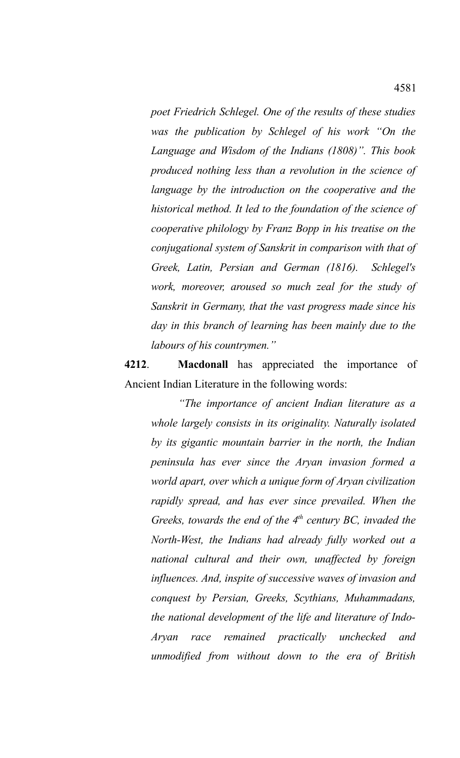*poet Friedrich Schlegel. One of the results of these studies was the publication by Schlegel of his work "On the Language and Wisdom of the Indians (1808)". This book produced nothing less than a revolution in the science of language by the introduction on the cooperative and the historical method. It led to the foundation of the science of cooperative philology by Franz Bopp in his treatise on the conjugational system of Sanskrit in comparison with that of Greek, Latin, Persian and German (1816). Schlegel's work, moreover, aroused so much zeal for the study of Sanskrit in Germany, that the vast progress made since his day in this branch of learning has been mainly due to the labours of his countrymen."*

**4212**. **Macdonall** has appreciated the importance of Ancient Indian Literature in the following words:

*"The importance of ancient Indian literature as a whole largely consists in its originality. Naturally isolated by its gigantic mountain barrier in the north, the Indian peninsula has ever since the Aryan invasion formed a world apart, over which a unique form of Aryan civilization rapidly spread, and has ever since prevailed. When the Greeks, towards the end of the 4th century BC, invaded the North-West, the Indians had already fully worked out a national cultural and their own, unaffected by foreign influences. And, inspite of successive waves of invasion and conquest by Persian, Greeks, Scythians, Muhammadans, the national development of the life and literature of Indo-Aryan race remained practically unchecked and unmodified from without down to the era of British*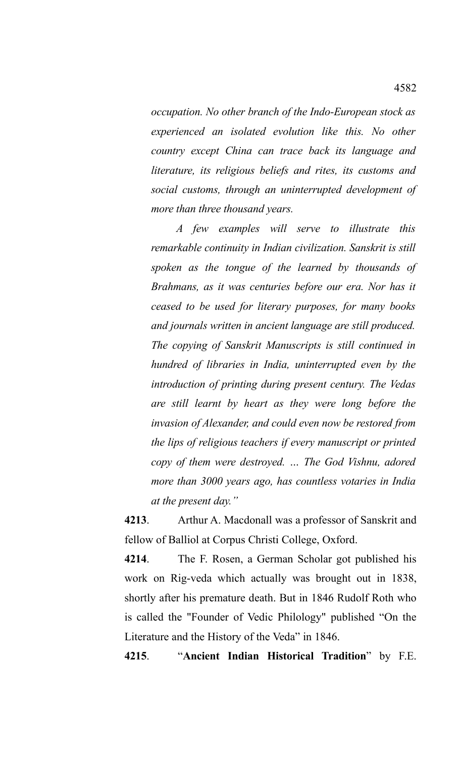*occupation. No other branch of the Indo-European stock as experienced an isolated evolution like this. No other country except China can trace back its language and literature, its religious beliefs and rites, its customs and social customs, through an uninterrupted development of more than three thousand years.* 

*A few examples will serve to illustrate this remarkable continuity in Indian civilization. Sanskrit is still spoken as the tongue of the learned by thousands of Brahmans, as it was centuries before our era. Nor has it ceased to be used for literary purposes, for many books and journals written in ancient language are still produced. The copying of Sanskrit Manuscripts is still continued in hundred of libraries in India, uninterrupted even by the introduction of printing during present century. The Vedas are still learnt by heart as they were long before the invasion of Alexander, and could even now be restored from the lips of religious teachers if every manuscript or printed copy of them were destroyed. … The God Vishnu, adored more than 3000 years ago, has countless votaries in India at the present day."*

**4213**. Arthur A. Macdonall was a professor of Sanskrit and fellow of Balliol at Corpus Christi College, Oxford.

**4214**. The F. Rosen, a German Scholar got published his work on Rig-veda which actually was brought out in 1838, shortly after his premature death. But in 1846 Rudolf Roth who is called the "Founder of Vedic Philology" published "On the Literature and the History of the Veda" in 1846.

**4215**. "**Ancient Indian Historical Tradition**" by F.E.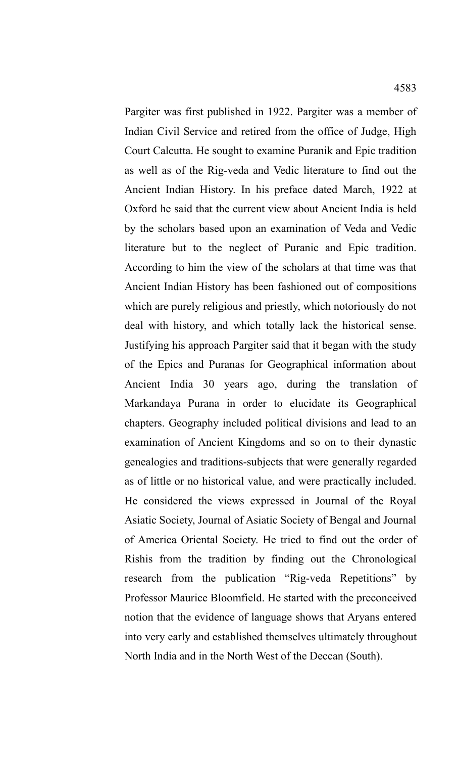Pargiter was first published in 1922. Pargiter was a member of Indian Civil Service and retired from the office of Judge, High Court Calcutta. He sought to examine Puranik and Epic tradition as well as of the Rig-veda and Vedic literature to find out the Ancient Indian History. In his preface dated March, 1922 at Oxford he said that the current view about Ancient India is held by the scholars based upon an examination of Veda and Vedic literature but to the neglect of Puranic and Epic tradition. According to him the view of the scholars at that time was that Ancient Indian History has been fashioned out of compositions which are purely religious and priestly, which notoriously do not deal with history, and which totally lack the historical sense. Justifying his approach Pargiter said that it began with the study of the Epics and Puranas for Geographical information about Ancient India 30 years ago, during the translation of Markandaya Purana in order to elucidate its Geographical chapters. Geography included political divisions and lead to an examination of Ancient Kingdoms and so on to their dynastic genealogies and traditions-subjects that were generally regarded as of little or no historical value, and were practically included. He considered the views expressed in Journal of the Royal Asiatic Society, Journal of Asiatic Society of Bengal and Journal of America Oriental Society. He tried to find out the order of Rishis from the tradition by finding out the Chronological research from the publication "Rig-veda Repetitions" by Professor Maurice Bloomfield. He started with the preconceived notion that the evidence of language shows that Aryans entered into very early and established themselves ultimately throughout North India and in the North West of the Deccan (South).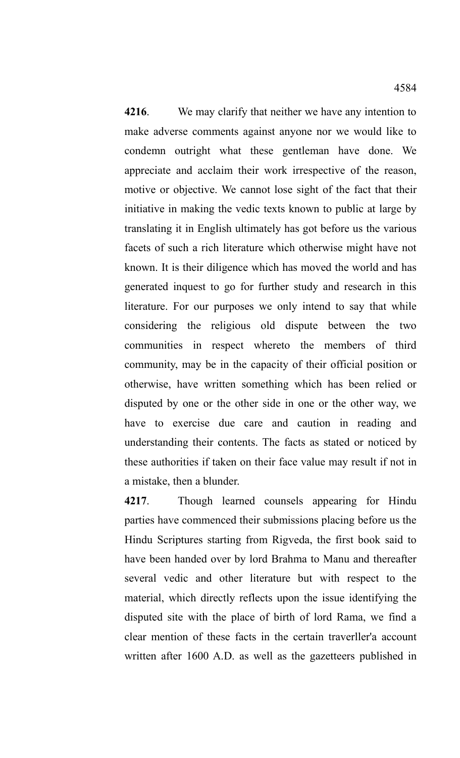**4216**. We may clarify that neither we have any intention to make adverse comments against anyone nor we would like to condemn outright what these gentleman have done. We appreciate and acclaim their work irrespective of the reason, motive or objective. We cannot lose sight of the fact that their initiative in making the vedic texts known to public at large by translating it in English ultimately has got before us the various facets of such a rich literature which otherwise might have not known. It is their diligence which has moved the world and has generated inquest to go for further study and research in this literature. For our purposes we only intend to say that while considering the religious old dispute between the two communities in respect whereto the members of third community, may be in the capacity of their official position or otherwise, have written something which has been relied or disputed by one or the other side in one or the other way, we have to exercise due care and caution in reading and understanding their contents. The facts as stated or noticed by these authorities if taken on their face value may result if not in

**4217**. Though learned counsels appearing for Hindu parties have commenced their submissions placing before us the Hindu Scriptures starting from Rigveda, the first book said to have been handed over by lord Brahma to Manu and thereafter several vedic and other literature but with respect to the material, which directly reflects upon the issue identifying the disputed site with the place of birth of lord Rama, we find a clear mention of these facts in the certain traverller'a account written after 1600 A.D. as well as the gazetteers published in

a mistake, then a blunder.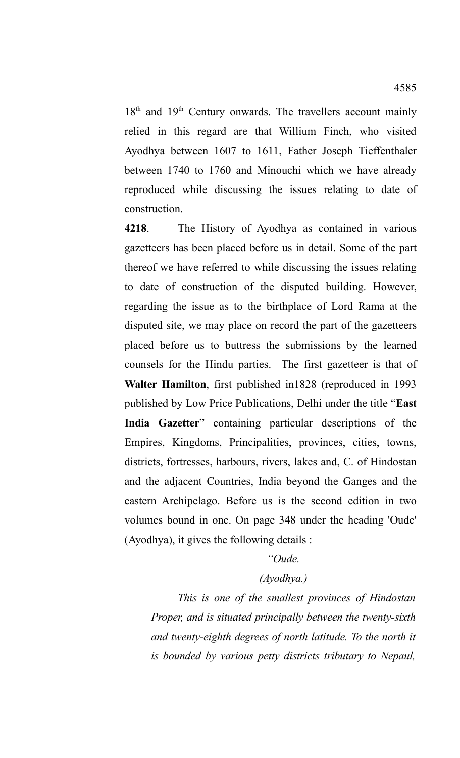$18<sup>th</sup>$  and  $19<sup>th</sup>$  Century onwards. The travellers account mainly relied in this regard are that Willium Finch, who visited Ayodhya between 1607 to 1611, Father Joseph Tieffenthaler between 1740 to 1760 and Minouchi which we have already reproduced while discussing the issues relating to date of construction.

**4218**. The History of Ayodhya as contained in various gazetteers has been placed before us in detail. Some of the part thereof we have referred to while discussing the issues relating to date of construction of the disputed building. However, regarding the issue as to the birthplace of Lord Rama at the disputed site, we may place on record the part of the gazetteers placed before us to buttress the submissions by the learned counsels for the Hindu parties. The first gazetteer is that of **Walter Hamilton**, first published in1828 (reproduced in 1993 published by Low Price Publications, Delhi under the title "**East India Gazetter**" containing particular descriptions of the Empires, Kingdoms, Principalities, provinces, cities, towns, districts, fortresses, harbours, rivers, lakes and, C. of Hindostan and the adjacent Countries, India beyond the Ganges and the eastern Archipelago. Before us is the second edition in two volumes bound in one. On page 348 under the heading 'Oude' (Ayodhya), it gives the following details :

## *"Oude.*

## *(Ayodhya.)*

*This is one of the smallest provinces of Hindostan Proper, and is situated principally between the twenty-sixth and twenty-eighth degrees of north latitude. To the north it is bounded by various petty districts tributary to Nepaul,*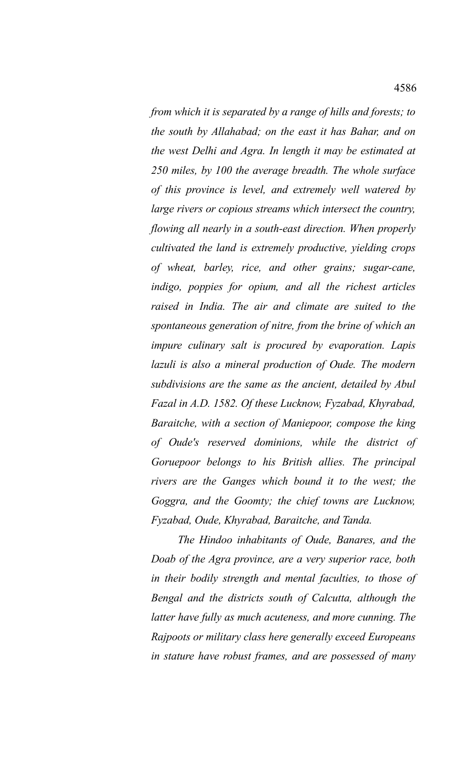*from which it is separated by a range of hills and forests; to the south by Allahabad; on the east it has Bahar, and on the west Delhi and Agra. In length it may be estimated at 250 miles, by 100 the average breadth. The whole surface of this province is level, and extremely well watered by large rivers or copious streams which intersect the country, flowing all nearly in a south-east direction. When properly cultivated the land is extremely productive, yielding crops of wheat, barley, rice, and other grains; sugar-cane, indigo, poppies for opium, and all the richest articles raised in India. The air and climate are suited to the spontaneous generation of nitre, from the brine of which an impure culinary salt is procured by evaporation. Lapis lazuli is also a mineral production of Oude. The modern subdivisions are the same as the ancient, detailed by Abul Fazal in A.D. 1582. Of these Lucknow, Fyzabad, Khyrabad, Baraitche, with a section of Maniepoor, compose the king of Oude's reserved dominions, while the district of Goruepoor belongs to his British allies. The principal rivers are the Ganges which bound it to the west; the*

*Goggra, and the Goomty; the chief towns are Lucknow, Fyzabad, Oude, Khyrabad, Baraitche, and Tanda. The Hindoo inhabitants of Oude, Banares, and the*

*Doab of the Agra province, are a very superior race, both in their bodily strength and mental faculties, to those of Bengal and the districts south of Calcutta, although the latter have fully as much acuteness, and more cunning. The Rajpoots or military class here generally exceed Europeans in stature have robust frames, and are possessed of many*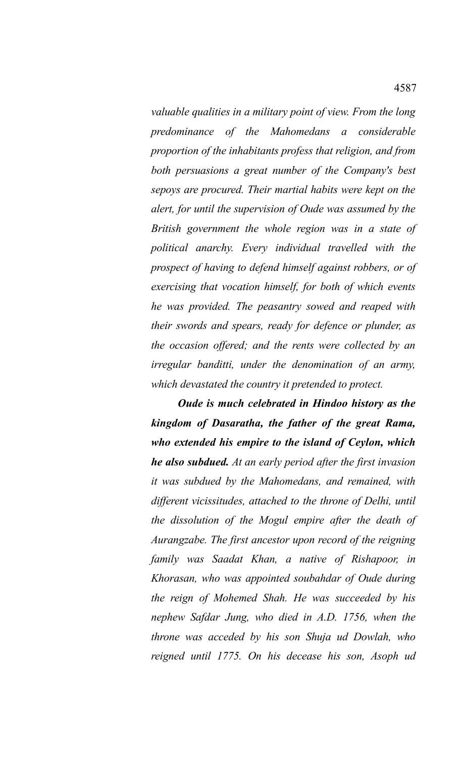*valuable qualities in a military point of view. From the long predominance of the Mahomedans a considerable proportion of the inhabitants profess that religion, and from both persuasions a great number of the Company's best sepoys are procured. Their martial habits were kept on the alert, for until the supervision of Oude was assumed by the British government the whole region was in a state of political anarchy. Every individual travelled with the prospect of having to defend himself against robbers, or of exercising that vocation himself, for both of which events he was provided. The peasantry sowed and reaped with their swords and spears, ready for defence or plunder, as the occasion offered; and the rents were collected by an irregular banditti, under the denomination of an army, which devastated the country it pretended to protect.* 

*Oude is much celebrated in Hindoo history as the kingdom of Dasaratha, the father of the great Rama, who extended his empire to the island of Ceylon, which he also subdued. At an early period after the first invasion it was subdued by the Mahomedans, and remained, with different vicissitudes, attached to the throne of Delhi, until the dissolution of the Mogul empire after the death of Aurangzabe. The first ancestor upon record of the reigning family was Saadat Khan, a native of Rishapoor, in Khorasan, who was appointed soubahdar of Oude during the reign of Mohemed Shah. He was succeeded by his nephew Safdar Jung, who died in A.D. 1756, when the throne was acceded by his son Shuja ud Dowlah, who reigned until 1775. On his decease his son, Asoph ud*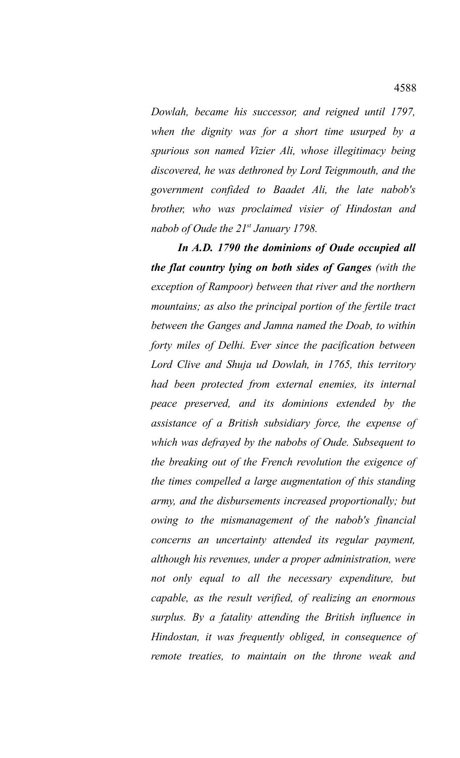*Dowlah, became his successor, and reigned until 1797, when the dignity was for a short time usurped by a spurious son named Vizier Ali, whose illegitimacy being discovered, he was dethroned by Lord Teignmouth, and the government confided to Baadet Ali, the late nabob's brother, who was proclaimed visier of Hindostan and nabob of Oude the 21st January 1798.* 

*In A.D. 1790 the dominions of Oude occupied all the flat country lying on both sides of Ganges (with the exception of Rampoor) between that river and the northern mountains; as also the principal portion of the fertile tract between the Ganges and Jamna named the Doab, to within forty miles of Delhi. Ever since the pacification between Lord Clive and Shuja ud Dowlah, in 1765, this territory had been protected from external enemies, its internal peace preserved, and its dominions extended by the assistance of a British subsidiary force, the expense of which was defrayed by the nabobs of Oude. Subsequent to the breaking out of the French revolution the exigence of the times compelled a large augmentation of this standing army, and the disbursements increased proportionally; but owing to the mismanagement of the nabob's financial concerns an uncertainty attended its regular payment, although his revenues, under a proper administration, were not only equal to all the necessary expenditure, but capable, as the result verified, of realizing an enormous surplus. By a fatality attending the British influence in Hindostan, it was frequently obliged, in consequence of remote treaties, to maintain on the throne weak and*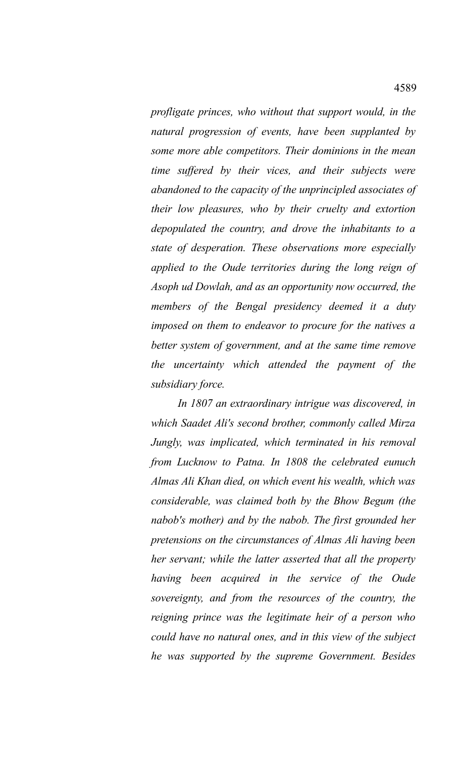*profligate princes, who without that support would, in the natural progression of events, have been supplanted by some more able competitors. Their dominions in the mean time suffered by their vices, and their subjects were abandoned to the capacity of the unprincipled associates of their low pleasures, who by their cruelty and extortion depopulated the country, and drove the inhabitants to a state of desperation. These observations more especially applied to the Oude territories during the long reign of Asoph ud Dowlah, and as an opportunity now occurred, the members of the Bengal presidency deemed it a duty imposed on them to endeavor to procure for the natives a better system of government, and at the same time remove the uncertainty which attended the payment of the subsidiary force.* 

*In 1807 an extraordinary intrigue was discovered, in which Saadet Ali's second brother, commonly called Mirza Jungly, was implicated, which terminated in his removal from Lucknow to Patna. In 1808 the celebrated eunuch Almas Ali Khan died, on which event his wealth, which was considerable, was claimed both by the Bhow Begum (the nabob's mother) and by the nabob. The first grounded her pretensions on the circumstances of Almas Ali having been her servant; while the latter asserted that all the property having been acquired in the service of the Oude sovereignty, and from the resources of the country, the reigning prince was the legitimate heir of a person who could have no natural ones, and in this view of the subject he was supported by the supreme Government. Besides*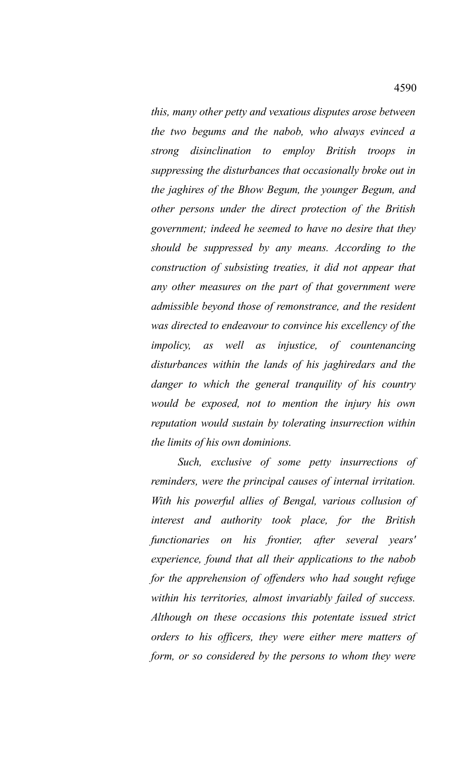*this, many other petty and vexatious disputes arose between the two begums and the nabob, who always evinced a strong disinclination to employ British troops in suppressing the disturbances that occasionally broke out in the jaghires of the Bhow Begum, the younger Begum, and other persons under the direct protection of the British government; indeed he seemed to have no desire that they should be suppressed by any means. According to the construction of subsisting treaties, it did not appear that any other measures on the part of that government were admissible beyond those of remonstrance, and the resident was directed to endeavour to convince his excellency of the impolicy, as well as injustice, of countenancing disturbances within the lands of his jaghiredars and the danger to which the general tranquility of his country would be exposed, not to mention the injury his own reputation would sustain by tolerating insurrection within the limits of his own dominions.* 

*Such, exclusive of some petty insurrections of reminders, were the principal causes of internal irritation. With his powerful allies of Bengal, various collusion of interest and authority took place, for the British functionaries on his frontier, after several years' experience, found that all their applications to the nabob for the apprehension of offenders who had sought refuge within his territories, almost invariably failed of success. Although on these occasions this potentate issued strict orders to his officers, they were either mere matters of form, or so considered by the persons to whom they were*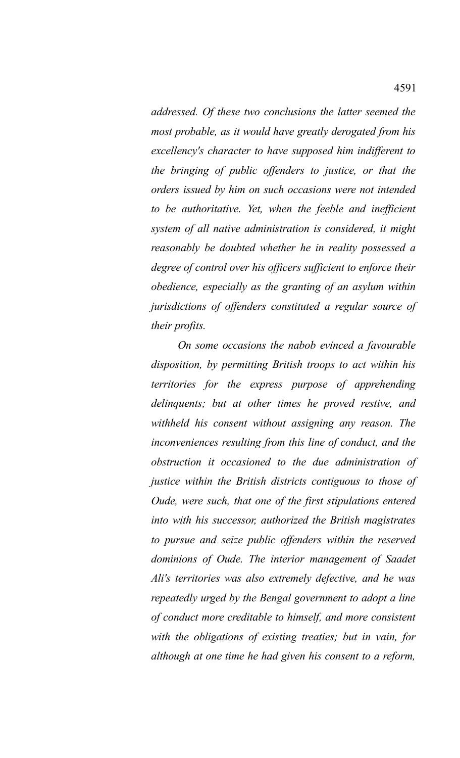*addressed. Of these two conclusions the latter seemed the most probable, as it would have greatly derogated from his excellency's character to have supposed him indifferent to the bringing of public offenders to justice, or that the orders issued by him on such occasions were not intended to be authoritative. Yet, when the feeble and inefficient system of all native administration is considered, it might reasonably be doubted whether he in reality possessed a degree of control over his officers sufficient to enforce their obedience, especially as the granting of an asylum within jurisdictions of offenders constituted a regular source of their profits.* 

*On some occasions the nabob evinced a favourable disposition, by permitting British troops to act within his territories for the express purpose of apprehending delinquents; but at other times he proved restive, and withheld his consent without assigning any reason. The inconveniences resulting from this line of conduct, and the obstruction it occasioned to the due administration of justice within the British districts contiguous to those of Oude, were such, that one of the first stipulations entered into with his successor, authorized the British magistrates to pursue and seize public offenders within the reserved dominions of Oude. The interior management of Saadet Ali's territories was also extremely defective, and he was repeatedly urged by the Bengal government to adopt a line of conduct more creditable to himself, and more consistent with the obligations of existing treaties; but in vain, for although at one time he had given his consent to a reform,*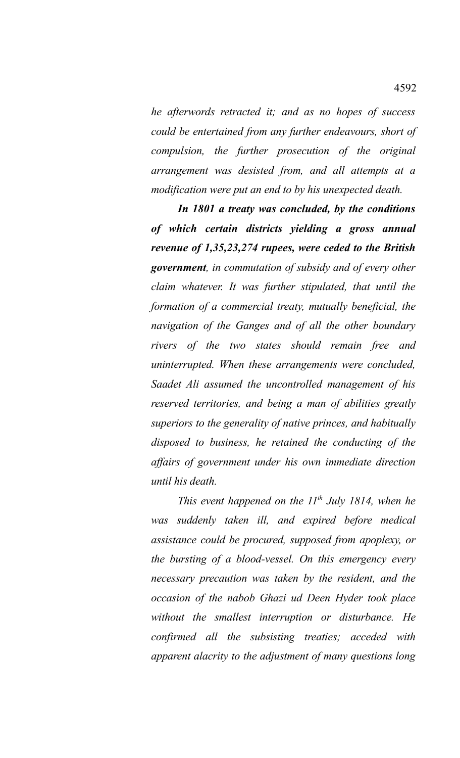*he afterwords retracted it; and as no hopes of success could be entertained from any further endeavours, short of compulsion, the further prosecution of the original arrangement was desisted from, and all attempts at a modification were put an end to by his unexpected death.* 

*In 1801 a treaty was concluded, by the conditions of which certain districts yielding a gross annual revenue of 1,35,23,274 rupees, were ceded to the British government, in commutation of subsidy and of every other claim whatever. It was further stipulated, that until the formation of a commercial treaty, mutually beneficial, the navigation of the Ganges and of all the other boundary rivers of the two states should remain free and uninterrupted. When these arrangements were concluded, Saadet Ali assumed the uncontrolled management of his reserved territories, and being a man of abilities greatly superiors to the generality of native princes, and habitually disposed to business, he retained the conducting of the affairs of government under his own immediate direction until his death.* 

*This event happened on the 11th July 1814, when he was suddenly taken ill, and expired before medical assistance could be procured, supposed from apoplexy, or the bursting of a blood-vessel. On this emergency every necessary precaution was taken by the resident, and the occasion of the nabob Ghazi ud Deen Hyder took place without the smallest interruption or disturbance. He confirmed all the subsisting treaties; acceded with apparent alacrity to the adjustment of many questions long*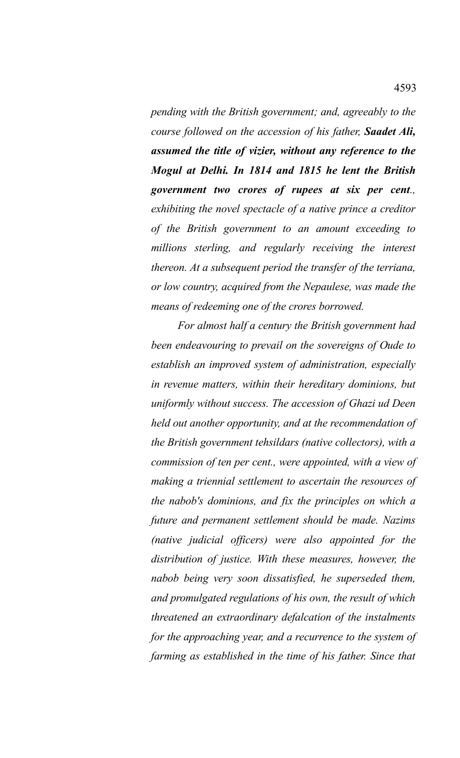*pending with the British government; and, agreeably to the course followed on the accession of his father, Saadet Ali, assumed the title of vizier, without any reference to the Mogul at Delhi. In 1814 and 1815 he lent the British government two crores of rupees at six per cent., exhibiting the novel spectacle of a native prince a creditor of the British government to an amount exceeding to millions sterling, and regularly receiving the interest thereon. At a subsequent period the transfer of the terriana, or low country, acquired from the Nepaulese, was made the means of redeeming one of the crores borrowed.* 

*For almost half a century the British government had been endeavouring to prevail on the sovereigns of Oude to establish an improved system of administration, especially in revenue matters, within their hereditary dominions, but uniformly without success. The accession of Ghazi ud Deen held out another opportunity, and at the recommendation of the British government tehsildars (native collectors), with a commission of ten per cent., were appointed, with a view of making a triennial settlement to ascertain the resources of the nabob's dominions, and fix the principles on which a future and permanent settlement should be made. Nazims (native judicial officers) were also appointed for the distribution of justice. With these measures, however, the nabob being very soon dissatisfied, he superseded them, and promulgated regulations of his own, the result of which threatened an extraordinary defalcation of the instalments for the approaching year, and a recurrence to the system of farming as established in the time of his father. Since that*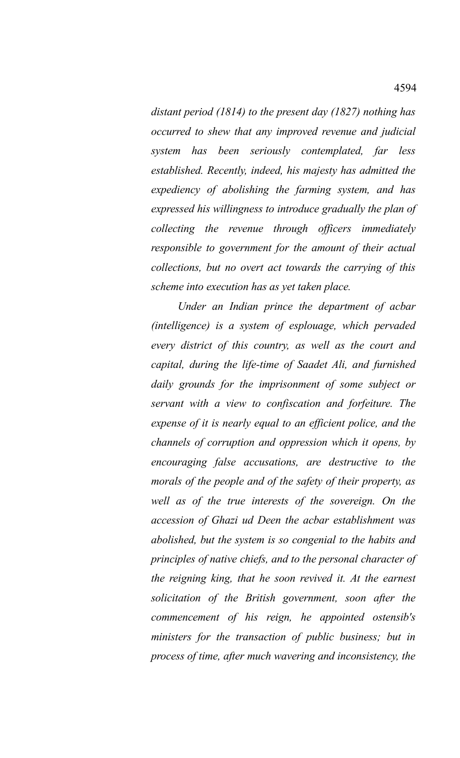*distant period (1814) to the present day (1827) nothing has occurred to shew that any improved revenue and judicial system has been seriously contemplated, far less established. Recently, indeed, his majesty has admitted the expediency of abolishing the farming system, and has expressed his willingness to introduce gradually the plan of collecting the revenue through officers immediately responsible to government for the amount of their actual collections, but no overt act towards the carrying of this scheme into execution has as yet taken place.* 

*Under an Indian prince the department of acbar (intelligence) is a system of esplouage, which pervaded every district of this country, as well as the court and capital, during the life-time of Saadet Ali, and furnished daily grounds for the imprisonment of some subject or servant with a view to confiscation and forfeiture. The expense of it is nearly equal to an efficient police, and the channels of corruption and oppression which it opens, by encouraging false accusations, are destructive to the morals of the people and of the safety of their property, as well as of the true interests of the sovereign. On the accession of Ghazi ud Deen the acbar establishment was abolished, but the system is so congenial to the habits and principles of native chiefs, and to the personal character of the reigning king, that he soon revived it. At the earnest solicitation of the British government, soon after the commencement of his reign, he appointed ostensib's ministers for the transaction of public business; but in process of time, after much wavering and inconsistency, the*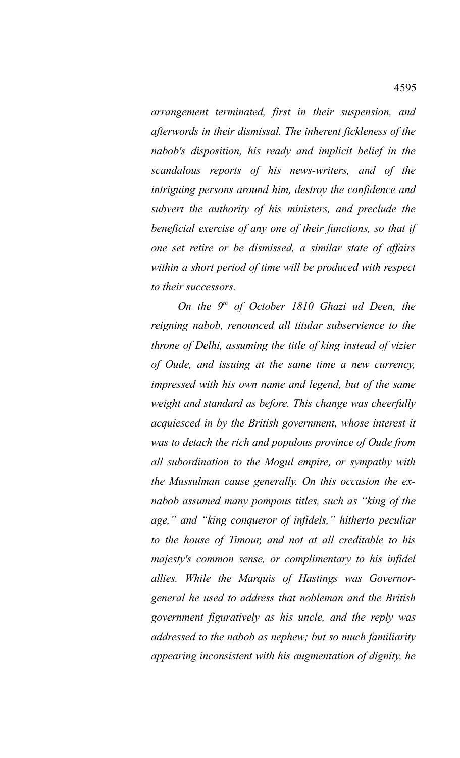*arrangement terminated, first in their suspension, and afterwords in their dismissal. The inherent fickleness of the nabob's disposition, his ready and implicit belief in the scandalous reports of his news-writers, and of the intriguing persons around him, destroy the confidence and subvert the authority of his ministers, and preclude the beneficial exercise of any one of their functions, so that if one set retire or be dismissed, a similar state of affairs within a short period of time will be produced with respect to their successors.* 

*On the 9th of October 1810 Ghazi ud Deen, the reigning nabob, renounced all titular subservience to the throne of Delhi, assuming the title of king instead of vizier of Oude, and issuing at the same time a new currency, impressed with his own name and legend, but of the same weight and standard as before. This change was cheerfully acquiesced in by the British government, whose interest it was to detach the rich and populous province of Oude from all subordination to the Mogul empire, or sympathy with the Mussulman cause generally. On this occasion the exnabob assumed many pompous titles, such as "king of the age," and "king conqueror of infidels," hitherto peculiar to the house of Timour, and not at all creditable to his majesty's common sense, or complimentary to his infidel allies. While the Marquis of Hastings was Governorgeneral he used to address that nobleman and the British government figuratively as his uncle, and the reply was addressed to the nabob as nephew; but so much familiarity appearing inconsistent with his augmentation of dignity, he*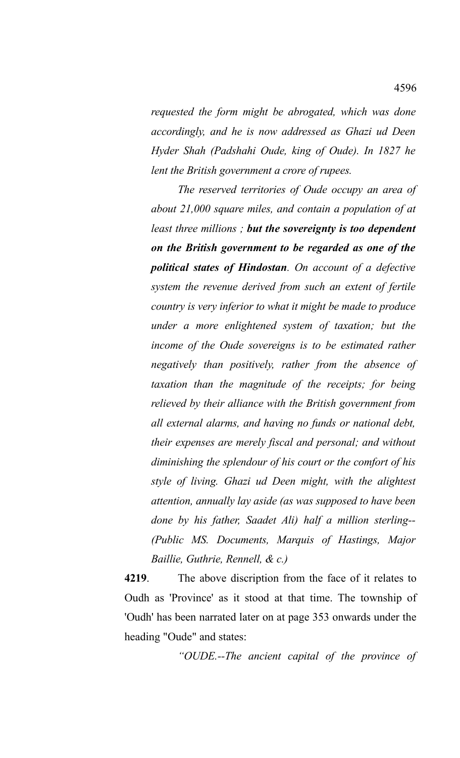*requested the form might be abrogated, which was done accordingly, and he is now addressed as Ghazi ud Deen Hyder Shah (Padshahi Oude, king of Oude). In 1827 he lent the British government a crore of rupees.* 

*The reserved territories of Oude occupy an area of about 21,000 square miles, and contain a population of at least three millions ; but the sovereignty is too dependent on the British government to be regarded as one of the political states of Hindostan. On account of a defective system the revenue derived from such an extent of fertile country is very inferior to what it might be made to produce under a more enlightened system of taxation; but the income of the Oude sovereigns is to be estimated rather negatively than positively, rather from the absence of taxation than the magnitude of the receipts; for being relieved by their alliance with the British government from all external alarms, and having no funds or national debt, their expenses are merely fiscal and personal; and without diminishing the splendour of his court or the comfort of his style of living. Ghazi ud Deen might, with the alightest attention, annually lay aside (as was supposed to have been done by his father, Saadet Ali) half a million sterling-- (Public MS. Documents, Marquis of Hastings, Major Baillie, Guthrie, Rennell, & c.)*

**4219**. The above discription from the face of it relates to Oudh as 'Province' as it stood at that time. The township of 'Oudh' has been narrated later on at page 353 onwards under the heading "Oude" and states:

*"OUDE.--The ancient capital of the province of*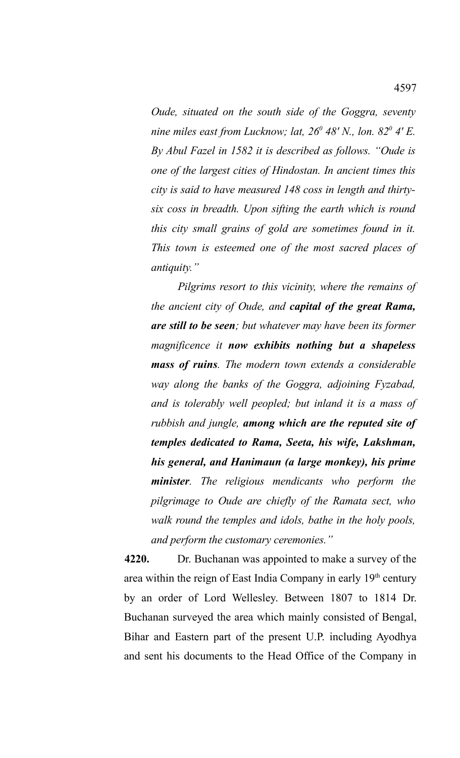*Oude, situated on the south side of the Goggra, seventy nine miles east from Lucknow; lat, 26<sup>0</sup> 48' N., lon. 82<sup>0</sup> 4' E. By Abul Fazel in 1582 it is described as follows. "Oude is one of the largest cities of Hindostan. In ancient times this city is said to have measured 148 coss in length and thirtysix coss in breadth. Upon sifting the earth which is round this city small grains of gold are sometimes found in it. This town is esteemed one of the most sacred places of antiquity."*

*Pilgrims resort to this vicinity, where the remains of the ancient city of Oude, and capital of the great Rama, are still to be seen; but whatever may have been its former magnificence it now exhibits nothing but a shapeless mass of ruins. The modern town extends a considerable way along the banks of the Goggra, adjoining Fyzabad, and is tolerably well peopled; but inland it is a mass of rubbish and jungle, among which are the reputed site of temples dedicated to Rama, Seeta, his wife, Lakshman, his general, and Hanimaun (a large monkey), his prime minister. The religious mendicants who perform the pilgrimage to Oude are chiefly of the Ramata sect, who walk round the temples and idols, bathe in the holy pools, and perform the customary ceremonies."*

**4220.** Dr. Buchanan was appointed to make a survey of the area within the reign of East India Company in early 19<sup>th</sup> century by an order of Lord Wellesley. Between 1807 to 1814 Dr. Buchanan surveyed the area which mainly consisted of Bengal, Bihar and Eastern part of the present U.P. including Ayodhya and sent his documents to the Head Office of the Company in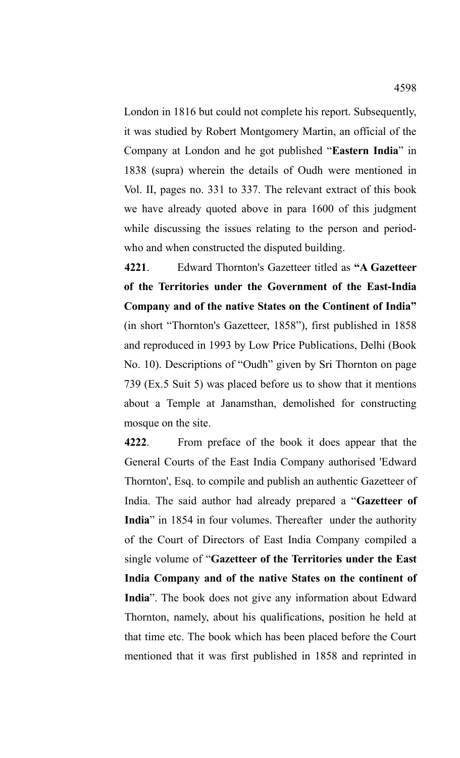London in 1816 but could not complete his report. Subsequently, it was studied by Robert Montgomery Martin, an official of the Company at London and he got published "**Eastern India**" in 1838 (supra) wherein the details of Oudh were mentioned in Vol. II, pages no. 331 to 337. The relevant extract of this book we have already quoted above in para 1600 of this judgment while discussing the issues relating to the person and periodwho and when constructed the disputed building.

**4221**. Edward Thornton's Gazetteer titled as **"A Gazetteer of the Territories under the Government of the East-India Company and of the native States on the Continent of India"** (in short "Thornton's Gazetteer, 1858"), first published in 1858 and reproduced in 1993 by Low Price Publications, Delhi (Book No. 10). Descriptions of "Oudh" given by Sri Thornton on page 739 (Ex.5 Suit 5) was placed before us to show that it mentions about a Temple at Janamsthan, demolished for constructing mosque on the site.

**4222**. From preface of the book it does appear that the General Courts of the East India Company authorised 'Edward Thornton', Esq. to compile and publish an authentic Gazetteer of India. The said author had already prepared a "**Gazetteer of India**" in 1854 in four volumes. Thereafter under the authority of the Court of Directors of East India Company compiled a single volume of "**Gazetteer of the Territories under the East India Company and of the native States on the continent of India**". The book does not give any information about Edward Thornton, namely, about his qualifications, position he held at that time etc. The book which has been placed before the Court mentioned that it was first published in 1858 and reprinted in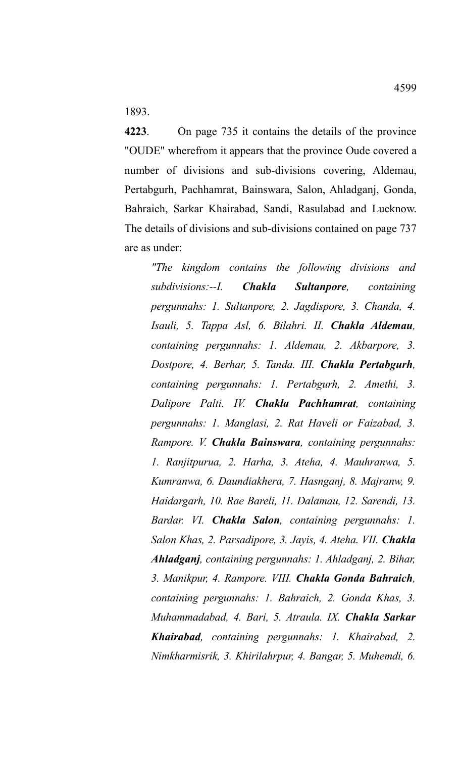1893.

**4223**. On page 735 it contains the details of the province "OUDE" wherefrom it appears that the province Oude covered a number of divisions and sub-divisions covering, Aldemau, Pertabgurh, Pachhamrat, Bainswara, Salon, Ahladganj, Gonda, Bahraich, Sarkar Khairabad, Sandi, Rasulabad and Lucknow. The details of divisions and sub-divisions contained on page 737 are as under:

*"The kingdom contains the following divisions and subdivisions:--I. Chakla Sultanpore, containing pergunnahs: 1. Sultanpore, 2. Jagdispore, 3. Chanda, 4. Isauli, 5. Tappa Asl, 6. Bilahri. II. Chakla Aldemau, containing pergunnahs: 1. Aldemau, 2. Akbarpore, 3. Dostpore, 4. Berhar, 5. Tanda. III. Chakla Pertabgurh, containing pergunnahs: 1. Pertabgurh, 2. Amethi, 3. Dalipore Palti. IV. Chakla Pachhamrat, containing pergunnahs: 1. Manglasi, 2. Rat Haveli or Faizabad, 3. Rampore. V. Chakla Bainswara, containing pergunnahs: 1. Ranjitpurua, 2. Harha, 3. Ateha, 4. Mauhranwa, 5. Kumranwa, 6. Daundiakhera, 7. Hasnganj, 8. Majranw, 9. Haidargarh, 10. Rae Bareli, 11. Dalamau, 12. Sarendi, 13. Bardar. VI. Chakla Salon, containing pergunnahs: 1. Salon Khas, 2. Parsadipore, 3. Jayis, 4. Ateha. VII. Chakla Ahladganj, containing pergunnahs: 1. Ahladganj, 2. Bihar, 3. Manikpur, 4. Rampore. VIII. Chakla Gonda Bahraich, containing pergunnahs: 1. Bahraich, 2. Gonda Khas, 3. Muhammadabad, 4. Bari, 5. Atraula. IX. Chakla Sarkar Khairabad, containing pergunnahs: 1. Khairabad, 2. Nimkharmisrik, 3. Khirilahrpur, 4. Bangar, 5. Muhemdi, 6.*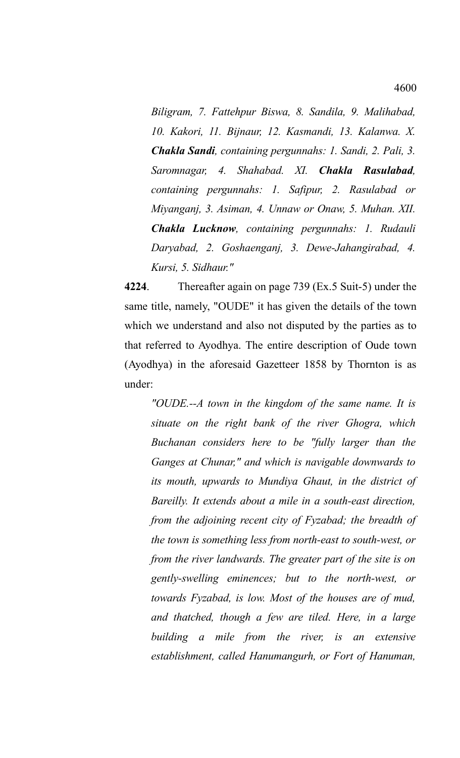*Biligram, 7. Fattehpur Biswa, 8. Sandila, 9. Malihabad, 10. Kakori, 11. Bijnaur, 12. Kasmandi, 13. Kalanwa. X. Chakla Sandi, containing pergunnahs: 1. Sandi, 2. Pali, 3. Saromnagar, 4. Shahabad. XI. Chakla Rasulabad, containing pergunnahs: 1. Safipur, 2. Rasulabad or Miyanganj, 3. Asiman, 4. Unnaw or Onaw, 5. Muhan. XII. Chakla Lucknow, containing pergunnahs: 1. Rudauli Daryabad, 2. Goshaenganj, 3. Dewe-Jahangirabad, 4. Kursi, 5. Sidhaur."*

**4224**. Thereafter again on page 739 (Ex.5 Suit-5) under the same title, namely, "OUDE" it has given the details of the town which we understand and also not disputed by the parties as to that referred to Ayodhya. The entire description of Oude town (Ayodhya) in the aforesaid Gazetteer 1858 by Thornton is as under:

*"OUDE.--A town in the kingdom of the same name. It is situate on the right bank of the river Ghogra, which Buchanan considers here to be "fully larger than the Ganges at Chunar," and which is navigable downwards to its mouth, upwards to Mundiya Ghaut, in the district of Bareilly. It extends about a mile in a south-east direction, from the adjoining recent city of Fyzabad; the breadth of the town is something less from north-east to south-west, or from the river landwards. The greater part of the site is on gently-swelling eminences; but to the north-west, or towards Fyzabad, is low. Most of the houses are of mud, and thatched, though a few are tiled. Here, in a large building a mile from the river, is an extensive establishment, called Hanumangurh, or Fort of Hanuman,*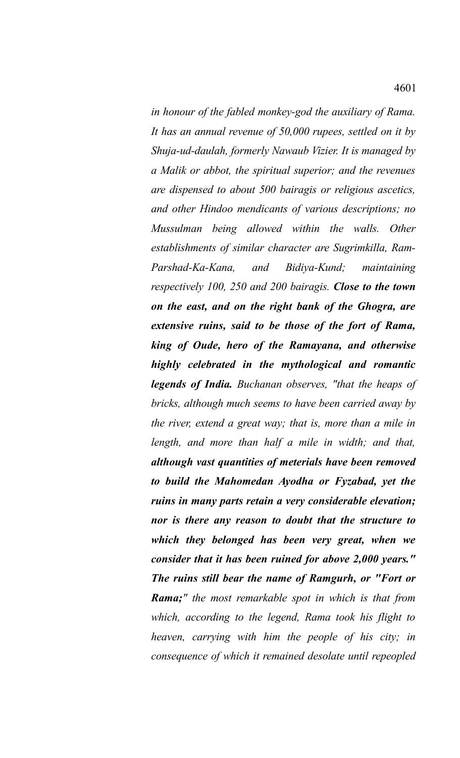*in honour of the fabled monkey-god the auxiliary of Rama. It has an annual revenue of 50,000 rupees, settled on it by Shuja-ud-daulah, formerly Nawaub Vizier. It is managed by a Malik or abbot, the spiritual superior; and the revenues are dispensed to about 500 bairagis or religious ascetics, and other Hindoo mendicants of various descriptions; no Mussulman being allowed within the walls. Other establishments of similar character are Sugrimkilla, Ram-Parshad-Ka-Kana, and Bidiya-Kund; maintaining respectively 100, 250 and 200 bairagis. Close to the town on the east, and on the right bank of the Ghogra, are extensive ruins, said to be those of the fort of Rama, king of Oude, hero of the Ramayana, and otherwise highly celebrated in the mythological and romantic legends of India. Buchanan observes, "that the heaps of bricks, although much seems to have been carried away by the river, extend a great way; that is, more than a mile in length, and more than half a mile in width; and that, although vast quantities of meterials have been removed to build the Mahomedan Ayodha or Fyzabad, yet the ruins in many parts retain a very considerable elevation; nor is there any reason to doubt that the structure to which they belonged has been very great, when we consider that it has been ruined for above 2,000 years." The ruins still bear the name of Ramgurh, or "Fort or Rama;" the most remarkable spot in which is that from which, according to the legend, Rama took his flight to heaven, carrying with him the people of his city; in consequence of which it remained desolate until repeopled*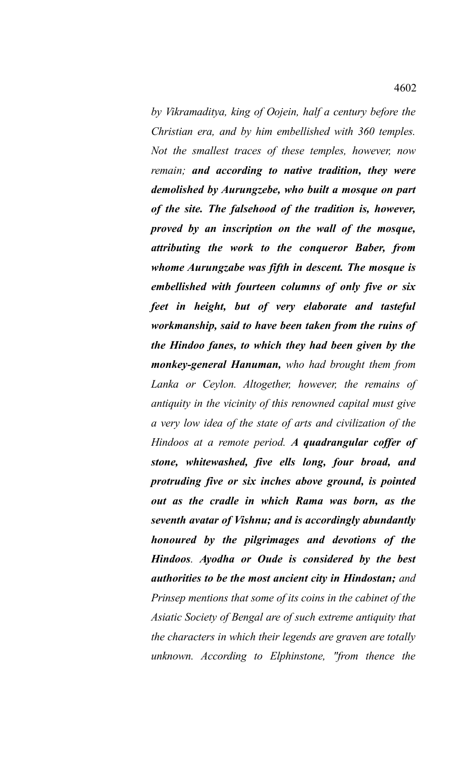*by Vikramaditya, king of Oojein, half a century before the Christian era, and by him embellished with 360 temples. Not the smallest traces of these temples, however, now remain; and according to native tradition, they were demolished by Aurungzebe, who built a mosque on part of the site. The falsehood of the tradition is, however, proved by an inscription on the wall of the mosque, attributing the work to the conqueror Baber, from whome Aurungzabe was fifth in descent. The mosque is embellished with fourteen columns of only five or six feet in height, but of very elaborate and tasteful workmanship, said to have been taken from the ruins of the Hindoo fanes, to which they had been given by the monkey-general Hanuman, who had brought them from Lanka or Ceylon. Altogether, however, the remains of antiquity in the vicinity of this renowned capital must give a very low idea of the state of arts and civilization of the Hindoos at a remote period. A quadrangular coffer of stone, whitewashed, five ells long, four broad, and protruding five or six inches above ground, is pointed out as the cradle in which Rama was born, as the seventh avatar of Vishnu; and is accordingly abundantly honoured by the pilgrimages and devotions of the Hindoos. Ayodha or Oude is considered by the best authorities to be the most ancient city in Hindostan; and Prinsep mentions that some of its coins in the cabinet of the Asiatic Society of Bengal are of such extreme antiquity that the characters in which their legends are graven are totally*

*unknown. According to Elphinstone, "from thence the*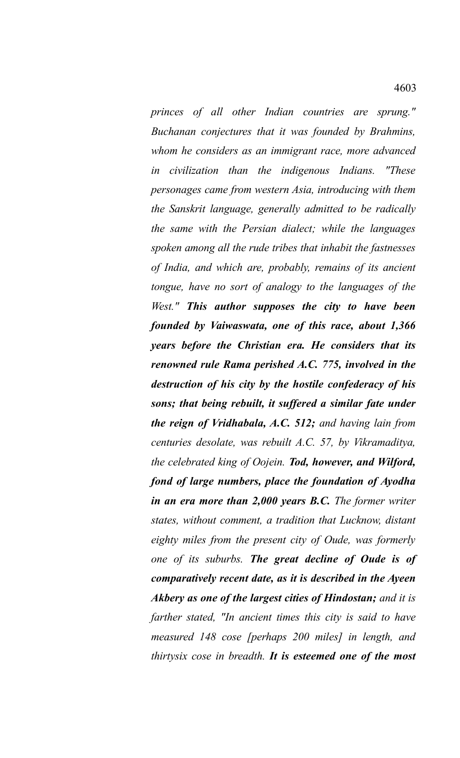*princes of all other Indian countries are sprung." Buchanan conjectures that it was founded by Brahmins, whom he considers as an immigrant race, more advanced in civilization than the indigenous Indians. "These personages came from western Asia, introducing with them the Sanskrit language, generally admitted to be radically the same with the Persian dialect; while the languages spoken among all the rude tribes that inhabit the fastnesses of India, and which are, probably, remains of its ancient tongue, have no sort of analogy to the languages of the West." This author supposes the city to have been founded by Vaiwaswata, one of this race, about 1,366 years before the Christian era. He considers that its renowned rule Rama perished A.C. 775, involved in the destruction of his city by the hostile confederacy of his sons; that being rebuilt, it suffered a similar fate under the reign of Vridhabala, A.C. 512; and having lain from centuries desolate, was rebuilt A.C. 57, by Vikramaditya, the celebrated king of Oojein. Tod, however, and Wilford, fond of large numbers, place the foundation of Ayodha in an era more than 2,000 years B.C. The former writer states, without comment, a tradition that Lucknow, distant eighty miles from the present city of Oude, was formerly one of its suburbs. The great decline of Oude is of comparatively recent date, as it is described in the Ayeen Akbery as one of the largest cities of Hindostan; and it is farther stated, "In ancient times this city is said to have measured 148 cose [perhaps 200 miles] in length, and thirtysix cose in breadth. It is esteemed one of the most*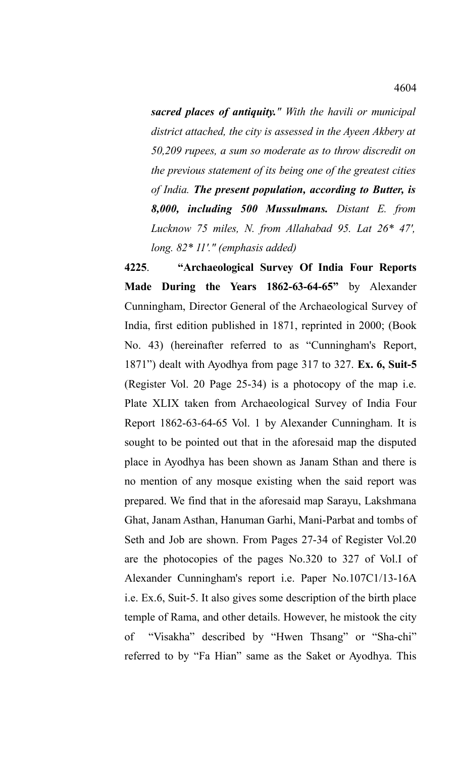*sacred places of antiquity." With the havili or municipal district attached, the city is assessed in the Ayeen Akbery at 50,209 rupees, a sum so moderate as to throw discredit on the previous statement of its being one of the greatest cities of India. The present population, according to Butter, is 8,000, including 500 Mussulmans. Distant E. from Lucknow 75 miles, N. from Allahabad 95. Lat 26\* 47', long. 82\* 11'." (emphasis added)*

**4225**. **"Archaeological Survey Of India Four Reports Made During the Years 1862-63-64-65"** by Alexander Cunningham, Director General of the Archaeological Survey of India, first edition published in 1871, reprinted in 2000; (Book No. 43) (hereinafter referred to as "Cunningham's Report, 1871") dealt with Ayodhya from page 317 to 327. **Ex. 6, Suit-5** (Register Vol. 20 Page 25-34) is a photocopy of the map i.e. Plate XLIX taken from Archaeological Survey of India Four Report 1862-63-64-65 Vol. 1 by Alexander Cunningham. It is sought to be pointed out that in the aforesaid map the disputed place in Ayodhya has been shown as Janam Sthan and there is no mention of any mosque existing when the said report was prepared. We find that in the aforesaid map Sarayu, Lakshmana Ghat, Janam Asthan, Hanuman Garhi, Mani-Parbat and tombs of Seth and Job are shown. From Pages 27-34 of Register Vol.20 are the photocopies of the pages No.320 to 327 of Vol.I of Alexander Cunningham's report i.e. Paper No.107C1/13-16A i.e. Ex.6, Suit-5. It also gives some description of the birth place temple of Rama, and other details. However, he mistook the city of "Visakha" described by "Hwen Thsang" or "Sha-chi" referred to by "Fa Hian" same as the Saket or Ayodhya. This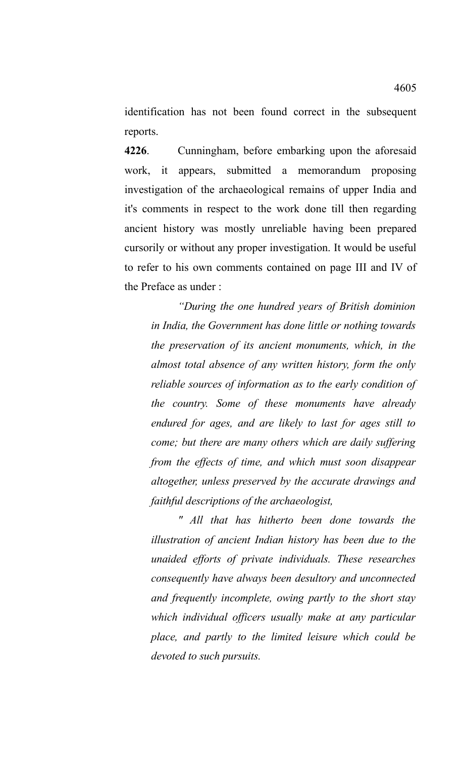identification has not been found correct in the subsequent reports.

**4226**. Cunningham, before embarking upon the aforesaid work, it appears, submitted a memorandum proposing investigation of the archaeological remains of upper India and it's comments in respect to the work done till then regarding ancient history was mostly unreliable having been prepared cursorily or without any proper investigation. It would be useful to refer to his own comments contained on page III and IV of the Preface as under :

*"During the one hundred years of British dominion in India, the Government has done little or nothing towards the preservation of its ancient monuments, which, in the almost total absence of any written history, form the only reliable sources of information as to the early condition of the country. Some of these monuments have already endured for ages, and are likely to last for ages still to come; but there are many others which are daily suffering from the effects of time, and which must soon disappear altogether, unless preserved by the accurate drawings and faithful descriptions of the archaeologist,* 

*" All that has hitherto been done towards the illustration of ancient Indian history has been due to the unaided efforts of private individuals. These researches consequently have always been desultory and unconnected and frequently incomplete, owing partly to the short stay which individual officers usually make at any particular place, and partly to the limited leisure which could be devoted to such pursuits.*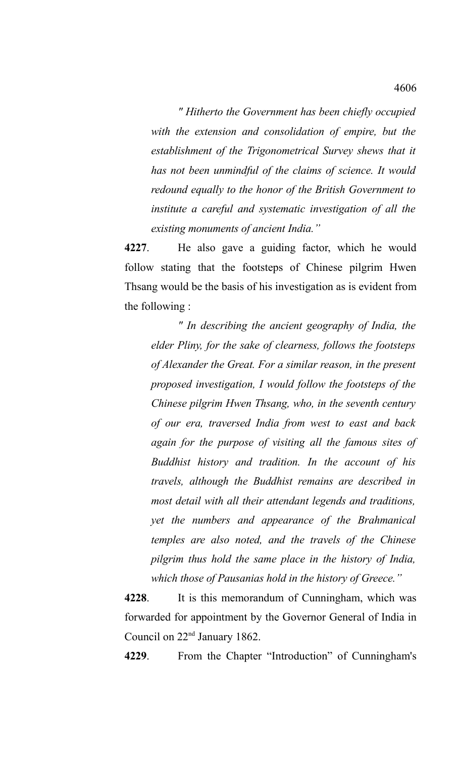*" Hitherto the Government has been chiefly occupied with the extension and consolidation of empire, but the establishment of the Trigonometrical Survey shews that it has not been unmindful of the claims of science. It would redound equally to the honor of the British Government to institute a careful and systematic investigation of all the existing monuments of ancient India."*

**4227**. He also gave a guiding factor, which he would follow stating that the footsteps of Chinese pilgrim Hwen Thsang would be the basis of his investigation as is evident from the following :

*" In describing the ancient geography of India, the elder Pliny, for the sake of clearness, follows the footsteps of Alexander the Great. For a similar reason, in the present proposed investigation, I would follow the footsteps of the Chinese pilgrim Hwen Thsang, who, in the seventh century of our era, traversed India from west to east and back again for the purpose of visiting all the famous sites of Buddhist history and tradition. In the account of his travels, although the Buddhist remains are described in most detail with all their attendant legends and traditions, yet the numbers and appearance of the Brahmanical temples are also noted, and the travels of the Chinese pilgrim thus hold the same place in the history of India, which those of Pausanias hold in the history of Greece."*

**4228**. It is this memorandum of Cunningham, which was forwarded for appointment by the Governor General of India in Council on 22nd January 1862.

**4229**. From the Chapter "Introduction" of Cunningham's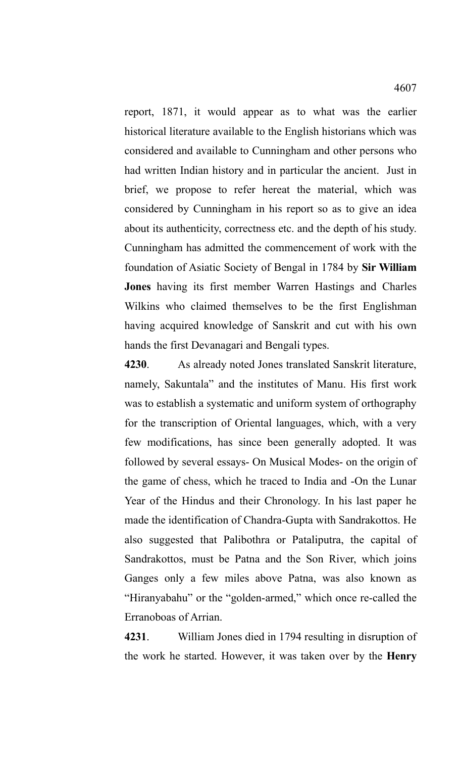report, 1871, it would appear as to what was the earlier historical literature available to the English historians which was considered and available to Cunningham and other persons who had written Indian history and in particular the ancient. Just in brief, we propose to refer hereat the material, which was considered by Cunningham in his report so as to give an idea about its authenticity, correctness etc. and the depth of his study. Cunningham has admitted the commencement of work with the foundation of Asiatic Society of Bengal in 1784 by **Sir William Jones** having its first member Warren Hastings and Charles Wilkins who claimed themselves to be the first Englishman having acquired knowledge of Sanskrit and cut with his own hands the first Devanagari and Bengali types.

**4230**. As already noted Jones translated Sanskrit literature, namely, Sakuntala" and the institutes of Manu. His first work was to establish a systematic and uniform system of orthography for the transcription of Oriental languages, which, with a very few modifications, has since been generally adopted. It was followed by several essays- On Musical Modes- on the origin of the game of chess, which he traced to India and -On the Lunar Year of the Hindus and their Chronology. In his last paper he made the identification of Chandra-Gupta with Sandrakottos. He also suggested that Palibothra or Pataliputra, the capital of Sandrakottos, must be Patna and the Son River, which joins Ganges only a few miles above Patna, was also known as "Hiranyabahu" or the "golden-armed," which once re-called the Erranoboas of Arrian.

**4231**. William Jones died in 1794 resulting in disruption of the work he started. However, it was taken over by the **Henry**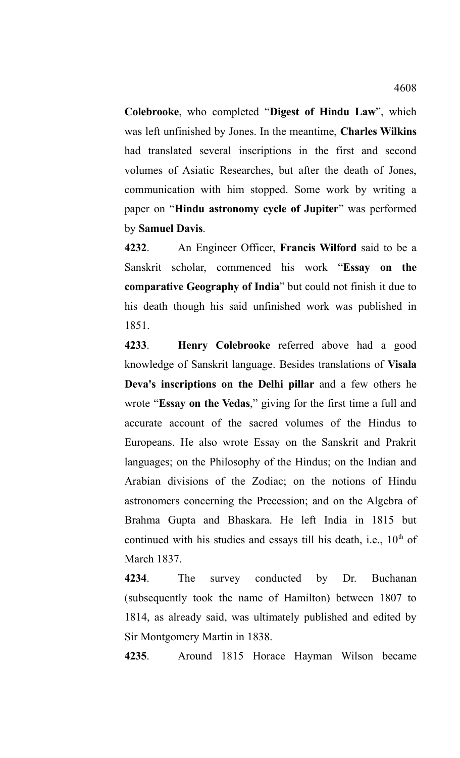**Colebrooke**, who completed "**Digest of Hindu Law**", which was left unfinished by Jones. In the meantime, **Charles Wilkins** had translated several inscriptions in the first and second volumes of Asiatic Researches, but after the death of Jones, communication with him stopped. Some work by writing a paper on "**Hindu astronomy cycle of Jupiter**" was performed by **Samuel Davis**.

**4232**. An Engineer Officer, **Francis Wilford** said to be a Sanskrit scholar, commenced his work "**Essay on the comparative Geography of India**" but could not finish it due to his death though his said unfinished work was published in 1851.

**4233**. **Henry Colebrooke** referred above had a good knowledge of Sanskrit language. Besides translations of **Visala Deva's inscriptions on the Delhi pillar** and a few others he wrote "**Essay on the Vedas**," giving for the first time a full and accurate account of the sacred volumes of the Hindus to Europeans. He also wrote Essay on the Sanskrit and Prakrit languages; on the Philosophy of the Hindus; on the Indian and Arabian divisions of the Zodiac; on the notions of Hindu astronomers concerning the Precession; and on the Algebra of Brahma Gupta and Bhaskara. He left India in 1815 but continued with his studies and essays till his death, i.e.,  $10<sup>th</sup>$  of March 1837.

**4234**. The survey conducted by Dr. Buchanan (subsequently took the name of Hamilton) between 1807 to 1814, as already said, was ultimately published and edited by Sir Montgomery Martin in 1838.

**4235**. Around 1815 Horace Hayman Wilson became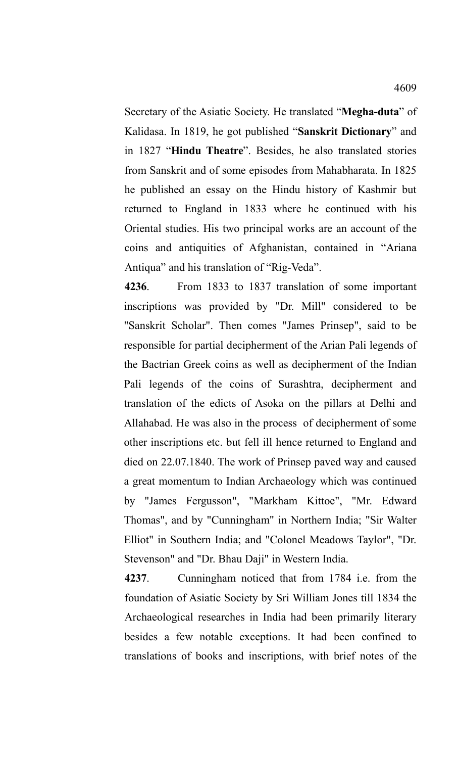Secretary of the Asiatic Society. He translated "**Megha-duta**" of Kalidasa. In 1819, he got published "**Sanskrit Dictionary**" and in 1827 "**Hindu Theatre**". Besides, he also translated stories from Sanskrit and of some episodes from Mahabharata. In 1825 he published an essay on the Hindu history of Kashmir but returned to England in 1833 where he continued with his Oriental studies. His two principal works are an account of the coins and antiquities of Afghanistan, contained in "Ariana Antiqua" and his translation of "Rig-Veda".

**4236**. From 1833 to 1837 translation of some important inscriptions was provided by "Dr. Mill" considered to be "Sanskrit Scholar". Then comes "James Prinsep", said to be responsible for partial decipherment of the Arian Pali legends of the Bactrian Greek coins as well as decipherment of the Indian Pali legends of the coins of Surashtra, decipherment and translation of the edicts of Asoka on the pillars at Delhi and Allahabad. He was also in the process of decipherment of some other inscriptions etc. but fell ill hence returned to England and died on 22.07.1840. The work of Prinsep paved way and caused a great momentum to Indian Archaeology which was continued by "James Fergusson", "Markham Kittoe", "Mr. Edward Thomas", and by "Cunningham" in Northern India; "Sir Walter Elliot" in Southern India; and "Colonel Meadows Taylor", "Dr. Stevenson" and "Dr. Bhau Daji" in Western India.

**4237**. Cunningham noticed that from 1784 i.e. from the foundation of Asiatic Society by Sri William Jones till 1834 the Archaeological researches in India had been primarily literary besides a few notable exceptions. It had been confined to translations of books and inscriptions, with brief notes of the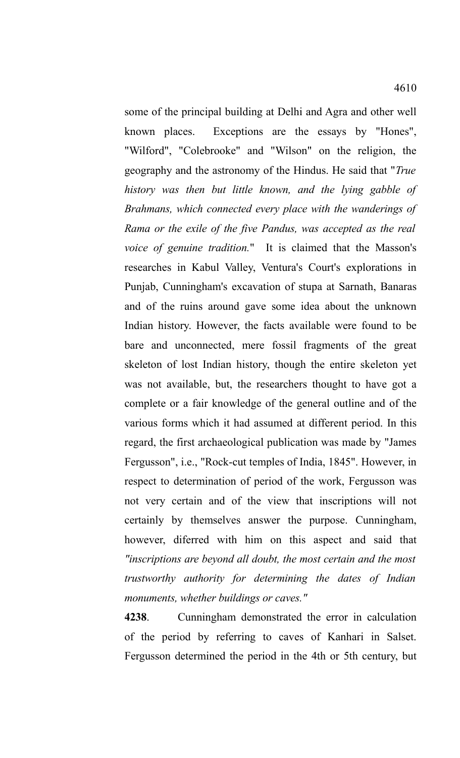some of the principal building at Delhi and Agra and other well known places. Exceptions are the essays by "Hones", "Wilford", "Colebrooke" and "Wilson" on the religion, the geography and the astronomy of the Hindus. He said that "*True history was then but little known, and the lying gabble of Brahmans, which connected every place with the wanderings of Rama or the exile of the five Pandus, was accepted as the real voice of genuine tradition.*" It is claimed that the Masson's researches in Kabul Valley, Ventura's Court's explorations in Punjab, Cunningham's excavation of stupa at Sarnath, Banaras and of the ruins around gave some idea about the unknown Indian history. However, the facts available were found to be bare and unconnected, mere fossil fragments of the great skeleton of lost Indian history, though the entire skeleton yet was not available, but, the researchers thought to have got a complete or a fair knowledge of the general outline and of the various forms which it had assumed at different period. In this regard, the first archaeological publication was made by "James Fergusson", i.e., "Rock-cut temples of India, 1845". However, in respect to determination of period of the work, Fergusson was not very certain and of the view that inscriptions will not certainly by themselves answer the purpose. Cunningham, however, diferred with him on this aspect and said that *"inscriptions are beyond all doubt, the most certain and the most trustworthy authority for determining the dates of Indian monuments, whether buildings or caves."*

**4238**. Cunningham demonstrated the error in calculation of the period by referring to caves of Kanhari in Salset. Fergusson determined the period in the 4th or 5th century, but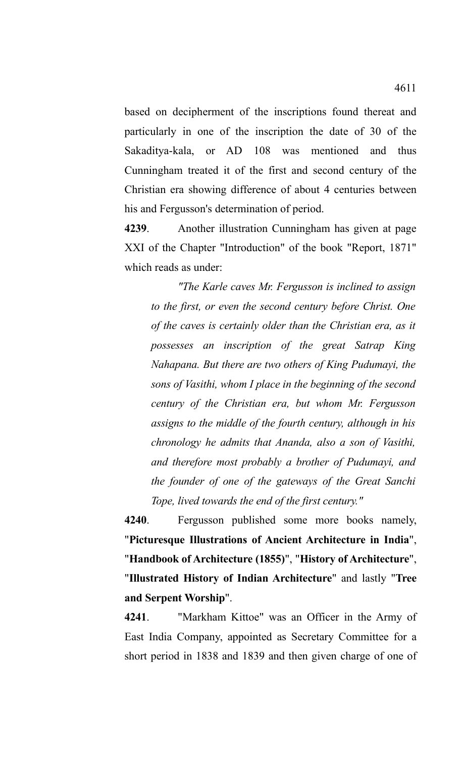based on decipherment of the inscriptions found thereat and particularly in one of the inscription the date of 30 of the Sakaditya-kala, or AD 108 was mentioned and thus Cunningham treated it of the first and second century of the Christian era showing difference of about 4 centuries between his and Fergusson's determination of period.

**4239**. Another illustration Cunningham has given at page XXI of the Chapter "Introduction" of the book "Report, 1871" which reads as under:

*"The Karle caves Mr. Fergusson is inclined to assign to the first, or even the second century before Christ. One of the caves is certainly older than the Christian era, as it possesses an inscription of the great Satrap King Nahapana. But there are two others of King Pudumayi, the sons of Vasithi, whom I place in the beginning of the second century of the Christian era, but whom Mr. Fergusson assigns to the middle of the fourth century, although in his chronology he admits that Ananda, also a son of Vasithi, and therefore most probably a brother of Pudumayi, and the founder of one of the gateways of the Great Sanchi Tope, lived towards the end of the first century."* 

**4240**. Fergusson published some more books namely, "**Picturesque Illustrations of Ancient Architecture in India**", "**Handbook of Architecture (1855)**", "**History of Architecture**", "**Illustrated History of Indian Architecture**" and lastly "**Tree and Serpent Worship**".

**4241**. "Markham Kittoe" was an Officer in the Army of East India Company, appointed as Secretary Committee for a short period in 1838 and 1839 and then given charge of one of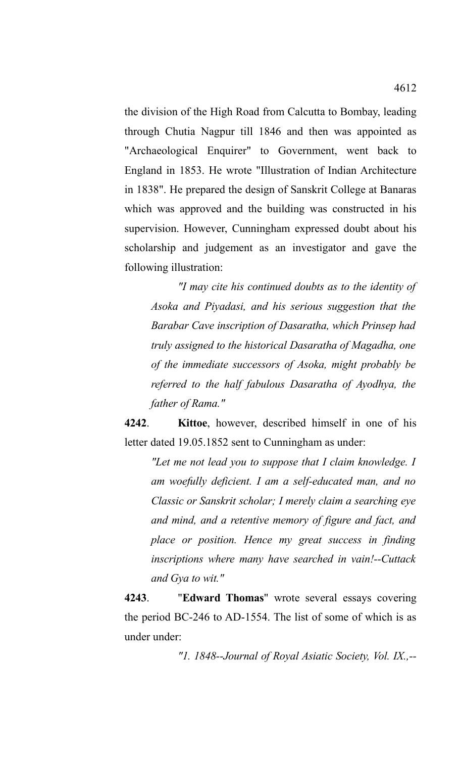the division of the High Road from Calcutta to Bombay, leading through Chutia Nagpur till 1846 and then was appointed as "Archaeological Enquirer" to Government, went back to England in 1853. He wrote "Illustration of Indian Architecture in 1838". He prepared the design of Sanskrit College at Banaras which was approved and the building was constructed in his supervision. However, Cunningham expressed doubt about his scholarship and judgement as an investigator and gave the following illustration:

*"I may cite his continued doubts as to the identity of Asoka and Piyadasi, and his serious suggestion that the Barabar Cave inscription of Dasaratha, which Prinsep had truly assigned to the historical Dasaratha of Magadha, one of the immediate successors of Asoka, might probably be referred to the half fabulous Dasaratha of Ayodhya, the father of Rama."*

**4242**. **Kittoe**, however, described himself in one of his letter dated 19.05.1852 sent to Cunningham as under:

*"Let me not lead you to suppose that I claim knowledge. I am woefully deficient. I am a self-educated man, and no Classic or Sanskrit scholar; I merely claim a searching eye and mind, and a retentive memory of figure and fact, and place or position. Hence my great success in finding inscriptions where many have searched in vain!--Cuttack and Gya to wit."*

**4243**. "**Edward Thomas**" wrote several essays covering the period BC-246 to AD-1554. The list of some of which is as under under:

*"1. 1848--Journal of Royal Asiatic Society, Vol. IX.,--*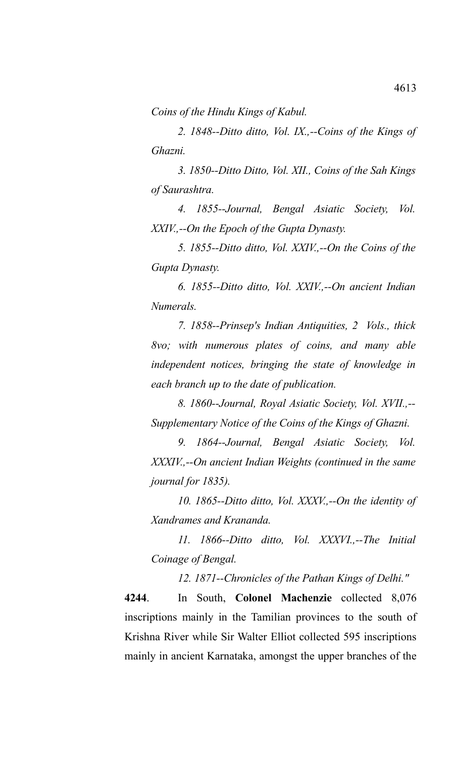*Coins of the Hindu Kings of Kabul.*

*2. 1848--Ditto ditto, Vol. IX.,--Coins of the Kings of Ghazni.* 

*3. 1850--Ditto Ditto, Vol. XII., Coins of the Sah Kings of Saurashtra.* 

*4. 1855--Journal, Bengal Asiatic Society, Vol. XXIV.,--On the Epoch of the Gupta Dynasty.* 

*5. 1855--Ditto ditto, Vol. XXIV.,--On the Coins of the Gupta Dynasty.* 

*6. 1855--Ditto ditto, Vol. XXIV.,--On ancient Indian Numerals.* 

*7. 1858--Prinsep's Indian Antiquities, 2 Vols., thick 8vo; with numerous plates of coins, and many able independent notices, bringing the state of knowledge in each branch up to the date of publication.*

*8. 1860--Journal, Royal Asiatic Society, Vol. XVII.,-- Supplementary Notice of the Coins of the Kings of Ghazni.*

*9. 1864--Journal, Bengal Asiatic Society, Vol. XXXIV.,--On ancient Indian Weights (continued in the same journal for 1835).* 

*10. 1865--Ditto ditto, Vol. XXXV.,--On the identity of Xandrames and Krananda.* 

*11. 1866--Ditto ditto, Vol. XXXVI.,--The Initial Coinage of Bengal.*

*12. 1871--Chronicles of the Pathan Kings of Delhi."*

**4244**. In South, **Colonel Machenzie** collected 8,076 inscriptions mainly in the Tamilian provinces to the south of Krishna River while Sir Walter Elliot collected 595 inscriptions mainly in ancient Karnataka, amongst the upper branches of the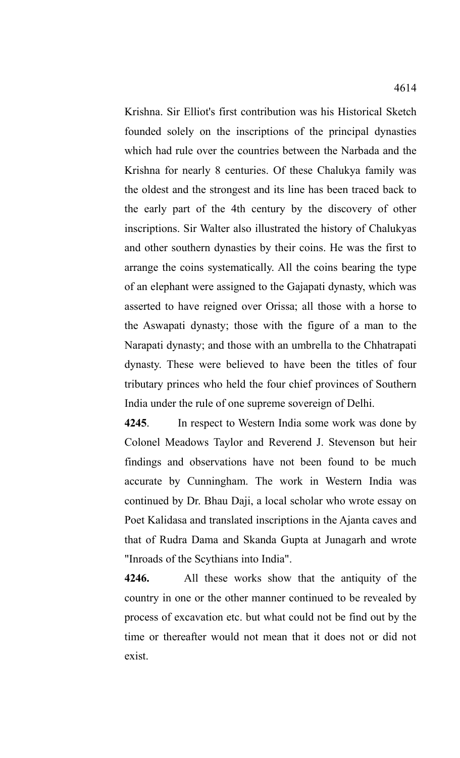Krishna. Sir Elliot's first contribution was his Historical Sketch founded solely on the inscriptions of the principal dynasties which had rule over the countries between the Narbada and the Krishna for nearly 8 centuries. Of these Chalukya family was the oldest and the strongest and its line has been traced back to the early part of the 4th century by the discovery of other inscriptions. Sir Walter also illustrated the history of Chalukyas and other southern dynasties by their coins. He was the first to arrange the coins systematically. All the coins bearing the type of an elephant were assigned to the Gajapati dynasty, which was asserted to have reigned over Orissa; all those with a horse to the Aswapati dynasty; those with the figure of a man to the Narapati dynasty; and those with an umbrella to the Chhatrapati dynasty. These were believed to have been the titles of four tributary princes who held the four chief provinces of Southern India under the rule of one supreme sovereign of Delhi.

**4245**. In respect to Western India some work was done by Colonel Meadows Taylor and Reverend J. Stevenson but heir findings and observations have not been found to be much accurate by Cunningham. The work in Western India was continued by Dr. Bhau Daji, a local scholar who wrote essay on Poet Kalidasa and translated inscriptions in the Ajanta caves and that of Rudra Dama and Skanda Gupta at Junagarh and wrote "Inroads of the Scythians into India".

**4246.** All these works show that the antiquity of the country in one or the other manner continued to be revealed by process of excavation etc. but what could not be find out by the time or thereafter would not mean that it does not or did not exist.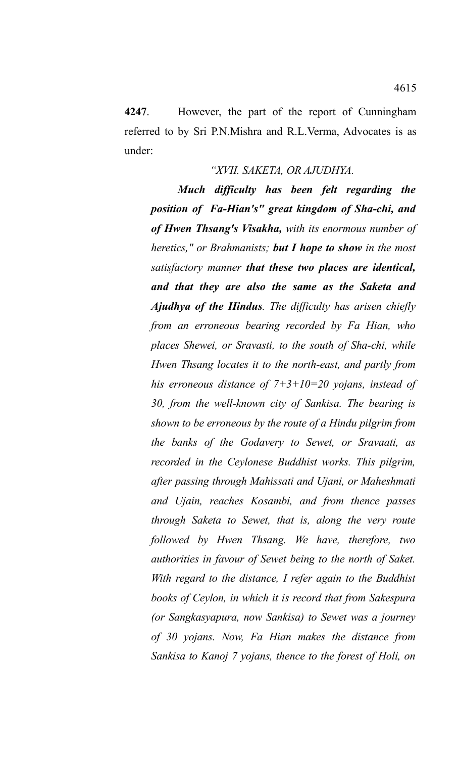**4247**. However, the part of the report of Cunningham referred to by Sri P.N.Mishra and R.L.Verma, Advocates is as under:

## *"XVII. SAKETA, OR AJUDHYA.*

*Much difficulty has been felt regarding the position of Fa-Hian's" great kingdom of Sha-chi, and of Hwen Thsang's Visakha, with its enormous number of heretics," or Brahmanists; but I hope to show in the most satisfactory manner that these two places are identical, and that they are also the same as the Saketa and Ajudhya of the Hindus. The difficulty has arisen chiefly from an erroneous bearing recorded by Fa Hian, who places Shewei, or Sravasti, to the south of Sha-chi, while Hwen Thsang locates it to the north-east, and partly from his erroneous distance of 7+3+10=20 yojans, instead of 30, from the well-known city of Sankisa. The bearing is shown to be erroneous by the route of a Hindu pilgrim from the banks of the Godavery to Sewet, or Sravaati, as recorded in the Ceylonese Buddhist works. This pilgrim, after passing through Mahissati and Ujani, or Maheshmati and Ujain, reaches Kosambi, and from thence passes through Saketa to Sewet, that is, along the very route followed by Hwen Thsang. We have, therefore, two authorities in favour of Sewet being to the north of Saket. With regard to the distance, I refer again to the Buddhist books of Ceylon, in which it is record that from Sakespura (or Sangkasyapura, now Sankisa) to Sewet was a journey of 30 yojans. Now, Fa Hian makes the distance from Sankisa to Kanoj 7 yojans, thence to the forest of Holi, on*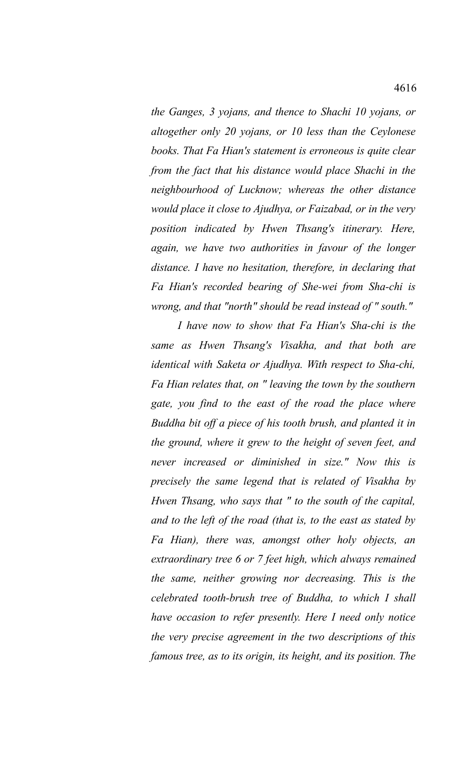*the Ganges, 3 yojans, and thence to Shachi 10 yojans, or altogether only 20 yojans, or 10 less than the Ceylonese books. That Fa Hian's statement is erroneous is quite clear from the fact that his distance would place Shachi in the neighbourhood of Lucknow; whereas the other distance would place it close to Ajudhya, or Faizabad, or in the very position indicated by Hwen Thsang's itinerary. Here, again, we have two authorities in favour of the longer distance. I have no hesitation, therefore, in declaring that Fa Hian's recorded bearing of She-wei from Sha-chi is wrong, and that "north" should be read instead of " south."*

*I have now to show that Fa Hian's Sha-chi is the same as Hwen Thsang's Visakha, and that both are identical with Saketa or Ajudhya. With respect to Sha-chi, Fa Hian relates that, on " leaving the town by the southern gate, you find to the east of the road the place where Buddha bit off a piece of his tooth brush, and planted it in the ground, where it grew to the height of seven feet, and never increased or diminished in size." Now this is precisely the same legend that is related of Visakha by Hwen Thsang, who says that " to the south of the capital, and to the left of the road (that is, to the east as stated by Fa Hian), there was, amongst other holy objects, an extraordinary tree 6 or 7 feet high, which always remained the same, neither growing nor decreasing. This is the celebrated tooth-brush tree of Buddha, to which I shall have occasion to refer presently. Here I need only notice the very precise agreement in the two descriptions of this famous tree, as to its origin, its height, and its position. The*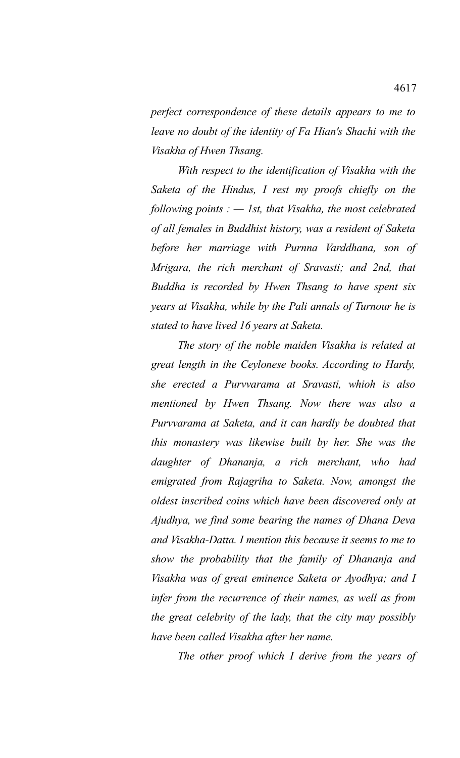*perfect correspondence of these details appears to me to leave no doubt of the identity of Fa Hian's Shachi with the Visakha of Hwen Thsang.* 

*With respect to the identification of Visakha with the Saketa of the Hindus, I rest my proofs chiefly on the following points : — 1st, that Visakha, the most celebrated of all females in Buddhist history, was a resident of Saketa before her marriage with Purnna Varddhana, son of Mrigara, the rich merchant of Sravasti; and 2nd, that Buddha is recorded by Hwen Thsang to have spent six years at Visakha, while by the Pali annals of Turnour he is stated to have lived 16 years at Saketa.* 

*The story of the noble maiden Visakha is related at great length in the Ceylonese books. According to Hardy, she erected a Purvvarama at Sravasti, whioh is also mentioned by Hwen Thsang. Now there was also a Purvvarama at Saketa, and it can hardly be doubted that this monastery was likewise built by her. She was the daughter of Dhananja, a rich merchant, who had emigrated from Rajagriha to Saketa. Now, amongst the oldest inscribed coins which have been discovered only at Ajudhya, we find some bearing the names of Dhana Deva and Visakha-Datta. I mention this because it seems to me to show the probability that the family of Dhananja and Visakha was of great eminence Saketa or Ayodhya; and I infer from the recurrence of their names, as well as from the great celebrity of the lady, that the city may possibly have been called Visakha after her name.* 

*The other proof which I derive from the years of*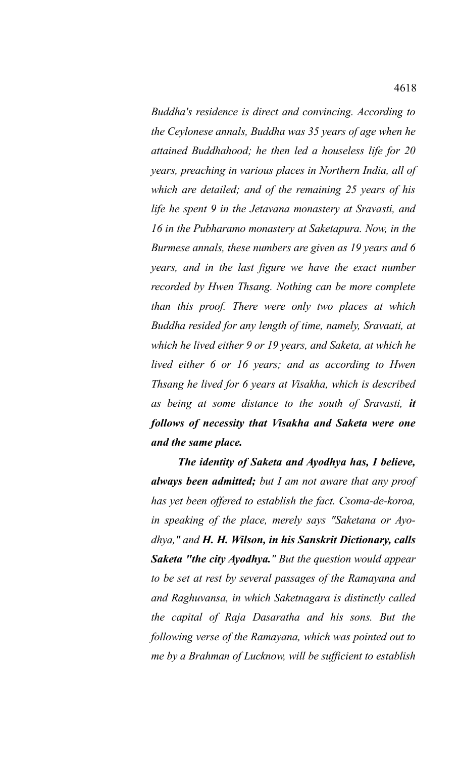*Buddha's residence is direct and convincing. According to the Ceylonese annals, Buddha was 35 years of age when he attained Buddhahood; he then led a houseless life for 20 years, preaching in various places in Northern India, all of which are detailed; and of the remaining 25 years of his life he spent 9 in the Jetavana monastery at Sravasti, and 16 in the Pubharamo monastery at Saketapura. Now, in the Burmese annals, these numbers are given as 19 years and 6 years, and in the last figure we have the exact number recorded by Hwen Thsang. Nothing can be more complete than this proof. There were only two places at which Buddha resided for any length of time, namely, Sravaati, at which he lived either 9 or 19 years, and Saketa, at which he lived either 6 or 16 years; and as according to Hwen Thsang he lived for 6 years at Visakha, which is described as being at some distance to the south of Sravasti, it follows of necessity that Visakha and Saketa were one and the same place.* 

*The identity of Saketa and Ayodhya has, I believe, always been admitted; but I am not aware that any proof has yet been offered to establish the fact. Csoma-de-koroa, in speaking of the place, merely says "Saketana or Ayodhya," and H. H. Wilson, in his Sanskrit Dictionary, calls Saketa "the city Ayodhya." But the question would appear to be set at rest by several passages of the Ramayana and and Raghuvansa, in which Saketnagara is distinctly called the capital of Raja Dasaratha and his sons. But the following verse of the Ramayana, which was pointed out to me by a Brahman of Lucknow, will be sufficient to establish*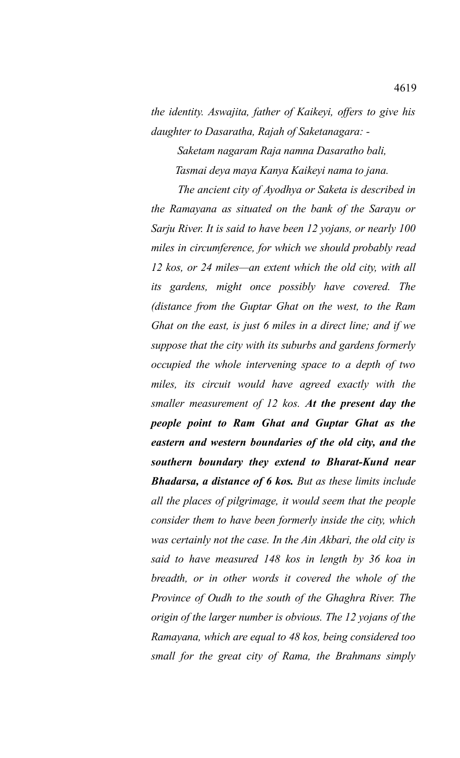*the identity. Aswajita, father of Kaikeyi, offers to give his daughter to Dasaratha, Rajah of Saketanagara: -* 

*Saketam nagaram Raja namna Dasaratho bali, Tasmai deya maya Kanya Kaikeyi nama to jana.* 

*The ancient city of Ayodhya or Saketa is described in the Ramayana as situated on the bank of the Sarayu or Sarju River. It is said to have been 12 yojans, or nearly 100 miles in circumference, for which we should probably read 12 kos, or 24 miles—an extent which the old city, with all its gardens, might once possibly have covered. The (distance from the Guptar Ghat on the west, to the Ram Ghat on the east, is just 6 miles in a direct line; and if we suppose that the city with its suburbs and gardens formerly occupied the whole intervening space to a depth of two miles, its circuit would have agreed exactly with the smaller measurement of 12 kos. At the present day the people point to Ram Ghat and Guptar Ghat as the eastern and western boundaries of the old city, and the southern boundary they extend to Bharat-Kund near Bhadarsa, a distance of 6 kos. But as these limits include all the places of pilgrimage, it would seem that the people consider them to have been formerly inside the city, which was certainly not the case. In the Ain Akbari, the old city is said to have measured 148 kos in length by 36 koa in breadth, or in other words it covered the whole of the Province of Oudh to the south of the Ghaghra River. The origin of the larger number is obvious. The 12 yojans of the Ramayana, which are equal to 48 kos, being considered too small for the great city of Rama, the Brahmans simply*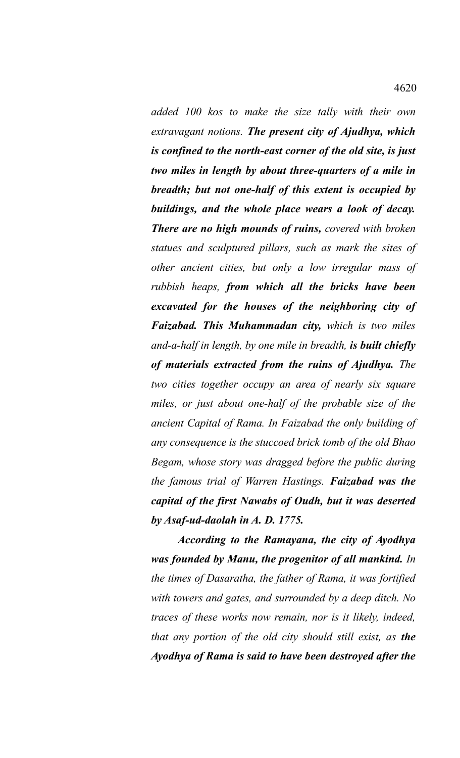*added 100 kos to make the size tally with their own extravagant notions. The present city of Ajudhya, which is confined to the north-east corner of the old site, is just two miles in length by about three-quarters of a mile in breadth; but not one-half of this extent is occupied by buildings, and the whole place wears a look of decay. There are no high mounds of ruins, covered with broken statues and sculptured pillars, such as mark the sites of other ancient cities, but only a low irregular mass of rubbish heaps, from which all the bricks have been excavated for the houses of the neighboring city of Faizabad. This Muhammadan city, which is two miles and-a-half in length, by one mile in breadth, is built chiefly of materials extracted from the ruins of Ajudhya. The two cities together occupy an area of nearly six square miles, or just about one-half of the probable size of the ancient Capital of Rama. In Faizabad the only building of any consequence is the stuccoed brick tomb of the old Bhao Begam, whose story was dragged before the public during the famous trial of Warren Hastings. Faizabad was the capital of the first Nawabs of Oudh, but it was deserted by Asaf-ud-daolah in A. D. 1775.* 

*According to the Ramayana, the city of Ayodhya was founded by Manu, the progenitor of all mankind. In the times of Dasaratha, the father of Rama, it was fortified with towers and gates, and surrounded by a deep ditch. No traces of these works now remain, nor is it likely, indeed, that any portion of the old city should still exist, as the Ayodhya of Rama is said to have been destroyed after the*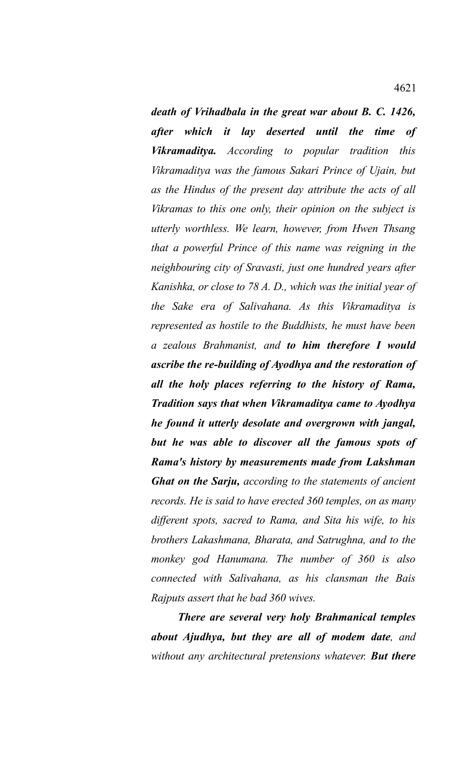*death of Vrihadbala in the great war about B. C. 1426, after which it lay deserted until the time of Vikramaditya. According to popular tradition this Vikramaditya was the famous Sakari Prince of Ujain, but as the Hindus of the present day attribute the acts of all Vikramas to this one only, their opinion on the subject is utterly worthless. We learn, however, from Hwen Thsang that a powerful Prince of this name was reigning in the neighbouring city of Sravasti, just one hundred years after Kanishka, or close to 78 A. D., which was the initial year of the Sake era of Salivahana. As this Vikramaditya is represented as hostile to the Buddhists, he must have been a zealous Brahmanist, and to him therefore I would ascribe the re-building of Ayodhya and the restoration of all the holy places referring to the history of Rama, Tradition says that when Vikramaditya came to Ayodhya he found it utterly desolate and overgrown with jangal, but he was able to discover all the famous spots of Rama's history by measurements made from Lakshman Ghat on the Sarju, according to the statements of ancient records. He is said to have erected 360 temples, on as many different spots, sacred to Rama, and Sita his wife, to his brothers Lakashmana, Bharata, and Satrughna, and to the monkey god Hanumana. The number of 360 is also connected with Salivahana, as his clansman the Bais Rajputs assert that he bad 360 wives.* 

*There are several very holy Brahmanical temples about Ajudhya, but they are all of modem date, and without any architectural pretensions whatever. But there*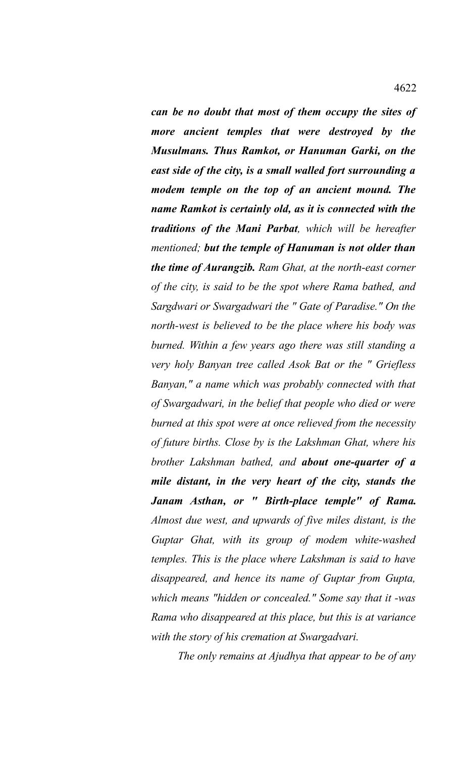*can be no doubt that most of them occupy the sites of more ancient temples that were destroyed by the Musulmans. Thus Ramkot, or Hanuman Garki, on the east side of the city, is a small walled fort surrounding a modem temple on the top of an ancient mound. The name Ramkot is certainly old, as it is connected with the traditions of the Mani Parbat, which will be hereafter mentioned; but the temple of Hanuman is not older than the time of Aurangzib. Ram Ghat, at the north-east corner of the city, is said to be the spot where Rama bathed, and Sargdwari or Swargadwari the " Gate of Paradise." On the north-west is believed to be the place where his body was burned. Within a few years ago there was still standing a very holy Banyan tree called Asok Bat or the " Griefless Banyan," a name which was probably connected with that of Swargadwari, in the belief that people who died or were burned at this spot were at once relieved from the necessity of future births. Close by is the Lakshman Ghat, where his brother Lakshman bathed, and about one-quarter of a mile distant, in the very heart of the city, stands the Janam Asthan, or " Birth-place temple" of Rama. Almost due west, and upwards of five miles distant, is the Guptar Ghat, with its group of modem white-washed temples. This is the place where Lakshman is said to have disappeared, and hence its name of Guptar from Gupta, which means "hidden or concealed." Some say that it -was Rama who disappeared at this place, but this is at variance with the story of his cremation at Swargadvari.* 

*The only remains at Ajudhya that appear to be of any*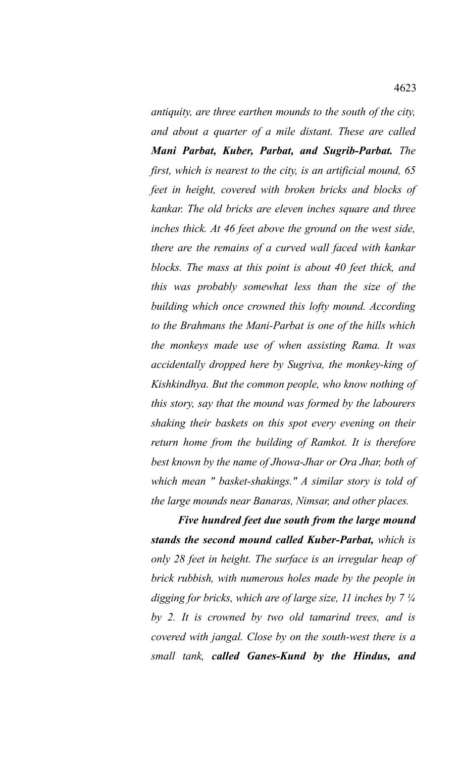*antiquity, are three earthen mounds to the south of the city, and about a quarter of a mile distant. These are called Mani Parbat, Kuber, Parbat, and Sugrib-Parbat. The first, which is nearest to the city, is an artificial mound, 65 feet in height, covered with broken bricks and blocks of kankar. The old bricks are eleven inches square and three inches thick. At 46 feet above the ground on the west side, there are the remains of a curved wall faced with kankar blocks. The mass at this point is about 40 feet thick, and this was probably somewhat less than the size of the building which once crowned this lofty mound. According to the Brahmans the Mani-Parbat is one of the hills which the monkeys made use of when assisting Rama. It was accidentally dropped here by Sugriva, the monkey-king of Kishkindhya. But the common people, who know nothing of this story, say that the mound was formed by the labourers shaking their baskets on this spot every evening on their return home from the building of Ramkot. It is therefore best known by the name of Jhowa-Jhar or Ora Jhar, both of which mean " basket-shakings." A similar story is told of the large mounds near Banaras, Nimsar, and other places.* 

*Five hundred feet due south from the large mound stands the second mound called Kuber-Parbat, which is only 28 feet in height. The surface is an irregular heap of brick rubbish, with numerous holes made by the people in digging for bricks, which are of large size, 11 inches by 7 ¼ by 2. It is crowned by two old tamarind trees, and is covered with jangal. Close by on the south-west there is a small tank, called Ganes-Kund by the Hindus, and*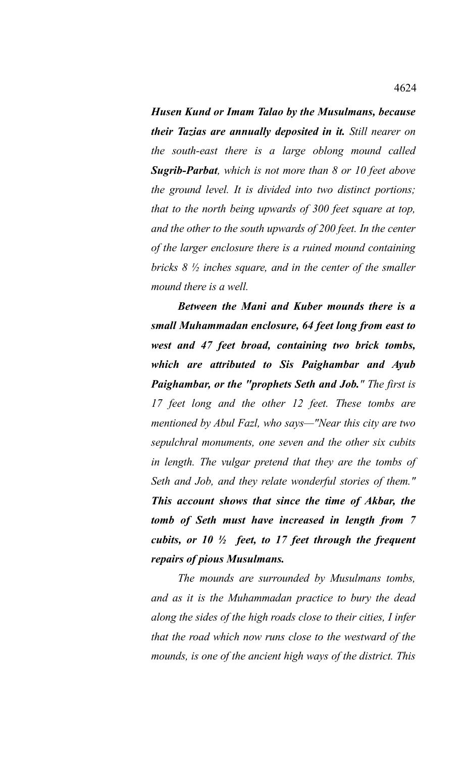*Husen Kund or Imam Talao by the Musulmans, because their Tazias are annually deposited in it. Still nearer on the south-east there is a large oblong mound called Sugrib-Parbat, which is not more than 8 or 10 feet above the ground level. It is divided into two distinct portions; that to the north being upwards of 300 feet square at top, and the other to the south upwards of 200 feet. In the center of the larger enclosure there is a ruined mound containing bricks 8 ½ inches square, and in the center of the smaller mound there is a well.* 

*Between the Mani and Kuber mounds there is a small Muhammadan enclosure, 64 feet long from east to west and 47 feet broad, containing two brick tombs, which are attributed to Sis Paighambar and Ayub Paighambar, or the "prophets Seth and Job." The first is 17 feet long and the other 12 feet. These tombs are mentioned by Abul Fazl, who says—"Near this city are two sepulchral monuments, one seven and the other six cubits in length. The vulgar pretend that they are the tombs of Seth and Job, and they relate wonderful stories of them." This account shows that since the time of Akbar, the tomb of Seth must have increased in length from 7 cubits, or 10 ½ feet, to 17 feet through the frequent repairs of pious Musulmans.* 

*The mounds are surrounded by Musulmans tombs, and as it is the Muhammadan practice to bury the dead along the sides of the high roads close to their cities, I infer that the road which now runs close to the westward of the mounds, is one of the ancient high ways of the district. This*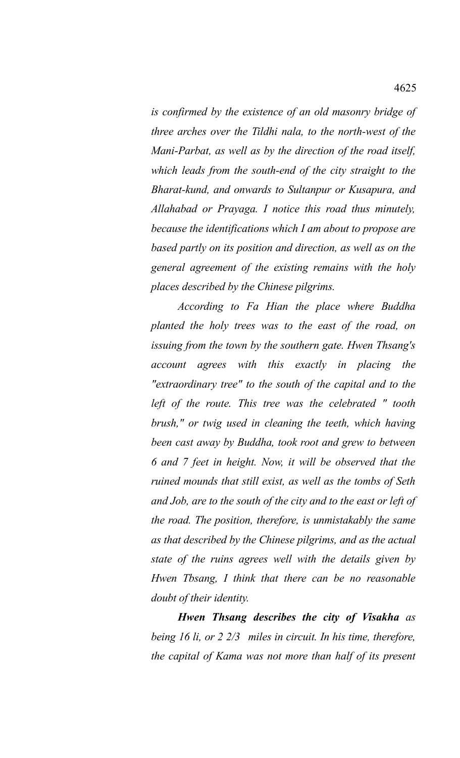*is confirmed by the existence of an old masonry bridge of three arches over the Tildhi nala, to the north-west of the Mani-Parbat, as well as by the direction of the road itself, which leads from the south-end of the city straight to the Bharat-kund, and onwards to Sultanpur or Kusapura, and Allahabad or Prayaga. I notice this road thus minutely, because the identifications which I am about to propose are based partly on its position and direction, as well as on the general agreement of the existing remains with the holy places described by the Chinese pilgrims.* 

*According to Fa Hian the place where Buddha planted the holy trees was to the east of the road, on issuing from the town by the southern gate. Hwen Thsang's account agrees with this exactly in placing the "extraordinary tree" to the south of the capital and to the left of the route. This tree was the celebrated " tooth brush," or twig used in cleaning the teeth, which having been cast away by Buddha, took root and grew to between 6 and 7 feet in height. Now, it will be observed that the ruined mounds that still exist, as well as the tombs of Seth and Job, are to the south of the city and to the east or left of the road. The position, therefore, is unmistakably the same as that described by the Chinese pilgrims, and as the actual state of the ruins agrees well with the details given by Hwen Tbsang, I think that there can be no reasonable doubt of their identity.* 

*Hwen Thsang describes the city of Visakha as being 16 li, or 2 2/3 miles in circuit. In his time, therefore, the capital of Kama was not more than half of its present*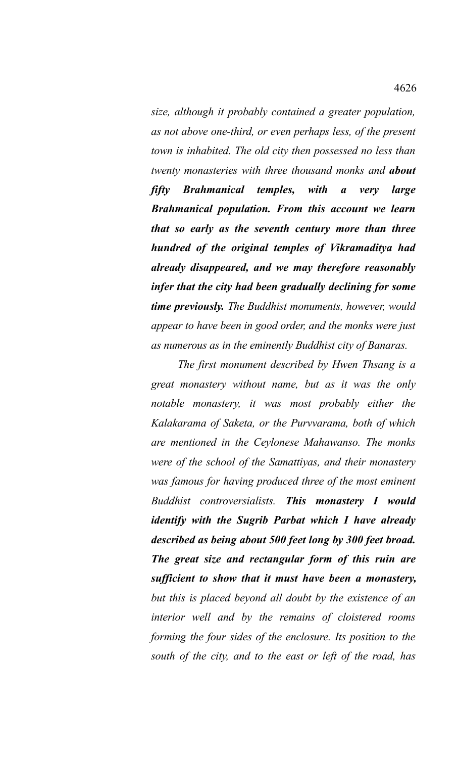*size, although it probably contained a greater population, as not above one-third, or even perhaps less, of the present town is inhabited. The old city then possessed no less than twenty monasteries with three thousand monks and about fifty Brahmanical temples, with a very large Brahmanical population. From this account we learn that so early as the seventh century more than three hundred of the original temples of Vikramaditya had already disappeared, and we may therefore reasonably infer that the city had been gradually declining for some time previously. The Buddhist monuments, however, would appear to have been in good order, and the monks were just as numerous as in the eminently Buddhist city of Banaras.* 

*The first monument described by Hwen Thsang is a great monastery without name, but as it was the only notable monastery, it was most probably either the Kalakarama of Saketa, or the Purvvarama, both of which are mentioned in the Ceylonese Mahawanso. The monks were of the school of the Samattiyas, and their monastery was famous for having produced three of the most eminent Buddhist controversialists. This monastery I would identify with the Sugrib Parbat which I have already described as being about 500 feet long by 300 feet broad. The great size and rectangular form of this ruin are sufficient to show that it must have been a monastery, but this is placed beyond all doubt by the existence of an interior well and by the remains of cloistered rooms forming the four sides of the enclosure. Its position to the south of the city, and to the east or left of the road, has*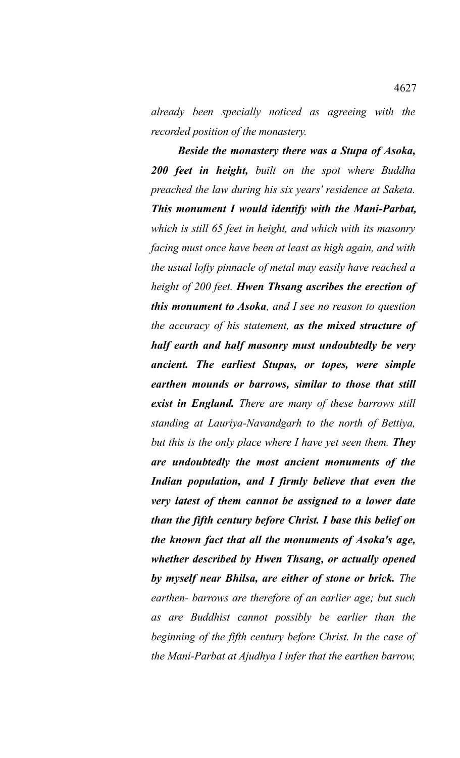*already been specially noticed as agreeing with the recorded position of the monastery.* 

*Beside the monastery there was a Stupa of Asoka, 200 feet in height, built on the spot where Buddha preached the law during his six years' residence at Saketa. This monument I would identify with the Mani-Parbat, which is still 65 feet in height, and which with its masonry facing must once have been at least as high again, and with the usual lofty pinnacle of metal may easily have reached a height of 200 feet. Hwen Thsang ascribes the erection of this monument to Asoka, and I see no reason to question the accuracy of his statement, as the mixed structure of half earth and half masonry must undoubtedly be very ancient. The earliest Stupas, or topes, were simple earthen mounds or barrows, similar to those that still exist in England. There are many of these barrows still standing at Lauriya-Navandgarh to the north of Bettiya, but this is the only place where I have yet seen them. They are undoubtedly the most ancient monuments of the Indian population, and I firmly believe that even the very latest of them cannot be assigned to a lower date than the fifth century before Christ. I base this belief on the known fact that all the monuments of Asoka's age, whether described by Hwen Thsang, or actually opened by myself near Bhilsa, are either of stone or brick. The earthen- barrows are therefore of an earlier age; but such as are Buddhist cannot possibly be earlier than the beginning of the fifth century before Christ. In the case of the Mani-Parbat at Ajudhya I infer that the earthen barrow,*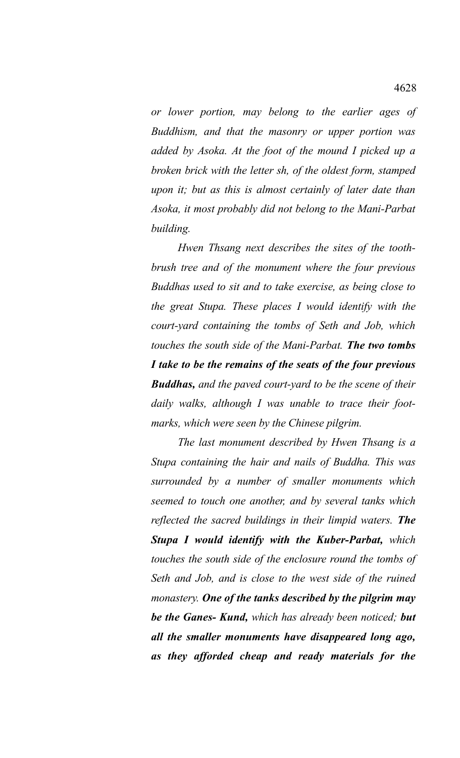*or lower portion, may belong to the earlier ages of Buddhism, and that the masonry or upper portion was added by Asoka. At the foot of the mound I picked up a broken brick with the letter sh, of the oldest form, stamped upon it; but as this is almost certainly of later date than Asoka, it most probably did not belong to the Mani-Parbat building.* 

*Hwen Thsang next describes the sites of the toothbrush tree and of the monument where the four previous Buddhas used to sit and to take exercise, as being close to the great Stupa. These places I would identify with the court-yard containing the tombs of Seth and Job, which touches the south side of the Mani-Parbat. The two tombs I take to be the remains of the seats of the four previous Buddhas, and the paved court-yard to be the scene of their daily walks, although I was unable to trace their footmarks, which were seen by the Chinese pilgrim.* 

*The last monument described by Hwen Thsang is a Stupa containing the hair and nails of Buddha. This was surrounded by a number of smaller monuments which seemed to touch one another, and by several tanks which reflected the sacred buildings in their limpid waters. The Stupa I would identify with the Kuber-Parbat, which touches the south side of the enclosure round the tombs of Seth and Job, and is close to the west side of the ruined monastery. One of the tanks described by the pilgrim may be the Ganes- Kund, which has already been noticed; but all the smaller monuments have disappeared long ago, as they afforded cheap and ready materials for the*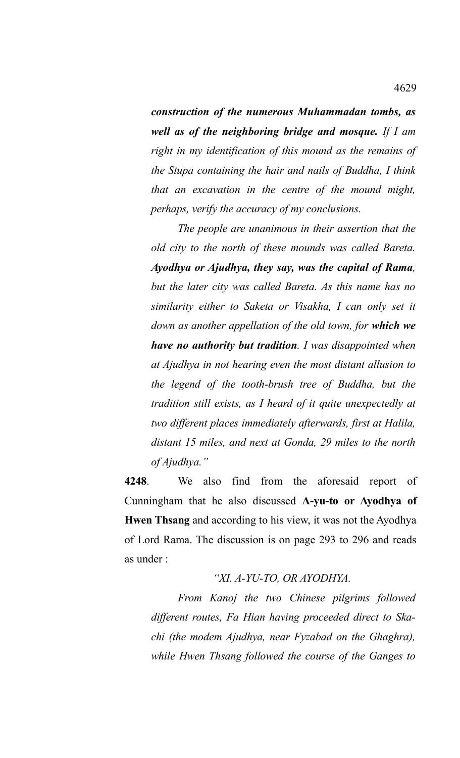*construction of the numerous Muhammadan tombs, as well as of the neighboring bridge and mosque. If I am right in my identification of this mound as the remains of the Stupa containing the hair and nails of Buddha, I think that an excavation in the centre of the mound might, perhaps, verify the accuracy of my conclusions.* 

*The people are unanimous in their assertion that the old city to the north of these mounds was called Bareta. Ayodhya or Ajudhya, they say, was the capital of Rama, but the later city was called Bareta. As this name has no similarity either to Saketa or Visakha, I can only set it down as another appellation of the old town, for which we have no authority but tradition. I was disappointed when at Ajudhya in not hearing even the most distant allusion to the legend of the tooth-brush tree of Buddha, but the tradition still exists, as I heard of it quite unexpectedly at two different places immediately afterwards, first at Halila, distant 15 miles, and next at Gonda, 29 miles to the north of Ajudhya."*

**4248**. We also find from the aforesaid report of Cunningham that he also discussed **A-yu-to or Ayodhya of Hwen Thsang** and according to his view, it was not the Ayodhya of Lord Rama. The discussion is on page 293 to 296 and reads as under :

*"XI. A-YU-TO, OR AYODHYA.* 

*From Kanoj the two Chinese pilgrims followed different routes, Fa Hian having proceeded direct to Skachi (the modem Ajudhya, near Fyzabad on the Ghaghra), while Hwen Thsang followed the course of the Ganges to*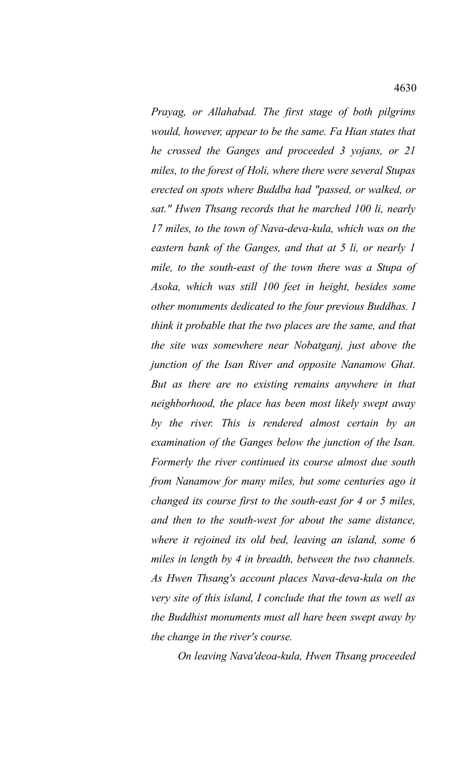*Prayag, or Allahabad. The first stage of both pilgrims would, however, appear to be the same. Fa Hian states that he crossed the Ganges and proceeded 3 yojans, or 21 miles, to the forest of Holi, where there were several Stupas erected on spots where Buddba had "passed, or walked, or sat." Hwen Thsang records that he marched 100 li, nearly 17 miles, to the town of Nava-deva-kula, which was on the eastern bank of the Ganges, and that at 5 li, or nearly 1 mile, to the south-east of the town there was a Stupa of Asoka, which was still 100 feet in height, besides some other monuments dedicated to the four previous Buddhas. I think it probable that the two places are the same, and that the site was somewhere near Nobatganj, just above the junction of the Isan River and opposite Nanamow Ghat. But as there are no existing remains anywhere in that neighborhood, the place has been most likely swept away by the river. This is rendered almost certain by an examination of the Ganges below the junction of the Isan. Formerly the river continued its course almost due south from Nanamow for many miles, but some centuries ago it changed its course first to the south-east for 4 or 5 miles, and then to the south-west for about the same distance, where it rejoined its old bed, leaving an island, some 6 miles in length by 4 in breadth, between the two channels. As Hwen Thsang's account places Nava-deva-kula on the very site of this island, I conclude that the town as well as the Buddhist monuments must all hare been swept away by the change in the river's course.*

*On leaving Nava'deoa-kula, Hwen Thsang proceeded*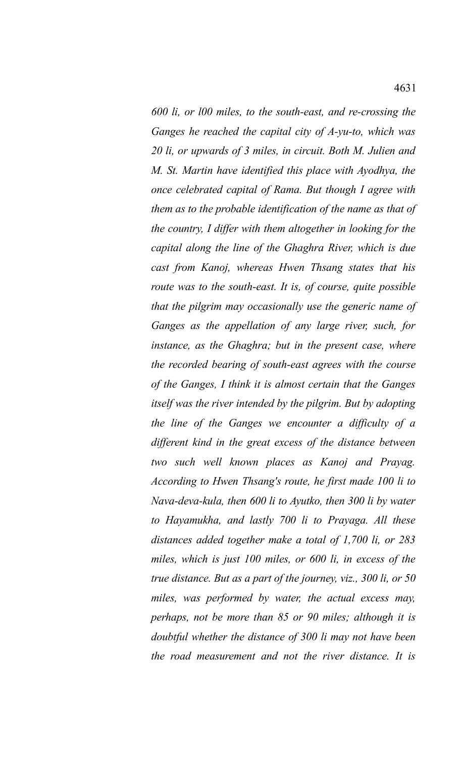*600 li, or l00 miles, to the south-east, and re-crossing the Ganges he reached the capital city of A-yu-to, which was 20 li, or upwards of 3 miles, in circuit. Both M. Julien and M. St. Martin have identified this place with Ayodhya, the once celebrated capital of Rama. But though I agree with them as to the probable identification of the name as that of the country, I differ with them altogether in looking for the capital along the line of the Ghaghra River, which is due cast from Kanoj, whereas Hwen Thsang states that his*

*route was to the south-east. It is, of course, quite possible that the pilgrim may occasionally use the generic name of Ganges as the appellation of any large river, such, for instance, as the Ghaghra; but in the present case, where the recorded bearing of south-east agrees with the course of the Ganges, I think it is almost certain that the Ganges itself was the river intended by the pilgrim. But by adopting the line of the Ganges we encounter a difficulty of a different kind in the great excess of the distance between two such well known places as Kanoj and Prayag. According to Hwen Thsang's route, he first made 100 li to Nava-deva-kula, then 600 li to Ayutko, then 300 li by water to Hayamukha, and lastly 700 li to Prayaga. All these distances added together make a total of 1,700 li, or 283 miles, which is just 100 miles, or 600 li, in excess of the true distance. But as a part of the journey, viz., 300 li, or 50 miles, was performed by water, the actual excess may, perhaps, not be more than 85 or 90 miles; although it is doubtful whether the distance of 300 li may not have been the road measurement and not the river distance. It is*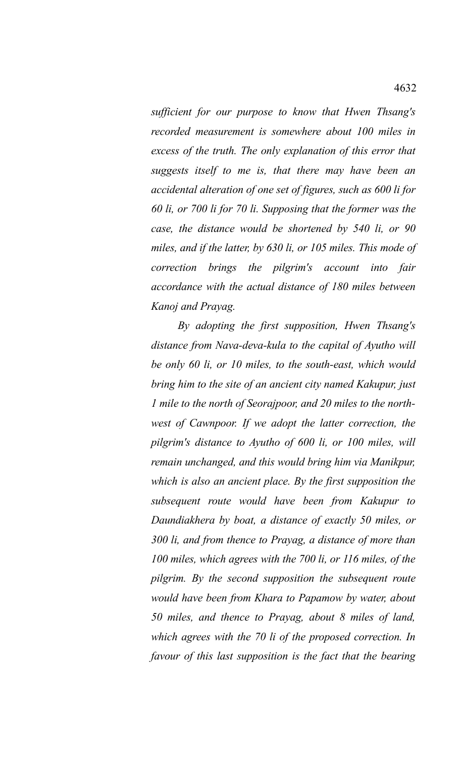*sufficient for our purpose to know that Hwen Thsang's recorded measurement is somewhere about 100 miles in excess of the truth. The only explanation of this error that suggests itself to me is, that there may have been an accidental alteration of one set of figures, such as 600 li for 60 li, or 700 li for 70 li. Supposing that the former was the case, the distance would be shortened by 540 li, or 90 miles, and if the latter, by 630 li, or 105 miles. This mode of correction brings the pilgrim's account into fair accordance with the actual distance of 180 miles between Kanoj and Prayag.* 

*By adopting the first supposition, Hwen Thsang's distance from Nava-deva-kula to the capital of Ayutho will be only 60 li, or 10 miles, to the south-east, which would bring him to the site of an ancient city named Kakupur, just 1 mile to the north of Seorajpoor, and 20 miles to the northwest of Cawnpoor. If we adopt the latter correction, the pilgrim's distance to Ayutho of 600 li, or 100 miles, will remain unchanged, and this would bring him via Manikpur, which is also an ancient place. By the first supposition the subsequent route would have been from Kakupur to Daundiakhera by boat, a distance of exactly 50 miles, or 300 li, and from thence to Prayag, a distance of more than 100 miles, which agrees with the 700 li, or 116 miles, of the pilgrim. By the second supposition the subsequent route would have been from Khara to Papamow by water, about 50 miles, and thence to Prayag, about 8 miles of land, which agrees with the 70 li of the proposed correction. In favour of this last supposition is the fact that the bearing*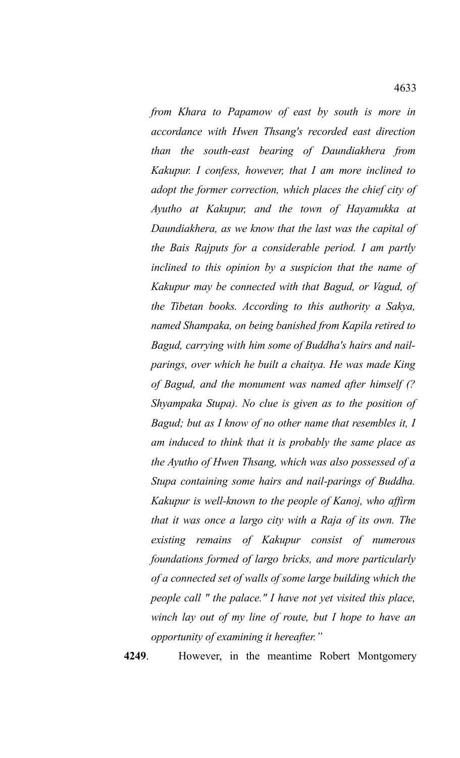*from Khara to Papamow of east by south is more in accordance with Hwen Thsang's recorded east direction than the south-east bearing of Daundiakhera from Kakupur. I confess, however, that I am more inclined to adopt the former correction, which places the chief city of Ayutho at Kakupur, and the town of Hayamukka at Daundiakhera, as we know that the last was the capital of the Bais Rajputs for a considerable period. I am partly inclined to this opinion by a suspicion that the name of Kakupur may be connected with that Bagud, or Vagud, of the Tibetan books. According to this authority a Sakya, named Shampaka, on being banished from Kapila retired to Bagud, carrying with him some of Buddha's hairs and nailparings, over which he built a chaitya. He was made King of Bagud, and the monument was named after himself (? Shyampaka Stupa). No clue is given as to the position of Bagud; but as I know of no other name that resembles it, I am induced to think that it is probably the same place as the Ayutho of Hwen Thsang, which was also possessed of a Stupa containing some hairs and nail-parings of Buddha. Kakupur is well-known to the people of Kanoj, who affirm that it was once a largo city with a Raja of its own. The existing remains of Kakupur consist of numerous foundations formed of largo bricks, and more particularly of a connected set of walls of some large building which the people call " the palace." I have not yet visited this place, winch lay out of my line of route, but I hope to have an opportunity of examining it hereafter."* 

**4249**. However, in the meantime Robert Montgomery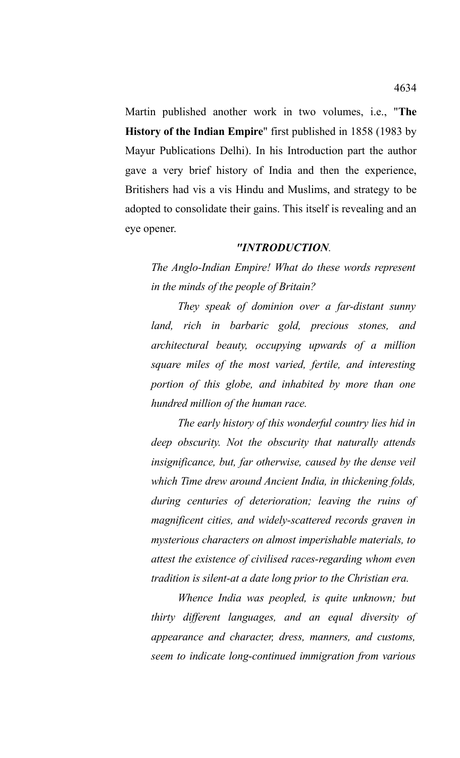Martin published another work in two volumes, i.e., "**The History of the Indian Empire**" first published in 1858 (1983 by Mayur Publications Delhi). In his Introduction part the author gave a very brief history of India and then the experience, Britishers had vis a vis Hindu and Muslims, and strategy to be adopted to consolidate their gains. This itself is revealing and an eye opener.

## *"INTRODUCTION.*

*The Anglo-Indian Empire! What do these words represent in the minds of the people of Britain?*

*They speak of dominion over a far-distant sunny land, rich in barbaric gold, precious stones, and architectural beauty, occupying upwards of a million square miles of the most varied, fertile, and interesting portion of this globe, and inhabited by more than one hundred million of the human race.*

*The early history of this wonderful country lies hid in deep obscurity. Not the obscurity that naturally attends insignificance, but, far otherwise, caused by the dense veil which Time drew around Ancient India, in thickening folds, during centuries of deterioration; leaving the ruins of magnificent cities, and widely-scattered records graven in mysterious characters on almost imperishable materials, to attest the existence of civilised races-regarding whom even tradition is silent-at a date long prior to the Christian era.*

*Whence India was peopled, is quite unknown; but thirty different languages, and an equal diversity of appearance and character, dress, manners, and customs, seem to indicate long-continued immigration from various*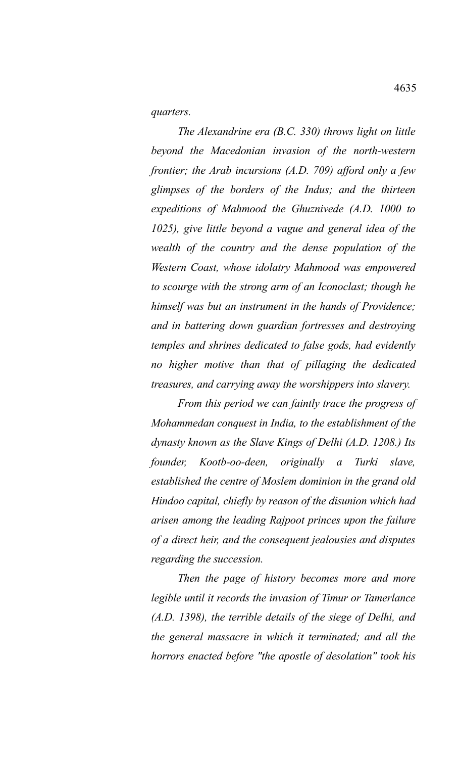*quarters.*

*The Alexandrine era (B.C. 330) throws light on little beyond the Macedonian invasion of the north-western frontier; the Arab incursions (A.D. 709) afford only a few glimpses of the borders of the Indus; and the thirteen expeditions of Mahmood the Ghuznivede (A.D. 1000 to 1025), give little beyond a vague and general idea of the wealth of the country and the dense population of the Western Coast, whose idolatry Mahmood was empowered to scourge with the strong arm of an Iconoclast; though he himself was but an instrument in the hands of Providence; and in battering down guardian fortresses and destroying temples and shrines dedicated to false gods, had evidently no higher motive than that of pillaging the dedicated treasures, and carrying away the worshippers into slavery.*

*From this period we can faintly trace the progress of Mohammedan conquest in India, to the establishment of the dynasty known as the Slave Kings of Delhi (A.D. 1208.) Its founder, Kootb-oo-deen, originally a Turki slave, established the centre of Moslem dominion in the grand old Hindoo capital, chiefly by reason of the disunion which had arisen among the leading Rajpoot princes upon the failure of a direct heir, and the consequent jealousies and disputes regarding the succession.*

*Then the page of history becomes more and more legible until it records the invasion of Timur or Tamerlance (A.D. 1398), the terrible details of the siege of Delhi, and the general massacre in which it terminated; and all the horrors enacted before "the apostle of desolation" took his*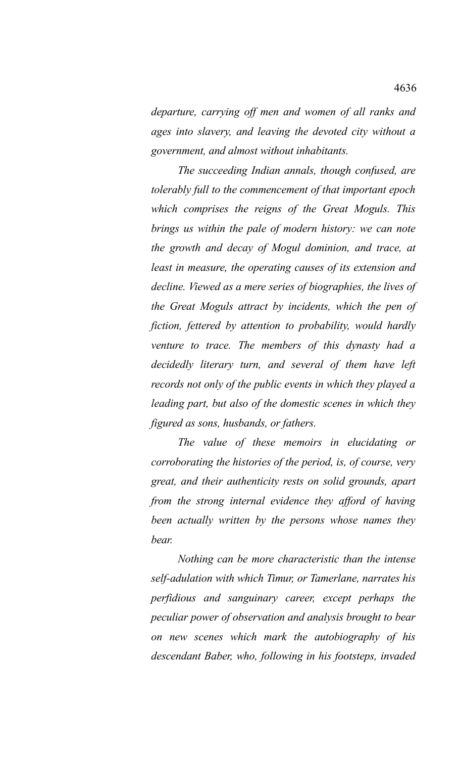*departure, carrying off men and women of all ranks and ages into slavery, and leaving the devoted city without a government, and almost without inhabitants.*

*The succeeding Indian annals, though confused, are tolerably full to the commencement of that important epoch which comprises the reigns of the Great Moguls. This brings us within the pale of modern history: we can note the growth and decay of Mogul dominion, and trace, at least in measure, the operating causes of its extension and decline. Viewed as a mere series of biographies, the lives of the Great Moguls attract by incidents, which the pen of fiction, fettered by attention to probability, would hardly venture to trace. The members of this dynasty had a decidedly literary turn, and several of them have left records not only of the public events in which they played a leading part, but also of the domestic scenes in which they figured as sons, husbands, or fathers.*

*The value of these memoirs in elucidating or corroborating the histories of the period, is, of course, very great, and their authenticity rests on solid grounds, apart from the strong internal evidence they afford of having been actually written by the persons whose names they bear.*

*Nothing can be more characteristic than the intense self-adulation with which Timur, or Tamerlane, narrates his perfidious and sanguinary career, except perhaps the peculiar power of observation and analysis brought to bear on new scenes which mark the autobiography of his descendant Baber, who, following in his footsteps, invaded*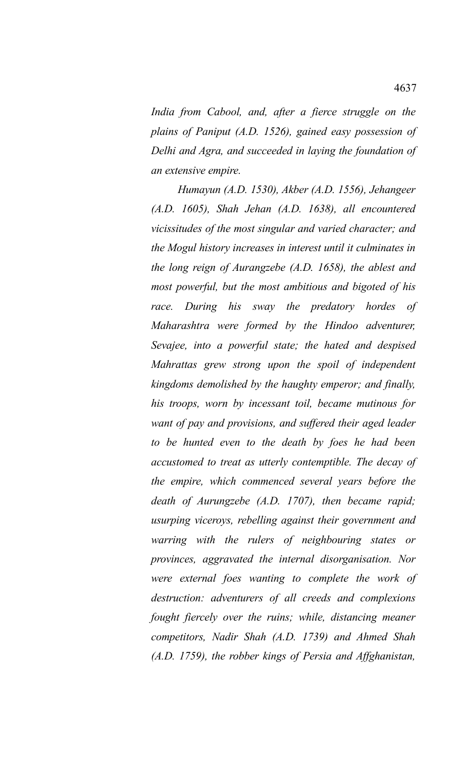*India from Cabool, and, after a fierce struggle on the plains of Paniput (A.D. 1526), gained easy possession of Delhi and Agra, and succeeded in laying the foundation of an extensive empire.*

*Humayun (A.D. 1530), Akber (A.D. 1556), Jehangeer (A.D. 1605), Shah Jehan (A.D. 1638), all encountered vicissitudes of the most singular and varied character; and the Mogul history increases in interest until it culminates in the long reign of Aurangzebe (A.D. 1658), the ablest and most powerful, but the most ambitious and bigoted of his race. During his sway the predatory hordes of Maharashtra were formed by the Hindoo adventurer, Sevajee, into a powerful state; the hated and despised Mahrattas grew strong upon the spoil of independent kingdoms demolished by the haughty emperor; and finally, his troops, worn by incessant toil, became mutinous for want of pay and provisions, and suffered their aged leader to be hunted even to the death by foes he had been accustomed to treat as utterly contemptible. The decay of the empire, which commenced several years before the death of Aurungzebe (A.D. 1707), then became rapid; usurping viceroys, rebelling against their government and warring with the rulers of neighbouring states or provinces, aggravated the internal disorganisation. Nor were external foes wanting to complete the work of destruction: adventurers of all creeds and complexions fought fiercely over the ruins; while, distancing meaner competitors, Nadir Shah (A.D. 1739) and Ahmed Shah (A.D. 1759), the robber kings of Persia and Affghanistan,*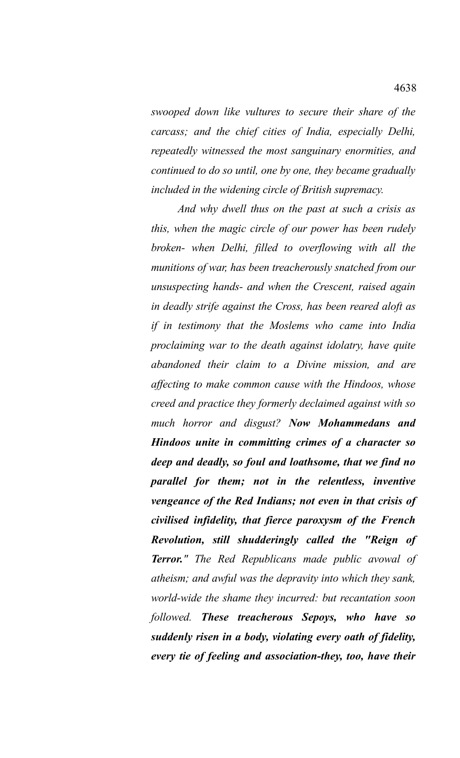*swooped down like vultures to secure their share of the carcass; and the chief cities of India, especially Delhi, repeatedly witnessed the most sanguinary enormities, and continued to do so until, one by one, they became gradually included in the widening circle of British supremacy.*

*And why dwell thus on the past at such a crisis as this, when the magic circle of our power has been rudely broken- when Delhi, filled to overflowing with all the munitions of war, has been treacherously snatched from our unsuspecting hands- and when the Crescent, raised again in deadly strife against the Cross, has been reared aloft as if in testimony that the Moslems who came into India proclaiming war to the death against idolatry, have quite abandoned their claim to a Divine mission, and are affecting to make common cause with the Hindoos, whose creed and practice they formerly declaimed against with so much horror and disgust? Now Mohammedans and Hindoos unite in committing crimes of a character so deep and deadly, so foul and loathsome, that we find no parallel for them; not in the relentless, inventive vengeance of the Red Indians; not even in that crisis of civilised infidelity, that fierce paroxysm of the French Revolution, still shudderingly called the "Reign of Terror." The Red Republicans made public avowal of atheism; and awful was the depravity into which they sank, world-wide the shame they incurred: but recantation soon followed. These treacherous Sepoys, who have so suddenly risen in a body, violating every oath of fidelity, every tie of feeling and association-they, too, have their*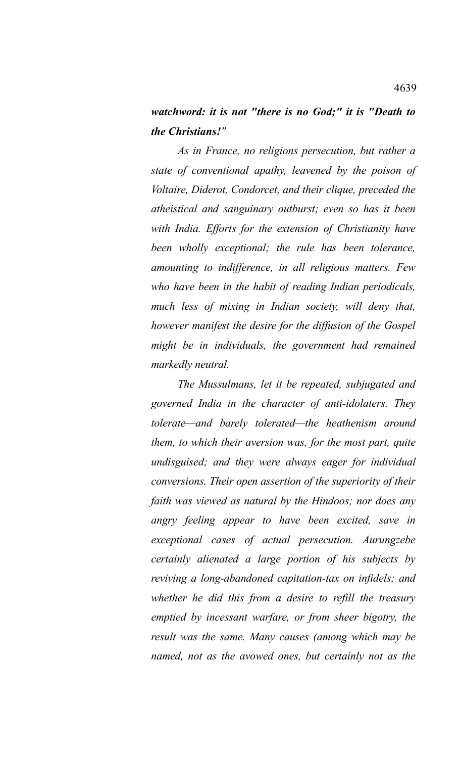## *watchword: it is not "there is no God;" it is "Death to the Christians!"*

*As in France, no religions persecution, but rather a state of conventional apathy, leavened by the poison of Voltaire, Diderot, Condorcet, and their clique, preceded the atheistical and sanguinary outburst; even so has it been with India. Efforts for the extension of Christianity have been wholly exceptional; the rule has been tolerance, amounting to indifference, in all religious matters. Few who have been in the habit of reading Indian periodicals, much less of mixing in Indian society, will deny that, however manifest the desire for the diffusion of the Gospel might be in individuals, the government had remained markedly neutral.*

*The Mussulmans, let it be repeated, subjugated and governed India in the character of anti-idolaters. They tolerate—and barely tolerated—the heathenism around them, to which their aversion was, for the most part, quite undisguised; and they were always eager for individual conversions. Their open assertion of the superiority of their faith was viewed as natural by the Hindoos; nor does any angry feeling appear to have been excited, save in exceptional cases of actual persecution. Aurungzebe certainly alienated a large portion of his subjects by reviving a long-abandoned capitation-tax on infidels; and whether he did this from a desire to refill the treasury emptied by incessant warfare, or from sheer bigotry, the result was the same. Many causes (among which may be named, not as the avowed ones, but certainly not as the*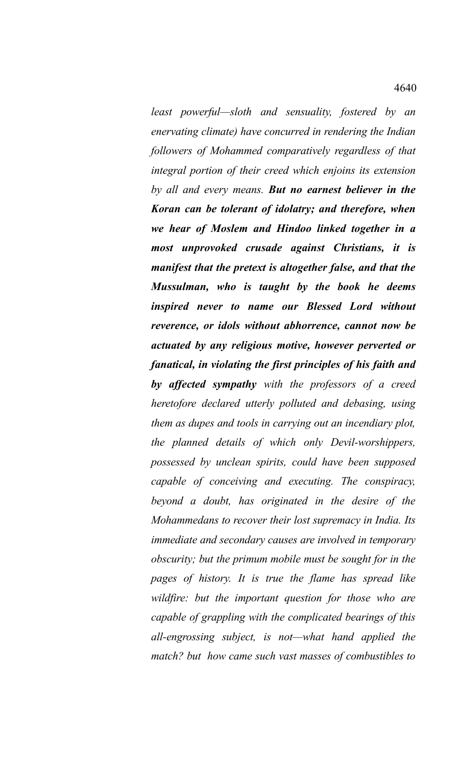*least powerful—sloth and sensuality, fostered by an enervating climate) have concurred in rendering the Indian followers of Mohammed comparatively regardless of that integral portion of their creed which enjoins its extension by all and every means. But no earnest believer in the Koran can be tolerant of idolatry; and therefore, when we hear of Moslem and Hindoo linked together in a most unprovoked crusade against Christians, it is manifest that the pretext is altogether false, and that the Mussulman, who is taught by the book he deems inspired never to name our Blessed Lord without reverence, or idols without abhorrence, cannot now be actuated by any religious motive, however perverted or fanatical, in violating the first principles of his faith and by affected sympathy with the professors of a creed heretofore declared utterly polluted and debasing, using them as dupes and tools in carrying out an incendiary plot, the planned details of which only Devil-worshippers, possessed by unclean spirits, could have been supposed capable of conceiving and executing. The conspiracy, beyond a doubt, has originated in the desire of the Mohammedans to recover their lost supremacy in India. Its immediate and secondary causes are involved in temporary obscurity; but the primum mobile must be sought for in the pages of history. It is true the flame has spread like wildfire: but the important question for those who are capable of grappling with the complicated bearings of this all-engrossing subject, is not—what hand applied the match? but how came such vast masses of combustibles to*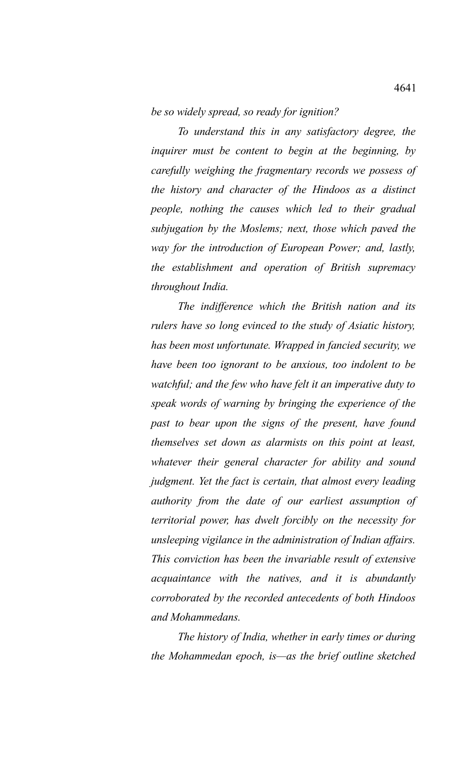*be so widely spread, so ready for ignition?*

*To understand this in any satisfactory degree, the inquirer must be content to begin at the beginning, by carefully weighing the fragmentary records we possess of the history and character of the Hindoos as a distinct people, nothing the causes which led to their gradual subjugation by the Moslems; next, those which paved the way for the introduction of European Power; and, lastly, the establishment and operation of British supremacy throughout India.*

*The indifference which the British nation and its rulers have so long evinced to the study of Asiatic history, has been most unfortunate. Wrapped in fancied security, we have been too ignorant to be anxious, too indolent to be watchful; and the few who have felt it an imperative duty to speak words of warning by bringing the experience of the past to bear upon the signs of the present, have found themselves set down as alarmists on this point at least, whatever their general character for ability and sound judgment. Yet the fact is certain, that almost every leading authority from the date of our earliest assumption of territorial power, has dwelt forcibly on the necessity for unsleeping vigilance in the administration of Indian affairs. This conviction has been the invariable result of extensive acquaintance with the natives, and it is abundantly corroborated by the recorded antecedents of both Hindoos and Mohammedans.*

*The history of India, whether in early times or during the Mohammedan epoch, is—as the brief outline sketched*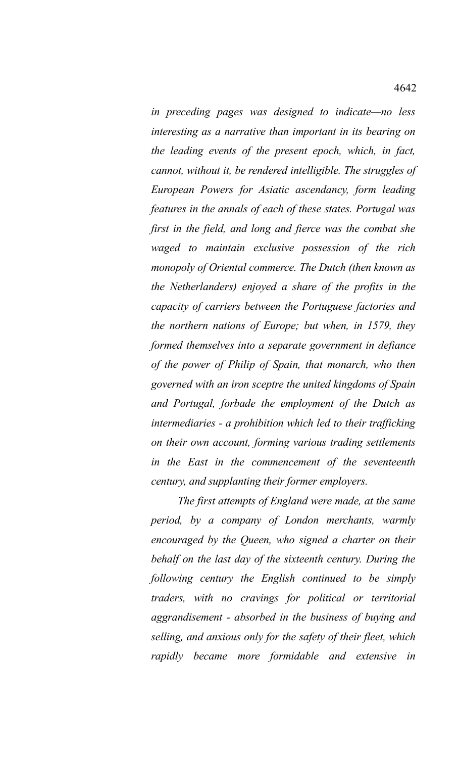*in preceding pages was designed to indicate—no less interesting as a narrative than important in its bearing on the leading events of the present epoch, which, in fact, cannot, without it, be rendered intelligible. The struggles of European Powers for Asiatic ascendancy, form leading features in the annals of each of these states. Portugal was first in the field, and long and fierce was the combat she waged to maintain exclusive possession of the rich monopoly of Oriental commerce. The Dutch (then known as the Netherlanders) enjoyed a share of the profits in the capacity of carriers between the Portuguese factories and the northern nations of Europe; but when, in 1579, they formed themselves into a separate government in defiance of the power of Philip of Spain, that monarch, who then governed with an iron sceptre the united kingdoms of Spain and Portugal, forbade the employment of the Dutch as intermediaries - a prohibition which led to their trafficking on their own account, forming various trading settlements in the East in the commencement of the seventeenth century, and supplanting their former employers.*

*The first attempts of England were made, at the same period, by a company of London merchants, warmly encouraged by the Queen, who signed a charter on their behalf on the last day of the sixteenth century. During the following century the English continued to be simply traders, with no cravings for political or territorial aggrandisement - absorbed in the business of buying and selling, and anxious only for the safety of their fleet, which rapidly became more formidable and extensive in*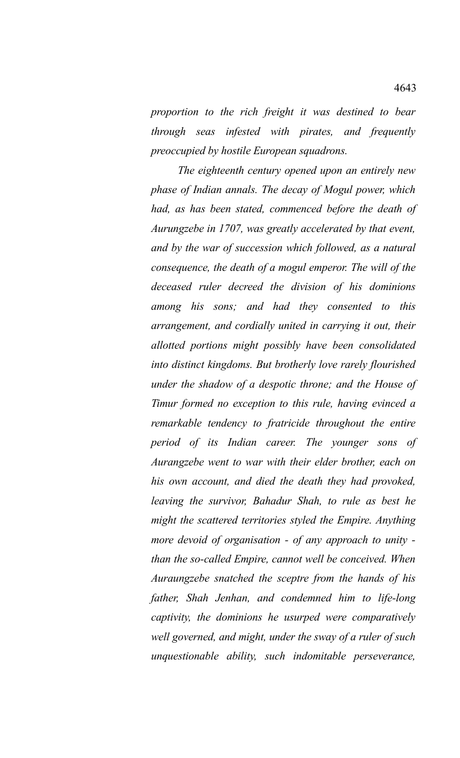*proportion to the rich freight it was destined to bear through seas infested with pirates, and frequently preoccupied by hostile European squadrons.*

*The eighteenth century opened upon an entirely new phase of Indian annals. The decay of Mogul power, which had, as has been stated, commenced before the death of Aurungzebe in 1707, was greatly accelerated by that event, and by the war of succession which followed, as a natural consequence, the death of a mogul emperor. The will of the deceased ruler decreed the division of his dominions among his sons; and had they consented to this arrangement, and cordially united in carrying it out, their allotted portions might possibly have been consolidated into distinct kingdoms. But brotherly love rarely flourished under the shadow of a despotic throne; and the House of Timur formed no exception to this rule, having evinced a remarkable tendency to fratricide throughout the entire period of its Indian career. The younger sons of Aurangzebe went to war with their elder brother, each on his own account, and died the death they had provoked, leaving the survivor, Bahadur Shah, to rule as best he might the scattered territories styled the Empire. Anything more devoid of organisation - of any approach to unity than the so-called Empire, cannot well be conceived. When Auraungzebe snatched the sceptre from the hands of his father, Shah Jenhan, and condemned him to life-long captivity, the dominions he usurped were comparatively well governed, and might, under the sway of a ruler of such unquestionable ability, such indomitable perseverance,*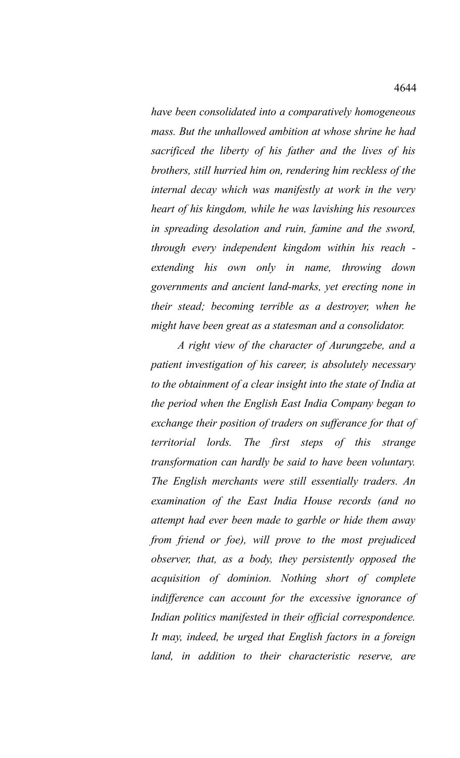*have been consolidated into a comparatively homogeneous mass. But the unhallowed ambition at whose shrine he had sacrificed the liberty of his father and the lives of his brothers, still hurried him on, rendering him reckless of the internal decay which was manifestly at work in the very heart of his kingdom, while he was lavishing his resources in spreading desolation and ruin, famine and the sword, through every independent kingdom within his reach extending his own only in name, throwing down governments and ancient land-marks, yet erecting none in their stead; becoming terrible as a destroyer, when he might have been great as a statesman and a consolidator.*

*A right view of the character of Aurungzebe, and a patient investigation of his career, is absolutely necessary to the obtainment of a clear insight into the state of India at the period when the English East India Company began to exchange their position of traders on sufferance for that of territorial lords. The first steps of this strange transformation can hardly be said to have been voluntary. The English merchants were still essentially traders. An examination of the East India House records (and no attempt had ever been made to garble or hide them away from friend or foe), will prove to the most prejudiced observer, that, as a body, they persistently opposed the acquisition of dominion. Nothing short of complete indifference can account for the excessive ignorance of Indian politics manifested in their official correspondence. It may, indeed, be urged that English factors in a foreign land, in addition to their characteristic reserve, are*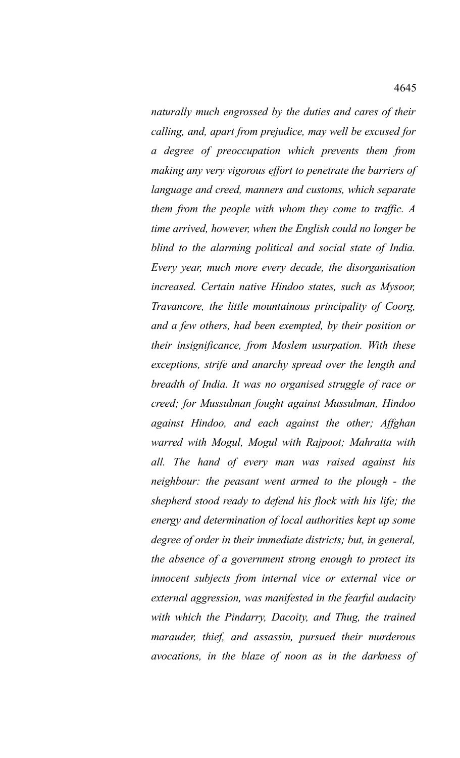*naturally much engrossed by the duties and cares of their calling, and, apart from prejudice, may well be excused for a degree of preoccupation which prevents them from making any very vigorous effort to penetrate the barriers of language and creed, manners and customs, which separate them from the people with whom they come to traffic. A time arrived, however, when the English could no longer be blind to the alarming political and social state of India. Every year, much more every decade, the disorganisation increased. Certain native Hindoo states, such as Mysoor, Travancore, the little mountainous principality of Coorg, and a few others, had been exempted, by their position or their insignificance, from Moslem usurpation. With these exceptions, strife and anarchy spread over the length and breadth of India. It was no organised struggle of race or creed; for Mussulman fought against Mussulman, Hindoo against Hindoo, and each against the other; Affghan warred with Mogul, Mogul with Rajpoot; Mahratta with all. The hand of every man was raised against his neighbour: the peasant went armed to the plough - the shepherd stood ready to defend his flock with his life; the energy and determination of local authorities kept up some degree of order in their immediate districts; but, in general, the absence of a government strong enough to protect its innocent subjects from internal vice or external vice or external aggression, was manifested in the fearful audacity with which the Pindarry, Dacoity, and Thug, the trained marauder, thief, and assassin, pursued their murderous avocations, in the blaze of noon as in the darkness of*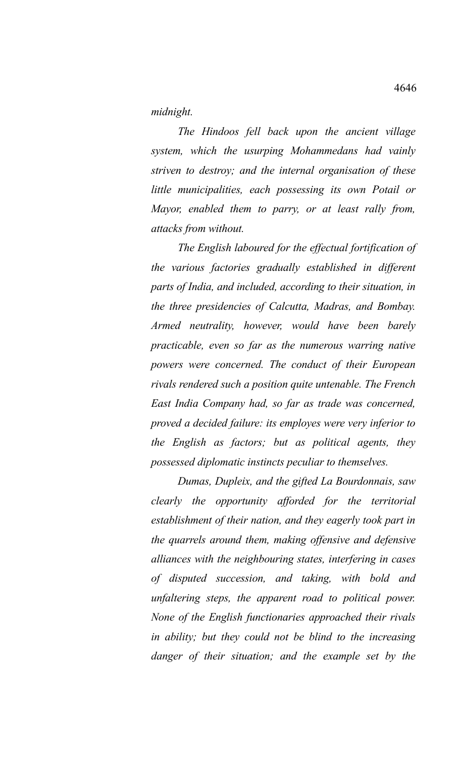*midnight.* 

*The Hindoos fell back upon the ancient village system, which the usurping Mohammedans had vainly striven to destroy; and the internal organisation of these little municipalities, each possessing its own Potail or Mayor, enabled them to parry, or at least rally from, attacks from without.*

*The English laboured for the effectual fortification of the various factories gradually established in different parts of India, and included, according to their situation, in the three presidencies of Calcutta, Madras, and Bombay. Armed neutrality, however, would have been barely practicable, even so far as the numerous warring native powers were concerned. The conduct of their European rivals rendered such a position quite untenable. The French East India Company had, so far as trade was concerned, proved a decided failure: its employes were very inferior to the English as factors; but as political agents, they possessed diplomatic instincts peculiar to themselves.* 

*Dumas, Dupleix, and the gifted La Bourdonnais, saw clearly the opportunity afforded for the territorial establishment of their nation, and they eagerly took part in the quarrels around them, making offensive and defensive alliances with the neighbouring states, interfering in cases of disputed succession, and taking, with bold and unfaltering steps, the apparent road to political power. None of the English functionaries approached their rivals in ability; but they could not be blind to the increasing danger of their situation; and the example set by the*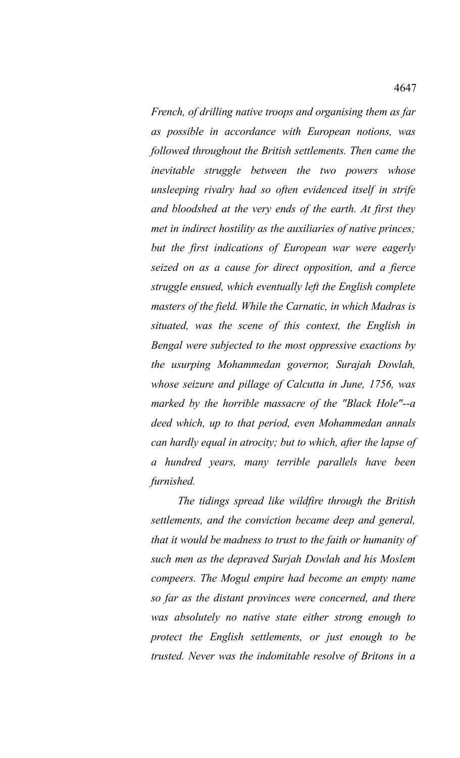*French, of drilling native troops and organising them as far as possible in accordance with European notions, was followed throughout the British settlements. Then came the inevitable struggle between the two powers whose unsleeping rivalry had so often evidenced itself in strife and bloodshed at the very ends of the earth. At first they met in indirect hostility as the auxiliaries of native princes; but the first indications of European war were eagerly seized on as a cause for direct opposition, and a fierce struggle ensued, which eventually left the English complete masters of the field. While the Carnatic, in which Madras is situated, was the scene of this context, the English in Bengal were subjected to the most oppressive exactions by the usurping Mohammedan governor, Surajah Dowlah, whose seizure and pillage of Calcutta in June, 1756, was marked by the horrible massacre of the "Black Hole"--a deed which, up to that period, even Mohammedan annals can hardly equal in atrocity; but to which, after the lapse of a hundred years, many terrible parallels have been furnished.* 

*The tidings spread like wildfire through the British settlements, and the conviction became deep and general, that it would be madness to trust to the faith or humanity of such men as the depraved Surjah Dowlah and his Moslem compeers. The Mogul empire had become an empty name so far as the distant provinces were concerned, and there was absolutely no native state either strong enough to protect the English settlements, or just enough to be trusted. Never was the indomitable resolve of Britons in a*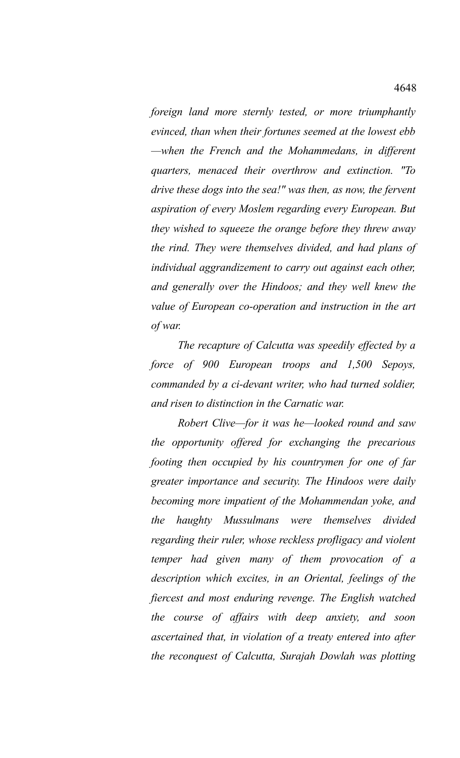*foreign land more sternly tested, or more triumphantly evinced, than when their fortunes seemed at the lowest ebb —when the French and the Mohammedans, in different quarters, menaced their overthrow and extinction. "To drive these dogs into the sea!" was then, as now, the fervent aspiration of every Moslem regarding every European. But they wished to squeeze the orange before they threw away the rind. They were themselves divided, and had plans of individual aggrandizement to carry out against each other, and generally over the Hindoos; and they well knew the value of European co-operation and instruction in the art of war.* 

*The recapture of Calcutta was speedily effected by a force of 900 European troops and 1,500 Sepoys, commanded by a ci-devant writer, who had turned soldier, and risen to distinction in the Carnatic war.* 

*Robert Clive—for it was he—looked round and saw the opportunity offered for exchanging the precarious footing then occupied by his countrymen for one of far greater importance and security. The Hindoos were daily becoming more impatient of the Mohammendan yoke, and the haughty Mussulmans were themselves divided regarding their ruler, whose reckless profligacy and violent temper had given many of them provocation of a description which excites, in an Oriental, feelings of the fiercest and most enduring revenge. The English watched the course of affairs with deep anxiety, and soon ascertained that, in violation of a treaty entered into after the reconquest of Calcutta, Surajah Dowlah was plotting*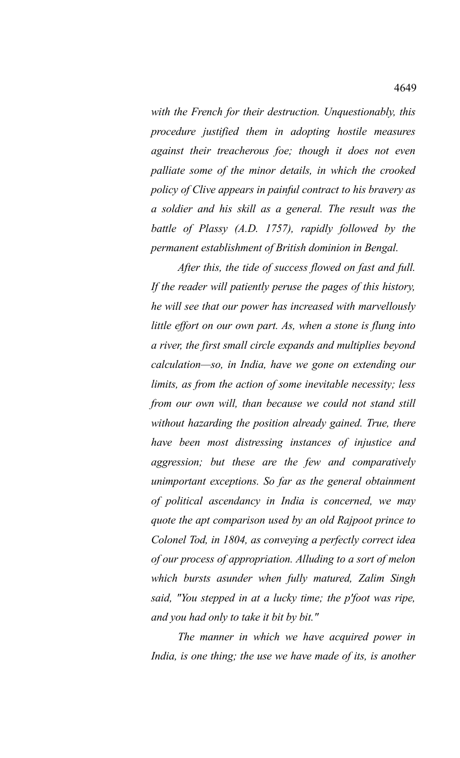*with the French for their destruction. Unquestionably, this procedure justified them in adopting hostile measures against their treacherous foe; though it does not even palliate some of the minor details, in which the crooked policy of Clive appears in painful contract to his bravery as a soldier and his skill as a general. The result was the battle of Plassy (A.D. 1757), rapidly followed by the permanent establishment of British dominion in Bengal.* 

*After this, the tide of success flowed on fast and full. If the reader will patiently peruse the pages of this history, he will see that our power has increased with marvellously little effort on our own part. As, when a stone is flung into a river, the first small circle expands and multiplies beyond calculation—so, in India, have we gone on extending our limits, as from the action of some inevitable necessity; less from our own will, than because we could not stand still without hazarding the position already gained. True, there have been most distressing instances of injustice and aggression; but these are the few and comparatively unimportant exceptions. So far as the general obtainment of political ascendancy in India is concerned, we may quote the apt comparison used by an old Rajpoot prince to Colonel Tod, in 1804, as conveying a perfectly correct idea of our process of appropriation. Alluding to a sort of melon which bursts asunder when fully matured, Zalim Singh said, "You stepped in at a lucky time; the p'foot was ripe, and you had only to take it bit by bit."*

*The manner in which we have acquired power in India, is one thing; the use we have made of its, is another*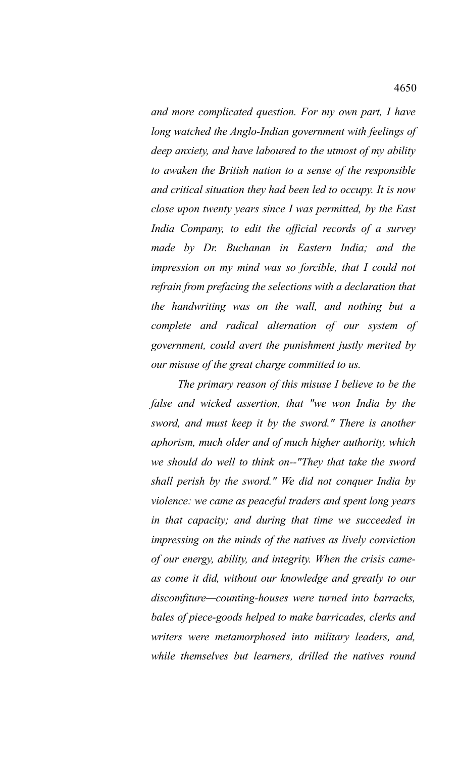*and more complicated question. For my own part, I have long watched the Anglo-Indian government with feelings of deep anxiety, and have laboured to the utmost of my ability to awaken the British nation to a sense of the responsible and critical situation they had been led to occupy. It is now close upon twenty years since I was permitted, by the East India Company, to edit the official records of a survey made by Dr. Buchanan in Eastern India; and the impression on my mind was so forcible, that I could not refrain from prefacing the selections with a declaration that the handwriting was on the wall, and nothing but a complete and radical alternation of our system of government, could avert the punishment justly merited by our misuse of the great charge committed to us.*

*The primary reason of this misuse I believe to be the false and wicked assertion, that "we won India by the sword, and must keep it by the sword." There is another aphorism, much older and of much higher authority, which we should do well to think on--"They that take the sword shall perish by the sword." We did not conquer India by violence: we came as peaceful traders and spent long years in that capacity; and during that time we succeeded in impressing on the minds of the natives as lively conviction of our energy, ability, and integrity. When the crisis cameas come it did, without our knowledge and greatly to our discomfiture—counting-houses were turned into barracks, bales of piece-goods helped to make barricades, clerks and writers were metamorphosed into military leaders, and, while themselves but learners, drilled the natives round*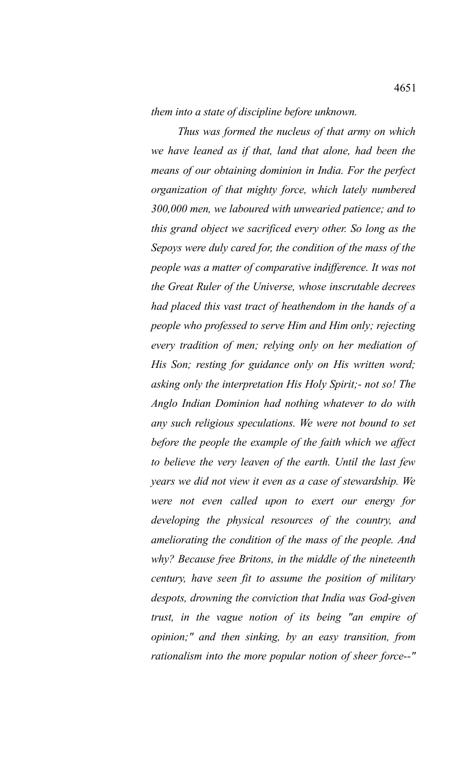*them into a state of discipline before unknown.*

*Thus was formed the nucleus of that army on which we have leaned as if that, land that alone, had been the means of our obtaining dominion in India. For the perfect organization of that mighty force, which lately numbered 300,000 men, we laboured with unwearied patience; and to this grand object we sacrificed every other. So long as the Sepoys were duly cared for, the condition of the mass of the people was a matter of comparative indifference. It was not the Great Ruler of the Universe, whose inscrutable decrees had placed this vast tract of heathendom in the hands of a people who professed to serve Him and Him only; rejecting every tradition of men; relying only on her mediation of His Son; resting for guidance only on His written word; asking only the interpretation His Holy Spirit;- not so! The Anglo Indian Dominion had nothing whatever to do with any such religious speculations. We were not bound to set before the people the example of the faith which we affect to believe the very leaven of the earth. Until the last few years we did not view it even as a case of stewardship. We were not even called upon to exert our energy for developing the physical resources of the country, and ameliorating the condition of the mass of the people. And why? Because free Britons, in the middle of the nineteenth century, have seen fit to assume the position of military despots, drowning the conviction that India was God-given trust, in the vague notion of its being "an empire of opinion;" and then sinking, by an easy transition, from rationalism into the more popular notion of sheer force--"*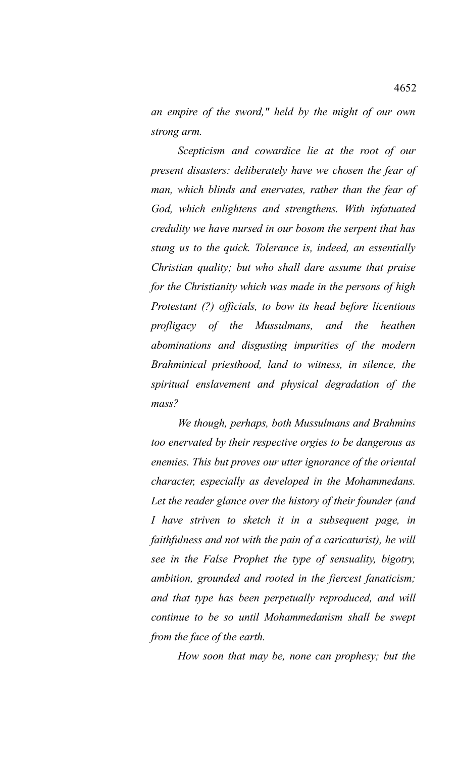*an empire of the sword," held by the might of our own strong arm.*

*Scepticism and cowardice lie at the root of our present disasters: deliberately have we chosen the fear of man, which blinds and enervates, rather than the fear of God, which enlightens and strengthens. With infatuated credulity we have nursed in our bosom the serpent that has stung us to the quick. Tolerance is, indeed, an essentially Christian quality; but who shall dare assume that praise for the Christianity which was made in the persons of high Protestant (?) officials, to bow its head before licentious profligacy of the Mussulmans, and the heathen abominations and disgusting impurities of the modern Brahminical priesthood, land to witness, in silence, the spiritual enslavement and physical degradation of the mass?*

*We though, perhaps, both Mussulmans and Brahmins too enervated by their respective orgies to be dangerous as enemies. This but proves our utter ignorance of the oriental character, especially as developed in the Mohammedans. Let the reader glance over the history of their founder (and I have striven to sketch it in a subsequent page, in faithfulness and not with the pain of a caricaturist), he will see in the False Prophet the type of sensuality, bigotry, ambition, grounded and rooted in the fiercest fanaticism; and that type has been perpetually reproduced, and will continue to be so until Mohammedanism shall be swept from the face of the earth.*

*How soon that may be, none can prophesy; but the*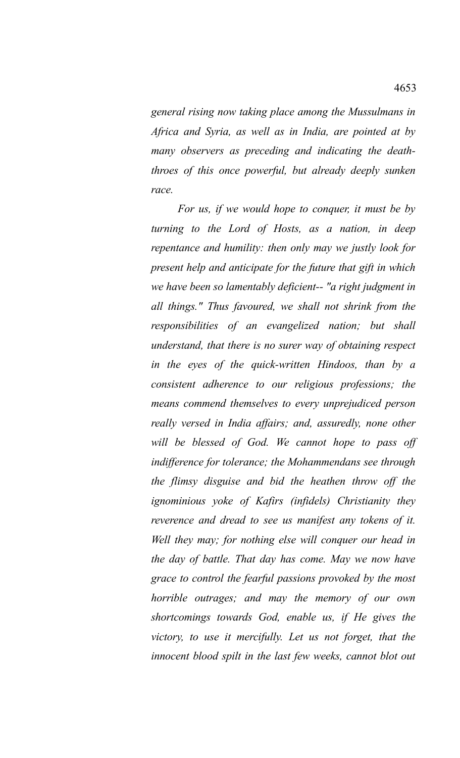*general rising now taking place among the Mussulmans in Africa and Syria, as well as in India, are pointed at by many observers as preceding and indicating the deaththroes of this once powerful, but already deeply sunken race.* 

*For us, if we would hope to conquer, it must be by turning to the Lord of Hosts, as a nation, in deep repentance and humility: then only may we justly look for present help and anticipate for the future that gift in which we have been so lamentably deficient-- "a right judgment in all things." Thus favoured, we shall not shrink from the responsibilities of an evangelized nation; but shall understand, that there is no surer way of obtaining respect in the eyes of the quick-written Hindoos, than by a consistent adherence to our religious professions; the means commend themselves to every unprejudiced person really versed in India affairs; and, assuredly, none other will be blessed of God. We cannot hope to pass off indifference for tolerance; the Mohammendans see through the flimsy disguise and bid the heathen throw off the ignominious yoke of Kafirs (infidels) Christianity they reverence and dread to see us manifest any tokens of it. Well they may; for nothing else will conquer our head in the day of battle. That day has come. May we now have grace to control the fearful passions provoked by the most horrible outrages; and may the memory of our own shortcomings towards God, enable us, if He gives the victory, to use it mercifully. Let us not forget, that the innocent blood spilt in the last few weeks, cannot blot out*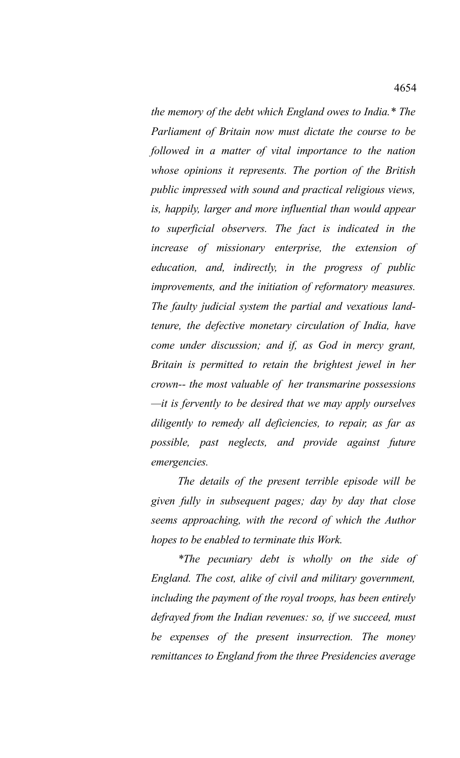*the memory of the debt which England owes to India.\* The Parliament of Britain now must dictate the course to be followed in a matter of vital importance to the nation whose opinions it represents. The portion of the British public impressed with sound and practical religious views, is, happily, larger and more influential than would appear to superficial observers. The fact is indicated in the increase of missionary enterprise, the extension of education, and, indirectly, in the progress of public improvements, and the initiation of reformatory measures. The faulty judicial system the partial and vexatious landtenure, the defective monetary circulation of India, have come under discussion; and if, as God in mercy grant, Britain is permitted to retain the brightest jewel in her crown-- the most valuable of her transmarine possessions —it is fervently to be desired that we may apply ourselves diligently to remedy all deficiencies, to repair, as far as possible, past neglects, and provide against future emergencies.* 

*The details of the present terrible episode will be given fully in subsequent pages; day by day that close seems approaching, with the record of which the Author hopes to be enabled to terminate this Work.*

*\*The pecuniary debt is wholly on the side of England. The cost, alike of civil and military government, including the payment of the royal troops, has been entirely defrayed from the Indian revenues: so, if we succeed, must be expenses of the present insurrection. The money remittances to England from the three Presidencies average*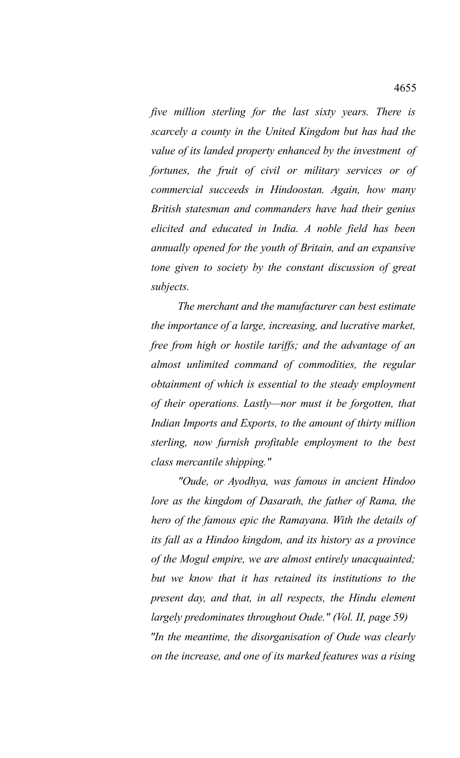*five million sterling for the last sixty years. There is scarcely a county in the United Kingdom but has had the value of its landed property enhanced by the investment of fortunes, the fruit of civil or military services or of commercial succeeds in Hindoostan. Again, how many British statesman and commanders have had their genius elicited and educated in India. A noble field has been annually opened for the youth of Britain, and an expansive tone given to society by the constant discussion of great subjects.*

*The merchant and the manufacturer can best estimate the importance of a large, increasing, and lucrative market, free from high or hostile tariffs; and the advantage of an almost unlimited command of commodities, the regular obtainment of which is essential to the steady employment of their operations. Lastly—nor must it be forgotten, that Indian Imports and Exports, to the amount of thirty million sterling, now furnish profitable employment to the best class mercantile shipping."* 

*"Oude, or Ayodhya, was famous in ancient Hindoo lore as the kingdom of Dasarath, the father of Rama, the hero of the famous epic the Ramayana. With the details of its fall as a Hindoo kingdom, and its history as a province of the Mogul empire, we are almost entirely unacquainted; but we know that it has retained its institutions to the present day, and that, in all respects, the Hindu element largely predominates throughout Oude." (Vol. II, page 59) "In the meantime, the disorganisation of Oude was clearly on the increase, and one of its marked features was a rising*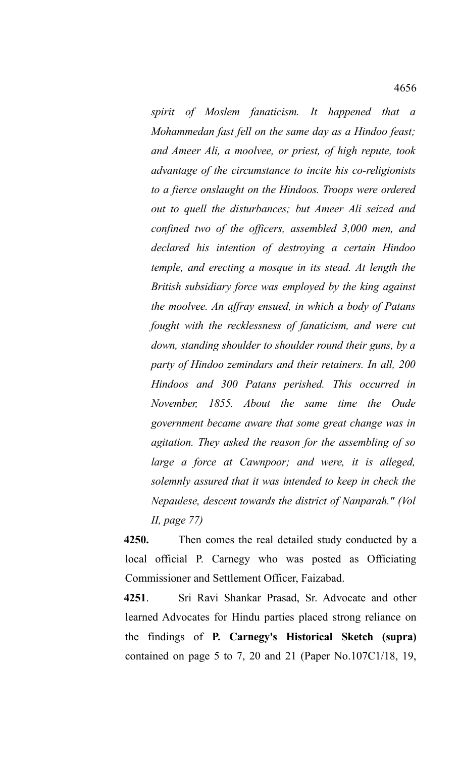*spirit of Moslem fanaticism. It happened that a Mohammedan fast fell on the same day as a Hindoo feast; and Ameer Ali, a moolvee, or priest, of high repute, took advantage of the circumstance to incite his co-religionists to a fierce onslaught on the Hindoos. Troops were ordered out to quell the disturbances; but Ameer Ali seized and confined two of the officers, assembled 3,000 men, and declared his intention of destroying a certain Hindoo temple, and erecting a mosque in its stead. At length the British subsidiary force was employed by the king against the moolvee. An affray ensued, in which a body of Patans fought with the recklessness of fanaticism, and were cut down, standing shoulder to shoulder round their guns, by a party of Hindoo zemindars and their retainers. In all, 200 Hindoos and 300 Patans perished. This occurred in November, 1855. About the same time the Oude government became aware that some great change was in agitation. They asked the reason for the assembling of so large a force at Cawnpoor; and were, it is alleged, solemnly assured that it was intended to keep in check the Nepaulese, descent towards the district of Nanparah." (Vol II, page 77)*

**4250.** Then comes the real detailed study conducted by a local official P. Carnegy who was posted as Officiating Commissioner and Settlement Officer, Faizabad.

**4251**. Sri Ravi Shankar Prasad, Sr. Advocate and other learned Advocates for Hindu parties placed strong reliance on the findings of **P. Carnegy's Historical Sketch (supra)** contained on page 5 to 7, 20 and 21 (Paper No.107C1/18, 19,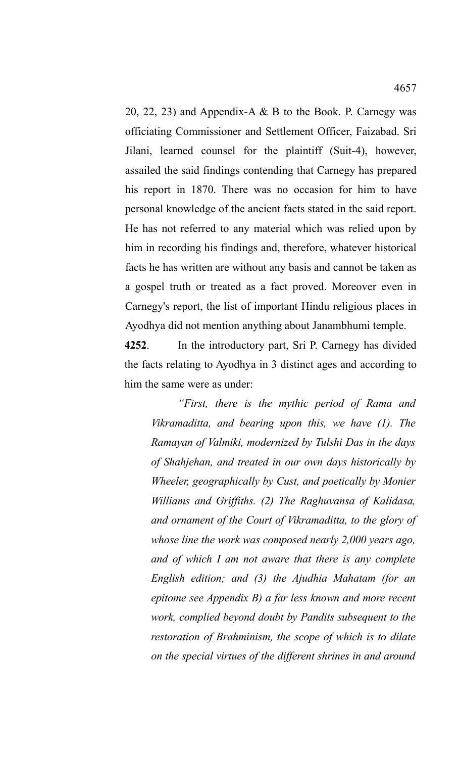20, 22, 23) and Appendix-A & B to the Book. P. Carnegy was officiating Commissioner and Settlement Officer, Faizabad. Sri Jilani, learned counsel for the plaintiff (Suit-4), however, assailed the said findings contending that Carnegy has prepared his report in 1870. There was no occasion for him to have personal knowledge of the ancient facts stated in the said report. He has not referred to any material which was relied upon by him in recording his findings and, therefore, whatever historical facts he has written are without any basis and cannot be taken as a gospel truth or treated as a fact proved. Moreover even in Carnegy's report, the list of important Hindu religious places in Ayodhya did not mention anything about Janambhumi temple.

**4252**. In the introductory part, Sri P. Carnegy has divided the facts relating to Ayodhya in 3 distinct ages and according to him the same were as under:

*"First, there is the mythic period of Rama and Vikramaditta, and bearing upon this, we have (1). The Ramayan of Valmiki, modernized by Tulshi Das in the days of Shahjehan, and treated in our own days historically by Wheeler, geographically by Cust, and poetically by Monier Williams and Griffiths. (2) The Raghuvansa of Kalidasa, and ornament of the Court of Vikramaditta, to the glory of whose line the work was composed nearly 2,000 years ago, and of which I am not aware that there is any complete English edition; and (3) the Ajudhia Mahatam (for an epitome see Appendix B) a far less known and more recent work, complied beyond doubt by Pandits subsequent to the restoration of Brahminism, the scope of which is to dilate on the special virtues of the different shrines in and around*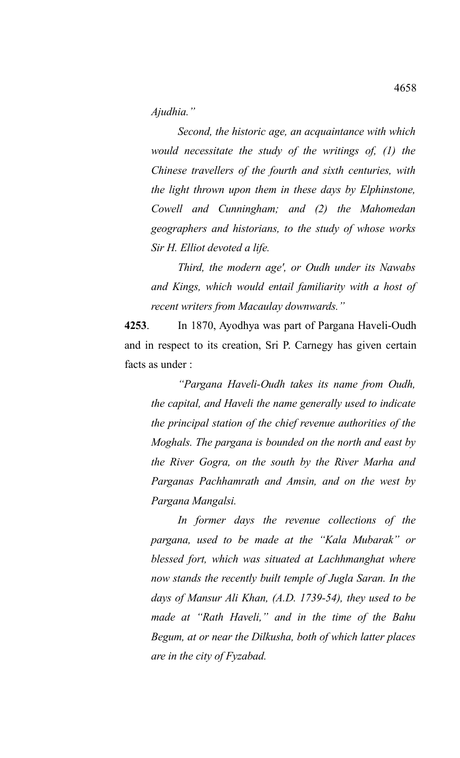*Ajudhia."*

*Second, the historic age, an acquaintance with which would necessitate the study of the writings of, (1) the Chinese travellers of the fourth and sixth centuries, with the light thrown upon them in these days by Elphinstone, Cowell and Cunningham; and (2) the Mahomedan geographers and historians, to the study of whose works Sir H. Elliot devoted a life.* 

*Third, the modern age', or Oudh under its Nawabs and Kings, which would entail familiarity with a host of recent writers from Macaulay downwards."*

**4253**. In 1870, Ayodhya was part of Pargana Haveli-Oudh and in respect to its creation, Sri P. Carnegy has given certain facts as under :

*"Pargana Haveli-Oudh takes its name from Oudh, the capital, and Haveli the name generally used to indicate the principal station of the chief revenue authorities of the Moghals. The pargana is bounded on the north and east by the River Gogra, on the south by the River Marha and Parganas Pachhamrath and Amsin, and on the west by Pargana Mangalsi.*

*In former days the revenue collections of the pargana, used to be made at the "Kala Mubarak" or blessed fort, which was situated at Lachhmanghat where now stands the recently built temple of Jugla Saran. In the days of Mansur Ali Khan, (A.D. 1739-54), they used to be made at "Rath Haveli," and in the time of the Bahu Begum, at or near the Dilkusha, both of which latter places are in the city of Fyzabad.*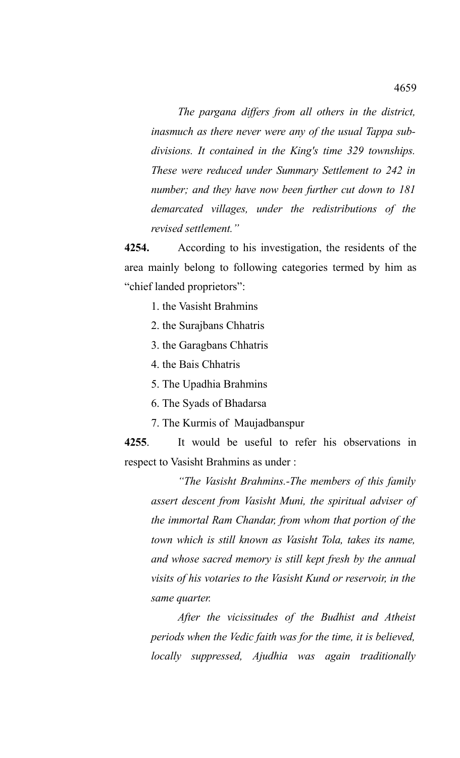*The pargana differs from all others in the district, inasmuch as there never were any of the usual Tappa subdivisions. It contained in the King's time 329 townships. These were reduced under Summary Settlement to 242 in number; and they have now been further cut down to 181 demarcated villages, under the redistributions of the revised settlement."*

**4254.** According to his investigation, the residents of the area mainly belong to following categories termed by him as "chief landed proprietors":

- 1. the Vasisht Brahmins
- 2. the Surajbans Chhatris
- 3. the Garagbans Chhatris
- 4. the Bais Chhatris
- 5. The Upadhia Brahmins
- 6. The Syads of Bhadarsa
- 7. The Kurmis of Maujadbanspur

**4255**. It would be useful to refer his observations in respect to Vasisht Brahmins as under :

*"The Vasisht Brahmins.-The members of this family assert descent from Vasisht Muni, the spiritual adviser of the immortal Ram Chandar, from whom that portion of the town which is still known as Vasisht Tola, takes its name, and whose sacred memory is still kept fresh by the annual visits of his votaries to the Vasisht Kund or reservoir, in the same quarter.* 

*After the vicissitudes of the Budhist and Atheist periods when the Vedic faith was for the time, it is believed, locally suppressed, Ajudhia was again traditionally*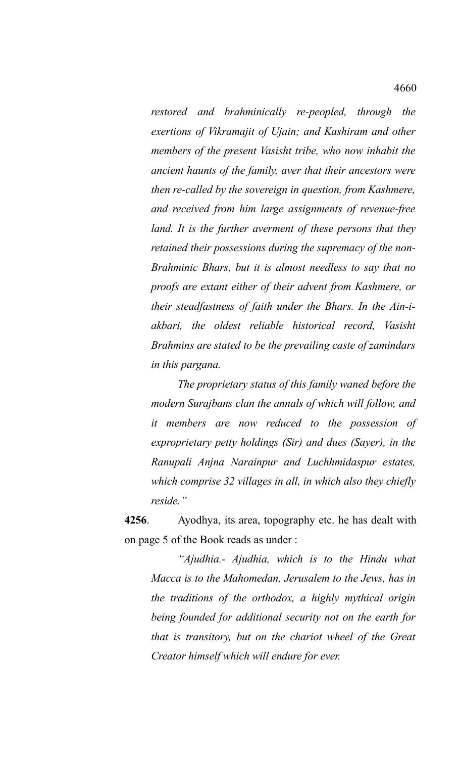*restored and brahminically re-peopled, through the exertions of Vikramajit of Ujain; and Kashiram and other members of the present Vasisht tribe, who now inhabit the ancient haunts of the family, aver that their ancestors were then re-called by the sovereign in question, from Kashmere, and received from him large assignments of revenue-free land. It is the further averment of these persons that they retained their possessions during the supremacy of the non-Brahminic Bhars, but it is almost needless to say that no proofs are extant either of their advent from Kashmere, or their steadfastness of faith under the Bhars. In the Ain-iakbari, the oldest reliable historical record, Vasisht Brahmins are stated to be the prevailing caste of zamindars in this pargana.* 

*The proprietary status of this family waned before the modern Surajbans clan the annals of which will follow, and it members are now reduced to the possession of exproprietary petty holdings (Sir) and dues (Sayer), in the Ranupali Anjna Narainpur and Luchhmidaspur estates, which comprise 32 villages in all, in which also they chiefly reside."*

**4256**. Ayodhya, its area, topography etc. he has dealt with on page 5 of the Book reads as under :

*"Ajudhia.- Ajudhia, which is to the Hindu what Macca is to the Mahomedan, Jerusalem to the Jews, has in the traditions of the orthodox, a highly mythical origin being founded for additional security not on the earth for that is transitory, but on the chariot wheel of the Great Creator himself which will endure for ever.*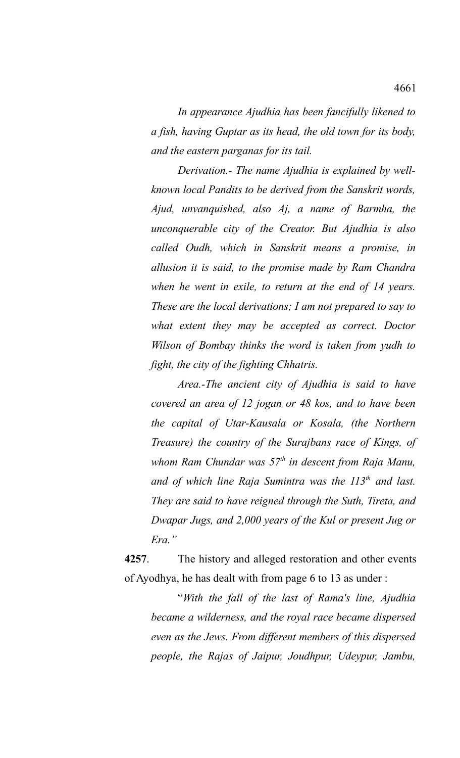*In appearance Ajudhia has been fancifully likened to a fish, having Guptar as its head, the old town for its body, and the eastern parganas for its tail.* 

*Derivation.- The name Ajudhia is explained by wellknown local Pandits to be derived from the Sanskrit words, Ajud, unvanquished, also Aj, a name of Barmha, the unconquerable city of the Creator. But Ajudhia is also called Oudh, which in Sanskrit means a promise, in allusion it is said, to the promise made by Ram Chandra when he went in exile, to return at the end of 14 years. These are the local derivations; I am not prepared to say to what extent they may be accepted as correct. Doctor Wilson of Bombay thinks the word is taken from yudh to fight, the city of the fighting Chhatris.* 

*Area.-The ancient city of Ajudhia is said to have covered an area of 12 jogan or 48 kos, and to have been the capital of Utar-Kausala or Kosala, (the Northern Treasure) the country of the Surajbans race of Kings, of whom Ram Chundar was 57th in descent from Raja Manu, and of which line Raja Sumintra was the 113th and last. They are said to have reigned through the Suth, Tireta, and Dwapar Jugs, and 2,000 years of the Kul or present Jug or Era."*

**4257**. The history and alleged restoration and other events of Ayodhya, he has dealt with from page 6 to 13 as under :

"*With the fall of the last of Rama's line, Ajudhia became a wilderness, and the royal race became dispersed even as the Jews. From different members of this dispersed people, the Rajas of Jaipur, Joudhpur, Udeypur, Jambu,*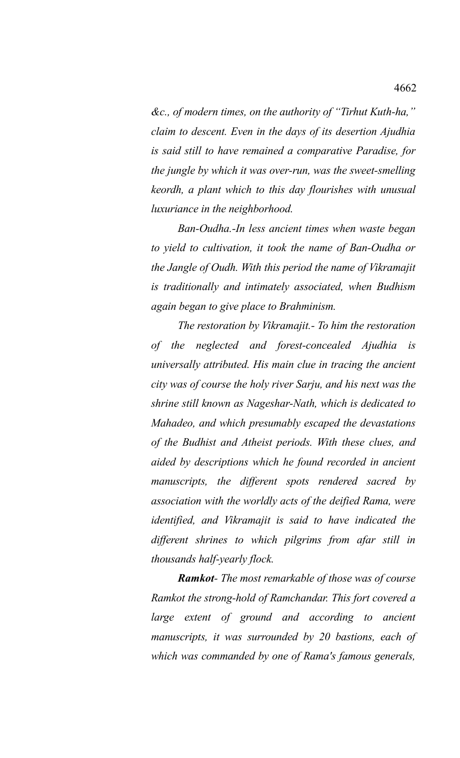*&c., of modern times, on the authority of "Tirhut Kuth-ha," claim to descent. Even in the days of its desertion Ajudhia is said still to have remained a comparative Paradise, for the jungle by which it was over-run, was the sweet-smelling keordh, a plant which to this day flourishes with unusual luxuriance in the neighborhood.* 

*Ban-Oudha.-In less ancient times when waste began to yield to cultivation, it took the name of Ban-Oudha or the Jangle of Oudh. With this period the name of Vikramajit is traditionally and intimately associated, when Budhism again began to give place to Brahminism.*

*The restoration by Vikramajit.- To him the restoration of the neglected and forest-concealed Ajudhia is universally attributed. His main clue in tracing the ancient city was of course the holy river Sarju, and his next was the shrine still known as Nageshar-Nath, which is dedicated to Mahadeo, and which presumably escaped the devastations of the Budhist and Atheist periods. With these clues, and aided by descriptions which he found recorded in ancient manuscripts, the different spots rendered sacred by association with the worldly acts of the deified Rama, were identified, and Vikramajit is said to have indicated the different shrines to which pilgrims from afar still in thousands half-yearly flock.* 

*Ramkot- The most remarkable of those was of course Ramkot the strong-hold of Ramchandar. This fort covered a large extent of ground and according to ancient manuscripts, it was surrounded by 20 bastions, each of which was commanded by one of Rama's famous generals,*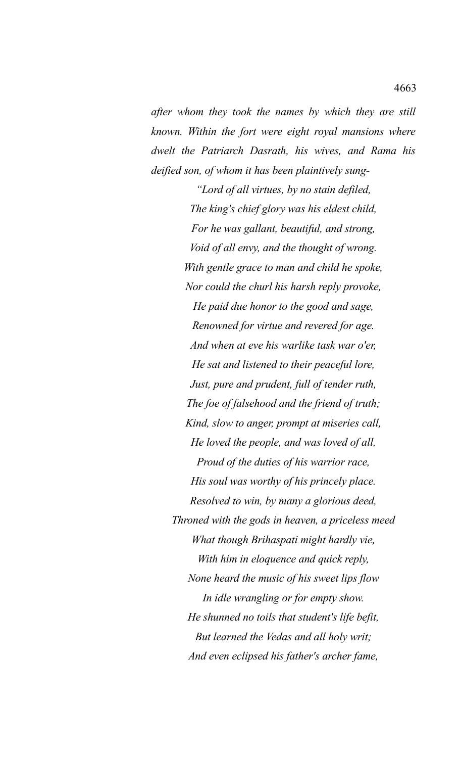*after whom they took the names by which they are still known. Within the fort were eight royal mansions where dwelt the Patriarch Dasrath, his wives, and Rama his deified son, of whom it has been plaintively sung-*

*"Lord of all virtues, by no stain defiled, The king's chief glory was his eldest child, For he was gallant, beautiful, and strong, Void of all envy, and the thought of wrong. With gentle grace to man and child he spoke, Nor could the churl his harsh reply provoke, He paid due honor to the good and sage, Renowned for virtue and revered for age. And when at eve his warlike task war o'er, He sat and listened to their peaceful lore, Just, pure and prudent, full of tender ruth, The foe of falsehood and the friend of truth; Kind, slow to anger, prompt at miseries call, He loved the people, and was loved of all, Proud of the duties of his warrior race, His soul was worthy of his princely place. Resolved to win, by many a glorious deed, Throned with the gods in heaven, a priceless meed What though Brihaspati might hardly vie, With him in eloquence and quick reply, None heard the music of his sweet lips flow In idle wrangling or for empty show. He shunned no toils that student's life befit, But learned the Vedas and all holy writ; And even eclipsed his father's archer fame,*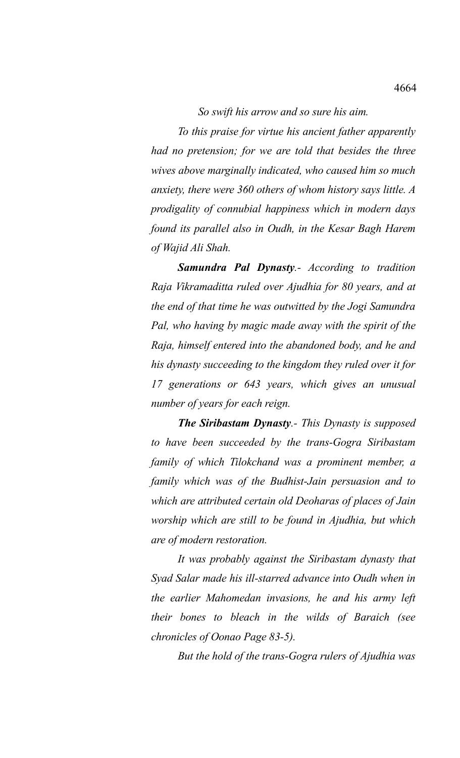*So swift his arrow and so sure his aim.*

*To this praise for virtue his ancient father apparently had no pretension; for we are told that besides the three wives above marginally indicated, who caused him so much anxiety, there were 360 others of whom history says little. A prodigality of connubial happiness which in modern days found its parallel also in Oudh, in the Kesar Bagh Harem of Wajid Ali Shah.*

*Samundra Pal Dynasty.- According to tradition Raja Vikramaditta ruled over Ajudhia for 80 years, and at the end of that time he was outwitted by the Jogi Samundra Pal, who having by magic made away with the spirit of the Raja, himself entered into the abandoned body, and he and his dynasty succeeding to the kingdom they ruled over it for 17 generations or 643 years, which gives an unusual number of years for each reign.* 

*The Siribastam Dynasty.- This Dynasty is supposed to have been succeeded by the trans-Gogra Siribastam family of which Tilokchand was a prominent member, a family which was of the Budhist-Jain persuasion and to which are attributed certain old Deoharas of places of Jain worship which are still to be found in Ajudhia, but which are of modern restoration.* 

*It was probably against the Siribastam dynasty that Syad Salar made his ill-starred advance into Oudh when in the earlier Mahomedan invasions, he and his army left their bones to bleach in the wilds of Baraich (see chronicles of Oonao Page 83-5).*

*But the hold of the trans-Gogra rulers of Ajudhia was*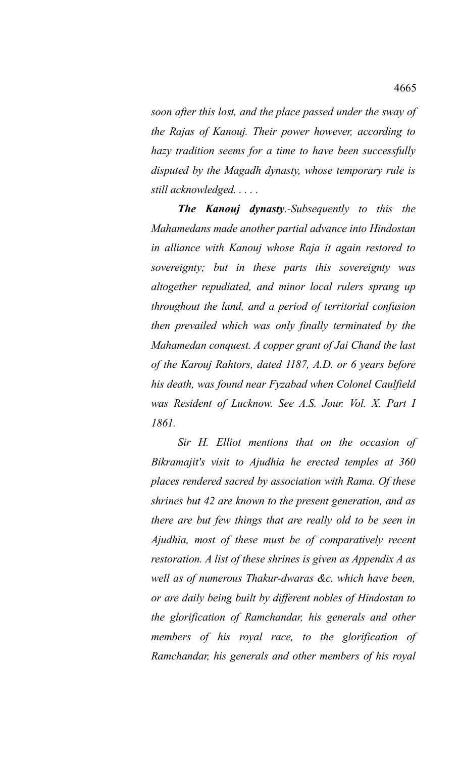*soon after this lost, and the place passed under the sway of the Rajas of Kanouj. Their power however, according to hazy tradition seems for a time to have been successfully disputed by the Magadh dynasty, whose temporary rule is still acknowledged. . . . .*

*The Kanouj dynasty.-Subsequently to this the Mahamedans made another partial advance into Hindostan in alliance with Kanouj whose Raja it again restored to sovereignty; but in these parts this sovereignty was altogether repudiated, and minor local rulers sprang up throughout the land, and a period of territorial confusion then prevailed which was only finally terminated by the Mahamedan conquest. A copper grant of Jai Chand the last of the Karouj Rahtors, dated 1187, A.D. or 6 years before his death, was found near Fyzabad when Colonel Caulfield was Resident of Lucknow. See A.S. Jour. Vol. X. Part I 1861.*

*Sir H. Elliot mentions that on the occasion of Bikramajit's visit to Ajudhia he erected temples at 360 places rendered sacred by association with Rama. Of these shrines but 42 are known to the present generation, and as there are but few things that are really old to be seen in Ajudhia, most of these must be of comparatively recent restoration. A list of these shrines is given as Appendix A as well as of numerous Thakur-dwaras &c. which have been, or are daily being built by different nobles of Hindostan to the glorification of Ramchandar, his generals and other members of his royal race, to the glorification of Ramchandar, his generals and other members of his royal*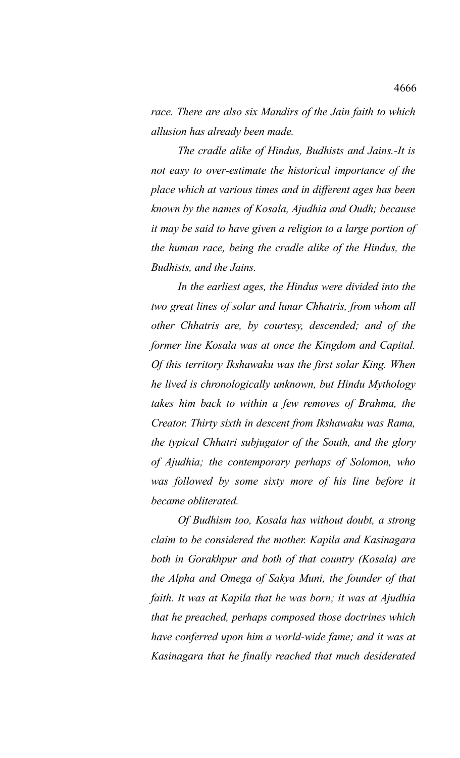*race. There are also six Mandirs of the Jain faith to which allusion has already been made.* 

*The cradle alike of Hindus, Budhists and Jains.-It is not easy to over-estimate the historical importance of the place which at various times and in different ages has been known by the names of Kosala, Ajudhia and Oudh; because it may be said to have given a religion to a large portion of the human race, being the cradle alike of the Hindus, the Budhists, and the Jains.* 

*In the earliest ages, the Hindus were divided into the two great lines of solar and lunar Chhatris, from whom all other Chhatris are, by courtesy, descended; and of the former line Kosala was at once the Kingdom and Capital. Of this territory Ikshawaku was the first solar King. When he lived is chronologically unknown, but Hindu Mythology takes him back to within a few removes of Brahma, the Creator. Thirty sixth in descent from Ikshawaku was Rama, the typical Chhatri subjugator of the South, and the glory of Ajudhia; the contemporary perhaps of Solomon, who was followed by some sixty more of his line before it became obliterated.* 

*Of Budhism too, Kosala has without doubt, a strong claim to be considered the mother. Kapila and Kasinagara both in Gorakhpur and both of that country (Kosala) are the Alpha and Omega of Sakya Muni, the founder of that faith. It was at Kapila that he was born; it was at Ajudhia that he preached, perhaps composed those doctrines which have conferred upon him a world-wide fame; and it was at Kasinagara that he finally reached that much desiderated*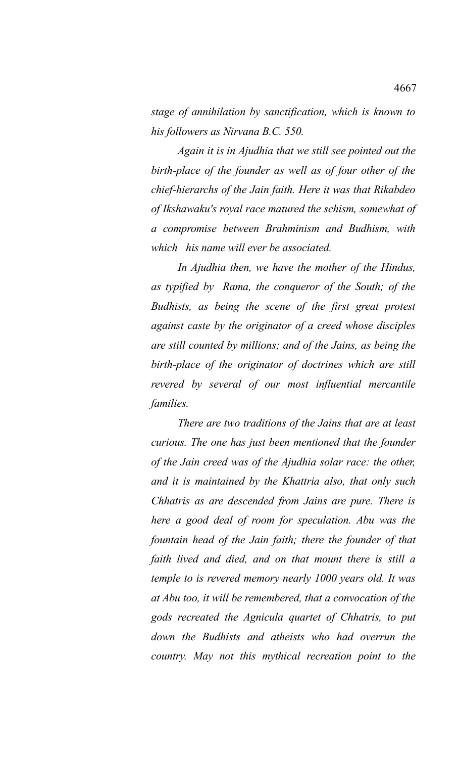*stage of annihilation by sanctification, which is known to his followers as Nirvana B.C. 550.* 

*Again it is in Ajudhia that we still see pointed out the birth-place of the founder as well as of four other of the chief-hierarchs of the Jain faith. Here it was that Rikabdeo of Ikshawaku's royal race matured the schism, somewhat of a compromise between Brahminism and Budhism, with which his name will ever be associated.* 

*In Ajudhia then, we have the mother of the Hindus, as typified by Rama, the conqueror of the South; of the Budhists, as being the scene of the first great protest against caste by the originator of a creed whose disciples are still counted by millions; and of the Jains, as being the birth-place of the originator of doctrines which are still revered by several of our most influential mercantile families.* 

*There are two traditions of the Jains that are at least curious. The one has just been mentioned that the founder of the Jain creed was of the Ajudhia solar race: the other, and it is maintained by the Khattria also, that only such Chhatris as are descended from Jains are pure. There is here a good deal of room for speculation. Abu was the fountain head of the Jain faith; there the founder of that faith lived and died, and on that mount there is still a temple to is revered memory nearly 1000 years old. It was at Abu too, it will be remembered, that a convocation of the gods recreated the Agnicula quartet of Chhatris, to put down the Budhists and atheists who had overrun the country. May not this mythical recreation point to the*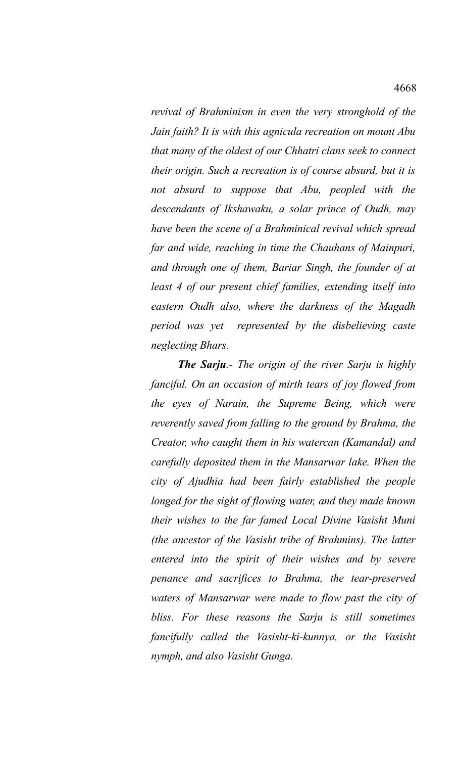*revival of Brahminism in even the very stronghold of the Jain faith? It is with this agnicula recreation on mount Abu that many of the oldest of our Chhatri clans seek to connect their origin. Such a recreation is of course absurd, but it is not absurd to suppose that Abu, peopled with the descendants of Ikshawaku, a solar prince of Oudh, may have been the scene of a Brahminical revival which spread far and wide, reaching in time the Chauhans of Mainpuri, and through one of them, Bariar Singh, the founder of at least 4 of our present chief families, extending itself into eastern Oudh also, where the darkness of the Magadh period was yet represented by the disbelieving caste neglecting Bhars.* 

*The Sarju.- The origin of the river Sarju is highly fanciful. On an occasion of mirth tears of joy flowed from the eyes of Narain, the Supreme Being, which were reverently saved from falling to the ground by Brahma, the Creator, who caught them in his watercan (Kamandal) and carefully deposited them in the Mansarwar lake. When the city of Ajudhia had been fairly established the people longed for the sight of flowing water, and they made known their wishes to the far famed Local Divine Vasisht Muni (the ancestor of the Vasisht tribe of Brahmins). The latter entered into the spirit of their wishes and by severe penance and sacrifices to Brahma, the tear-preserved waters of Mansarwar were made to flow past the city of bliss. For these reasons the Sarju is still sometimes fancifully called the Vasisht-ki-kunnya, or the Vasisht nymph, and also Vasisht Gunga.*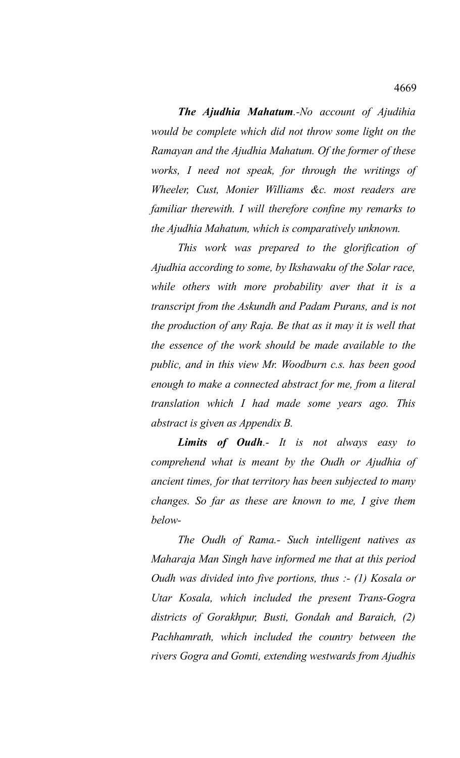*The Ajudhia Mahatum.-No account of Ajudihia would be complete which did not throw some light on the Ramayan and the Ajudhia Mahatum. Of the former of these works, I need not speak, for through the writings of Wheeler, Cust, Monier Williams &c. most readers are familiar therewith. I will therefore confine my remarks to the Ajudhia Mahatum, which is comparatively unknown.* 

*This work was prepared to the glorification of Ajudhia according to some, by Ikshawaku of the Solar race, while others with more probability aver that it is a transcript from the Askundh and Padam Purans, and is not the production of any Raja. Be that as it may it is well that the essence of the work should be made available to the public, and in this view Mr. Woodburn c.s. has been good enough to make a connected abstract for me, from a literal translation which I had made some years ago. This abstract is given as Appendix B.*

*Limits of Oudh.- It is not always easy to comprehend what is meant by the Oudh or Ajudhia of ancient times, for that territory has been subjected to many changes. So far as these are known to me, I give them below-*

*The Oudh of Rama.- Such intelligent natives as Maharaja Man Singh have informed me that at this period Oudh was divided into five portions, thus :- (1) Kosala or Utar Kosala, which included the present Trans-Gogra districts of Gorakhpur, Busti, Gondah and Baraich, (2) Pachhamrath, which included the country between the rivers Gogra and Gomti, extending westwards from Ajudhis*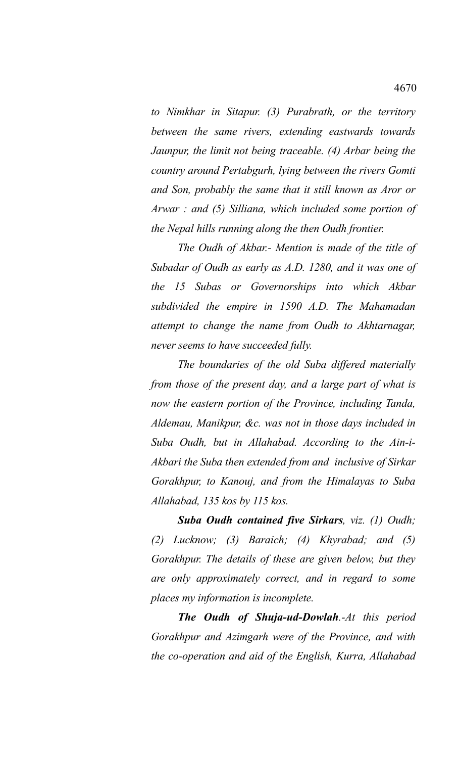*to Nimkhar in Sitapur. (3) Purabrath, or the territory between the same rivers, extending eastwards towards Jaunpur, the limit not being traceable. (4) Arbar being the country around Pertabgurh, lying between the rivers Gomti and Son, probably the same that it still known as Aror or Arwar : and (5) Silliana, which included some portion of the Nepal hills running along the then Oudh frontier.*

*The Oudh of Akbar.- Mention is made of the title of Subadar of Oudh as early as A.D. 1280, and it was one of the 15 Subas or Governorships into which Akbar subdivided the empire in 1590 A.D. The Mahamadan attempt to change the name from Oudh to Akhtarnagar, never seems to have succeeded fully.* 

*The boundaries of the old Suba differed materially from those of the present day, and a large part of what is now the eastern portion of the Province, including Tanda, Aldemau, Manikpur, &c. was not in those days included in Suba Oudh, but in Allahabad. According to the Ain-i-Akbari the Suba then extended from and inclusive of Sirkar Gorakhpur, to Kanouj, and from the Himalayas to Suba Allahabad, 135 kos by 115 kos.* 

*Suba Oudh contained five Sirkars, viz. (1) Oudh; (2) Lucknow; (3) Baraich; (4) Khyrabad; and (5) Gorakhpur. The details of these are given below, but they are only approximately correct, and in regard to some places my information is incomplete.* 

*The Oudh of Shuja-ud-Dowlah.-At this period Gorakhpur and Azimgarh were of the Province, and with the co-operation and aid of the English, Kurra, Allahabad*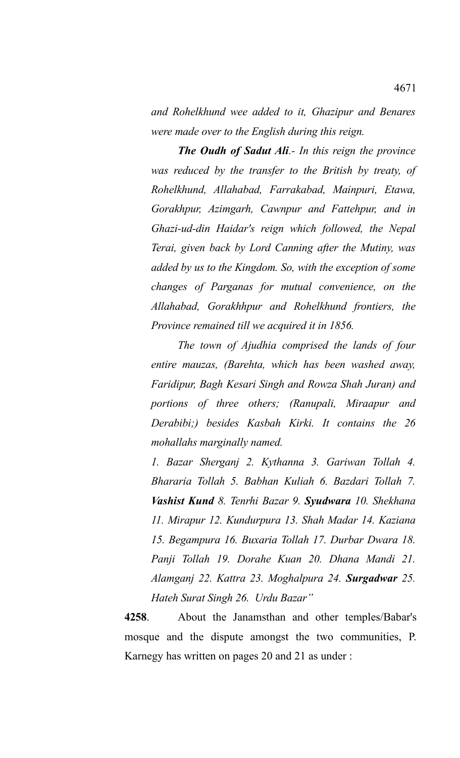*and Rohelkhund wee added to it, Ghazipur and Benares were made over to the English during this reign.* 

*The Oudh of Sadut Ali.- In this reign the province was reduced by the transfer to the British by treaty, of Rohelkhund, Allahabad, Farrakabad, Mainpuri, Etawa, Gorakhpur, Azimgarh, Cawnpur and Fattehpur, and in Ghazi-ud-din Haidar's reign which followed, the Nepal Terai, given back by Lord Canning after the Mutiny, was added by us to the Kingdom. So, with the exception of some changes of Parganas for mutual convenience, on the Allahabad, Gorakhhpur and Rohelkhund frontiers, the Province remained till we acquired it in 1856.* 

*The town of Ajudhia comprised the lands of four entire mauzas, (Barehta, which has been washed away, Faridipur, Bagh Kesari Singh and Rowza Shah Juran) and portions of three others; (Ranupali, Miraapur and Derabibi;) besides Kasbah Kirki. It contains the 26 mohallahs marginally named.*

*1. Bazar Sherganj 2. Kythanna 3. Gariwan Tollah 4. Bhararia Tollah 5. Babhan Kuliah 6. Bazdari Tollah 7. Vashist Kund 8. Tenrhi Bazar 9. Syudwara 10. Shekhana 11. Mirapur 12. Kundurpura 13. Shah Madar 14. Kaziana 15. Begampura 16. Buxaria Tollah 17. Durbar Dwara 18. Panji Tollah 19. Dorahe Kuan 20. Dhana Mandi 21. Alamganj 22. Kattra 23. Moghalpura 24. Surgadwar 25. Hateh Surat Singh 26. Urdu Bazar"*

**4258**. About the Janamsthan and other temples/Babar's mosque and the dispute amongst the two communities, P. Karnegy has written on pages 20 and 21 as under :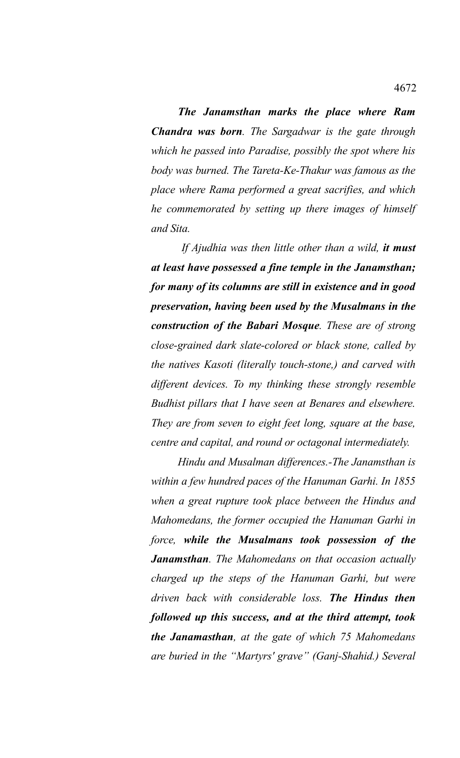*The Janamsthan marks the place where Ram Chandra was born. The Sargadwar is the gate through which he passed into Paradise, possibly the spot where his body was burned. The Tareta-Ke-Thakur was famous as the place where Rama performed a great sacrifies, and which he commemorated by setting up there images of himself and Sita.* 

 *If Ajudhia was then little other than a wild, it must at least have possessed a fine temple in the Janamsthan; for many of its columns are still in existence and in good preservation, having been used by the Musalmans in the construction of the Babari Mosque. These are of strong close-grained dark slate-colored or black stone, called by the natives Kasoti (literally touch-stone,) and carved with different devices. To my thinking these strongly resemble Budhist pillars that I have seen at Benares and elsewhere. They are from seven to eight feet long, square at the base, centre and capital, and round or octagonal intermediately.* 

*Hindu and Musalman differences.-The Janamsthan is within a few hundred paces of the Hanuman Garhi. In 1855 when a great rupture took place between the Hindus and Mahomedans, the former occupied the Hanuman Garhi in force, while the Musalmans took possession of the Janamsthan. The Mahomedans on that occasion actually charged up the steps of the Hanuman Garhi, but were driven back with considerable loss. The Hindus then followed up this success, and at the third attempt, took the Janamasthan, at the gate of which 75 Mahomedans are buried in the "Martyrs' grave" (Ganj-Shahid.) Several*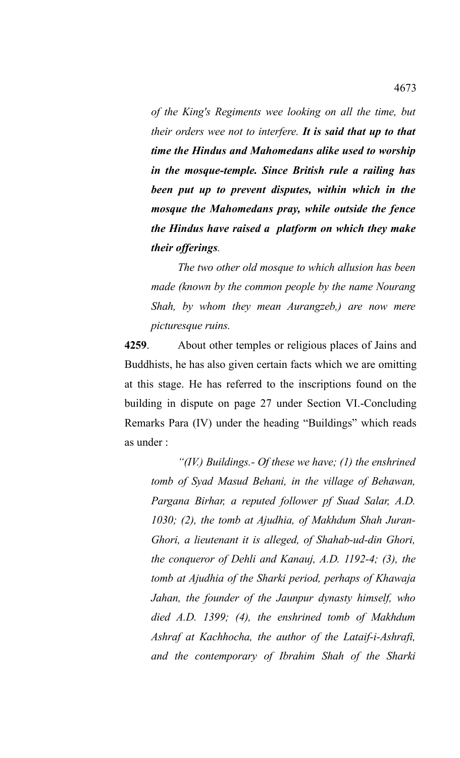*of the King's Regiments wee looking on all the time, but their orders wee not to interfere. It is said that up to that time the Hindus and Mahomedans alike used to worship in the mosque-temple. Since British rule a railing has been put up to prevent disputes, within which in the mosque the Mahomedans pray, while outside the fence the Hindus have raised a platform on which they make their offerings.* 

*The two other old mosque to which allusion has been made (known by the common people by the name Nourang Shah, by whom they mean Aurangzeb,) are now mere picturesque ruins.* 

**4259**. About other temples or religious places of Jains and Buddhists, he has also given certain facts which we are omitting at this stage. He has referred to the inscriptions found on the building in dispute on page 27 under Section VI.-Concluding Remarks Para (IV) under the heading "Buildings" which reads as under :

*"(IV.) Buildings.- Of these we have; (1) the enshrined tomb of Syad Masud Behani, in the village of Behawan, Pargana Birhar, a reputed follower pf Suad Salar, A.D. 1030; (2), the tomb at Ajudhia, of Makhdum Shah Juran-Ghori, a lieutenant it is alleged, of Shahab-ud-din Ghori, the conqueror of Dehli and Kanauj, A.D. 1192-4; (3), the tomb at Ajudhia of the Sharki period, perhaps of Khawaja Jahan, the founder of the Jaunpur dynasty himself, who died A.D. 1399; (4), the enshrined tomb of Makhdum Ashraf at Kachhocha, the author of the Lataif-i-Ashrafi, and the contemporary of Ibrahim Shah of the Sharki*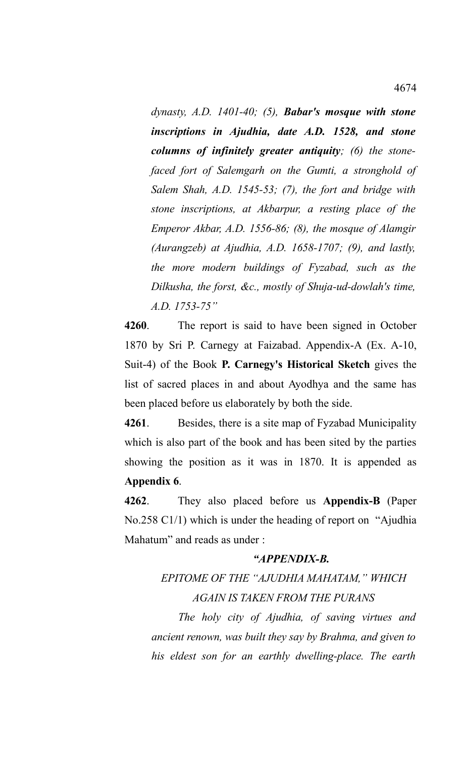*dynasty, A.D. 1401-40; (5), Babar's mosque with stone inscriptions in Ajudhia, date A.D. 1528, and stone columns of infinitely greater antiquity; (6) the stonefaced fort of Salemgarh on the Gumti, a stronghold of Salem Shah, A.D. 1545-53; (7), the fort and bridge with stone inscriptions, at Akbarpur, a resting place of the Emperor Akbar, A.D. 1556-86; (8), the mosque of Alamgir (Aurangzeb) at Ajudhia, A.D. 1658-1707; (9), and lastly, the more modern buildings of Fyzabad, such as the Dilkusha, the forst, &c., mostly of Shuja-ud-dowlah's time, A.D. 1753-75"*

**4260**. The report is said to have been signed in October 1870 by Sri P. Carnegy at Faizabad. Appendix-A (Ex. A-10, Suit-4) of the Book **P. Carnegy's Historical Sketch** gives the list of sacred places in and about Ayodhya and the same has been placed before us elaborately by both the side.

**4261**. Besides, there is a site map of Fyzabad Municipality which is also part of the book and has been sited by the parties showing the position as it was in 1870. It is appended as **Appendix 6**.

**4262**. They also placed before us **Appendix-B** (Paper No.258 C1/1) which is under the heading of report on "Ajudhia Mahatum" and reads as under :

## *"APPENDIX-B.*

## *EPITOME OF THE "AJUDHIA MAHATAM," WHICH AGAIN IS TAKEN FROM THE PURANS*

*The holy city of Ajudhia, of saving virtues and ancient renown, was built they say by Brahma, and given to his eldest son for an earthly dwelling-place. The earth*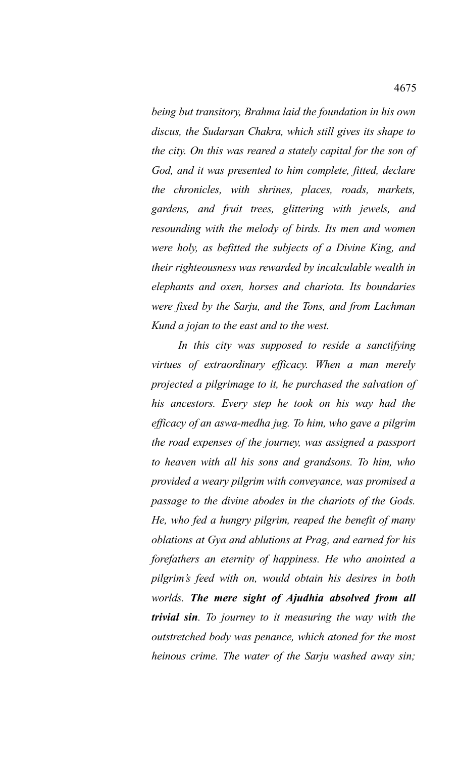*being but transitory, Brahma laid the foundation in his own discus, the Sudarsan Chakra, which still gives its shape to the city. On this was reared a stately capital for the son of God, and it was presented to him complete, fitted, declare the chronicles, with shrines, places, roads, markets, gardens, and fruit trees, glittering with jewels, and resounding with the melody of birds. Its men and women were holy, as befitted the subjects of a Divine King, and their righteousness was rewarded by incalculable wealth in elephants and oxen, horses and chariota. Its boundaries were fixed by the Sarju, and the Tons, and from Lachman Kund a jojan to the east and to the west.*

*In this city was supposed to reside a sanctifying virtues of extraordinary efficacy. When a man merely projected a pilgrimage to it, he purchased the salvation of his ancestors. Every step he took on his way had the efficacy of an aswa-medha jug. To him, who gave a pilgrim the road expenses of the journey, was assigned a passport to heaven with all his sons and grandsons. To him, who provided a weary pilgrim with conveyance, was promised a passage to the divine abodes in the chariots of the Gods. He, who fed a hungry pilgrim, reaped the benefit of many oblations at Gya and ablutions at Prag, and earned for his forefathers an eternity of happiness. He who anointed a pilgrim's feed with on, would obtain his desires in both worlds. The mere sight of Ajudhia absolved from all trivial sin. To journey to it measuring the way with the outstretched body was penance, which atoned for the most heinous crime. The water of the Sarju washed away sin;*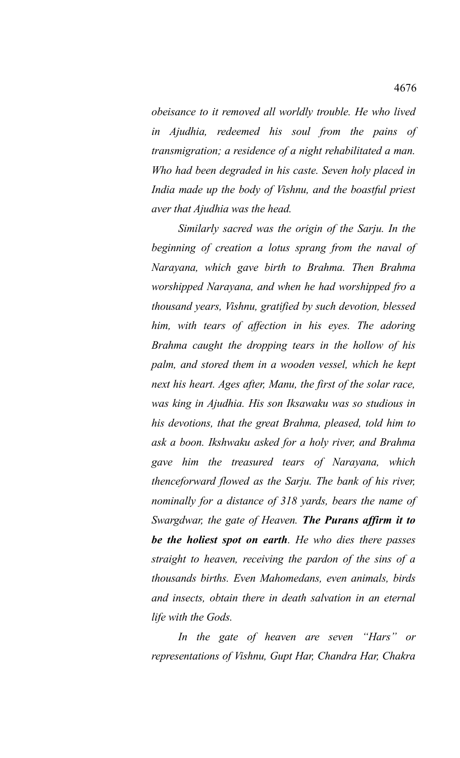*obeisance to it removed all worldly trouble. He who lived in Ajudhia, redeemed his soul from the pains of transmigration; a residence of a night rehabilitated a man. Who had been degraded in his caste. Seven holy placed in India made up the body of Vishnu, and the boastful priest aver that Ajudhia was the head.* 

*Similarly sacred was the origin of the Sarju. In the beginning of creation a lotus sprang from the naval of Narayana, which gave birth to Brahma. Then Brahma worshipped Narayana, and when he had worshipped fro a thousand years, Vishnu, gratified by such devotion, blessed him, with tears of affection in his eyes. The adoring Brahma caught the dropping tears in the hollow of his palm, and stored them in a wooden vessel, which he kept next his heart. Ages after, Manu, the first of the solar race, was king in Ajudhia. His son Iksawaku was so studious in his devotions, that the great Brahma, pleased, told him to ask a boon. Ikshwaku asked for a holy river, and Brahma gave him the treasured tears of Narayana, which thenceforward flowed as the Sarju. The bank of his river, nominally for a distance of 318 yards, bears the name of Swargdwar, the gate of Heaven. The Purans affirm it to be the holiest spot on earth. He who dies there passes straight to heaven, receiving the pardon of the sins of a thousands births. Even Mahomedans, even animals, birds and insects, obtain there in death salvation in an eternal life with the Gods.* 

*In the gate of heaven are seven "Hars" or representations of Vishnu, Gupt Har, Chandra Har, Chakra*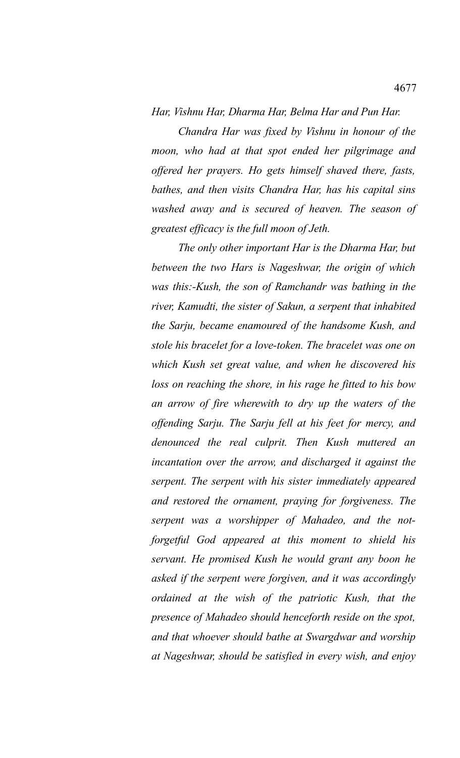*Har, Vishnu Har, Dharma Har, Belma Har and Pun Har.* 

*Chandra Har was fixed by Vishnu in honour of the moon, who had at that spot ended her pilgrimage and offered her prayers. Ho gets himself shaved there, fasts, bathes, and then visits Chandra Har, has his capital sins washed away and is secured of heaven. The season of greatest efficacy is the full moon of Jeth.* 

*The only other important Har is the Dharma Har, but between the two Hars is Nageshwar, the origin of which was this:-Kush, the son of Ramchandr was bathing in the river, Kamudti, the sister of Sakun, a serpent that inhabited the Sarju, became enamoured of the handsome Kush, and stole his bracelet for a love-token. The bracelet was one on which Kush set great value, and when he discovered his loss on reaching the shore, in his rage he fitted to his bow an arrow of fire wherewith to dry up the waters of the offending Sarju. The Sarju fell at his feet for mercy, and denounced the real culprit. Then Kush muttered an incantation over the arrow, and discharged it against the serpent. The serpent with his sister immediately appeared and restored the ornament, praying for forgiveness. The serpent was a worshipper of Mahadeo, and the notforgetful God appeared at this moment to shield his servant. He promised Kush he would grant any boon he asked if the serpent were forgiven, and it was accordingly ordained at the wish of the patriotic Kush, that the presence of Mahadeo should henceforth reside on the spot, and that whoever should bathe at Swargdwar and worship at Nageshwar, should be satisfied in every wish, and enjoy*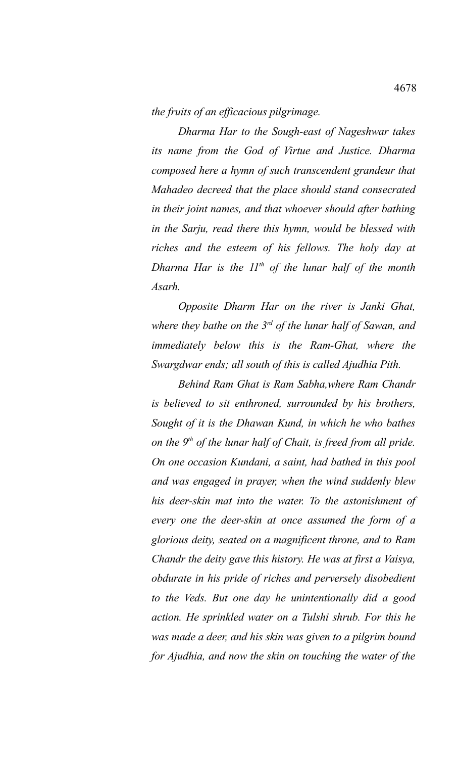*the fruits of an efficacious pilgrimage.* 

*Dharma Har to the Sough-east of Nageshwar takes its name from the God of Virtue and Justice. Dharma composed here a hymn of such transcendent grandeur that Mahadeo decreed that the place should stand consecrated in their joint names, and that whoever should after bathing in the Sarju, read there this hymn, would be blessed with riches and the esteem of his fellows. The holy day at Dharma Har is the 11th of the lunar half of the month Asarh.* 

*Opposite Dharm Har on the river is Janki Ghat, where they bathe on the 3rd of the lunar half of Sawan, and immediately below this is the Ram-Ghat, where the Swargdwar ends; all south of this is called Ajudhia Pith.*

*Behind Ram Ghat is Ram Sabha,where Ram Chandr is believed to sit enthroned, surrounded by his brothers, Sought of it is the Dhawan Kund, in which he who bathes on the 9th of the lunar half of Chait, is freed from all pride. On one occasion Kundani, a saint, had bathed in this pool and was engaged in prayer, when the wind suddenly blew his deer-skin mat into the water. To the astonishment of every one the deer-skin at once assumed the form of a glorious deity, seated on a magnificent throne, and to Ram Chandr the deity gave this history. He was at first a Vaisya, obdurate in his pride of riches and perversely disobedient to the Veds. But one day he unintentionally did a good action. He sprinkled water on a Tulshi shrub. For this he was made a deer, and his skin was given to a pilgrim bound for Ajudhia, and now the skin on touching the water of the*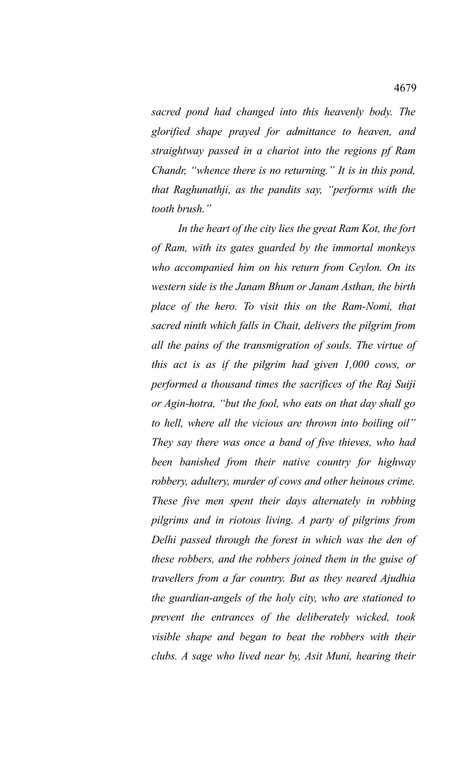*sacred pond had changed into this heavenly body. The glorified shape prayed for admittance to heaven, and straightway passed in a chariot into the regions pf Ram Chandr, "whence there is no returning." It is in this pond, that Raghunathji, as the pandits say, "performs with the tooth brush."*

*In the heart of the city lies the great Ram Kot, the fort of Ram, with its gates guarded by the immortal monkeys who accompanied him on his return from Ceylon. On its western side is the Janam Bhum or Janam Asthan, the birth place of the hero. To visit this on the Ram-Nomi, that sacred ninth which falls in Chait, delivers the pilgrim from all the pains of the transmigration of souls. The virtue of this act is as if the pilgrim had given 1,000 cows, or performed a thousand times the sacrifices of the Raj Suiji or Agin-hotra, "but the fool, who eats on that day shall go to hell, where all the vicious are thrown into boiling oil" They say there was once a band of five thieves, who had been banished from their native country for highway robbery, adultery, murder of cows and other heinous crime. These five men spent their days alternately in robbing pilgrims and in riotous living. A party of pilgrims from Delhi passed through the forest in which was the den of these robbers, and the robbers joined them in the guise of travellers from a far country. But as they neared Ajudhia the guardian-angels of the holy city, who are stationed to prevent the entrances of the deliberately wicked, took visible shape and began to beat the robbers with their clubs. A sage who lived near by, Asit Muni, hearing their*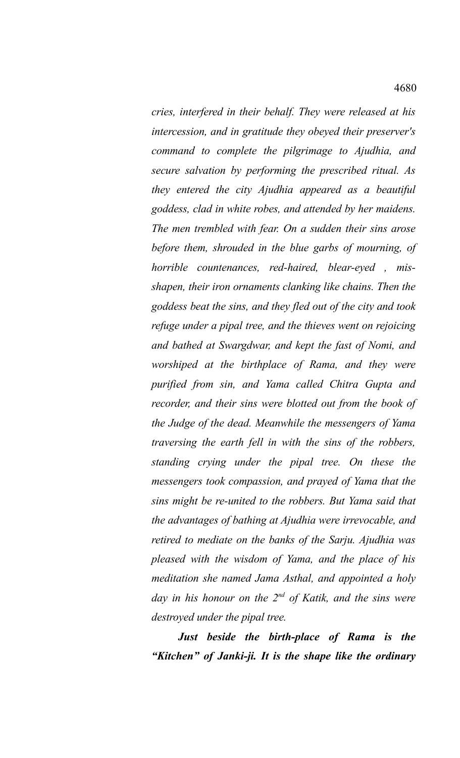*cries, interfered in their behalf. They were released at his intercession, and in gratitude they obeyed their preserver's command to complete the pilgrimage to Ajudhia, and secure salvation by performing the prescribed ritual. As they entered the city Ajudhia appeared as a beautiful goddess, clad in white robes, and attended by her maidens. The men trembled with fear. On a sudden their sins arose before them, shrouded in the blue garbs of mourning, of horrible countenances, red-haired, blear-eyed , misshapen, their iron ornaments clanking like chains. Then the goddess beat the sins, and they fled out of the city and took refuge under a pipal tree, and the thieves went on rejoicing and bathed at Swargdwar, and kept the fast of Nomi, and worshiped at the birthplace of Rama, and they were purified from sin, and Yama called Chitra Gupta and recorder, and their sins were blotted out from the book of the Judge of the dead. Meanwhile the messengers of Yama traversing the earth fell in with the sins of the robbers, standing crying under the pipal tree. On these the messengers took compassion, and prayed of Yama that the sins might be re-united to the robbers. But Yama said that the advantages of bathing at Ajudhia were irrevocable, and retired to mediate on the banks of the Sarju. Ajudhia was pleased with the wisdom of Yama, and the place of his meditation she named Jama Asthal, and appointed a holy day in his honour on the 2nd of Katik, and the sins were destroyed under the pipal tree.* 

*Just beside the birth-place of Rama is the "Kitchen" of Janki-ji. It is the shape like the ordinary*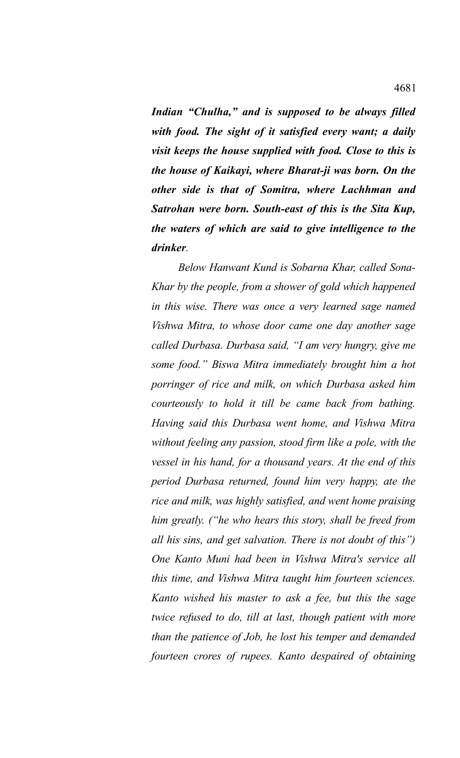*Indian "Chulha," and is supposed to be always filled with food. The sight of it satisfied every want; a daily visit keeps the house supplied with food. Close to this is the house of Kaikayi, where Bharat-ji was born. On the other side is that of Somitra, where Lachhman and Satrohan were born. South-east of this is the Sita Kup, the waters of which are said to give intelligence to the drinker.* 

*Below Hanwant Kund is Sobarna Khar, called Sona-Khar by the people, from a shower of gold which happened in this wise. There was once a very learned sage named Vishwa Mitra, to whose door came one day another sage called Durbasa. Durbasa said, "I am very hungry, give me some food." Biswa Mitra immediately brought him a hot porringer of rice and milk, on which Durbasa asked him courteously to hold it till be came back from bathing. Having said this Durbasa went home, and Vishwa Mitra without feeling any passion, stood firm like a pole, with the vessel in his hand, for a thousand years. At the end of this period Durbasa returned, found him very happy, ate the rice and milk, was highly satisfied, and went home praising him greatly. ("he who hears this story, shall be freed from all his sins, and get salvation. There is not doubt of this") One Kanto Muni had been in Vishwa Mitra's service all this time, and Vishwa Mitra taught him fourteen sciences. Kanto wished his master to ask a fee, but this the sage twice refused to do, till at last, though patient with more than the patience of Job, he lost his temper and demanded fourteen crores of rupees. Kanto despaired of obtaining*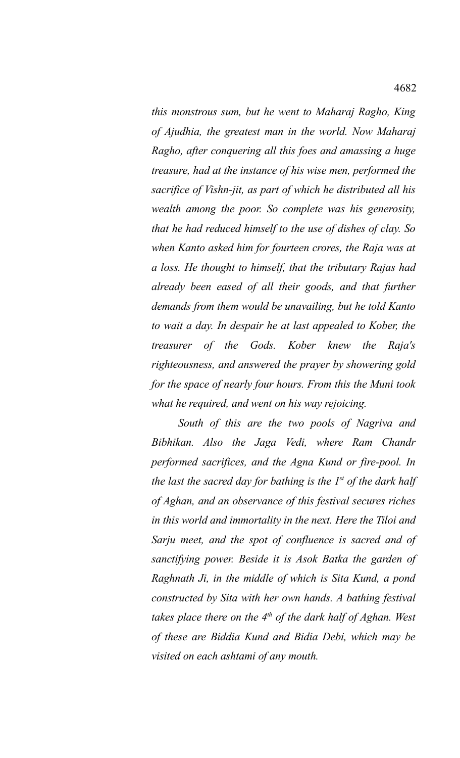*this monstrous sum, but he went to Maharaj Ragho, King of Ajudhia, the greatest man in the world. Now Maharaj Ragho, after conquering all this foes and amassing a huge treasure, had at the instance of his wise men, performed the sacrifice of Vishn-jit, as part of which he distributed all his wealth among the poor. So complete was his generosity, that he had reduced himself to the use of dishes of clay. So when Kanto asked him for fourteen crores, the Raja was at a loss. He thought to himself, that the tributary Rajas had already been eased of all their goods, and that further demands from them would be unavailing, but he told Kanto to wait a day. In despair he at last appealed to Kober, the treasurer of the Gods. Kober knew the Raja's righteousness, and answered the prayer by showering gold for the space of nearly four hours. From this the Muni took what he required, and went on his way rejoicing.* 

*South of this are the two pools of Nagriva and Bibhikan. Also the Jaga Vedi, where Ram Chandr performed sacrifices, and the Agna Kund or fire-pool. In the last the sacred day for bathing is the 1st of the dark half of Aghan, and an observance of this festival secures riches in this world and immortality in the next. Here the Tiloi and Sarju meet, and the spot of confluence is sacred and of sanctifying power. Beside it is Asok Batka the garden of Raghnath Ji, in the middle of which is Sita Kund, a pond constructed by Sita with her own hands. A bathing festival takes place there on the 4th of the dark half of Aghan. West of these are Biddia Kund and Bidia Debi, which may be visited on each ashtami of any mouth.*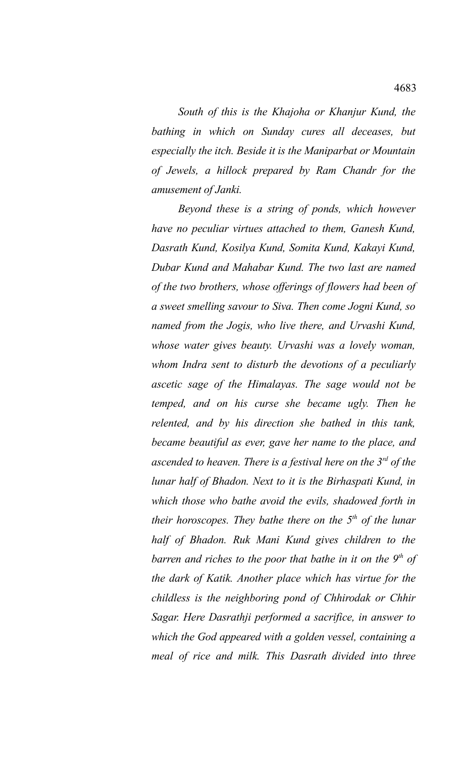*South of this is the Khajoha or Khanjur Kund, the bathing in which on Sunday cures all deceases, but especially the itch. Beside it is the Maniparbat or Mountain of Jewels, a hillock prepared by Ram Chandr for the amusement of Janki.* 

*Beyond these is a string of ponds, which however have no peculiar virtues attached to them, Ganesh Kund, Dasrath Kund, Kosilya Kund, Somita Kund, Kakayi Kund, Dubar Kund and Mahabar Kund. The two last are named of the two brothers, whose offerings of flowers had been of a sweet smelling savour to Siva. Then come Jogni Kund, so named from the Jogis, who live there, and Urvashi Kund, whose water gives beauty. Urvashi was a lovely woman, whom Indra sent to disturb the devotions of a peculiarly ascetic sage of the Himalayas. The sage would not be temped, and on his curse she became ugly. Then he relented, and by his direction she bathed in this tank, became beautiful as ever, gave her name to the place, and ascended to heaven. There is a festival here on the 3rd of the lunar half of Bhadon. Next to it is the Birhaspati Kund, in which those who bathe avoid the evils, shadowed forth in their horoscopes. They bathe there on the 5th of the lunar half of Bhadon. Ruk Mani Kund gives children to the barren and riches to the poor that bathe in it on the 9th of the dark of Katik. Another place which has virtue for the childless is the neighboring pond of Chhirodak or Chhir Sagar. Here Dasrathji performed a sacrifice, in answer to which the God appeared with a golden vessel, containing a meal of rice and milk. This Dasrath divided into three*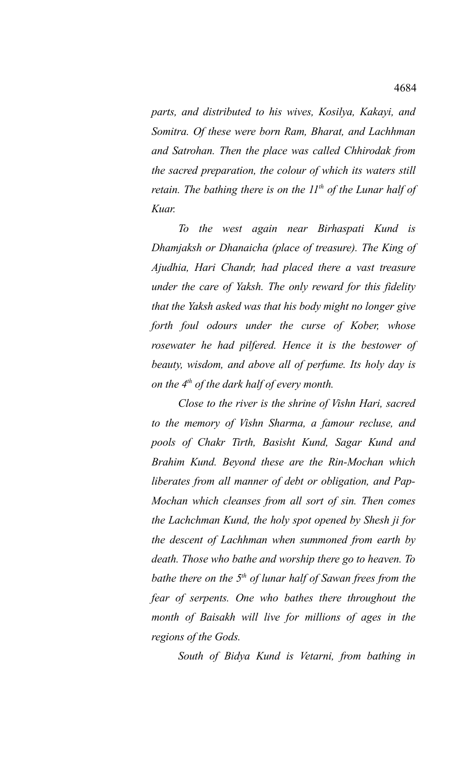*parts, and distributed to his wives, Kosilya, Kakayi, and Somitra. Of these were born Ram, Bharat, and Lachhman and Satrohan. Then the place was called Chhirodak from the sacred preparation, the colour of which its waters still retain. The bathing there is on the 11th of the Lunar half of Kuar.* 

*To the west again near Birhaspati Kund is Dhamjaksh or Dhanaicha (place of treasure). The King of Ajudhia, Hari Chandr, had placed there a vast treasure under the care of Yaksh. The only reward for this fidelity that the Yaksh asked was that his body might no longer give forth foul odours under the curse of Kober, whose rosewater he had pilfered. Hence it is the bestower of beauty, wisdom, and above all of perfume. Its holy day is on the 4th of the dark half of every month.* 

*Close to the river is the shrine of Vishn Hari, sacred to the memory of Vishn Sharma, a famour recluse, and pools of Chakr Tirth, Basisht Kund, Sagar Kund and Brahim Kund. Beyond these are the Rin-Mochan which liberates from all manner of debt or obligation, and Pap-Mochan which cleanses from all sort of sin. Then comes the Lachchman Kund, the holy spot opened by Shesh ji for the descent of Lachhman when summoned from earth by death. Those who bathe and worship there go to heaven. To bathe there on the 5th of lunar half of Sawan frees from the fear of serpents. One who bathes there throughout the month of Baisakh will live for millions of ages in the regions of the Gods.* 

*South of Bidya Kund is Vetarni, from bathing in*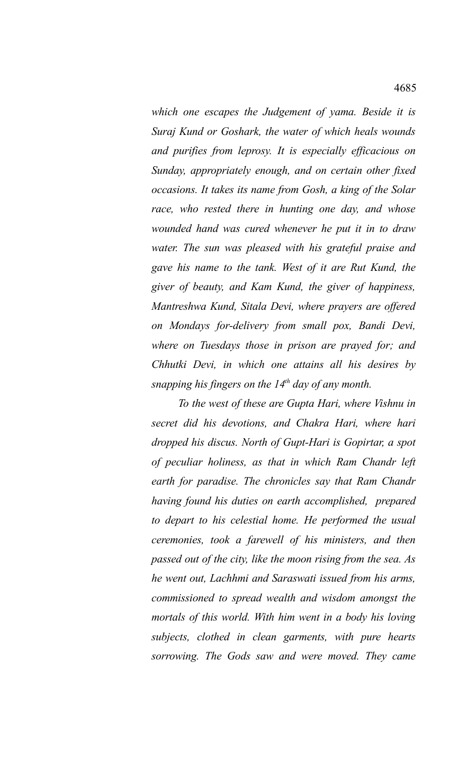*which one escapes the Judgement of yama. Beside it is Suraj Kund or Goshark, the water of which heals wounds and purifies from leprosy. It is especially efficacious on Sunday, appropriately enough, and on certain other fixed occasions. It takes its name from Gosh, a king of the Solar race, who rested there in hunting one day, and whose wounded hand was cured whenever he put it in to draw water. The sun was pleased with his grateful praise and gave his name to the tank. West of it are Rut Kund, the giver of beauty, and Kam Kund, the giver of happiness, Mantreshwa Kund, Sitala Devi, where prayers are offered on Mondays for-delivery from small pox, Bandi Devi, where on Tuesdays those in prison are prayed for; and Chhutki Devi, in which one attains all his desires by snapping his fingers on the 14th day of any month.* 

*To the west of these are Gupta Hari, where Vishnu in secret did his devotions, and Chakra Hari, where hari dropped his discus. North of Gupt-Hari is Gopirtar, a spot of peculiar holiness, as that in which Ram Chandr left earth for paradise. The chronicles say that Ram Chandr having found his duties on earth accomplished, prepared to depart to his celestial home. He performed the usual ceremonies, took a farewell of his ministers, and then passed out of the city, like the moon rising from the sea. As he went out, Lachhmi and Saraswati issued from his arms, commissioned to spread wealth and wisdom amongst the mortals of this world. With him went in a body his loving subjects, clothed in clean garments, with pure hearts sorrowing. The Gods saw and were moved. They came*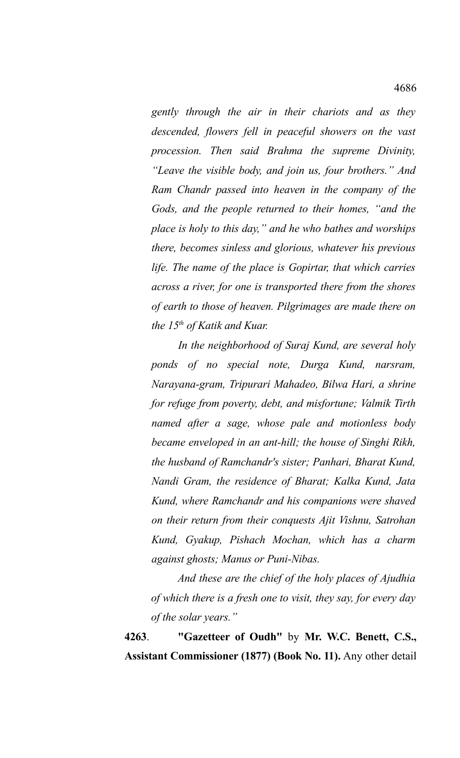*gently through the air in their chariots and as they descended, flowers fell in peaceful showers on the vast procession. Then said Brahma the supreme Divinity, "Leave the visible body, and join us, four brothers." And Ram Chandr passed into heaven in the company of the Gods, and the people returned to their homes, "and the place is holy to this day," and he who bathes and worships there, becomes sinless and glorious, whatever his previous life. The name of the place is Gopirtar, that which carries across a river, for one is transported there from the shores of earth to those of heaven. Pilgrimages are made there on the 15th of Katik and Kuar.* 

*In the neighborhood of Suraj Kund, are several holy ponds of no special note, Durga Kund, narsram, Narayana-gram, Tripurari Mahadeo, Bilwa Hari, a shrine for refuge from poverty, debt, and misfortune; Valmik Tirth named after a sage, whose pale and motionless body became enveloped in an ant-hill; the house of Singhi Rikh, the husband of Ramchandr's sister; Panhari, Bharat Kund, Nandi Gram, the residence of Bharat; Kalka Kund, Jata Kund, where Ramchandr and his companions were shaved on their return from their conquests Ajit Vishnu, Satrohan Kund, Gyakup, Pishach Mochan, which has a charm against ghosts; Manus or Puni-Nibas.* 

*And these are the chief of the holy places of Ajudhia of which there is a fresh one to visit, they say, for every day of the solar years."* 

**4263**. **"Gazetteer of Oudh"** by **Mr. W.C. Benett, C.S., Assistant Commissioner (1877) (Book No. 11).** Any other detail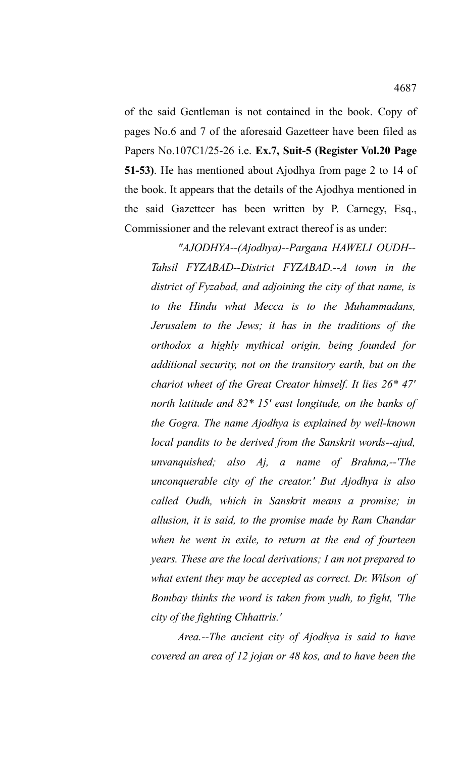of the said Gentleman is not contained in the book. Copy of pages No.6 and 7 of the aforesaid Gazetteer have been filed as Papers No.107C1/25-26 i.e. **Ex.7, Suit-5 (Register Vol.20 Page 51-53)**. He has mentioned about Ajodhya from page 2 to 14 of the book. It appears that the details of the Ajodhya mentioned in the said Gazetteer has been written by P. Carnegy, Esq., Commissioner and the relevant extract thereof is as under:

*"AJODHYA--(Ajodhya)--Pargana HAWELI OUDH-- Tahsil FYZABAD--District FYZABAD.--A town in the district of Fyzabad, and adjoining the city of that name, is to the Hindu what Mecca is to the Muhammadans, Jerusalem to the Jews; it has in the traditions of the orthodox a highly mythical origin, being founded for additional security, not on the transitory earth, but on the chariot wheet of the Great Creator himself. It lies 26\* 47' north latitude and 82\* 15' east longitude, on the banks of the Gogra. The name Ajodhya is explained by well-known local pandits to be derived from the Sanskrit words--ajud, unvanquished; also Aj, a name of Brahma,--'The unconquerable city of the creator.' But Ajodhya is also called Oudh, which in Sanskrit means a promise; in allusion, it is said, to the promise made by Ram Chandar when he went in exile, to return at the end of fourteen years. These are the local derivations; I am not prepared to what extent they may be accepted as correct. Dr. Wilson of Bombay thinks the word is taken from yudh, to fight, 'The city of the fighting Chhattris.'*

*Area.--The ancient city of Ajodhya is said to have covered an area of 12 jojan or 48 kos, and to have been the*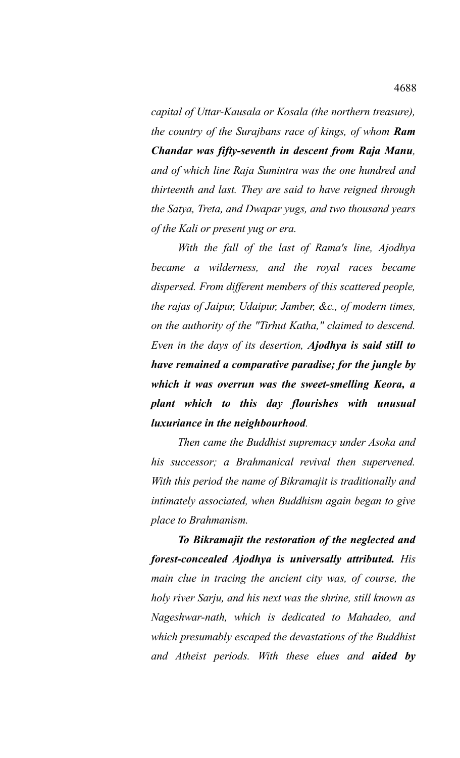*capital of Uttar-Kausala or Kosala (the northern treasure), the country of the Surajbans race of kings, of whom Ram Chandar was fifty-seventh in descent from Raja Manu, and of which line Raja Sumintra was the one hundred and thirteenth and last. They are said to have reigned through the Satya, Treta, and Dwapar yugs, and two thousand years of the Kali or present yug or era.* 

*With the fall of the last of Rama's line, Ajodhya became a wilderness, and the royal races became dispersed. From different members of this scattered people, the rajas of Jaipur, Udaipur, Jamber, &c., of modern times, on the authority of the "Tirhut Katha," claimed to descend. Even in the days of its desertion, Ajodhya is said still to have remained a comparative paradise; for the jungle by which it was overrun was the sweet-smelling Keora, a plant which to this day flourishes with unusual luxuriance in the neighbourhood.* 

*Then came the Buddhist supremacy under Asoka and his successor; a Brahmanical revival then supervened. With this period the name of Bikramajit is traditionally and intimately associated, when Buddhism again began to give place to Brahmanism.* 

*To Bikramajit the restoration of the neglected and forest-concealed Ajodhya is universally attributed. His main clue in tracing the ancient city was, of course, the holy river Sarju, and his next was the shrine, still known as Nageshwar-nath, which is dedicated to Mahadeo, and which presumably escaped the devastations of the Buddhist and Atheist periods. With these elues and aided by*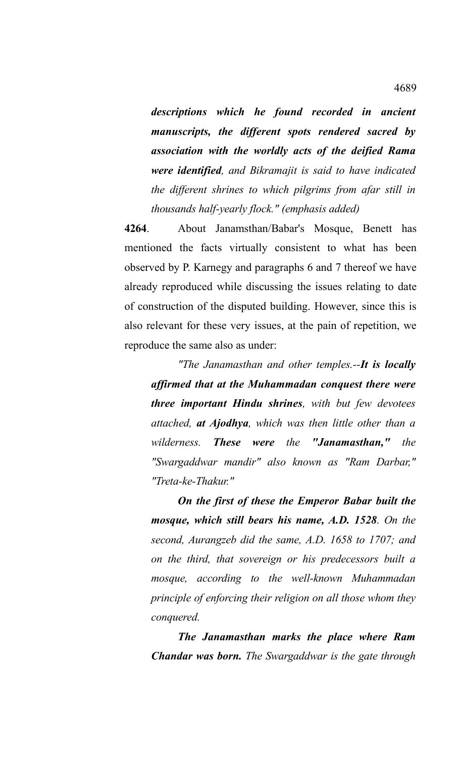*descriptions which he found recorded in ancient manuscripts, the different spots rendered sacred by association with the worldly acts of the deified Rama were identified, and Bikramajit is said to have indicated the different shrines to which pilgrims from afar still in thousands half-yearly flock." (emphasis added)*

**4264**. About Janamsthan/Babar's Mosque, Benett has mentioned the facts virtually consistent to what has been observed by P. Karnegy and paragraphs 6 and 7 thereof we have already reproduced while discussing the issues relating to date of construction of the disputed building. However, since this is also relevant for these very issues, at the pain of repetition, we reproduce the same also as under:

*"The Janamasthan and other temples.--It is locally affirmed that at the Muhammadan conquest there were three important Hindu shrines, with but few devotees attached, at Ajodhya, which was then little other than a wilderness. These were the "Janamasthan," the "Swargaddwar mandir" also known as "Ram Darbar," "Treta-ke-Thakur."*

*On the first of these the Emperor Babar built the mosque, which still bears his name, A.D. 1528. On the second, Aurangzeb did the same, A.D. 1658 to 1707; and on the third, that sovereign or his predecessors built a mosque, according to the well-known Muhammadan principle of enforcing their religion on all those whom they conquered.* 

*The Janamasthan marks the place where Ram Chandar was born. The Swargaddwar is the gate through*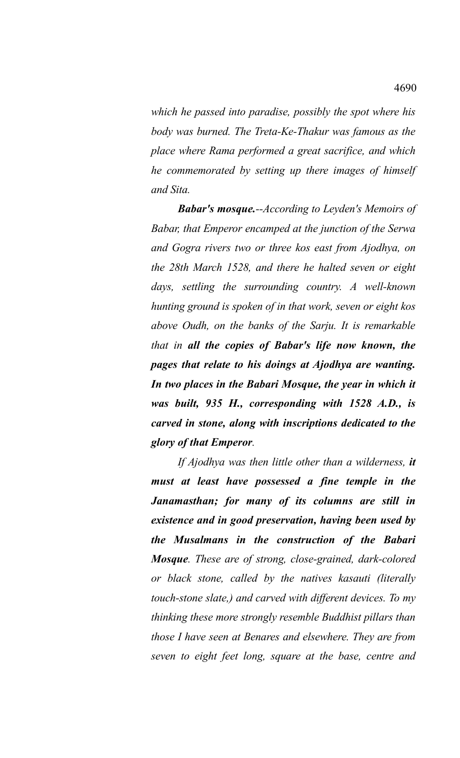*which he passed into paradise, possibly the spot where his body was burned. The Treta-Ke-Thakur was famous as the place where Rama performed a great sacrifice, and which he commemorated by setting up there images of himself and Sita.*

*Babar's mosque.--According to Leyden's Memoirs of Babar, that Emperor encamped at the junction of the Serwa and Gogra rivers two or three kos east from Ajodhya, on the 28th March 1528, and there he halted seven or eight days, settling the surrounding country. A well-known hunting ground is spoken of in that work, seven or eight kos above Oudh, on the banks of the Sarju. It is remarkable that in all the copies of Babar's life now known, the pages that relate to his doings at Ajodhya are wanting. In two places in the Babari Mosque, the year in which it was built, 935 H., corresponding with 1528 A.D., is carved in stone, along with inscriptions dedicated to the glory of that Emperor.*

*If Ajodhya was then little other than a wilderness, it must at least have possessed a fine temple in the Janamasthan; for many of its columns are still in existence and in good preservation, having been used by the Musalmans in the construction of the Babari Mosque. These are of strong, close-grained, dark-colored or black stone, called by the natives kasauti (literally touch-stone slate,) and carved with different devices. To my thinking these more strongly resemble Buddhist pillars than those I have seen at Benares and elsewhere. They are from seven to eight feet long, square at the base, centre and*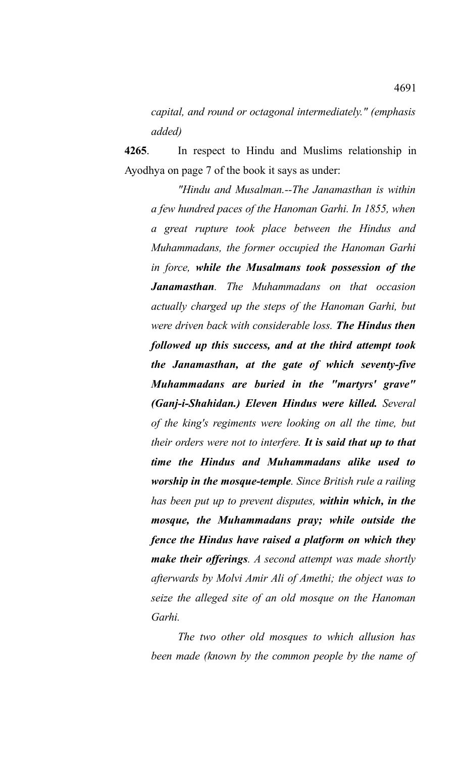*capital, and round or octagonal intermediately." (emphasis added)*

**4265**. In respect to Hindu and Muslims relationship in Ayodhya on page 7 of the book it says as under:

*"Hindu and Musalman.--The Janamasthan is within a few hundred paces of the Hanoman Garhi. In 1855, when a great rupture took place between the Hindus and Muhammadans, the former occupied the Hanoman Garhi in force, while the Musalmans took possession of the Janamasthan. The Muhammadans on that occasion actually charged up the steps of the Hanoman Garhi, but were driven back with considerable loss. The Hindus then followed up this success, and at the third attempt took the Janamasthan, at the gate of which seventy-five Muhammadans are buried in the "martyrs' grave" (Ganj-i-Shahidan.) Eleven Hindus were killed. Several of the king's regiments were looking on all the time, but their orders were not to interfere. It is said that up to that time the Hindus and Muhammadans alike used to worship in the mosque-temple. Since British rule a railing has been put up to prevent disputes, within which, in the mosque, the Muhammadans pray; while outside the fence the Hindus have raised a platform on which they make their offerings. A second attempt was made shortly afterwards by Molvi Amir Ali of Amethi; the object was to seize the alleged site of an old mosque on the Hanoman Garhi.*

*The two other old mosques to which allusion has been made (known by the common people by the name of*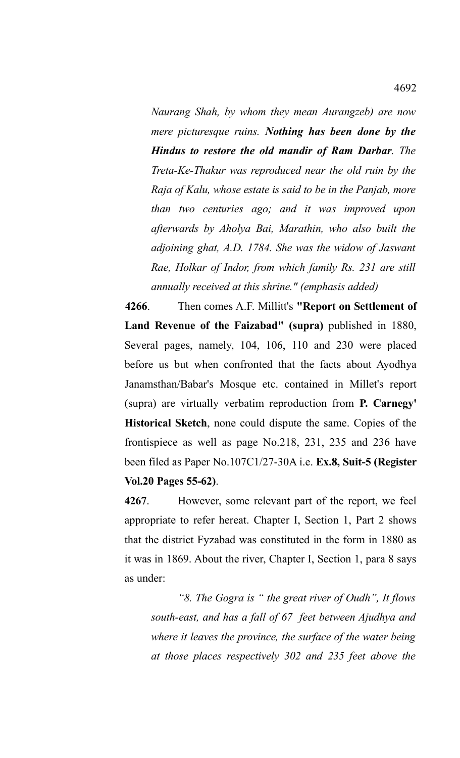*Naurang Shah, by whom they mean Aurangzeb) are now mere picturesque ruins. Nothing has been done by the Hindus to restore the old mandir of Ram Darbar. The Treta-Ke-Thakur was reproduced near the old ruin by the Raja of Kalu, whose estate is said to be in the Panjab, more than two centuries ago; and it was improved upon afterwards by Aholya Bai, Marathin, who also built the adjoining ghat, A.D. 1784. She was the widow of Jaswant Rae, Holkar of Indor, from which family Rs. 231 are still annually received at this shrine." (emphasis added)*

**4266**. Then comes A.F. Millitt's **"Report on Settlement of Land Revenue of the Faizabad" (supra)** published in 1880, Several pages, namely, 104, 106, 110 and 230 were placed before us but when confronted that the facts about Ayodhya Janamsthan/Babar's Mosque etc. contained in Millet's report (supra) are virtually verbatim reproduction from **P. Carnegy' Historical Sketch**, none could dispute the same. Copies of the frontispiece as well as page No.218, 231, 235 and 236 have been filed as Paper No.107C1/27-30A i.e. **Ex.8, Suit-5 (Register Vol.20 Pages 55-62)**.

**4267**. However, some relevant part of the report, we feel appropriate to refer hereat. Chapter I, Section 1, Part 2 shows that the district Fyzabad was constituted in the form in 1880 as it was in 1869. About the river, Chapter I, Section 1, para 8 says as under:

*"8. The Gogra is " the great river of Oudh", It flows south-east, and has a fall of 67 feet between Ajudhya and where it leaves the province, the surface of the water being at those places respectively 302 and 235 feet above the*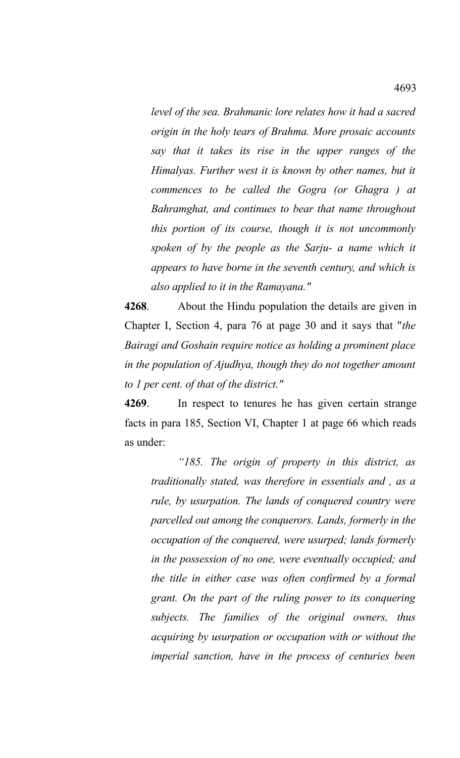*level of the sea. Brahmanic lore relates how it had a sacred origin in the holy tears of Brahma. More prosaic accounts say that it takes its rise in the upper ranges of the Himalyas. Further west it is known by other names, but it commences to be called the Gogra (or Ghagra ) at Bahramghat, and continues to bear that name throughout this portion of its course, though it is not uncommonly spoken of by the people as the Sarju- a name which it appears to have borne in the seventh century, and which is also applied to it in the Ramayana."*

**4268**. About the Hindu population the details are given in Chapter I, Section 4, para 76 at page 30 and it says that "*the Bairagi and Goshain require notice as holding a prominent place in the population of Ajudhya, though they do not together amount to 1 per cent. of that of the district."*

**4269**. In respect to tenures he has given certain strange facts in para 185, Section VI, Chapter 1 at page 66 which reads as under:

*"185. The origin of property in this district, as traditionally stated, was therefore in essentials and , as a rule, by usurpation. The lands of conquered country were parcelled out among the conquerors. Lands, formerly in the occupation of the conquered, were usurped; lands formerly in the possession of no one, were eventually occupied; and the title in either case was often confirmed by a formal grant. On the part of the ruling power to its conquering subjects. The families of the original owners, thus acquiring by usurpation or occupation with or without the imperial sanction, have in the process of centuries been*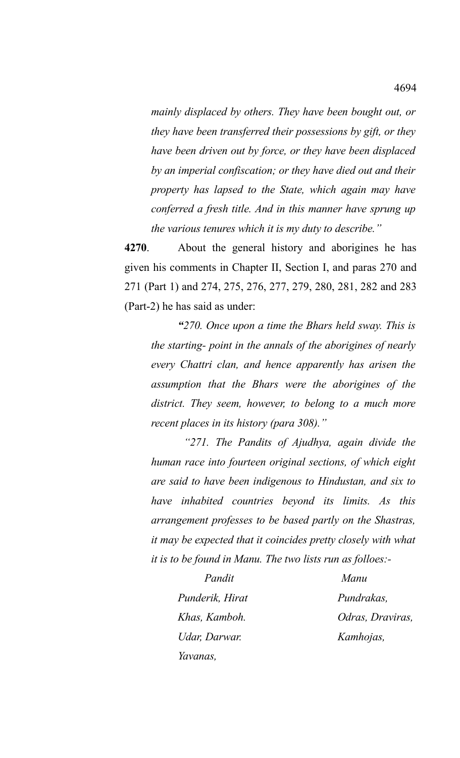*mainly displaced by others. They have been bought out, or they have been transferred their possessions by gift, or they have been driven out by force, or they have been displaced by an imperial confiscation; or they have died out and their property has lapsed to the State, which again may have conferred a fresh title. And in this manner have sprung up the various tenures which it is my duty to describe."*

**4270**. About the general history and aborigines he has given his comments in Chapter II, Section I, and paras 270 and 271 (Part 1) and 274, 275, 276, 277, 279, 280, 281, 282 and 283 (Part-2) he has said as under:

*"270. Once upon a time the Bhars held sway. This is the starting- point in the annals of the aborigines of nearly every Chattri clan, and hence apparently has arisen the assumption that the Bhars were the aborigines of the district. They seem, however, to belong to a much more recent places in its history (para 308)."*

 *"271. The Pandits of Ajudhya, again divide the human race into fourteen original sections, of which eight are said to have been indigenous to Hindustan, and six to have inhabited countries beyond its limits. As this arrangement professes to be based partly on the Shastras, it may be expected that it coincides pretty closely with what it is to be found in Manu. The two lists run as folloes:-*

> *Pandit Manu Punderik, Hirat Pundrakas, Khas, Kamboh. Odras, Draviras, Udar, Darwar. Kamhojas, Yavanas,*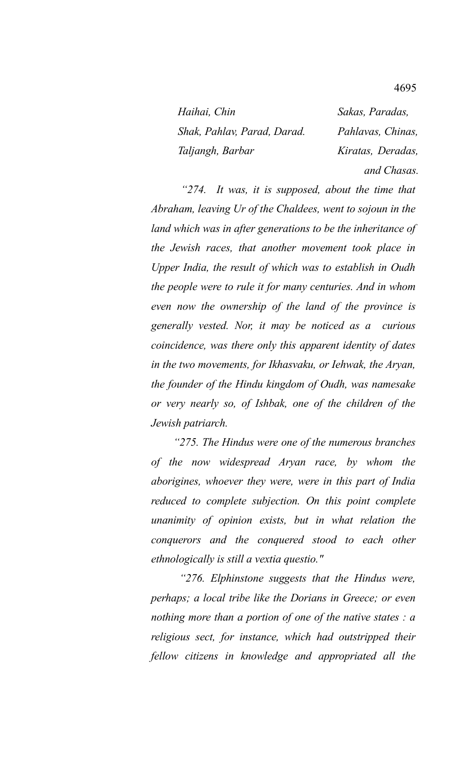| Haihai, Chin                | Sakas, Paradas,   |
|-----------------------------|-------------------|
| Shak, Pahlav, Parad, Darad. | Pahlavas, Chinas, |
| Taljangh, Barbar            | Kiratas, Deradas, |
|                             | and Chasas.       |

 *"274. It was, it is supposed, about the time that Abraham, leaving Ur of the Chaldees, went to sojoun in the land which was in after generations to be the inheritance of the Jewish races, that another movement took place in Upper India, the result of which was to establish in Oudh the people were to rule it for many centuries. And in whom even now the ownership of the land of the province is generally vested. Nor, it may be noticed as a curious coincidence, was there only this apparent identity of dates in the two movements, for Ikhasvaku, or Iehwak, the Aryan, the founder of the Hindu kingdom of Oudh, was namesake or very nearly so, of Ishbak, one of the children of the Jewish patriarch.*

 *"275. The Hindus were one of the numerous branches of the now widespread Aryan race, by whom the aborigines, whoever they were, were in this part of India reduced to complete subjection. On this point complete unanimity of opinion exists, but in what relation the conquerors and the conquered stood to each other ethnologically is still a vextia questio."*

 *"276. Elphinstone suggests that the Hindus were, perhaps; a local tribe like the Dorians in Greece; or even nothing more than a portion of one of the native states : a religious sect, for instance, which had outstripped their fellow citizens in knowledge and appropriated all the*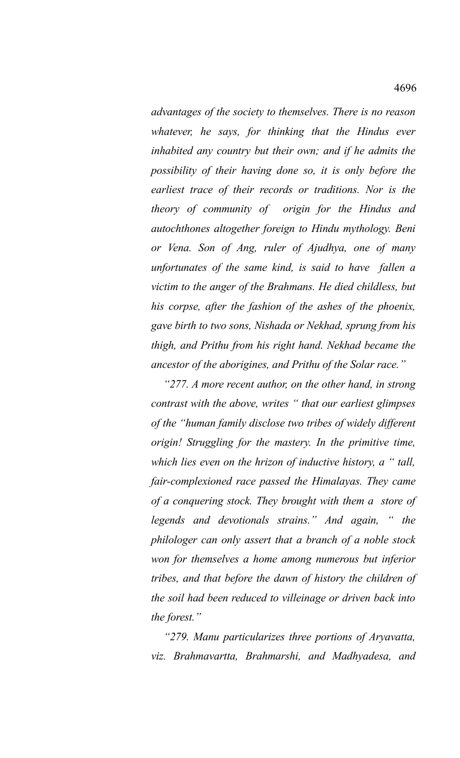*advantages of the society to themselves. There is no reason whatever, he says, for thinking that the Hindus ever inhabited any country but their own; and if he admits the possibility of their having done so, it is only before the earliest trace of their records or traditions. Nor is the theory of community of origin for the Hindus and autochthones altogether foreign to Hindu mythology. Beni or Vena. Son of Ang, ruler of Ajudhya, one of many unfortunates of the same kind, is said to have fallen a victim to the anger of the Brahmans. He died childless, but his corpse, after the fashion of the ashes of the phoenix, gave birth to two sons, Nishada or Nekhad, sprung from his thigh, and Prithu from his right hand. Nekhad became the ancestor of the aborigines, and Prithu of the Solar race."*

 *"277. A more recent author, on the other hand, in strong contrast with the above, writes " that our earliest glimpses of the "human family disclose two tribes of widely different origin! Struggling for the mastery. In the primitive time, which lies even on the hrizon of inductive history, a " tall, fair-complexioned race passed the Himalayas. They came of a conquering stock. They brought with them a store of legends and devotionals strains." And again, " the philologer can only assert that a branch of a noble stock won for themselves a home among numerous but inferior tribes, and that before the dawn of history the children of the soil had been reduced to villeinage or driven back into the forest."*

 *"279. Manu particularizes three portions of Aryavatta, viz. Brahmavartta, Brahmarshi, and Madhyadesa, and*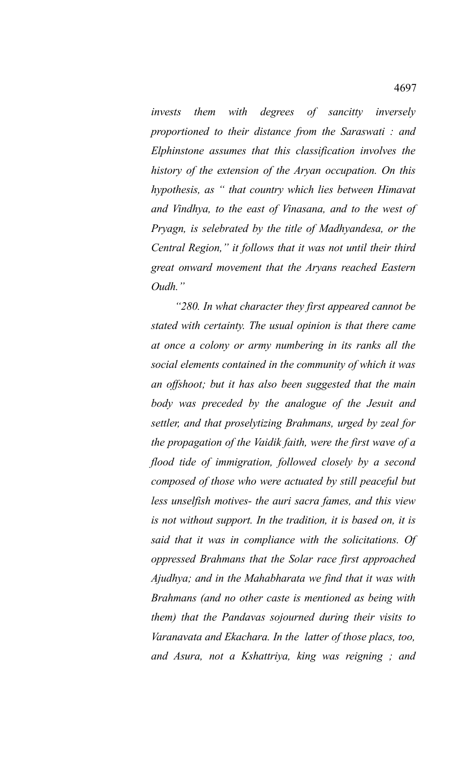*invests them with degrees of sancitty inversely proportioned to their distance from the Saraswati : and Elphinstone assumes that this classification involves the history of the extension of the Aryan occupation. On this hypothesis, as " that country which lies between Himavat and Vindhya, to the east of Vinasana, and to the west of Pryagn, is selebrated by the title of Madhyandesa, or the Central Region," it follows that it was not until their third great onward movement that the Aryans reached Eastern Oudh."* 

 *"280. In what character they first appeared cannot be stated with certainty. The usual opinion is that there came at once a colony or army numbering in its ranks all the social elements contained in the community of which it was an offshoot; but it has also been suggested that the main body was preceded by the analogue of the Jesuit and settler, and that proselytizing Brahmans, urged by zeal for the propagation of the Vaidik faith, were the first wave of a flood tide of immigration, followed closely by a second composed of those who were actuated by still peaceful but less unselfish motives- the auri sacra fames, and this view is not without support. In the tradition, it is based on, it is said that it was in compliance with the solicitations. Of oppressed Brahmans that the Solar race first approached Ajudhya; and in the Mahabharata we find that it was with Brahmans (and no other caste is mentioned as being with them) that the Pandavas sojourned during their visits to Varanavata and Ekachara. In the latter of those placs, too, and Asura, not a Kshattriya, king was reigning ; and*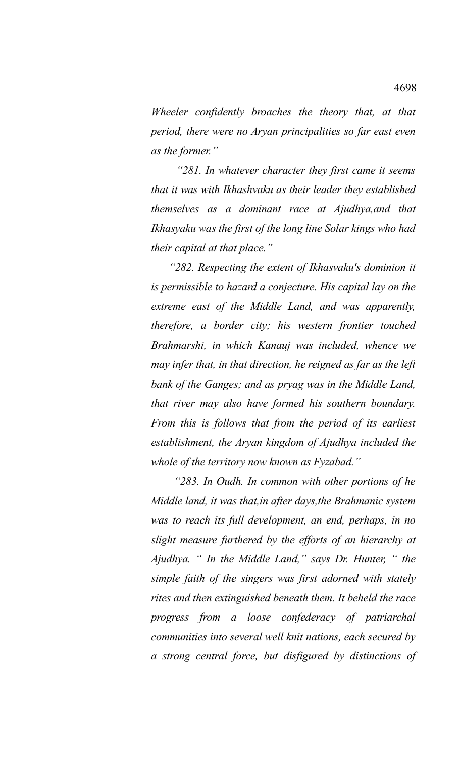*Wheeler confidently broaches the theory that, at that period, there were no Aryan principalities so far east even as the former."*

 *"281. In whatever character they first came it seems that it was with Ikhashvaku as their leader they established themselves as a dominant race at Ajudhya,and that Ikhasyaku was the first of the long line Solar kings who had their capital at that place."*

 *"282. Respecting the extent of Ikhasvaku's dominion it is permissible to hazard a conjecture. His capital lay on the extreme east of the Middle Land, and was apparently, therefore, a border city; his western frontier touched Brahmarshi, in which Kanauj was included, whence we may infer that, in that direction, he reigned as far as the left bank of the Ganges; and as pryag was in the Middle Land, that river may also have formed his southern boundary. From this is follows that from the period of its earliest establishment, the Aryan kingdom of Ajudhya included the whole of the territory now known as Fyzabad."*

 *"283. In Oudh. In common with other portions of he Middle land, it was that,in after days,the Brahmanic system was to reach its full development, an end, perhaps, in no slight measure furthered by the efforts of an hierarchy at Ajudhya. " In the Middle Land," says Dr. Hunter, " the simple faith of the singers was first adorned with stately rites and then extinguished beneath them. It beheld the race progress from a loose confederacy of patriarchal communities into several well knit nations, each secured by a strong central force, but disfigured by distinctions of*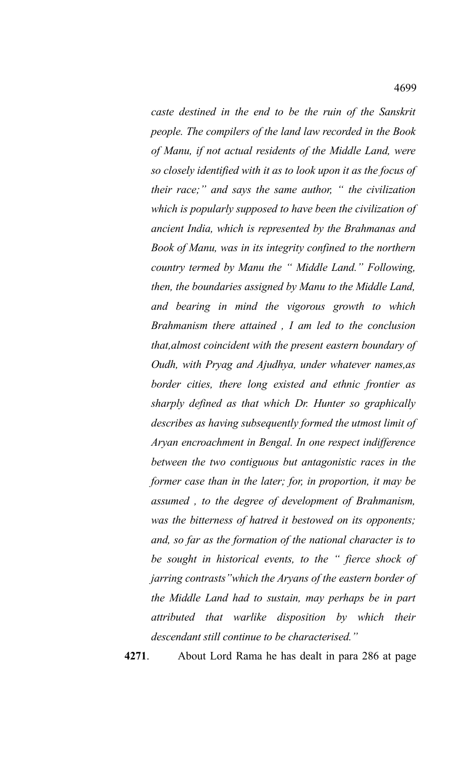*caste destined in the end to be the ruin of the Sanskrit people. The compilers of the land law recorded in the Book of Manu, if not actual residents of the Middle Land, were so closely identified with it as to look upon it as the focus of their race;" and says the same author, " the civilization which is popularly supposed to have been the civilization of ancient India, which is represented by the Brahmanas and Book of Manu, was in its integrity confined to the northern country termed by Manu the " Middle Land." Following, then, the boundaries assigned by Manu to the Middle Land, and bearing in mind the vigorous growth to which Brahmanism there attained , I am led to the conclusion that,almost coincident with the present eastern boundary of Oudh, with Pryag and Ajudhya, under whatever names,as border cities, there long existed and ethnic frontier as sharply defined as that which Dr. Hunter so graphically describes as having subsequently formed the utmost limit of Aryan encroachment in Bengal. In one respect indifference between the two contiguous but antagonistic races in the former case than in the later; for, in proportion, it may be assumed , to the degree of development of Brahmanism, was the bitterness of hatred it bestowed on its opponents; and, so far as the formation of the national character is to be sought in historical events, to the " fierce shock of jarring contrasts"which the Aryans of the eastern border of the Middle Land had to sustain, may perhaps be in part attributed that warlike disposition by which their descendant still continue to be characterised."*

**4271**. About Lord Rama he has dealt in para 286 at page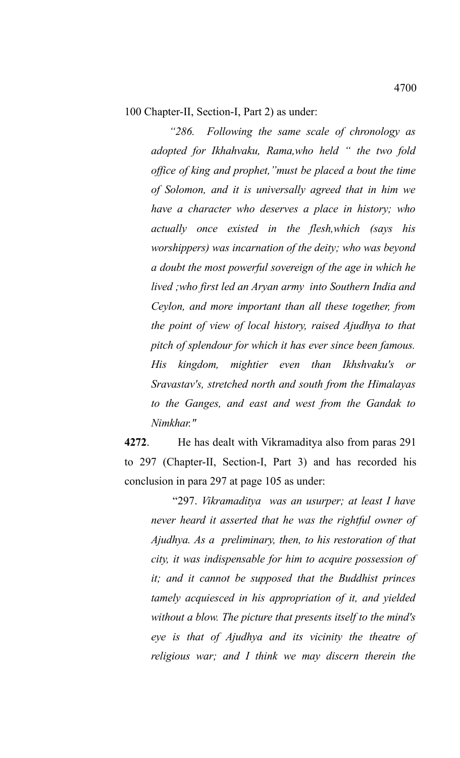100 Chapter-II, Section-I, Part 2) as under:

*"286. Following the same scale of chronology as adopted for Ikhahvaku, Rama,who held " the two fold office of king and prophet,"must be placed a bout the time of Solomon, and it is universally agreed that in him we have a character who deserves a place in history; who actually once existed in the flesh,which (says his worshippers) was incarnation of the deity; who was beyond a doubt the most powerful sovereign of the age in which he lived ;who first led an Aryan army into Southern India and Ceylon, and more important than all these together, from the point of view of local history, raised Ajudhya to that pitch of splendour for which it has ever since been famous. His kingdom, mightier even than Ikhshvaku's or Sravastav's, stretched north and south from the Himalayas to the Ganges, and east and west from the Gandak to Nimkhar."*

**4272**. He has dealt with Vikramaditya also from paras 291 to 297 (Chapter-II, Section-I, Part 3) and has recorded his conclusion in para 297 at page 105 as under:

"297. *Vikramaditya was an usurper; at least I have never heard it asserted that he was the rightful owner of Ajudhya. As a preliminary, then, to his restoration of that city, it was indispensable for him to acquire possession of it; and it cannot be supposed that the Buddhist princes tamely acquiesced in his appropriation of it, and yielded without a blow. The picture that presents itself to the mind's eye is that of Ajudhya and its vicinity the theatre of religious war; and I think we may discern therein the*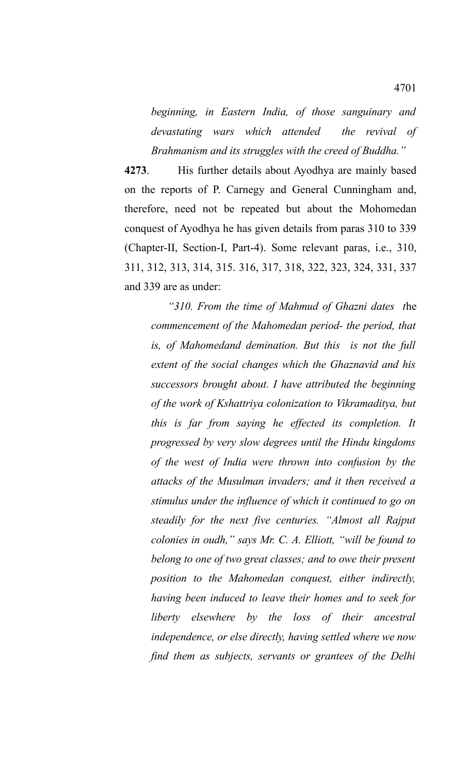*beginning, in Eastern India, of those sanguinary and devastating wars which attended the revival of Brahmanism and its struggles with the creed of Buddha."*

**4273**. His further details about Ayodhya are mainly based on the reports of P. Carnegy and General Cunningham and, therefore, need not be repeated but about the Mohomedan conquest of Ayodhya he has given details from paras 310 to 339 (Chapter-II, Section-I, Part-4). Some relevant paras, i.e., 310, 311, 312, 313, 314, 315. 316, 317, 318, 322, 323, 324, 331, 337 and 339 are as under:

 *"310. From the time of Mahmud of Ghazni dates t*he *commencement of the Mahomedan period- the period, that is, of Mahomedand demination. But this is not the full extent of the social changes which the Ghaznavid and his successors brought about. I have attributed the beginning of the work of Kshattriya colonization to Vikramaditya, but this is far from saying he effected its completion. It progressed by very slow degrees until the Hindu kingdoms of the west of India were thrown into confusion by the attacks of the Musulman invaders; and it then received a stimulus under the influence of which it continued to go on steadily for the next five centuries. "Almost all Rajput colonies in oudh," says Mr. C. A. Elliott, "will be found to belong to one of two great classes; and to owe their present position to the Mahomedan conquest, either indirectly, having been induced to leave their homes and to seek for liberty elsewhere by the loss of their ancestral independence, or else directly, having settled where we now find them as subjects, servants or grantees of the Delhi*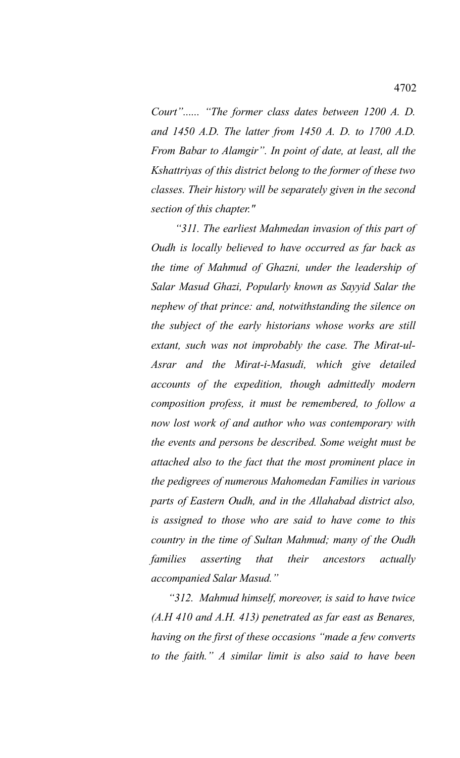*Court"...... "The former class dates between 1200 A. D. and 1450 A.D. The latter from 1450 A. D. to 1700 A.D. From Babar to Alamgir". In point of date, at least, all the Kshattriyas of this district belong to the former of these two classes. Their history will be separately given in the second section of this chapter."*

 *"311. The earliest Mahmedan invasion of this part of Oudh is locally believed to have occurred as far back as the time of Mahmud of Ghazni, under the leadership of Salar Masud Ghazi, Popularly known as Sayyid Salar the nephew of that prince: and, notwithstanding the silence on the subject of the early historians whose works are still extant, such was not improbably the case. The Mirat-ul-Asrar and the Mirat-i-Masudi, which give detailed accounts of the expedition, though admittedly modern composition profess, it must be remembered, to follow a now lost work of and author who was contemporary with the events and persons be described. Some weight must be attached also to the fact that the most prominent place in the pedigrees of numerous Mahomedan Families in various parts of Eastern Oudh, and in the Allahabad district also, is assigned to those who are said to have come to this country in the time of Sultan Mahmud; many of the Oudh families asserting that their ancestors actually accompanied Salar Masud."*

 *"312. Mahmud himself, moreover, is said to have twice (A.H 410 and A.H. 413) penetrated as far east as Benares, having on the first of these occasions "made a few converts to the faith." A similar limit is also said to have been*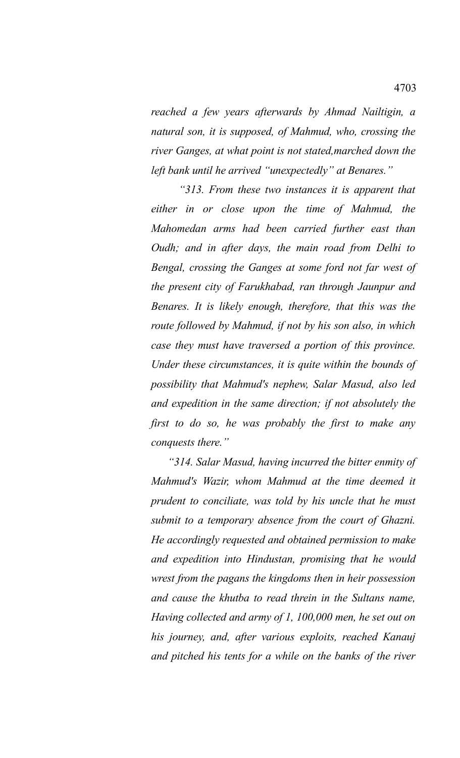*reached a few years afterwards by Ahmad Nailtigin, a natural son, it is supposed, of Mahmud, who, crossing the river Ganges, at what point is not stated,marched down the left bank until he arrived "unexpectedly" at Benares."*

 *"313. From these two instances it is apparent that either in or close upon the time of Mahmud, the Mahomedan arms had been carried further east than Oudh; and in after days, the main road from Delhi to Bengal, crossing the Ganges at some ford not far west of the present city of Farukhabad, ran through Jaunpur and Benares. It is likely enough, therefore, that this was the route followed by Mahmud, if not by his son also, in which case they must have traversed a portion of this province. Under these circumstances, it is quite within the bounds of possibility that Mahmud's nephew, Salar Masud, also led and expedition in the same direction; if not absolutely the first to do so, he was probably the first to make any conquests there."*

 *"314. Salar Masud, having incurred the bitter enmity of Mahmud's Wazir, whom Mahmud at the time deemed it prudent to conciliate, was told by his uncle that he must submit to a temporary absence from the court of Ghazni. He accordingly requested and obtained permission to make and expedition into Hindustan, promising that he would wrest from the pagans the kingdoms then in heir possession and cause the khutba to read threin in the Sultans name, Having collected and army of 1, 100,000 men, he set out on his journey, and, after various exploits, reached Kanauj and pitched his tents for a while on the banks of the river*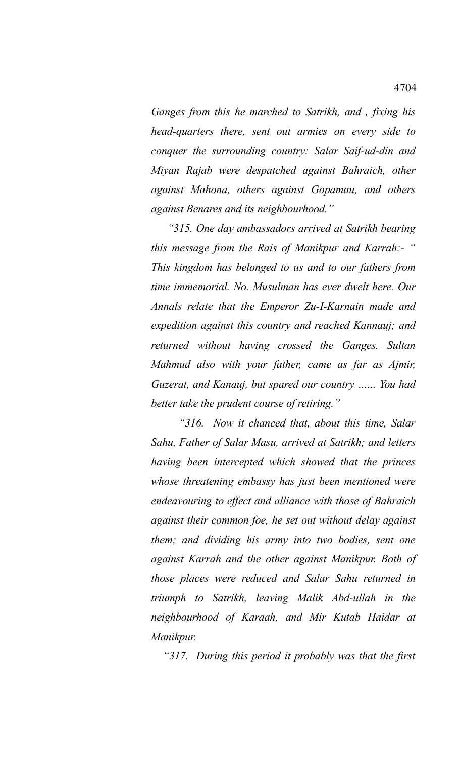*Ganges from this he marched to Satrikh, and , fixing his head-quarters there, sent out armies on every side to conquer the surrounding country: Salar Saif-ud-din and Miyan Rajab were despatched against Bahraich, other against Mahona, others against Gopamau, and others against Benares and its neighbourhood."*

 *"315. One day ambassadors arrived at Satrikh bearing this message from the Rais of Manikpur and Karrah:- " This kingdom has belonged to us and to our fathers from time immemorial. No. Musulman has ever dwelt here. Our Annals relate that the Emperor Zu-I-Karnain made and expedition against this country and reached Kannauj; and returned without having crossed the Ganges. Sultan Mahmud also with your father, came as far as Ajmir, Guzerat, and Kanauj, but spared our country …... You had better take the prudent course of retiring."*

 *"316. Now it chanced that, about this time, Salar Sahu, Father of Salar Masu, arrived at Satrikh; and letters having been intercepted which showed that the princes whose threatening embassy has just been mentioned were endeavouring to effect and alliance with those of Bahraich against their common foe, he set out without delay against them; and dividing his army into two bodies, sent one against Karrah and the other against Manikpur. Both of those places were reduced and Salar Sahu returned in triumph to Satrikh, leaving Malik Abd-ullah in the neighbourhood of Karaah, and Mir Kutab Haidar at Manikpur.*

 *"317. During this period it probably was that the first*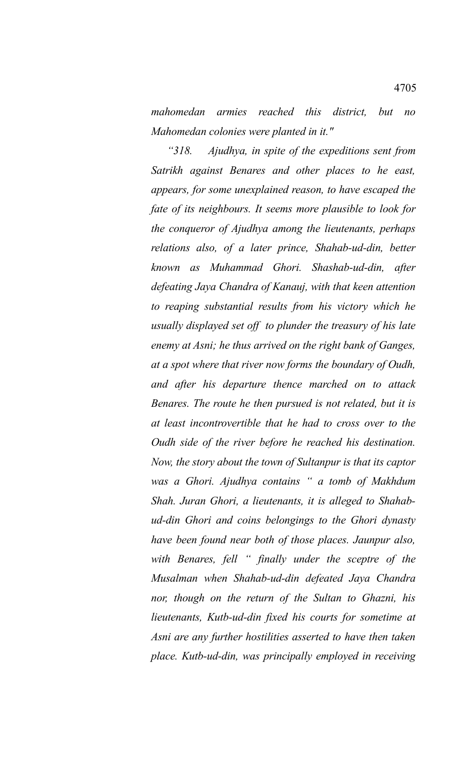*mahomedan armies reached this district, but no Mahomedan colonies were planted in it."*

 *"318. Ajudhya, in spite of the expeditions sent from Satrikh against Benares and other places to he east, appears, for some unexplained reason, to have escaped the fate of its neighbours. It seems more plausible to look for the conqueror of Ajudhya among the lieutenants, perhaps relations also, of a later prince, Shahab-ud-din, better known as Muhammad Ghori. Shashab-ud-din, after defeating Jaya Chandra of Kanauj, with that keen attention to reaping substantial results from his victory which he usually displayed set off to plunder the treasury of his late enemy at Asni; he thus arrived on the right bank of Ganges, at a spot where that river now forms the boundary of Oudh, and after his departure thence marched on to attack Benares. The route he then pursued is not related, but it is at least incontrovertible that he had to cross over to the Oudh side of the river before he reached his destination. Now, the story about the town of Sultanpur is that its captor was a Ghori. Ajudhya contains " a tomb of Makhdum Shah. Juran Ghori, a lieutenants, it is alleged to Shahabud-din Ghori and coins belongings to the Ghori dynasty have been found near both of those places. Jaunpur also, with Benares, fell " finally under the sceptre of the Musalman when Shahab-ud-din defeated Jaya Chandra nor, though on the return of the Sultan to Ghazni, his lieutenants, Kutb-ud-din fixed his courts for sometime at Asni are any further hostilities asserted to have then taken place. Kutb-ud-din, was principally employed in receiving*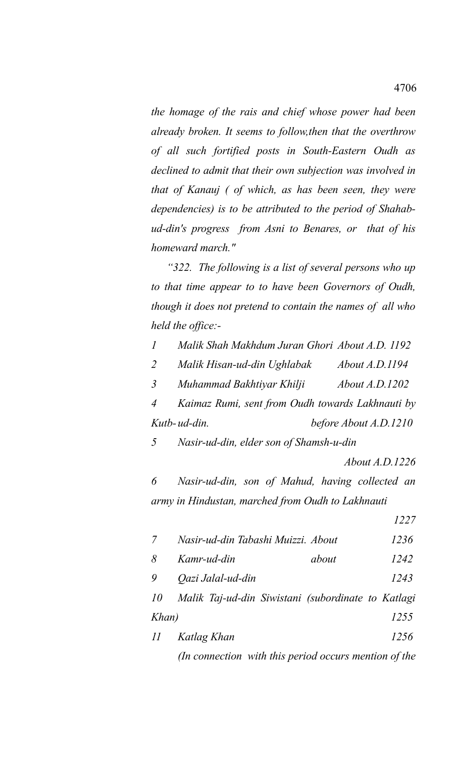*the homage of the rais and chief whose power had been already broken. It seems to follow,then that the overthrow of all such fortified posts in South-Eastern Oudh as declined to admit that their own subjection was involved in that of Kanauj ( of which, as has been seen, they were dependencies) is to be attributed to the period of Shahabud-din's progress from Asni to Benares, or that of his homeward march."*

 *"322. The following is a list of several persons who up to that time appear to to have been Governors of Oudh, though it does not pretend to contain the names of all who held the office:-*

*1 Malik Shah Makhdum Juran Ghori About A.D. 1192*

*2 Malik Hisan-ud-din Ughlabak About A.D.1194*

*3 Muhammad Bakhtiyar Khilji About A.D.1202*

*4 Kaimaz Rumi, sent from Oudh towards Lakhnauti by Kutb-ud-din. before About A.D.1210*

*5 Nasir-ud-din, elder son of Shamsh-u-din* 

*About A.D.1226*

*6 Nasir-ud-din, son of Mahud, having collected an army in Hindustan, marched from Oudh to Lakhnauti* 

 *1227*

- *7 Nasir-ud-din Tabashi Muizzi. About 1236 8 Kamr-ud-din about 1242*
- *9 Qazi Jalal-ud-din 1243*

*10 Malik Taj-ud-din Siwistani (subordinate to Katlagi Khan) 1255*

*11 Katlag Khan 1256 (In connection with this period occurs mention of the*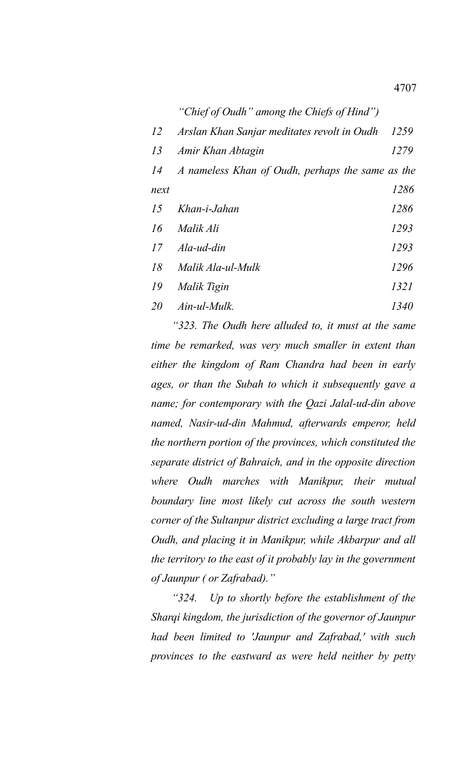|           | "Chief of Oudh" among the Chiefs of Hind")       |      |
|-----------|--------------------------------------------------|------|
| 12        | Arslan Khan Sanjar meditates revolt in Oudh      | 1259 |
| 13        | Amir Khan Abtagin                                | 1279 |
| 14        | A nameless Khan of Oudh, perhaps the same as the |      |
| next      |                                                  | 1286 |
| 15        | Khan-i-Jahan                                     | 1286 |
| 16        | Malik Ali                                        | 1293 |
| 17        | Ala-ud-din                                       | 1293 |
| 18        | Malik Ala-ul-Mulk                                | 1296 |
| 19        | Malik Tigin                                      | 1321 |
| <i>20</i> | Ain-ul-Mulk.                                     | 1340 |

 *"323. The Oudh here alluded to, it must at the same time be remarked, was very much smaller in extent than either the kingdom of Ram Chandra had been in early ages, or than the Subah to which it subsequently gave a name; for contemporary with the Qazi Jalal-ud-din above named, Nasir-ud-din Mahmud, afterwards emperor, held the northern portion of the provinces, which constituted the separate district of Bahraich, and in the opposite direction where Oudh marches with Manikpur, their mutual boundary line most likely cut across the south western corner of the Sultanpur district excluding a large tract from Oudh, and placing it in Manikpur, while Akbarpur and all the territory to the east of it probably lay in the government of Jaunpur ( or Zafrabad)."*

 *"324. Up to shortly before the establishment of the Sharqi kingdom, the jurisdiction of the governor of Jaunpur had been limited to 'Jaunpur and Zafrabad,' with such provinces to the eastward as were held neither by petty*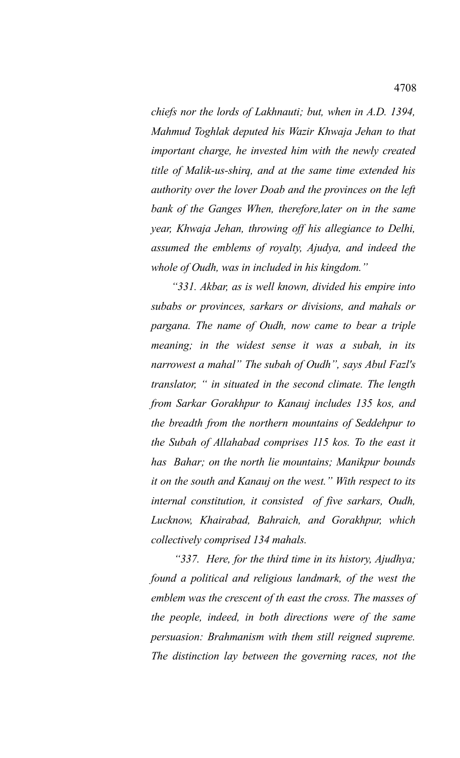*chiefs nor the lords of Lakhnauti; but, when in A.D. 1394, Mahmud Toghlak deputed his Wazir Khwaja Jehan to that important charge, he invested him with the newly created title of Malik-us-shirq, and at the same time extended his authority over the lover Doab and the provinces on the left bank of the Ganges When, therefore,later on in the same year, Khwaja Jehan, throwing off his allegiance to Delhi, assumed the emblems of royalty, Ajudya, and indeed the whole of Oudh, was in included in his kingdom."*

 *"331. Akbar, as is well known, divided his empire into subabs or provinces, sarkars or divisions, and mahals or pargana. The name of Oudh, now came to bear a triple meaning; in the widest sense it was a subah, in its narrowest a mahal" The subah of Oudh", says Abul Fazl's translator, " in situated in the second climate. The length from Sarkar Gorakhpur to Kanauj includes 135 kos, and the breadth from the northern mountains of Seddehpur to the Subah of Allahabad comprises 115 kos. To the east it has Bahar; on the north lie mountains; Manikpur bounds it on the south and Kanauj on the west." With respect to its internal constitution, it consisted of five sarkars, Oudh, Lucknow, Khairabad, Bahraich, and Gorakhpur, which collectively comprised 134 mahals.*

 *"337. Here, for the third time in its history, Ajudhya; found a political and religious landmark, of the west the emblem was the crescent of th east the cross. The masses of the people, indeed, in both directions were of the same persuasion: Brahmanism with them still reigned supreme. The distinction lay between the governing races, not the*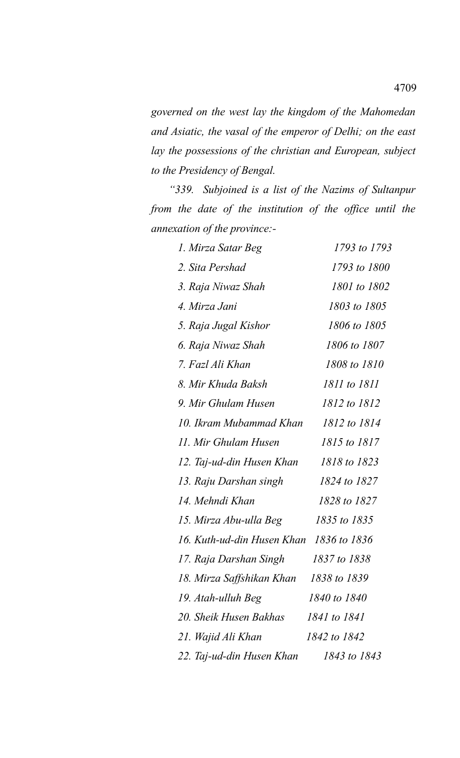*governed on the west lay the kingdom of the Mahomedan and Asiatic, the vasal of the emperor of Delhi; on the east lay the possessions of the christian and European, subject to the Presidency of Bengal.*

 *"339. Subjoined is a list of the Nazims of Sultanpur from the date of the institution of the office until the annexation of the province:-*

| 1. Mirza Satar Beg                      | 1793 to 1793 |
|-----------------------------------------|--------------|
| 2. Sita Pershad                         | 1793 to 1800 |
| 3. Raja Niwaz Shah                      | 1801 to 1802 |
| 4. Mirza Jani                           | 1803 to 1805 |
| 5. Raja Jugal Kishor                    | 1806 to 1805 |
| 6. Raja Niwaz Shah                      | 1806 to 1807 |
| 7. Fazl Ali Khan                        | 1808 to 1810 |
| 8. Mir Khuda Baksh                      | 1811 to 1811 |
| 9. Mir Ghulam Husen                     | 1812 to 1812 |
| 10. Ikram Mubammad Khan                 | 1812 to 1814 |
| 11. Mir Ghulam Husen                    | 1815 to 1817 |
| 12. Taj-ud-din Husen Khan               | 1818 to 1823 |
| 13. Raju Darshan singh                  | 1824 to 1827 |
| 14. Mehndi Khan                         | 1828 to 1827 |
| 15. Mirza Abu-ulla Beg                  | 1835 to 1835 |
| 16. Kuth-ud-din Husen Khan 1836 to 1836 |              |
| 17. Raja Darshan Singh                  | 1837 to 1838 |
| 18. Mirza Saffshikan Khan               | 1838 to 1839 |
| 19. Atah-ulluh Beg                      | 1840 to 1840 |
| 20. Sheik Husen Bakhas                  | 1841 to 1841 |
| 21. Wajid Ali Khan                      | 1842 to 1842 |
| 22. Taj-ud-din Husen Khan               | 1843 to 1843 |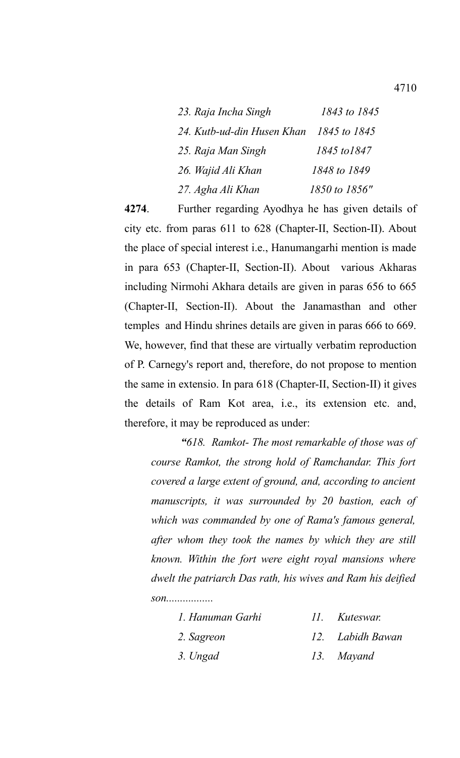| 23. Raja Incha Singh       | 1843 to 1845  |
|----------------------------|---------------|
| 24. Kutb-ud-din Husen Khan | 1845 to 1845  |
| 25. Raja Man Singh         | 1845 to 1847  |
| 26. Wajid Ali Khan         | 1848 to 1849  |
| 27. Agha Ali Khan          | 1850 to 1856" |

**4274**. Further regarding Ayodhya he has given details of city etc. from paras 611 to 628 (Chapter-II, Section-II). About the place of special interest i.e., Hanumangarhi mention is made in para 653 (Chapter-II, Section-II). About various Akharas including Nirmohi Akhara details are given in paras 656 to 665 (Chapter-II, Section-II). About the Janamasthan and other temples and Hindu shrines details are given in paras 666 to 669. We, however, find that these are virtually verbatim reproduction of P. Carnegy's report and, therefore, do not propose to mention the same in extensio. In para 618 (Chapter-II, Section-II) it gives the details of Ram Kot area, i.e., its extension etc. and, therefore, it may be reproduced as under:

*"618. Ramkot- The most remarkable of those was of course Ramkot, the strong hold of Ramchandar. This fort covered a large extent of ground, and, according to ancient manuscripts, it was surrounded by 20 bastion, each of which was commanded by one of Rama's famous general, after whom they took the names by which they are still known. Within the fort were eight royal mansions where dwelt the patriarch Das rath, his wives and Ram his deified son.................*

| 1. Hanuman Garhi | 11. Kuteswar. |
|------------------|---------------|
|                  |               |

- *2. Sagreon 12. Labidh Bawan*
- *3. Ungad 13. Mayand*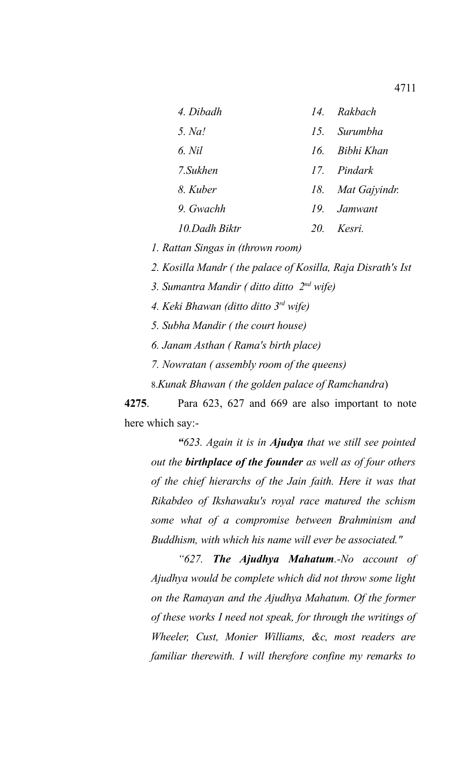| 4. Dibadh     |    | 14. Rakbach       |
|---------------|----|-------------------|
| 5. Na!        |    | 15. Surumbha      |
| 6. Nil        |    | 16. Bibhi Khan    |
| 7. Sukhen     |    | 17. Pindark       |
| 8. Kuber      |    | 18. Mat Gajyindr. |
| 9. Gwachh     |    | 19. Jamwant       |
| 10 Dadh Biktr | 20 | Kesri             |

*1. Rattan Singas in (thrown room)*

*2. Kosilla Mandr ( the palace of Kosilla, Raja Disrath's Ist*

*3. Sumantra Mandir ( ditto ditto 2nd wife)*

*4. Keki Bhawan (ditto ditto 3rd wife)*

*5. Subha Mandir ( the court house)*

*6. Janam Asthan ( Rama's birth place)*

*7. Nowratan ( assembly room of the queens)*

8.*Kunak Bhawan ( the golden palace of Ramchandra*)

**4275**. Para 623, 627 and 669 are also important to note here which say:-

*"623. Again it is in Ajudya that we still see pointed out the birthplace of the founder as well as of four others of the chief hierarchs of the Jain faith. Here it was that Rikabdeo of Ikshawaku's royal race matured the schism some what of a compromise between Brahminism and Buddhism, with which his name will ever be associated."*

*"627. The Ajudhya Mahatum.-No account of Ajudhya would be complete which did not throw some light on the Ramayan and the Ajudhya Mahatum. Of the former of these works I need not speak, for through the writings of Wheeler, Cust, Monier Williams, &c, most readers are familiar therewith. I will therefore confine my remarks to*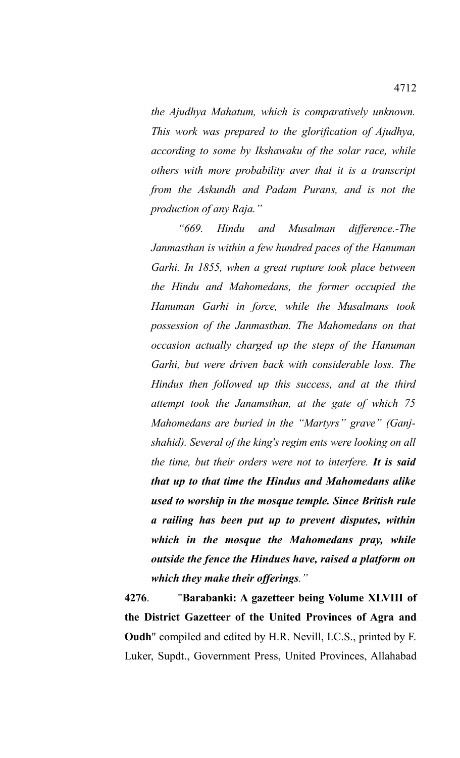*the Ajudhya Mahatum, which is comparatively unknown. This work was prepared to the glorification of Ajudhya, according to some by Ikshawaku of the solar race, while others with more probability aver that it is a transcript from the Askundh and Padam Purans, and is not the production of any Raja."*

*"669. Hindu and Musalman difference.-The Janmasthan is within a few hundred paces of the Hanuman Garhi. In 1855, when a great rupture took place between the Hindu and Mahomedans, the former occupied the Hanuman Garhi in force, while the Musalmans took possession of the Janmasthan. The Mahomedans on that occasion actually charged up the steps of the Hanuman Garhi, but were driven back with considerable loss. The Hindus then followed up this success, and at the third attempt took the Janamsthan, at the gate of which 75 Mahomedans are buried in the "Martyrs" grave" (Ganjshahid). Several of the king's regim ents were looking on all the time, but their orders were not to interfere. It is said that up to that time the Hindus and Mahomedans alike used to worship in the mosque temple. Since British rule a railing has been put up to prevent disputes, within which in the mosque the Mahomedans pray, while outside the fence the Hindues have, raised a platform on which they make their offerings."*

**4276**. "**Barabanki: A gazetteer being Volume XLVIII of the District Gazetteer of the United Provinces of Agra and Oudh**" compiled and edited by H.R. Nevill, I.C.S., printed by F. Luker, Supdt., Government Press, United Provinces, Allahabad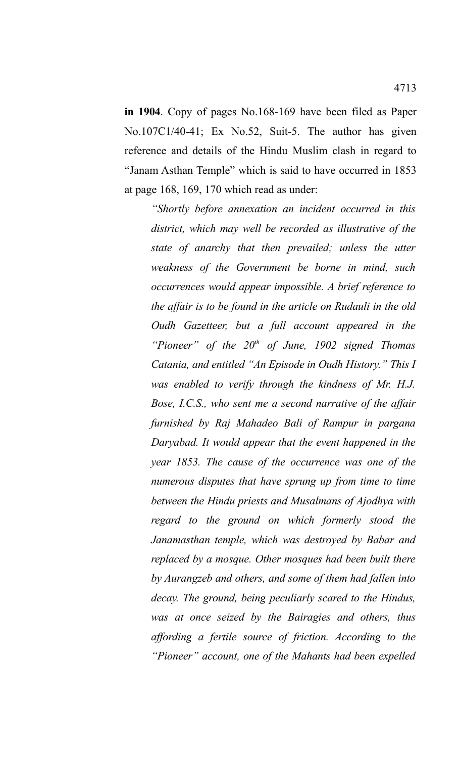**in 1904**. Copy of pages No.168-169 have been filed as Paper No.107C1/40-41; Ex No.52, Suit-5. The author has given reference and details of the Hindu Muslim clash in regard to "Janam Asthan Temple" which is said to have occurred in 1853 at page 168, 169, 170 which read as under:

*"Shortly before annexation an incident occurred in this district, which may well be recorded as illustrative of the state of anarchy that then prevailed; unless the utter weakness of the Government be borne in mind, such occurrences would appear impossible. A brief reference to the affair is to be found in the article on Rudauli in the old Oudh Gazetteer, but a full account appeared in the "Pioneer" of the 20th of June, 1902 signed Thomas Catania, and entitled "An Episode in Oudh History." This I was enabled to verify through the kindness of Mr. H.J. Bose, I.C.S., who sent me a second narrative of the affair furnished by Raj Mahadeo Bali of Rampur in pargana Daryabad. It would appear that the event happened in the year 1853. The cause of the occurrence was one of the numerous disputes that have sprung up from time to time between the Hindu priests and Musalmans of Ajodhya with regard to the ground on which formerly stood the Janamasthan temple, which was destroyed by Babar and replaced by a mosque. Other mosques had been built there by Aurangzeb and others, and some of them had fallen into decay. The ground, being peculiarly scared to the Hindus, was at once seized by the Bairagies and others, thus affording a fertile source of friction. According to the "Pioneer" account, one of the Mahants had been expelled*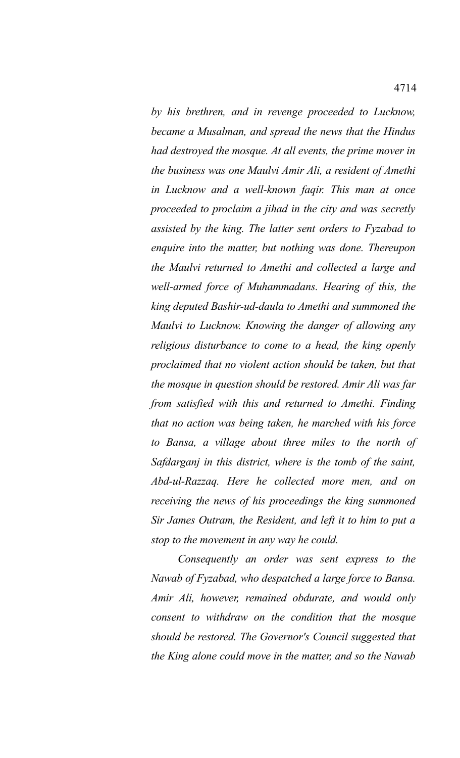*by his brethren, and in revenge proceeded to Lucknow, became a Musalman, and spread the news that the Hindus had destroyed the mosque. At all events, the prime mover in the business was one Maulvi Amir Ali, a resident of Amethi in Lucknow and a well-known faqir. This man at once proceeded to proclaim a jihad in the city and was secretly assisted by the king. The latter sent orders to Fyzabad to enquire into the matter, but nothing was done. Thereupon the Maulvi returned to Amethi and collected a large and well-armed force of Muhammadans. Hearing of this, the king deputed Bashir-ud-daula to Amethi and summoned the Maulvi to Lucknow. Knowing the danger of allowing any religious disturbance to come to a head, the king openly proclaimed that no violent action should be taken, but that the mosque in question should be restored. Amir Ali was far from satisfied with this and returned to Amethi. Finding that no action was being taken, he marched with his force to Bansa, a village about three miles to the north of Safdarganj in this district, where is the tomb of the saint, Abd-ul-Razzaq. Here he collected more men, and on receiving the news of his proceedings the king summoned Sir James Outram, the Resident, and left it to him to put a stop to the movement in any way he could.* 

*Consequently an order was sent express to the Nawab of Fyzabad, who despatched a large force to Bansa. Amir Ali, however, remained obdurate, and would only consent to withdraw on the condition that the mosque should be restored. The Governor's Council suggested that the King alone could move in the matter, and so the Nawab*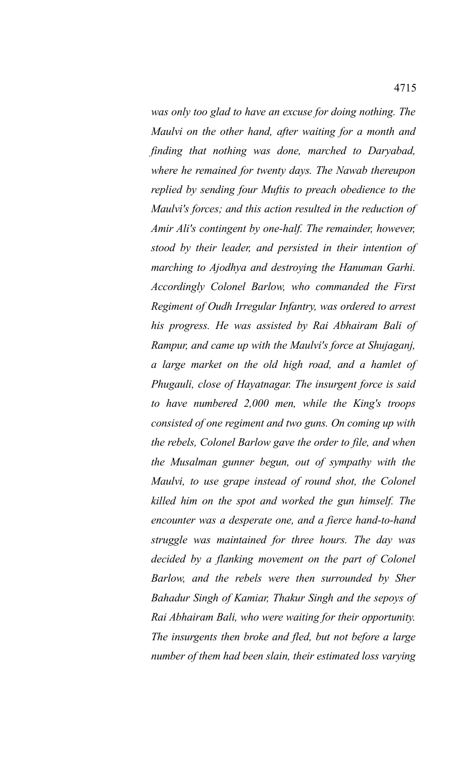*was only too glad to have an excuse for doing nothing. The Maulvi on the other hand, after waiting for a month and finding that nothing was done, marched to Daryabad, where he remained for twenty days. The Nawab thereupon replied by sending four Muftis to preach obedience to the Maulvi's forces; and this action resulted in the reduction of Amir Ali's contingent by one-half. The remainder, however, stood by their leader, and persisted in their intention of marching to Ajodhya and destroying the Hanuman Garhi. Accordingly Colonel Barlow, who commanded the First Regiment of Oudh Irregular Infantry, was ordered to arrest his progress. He was assisted by Rai Abhairam Bali of Rampur, and came up with the Maulvi's force at Shujaganj, a large market on the old high road, and a hamlet of Phugauli, close of Hayatnagar. The insurgent force is said to have numbered 2,000 men, while the King's troops consisted of one regiment and two guns. On coming up with the rebels, Colonel Barlow gave the order to file, and when the Musalman gunner begun, out of sympathy with the Maulvi, to use grape instead of round shot, the Colonel killed him on the spot and worked the gun himself. The encounter was a desperate one, and a fierce hand-to-hand struggle was maintained for three hours. The day was decided by a flanking movement on the part of Colonel Barlow, and the rebels were then surrounded by Sher Bahadur Singh of Kamiar, Thakur Singh and the sepoys of Rai Abhairam Bali, who were waiting for their opportunity. The insurgents then broke and fled, but not before a large number of them had been slain, their estimated loss varying*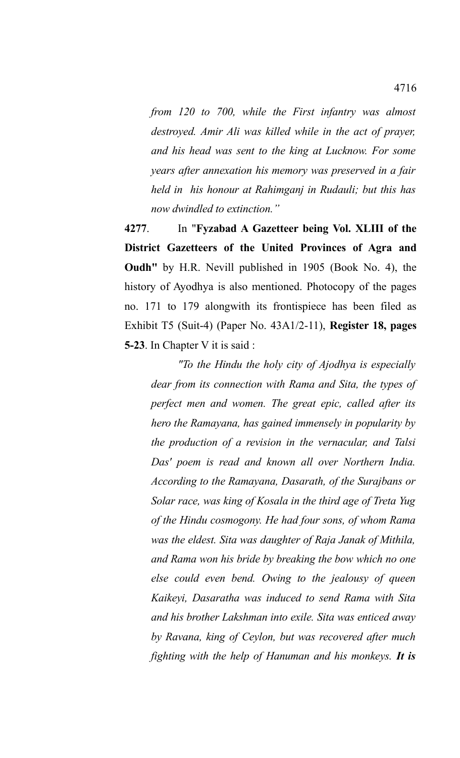*from 120 to 700, while the First infantry was almost destroyed. Amir Ali was killed while in the act of prayer, and his head was sent to the king at Lucknow. For some years after annexation his memory was preserved in a fair held in his honour at Rahimganj in Rudauli; but this has now dwindled to extinction."*

**4277**. In "**Fyzabad A Gazetteer being Vol. XLIII of the District Gazetteers of the United Provinces of Agra and Oudh"** by H.R. Nevill published in 1905 (Book No. 4), the history of Ayodhya is also mentioned. Photocopy of the pages no. 171 to 179 alongwith its frontispiece has been filed as Exhibit T5 (Suit-4) (Paper No. 43A1/2-11), **Register 18, pages 5-23**. In Chapter V it is said :

*"To the Hindu the holy city of Ajodhya is especially dear from its connection with Rama and Sita, the types of perfect men and women. The great epic, called after its hero the Ramayana, has gained immensely in popularity by the production of a revision in the vernacular, and Talsi Das' poem is read and known all over Northern India. According to the Ramayana, Dasarath, of the Surajbans or Solar race, was king of Kosala in the third age of Treta Yug of the Hindu cosmogony. He had four sons, of whom Rama was the eldest. Sita was daughter of Raja Janak of Mithila, and Rama won his bride by breaking the bow which no one else could even bend. Owing to the jealousy of queen Kaikeyi, Dasaratha was induced to send Rama with Sita and his brother Lakshman into exile. Sita was enticed away by Ravana, king of Ceylon, but was recovered after much fighting with the help of Hanuman and his monkeys. It is*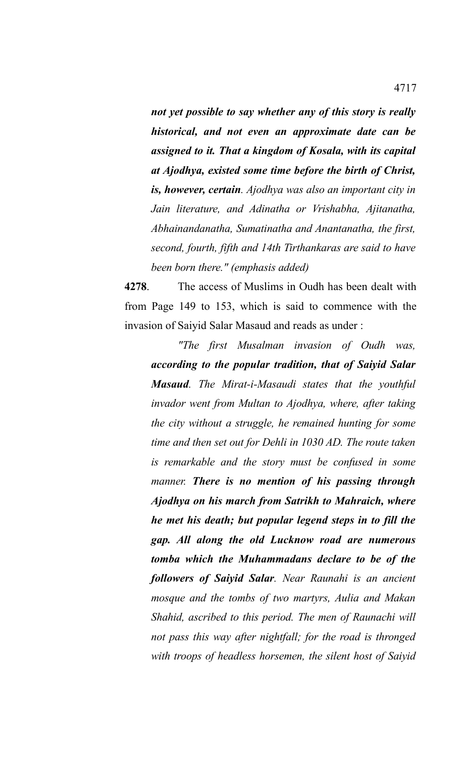*not yet possible to say whether any of this story is really historical, and not even an approximate date can be assigned to it. That a kingdom of Kosala, with its capital at Ajodhya, existed some time before the birth of Christ, is, however, certain. Ajodhya was also an important city in Jain literature, and Adinatha or Vrishabha, Ajitanatha, Abhainandanatha, Sumatinatha and Anantanatha, the first, second, fourth, fifth and 14th Tirthankaras are said to have been born there." (emphasis added)*

**4278**. The access of Muslims in Oudh has been dealt with from Page 149 to 153, which is said to commence with the invasion of Saiyid Salar Masaud and reads as under :

*"The first Musalman invasion of Oudh was, according to the popular tradition, that of Saiyid Salar Masaud. The Mirat-i-Masaudi states that the youthful invador went from Multan to Ajodhya, where, after taking the city without a struggle, he remained hunting for some time and then set out for Dehli in 1030 AD. The route taken is remarkable and the story must be confused in some manner. There is no mention of his passing through Ajodhya on his march from Satrikh to Mahraich, where he met his death; but popular legend steps in to fill the gap. All along the old Lucknow road are numerous tomba which the Muhammadans declare to be of the followers of Saiyid Salar. Near Raunahi is an ancient mosque and the tombs of two martyrs, Aulia and Makan Shahid, ascribed to this period. The men of Raunachi will not pass this way after nightfall; for the road is thronged with troops of headless horsemen, the silent host of Saiyid*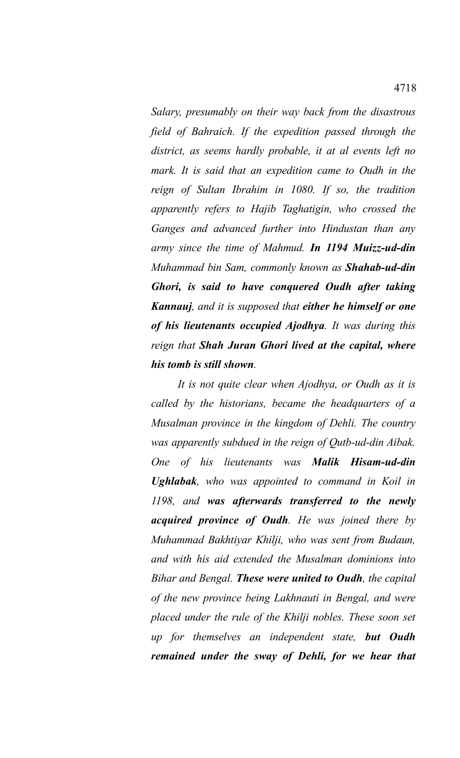*Salary, presumably on their way back from the disastrous field of Bahraich. If the expedition passed through the district, as seems hardly probable, it at al events left no mark. It is said that an expedition came to Oudh in the reign of Sultan Ibrahim in 1080. If so, the tradition apparently refers to Hajib Taghatigin, who crossed the Ganges and advanced further into Hindustan than any army since the time of Mahmud. In 1194 Muizz-ud-din Muhammad bin Sam, commonly known as Shahab-ud-din Ghori, is said to have conquered Oudh after taking Kannauj, and it is supposed that either he himself or one of his lieutenants occupied Ajodhya. It was during this reign that Shah Juran Ghori lived at the capital, where his tomb is still shown.* 

*It is not quite clear when Ajodhya, or Oudh as it is called by the historians, became the headquarters of a Musalman province in the kingdom of Dehli. The country was apparently subdued in the reign of Qutb-ud-din Aibak. One of his lieutenants was Malik Hisam-ud-din Ughlabak, who was appointed to command in Koil in 1198, and was afterwards transferred to the newly acquired province of Oudh. He was joined there by Muhammad Bakhtiyar Khilji, who was sent from Budaun, and with his aid extended the Musalman dominions into Bihar and Bengal. These were united to Oudh, the capital of the new province being Lakhnauti in Bengal, and were placed under the rule of the Khilji nobles. These soon set up for themselves an independent state, but Oudh remained under the sway of Dehli, for we hear that*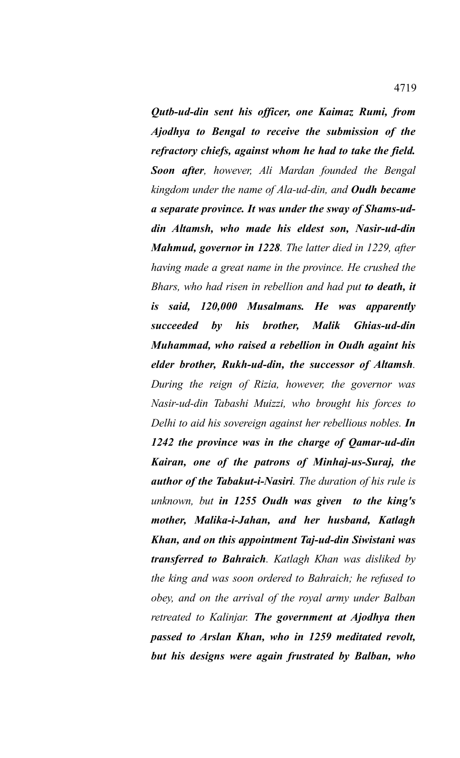*Qutb-ud-din sent his officer, one Kaimaz Rumi, from Ajodhya to Bengal to receive the submission of the refractory chiefs, against whom he had to take the field. Soon after, however, Ali Mardan founded the Bengal kingdom under the name of Ala-ud-din, and Oudh became a separate province. It was under the sway of Shams-uddin Altamsh, who made his eldest son, Nasir-ud-din Mahmud, governor in 1228. The latter died in 1229, after having made a great name in the province. He crushed the Bhars, who had risen in rebellion and had put to death, it is said, 120,000 Musalmans. He was apparently succeeded by his brother, Malik Ghias-ud-din Muhammad, who raised a rebellion in Oudh againt his elder brother, Rukh-ud-din, the successor of Altamsh. During the reign of Rizia, however, the governor was Nasir-ud-din Tabashi Muizzi, who brought his forces to Delhi to aid his sovereign against her rebellious nobles. In 1242 the province was in the charge of Qamar-ud-din Kairan, one of the patrons of Minhaj-us-Suraj, the author of the Tabakut-i-Nasiri. The duration of his rule is unknown, but in 1255 Oudh was given to the king's mother, Malika-i-Jahan, and her husband, Katlagh Khan, and on this appointment Taj-ud-din Siwistani was transferred to Bahraich. Katlagh Khan was disliked by the king and was soon ordered to Bahraich; he refused to obey, and on the arrival of the royal army under Balban retreated to Kalinjar. The government at Ajodhya then passed to Arslan Khan, who in 1259 meditated revolt, but his designs were again frustrated by Balban, who*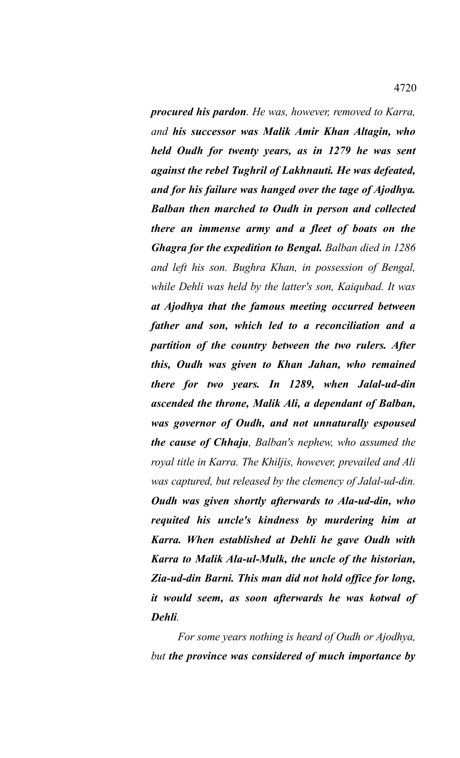*procured his pardon. He was, however, removed to Karra, and his successor was Malik Amir Khan Altagin, who held Oudh for twenty years, as in 1279 he was sent against the rebel Tughril of Lakhnauti. He was defeated, and for his failure was hanged over the tage of Ajodhya. Balban then marched to Oudh in person and collected there an immense army and a fleet of boats on the Ghagra for the expedition to Bengal. Balban died in 1286 and left his son. Bughra Khan, in possession of Bengal, while Dehli was held by the latter's son, Kaiqubad. It was at Ajodhya that the famous meeting occurred between father and son, which led to a reconciliation and a partition of the country between the two rulers. After this, Oudh was given to Khan Jahan, who remained there for two years. In 1289, when Jalal-ud-din ascended the throne, Malik Ali, a dependant of Balban, was governor of Oudh, and not unnaturally espoused the cause of Chhaju, Balban's nephew, who assumed the royal title in Karra. The Khiljis, however, prevailed and Ali was captured, but released by the clemency of Jalal-ud-din. Oudh was given shortly afterwards to Ala-ud-din, who requited his uncle's kindness by murdering him at Karra. When established at Dehli he gave Oudh with Karra to Malik Ala-ul-Mulk, the uncle of the historian, Zia-ud-din Barni. This man did not hold office for long, it would seem, as soon afterwards he was kotwal of Dehli.*

*For some years nothing is heard of Oudh or Ajodhya, but the province was considered of much importance by*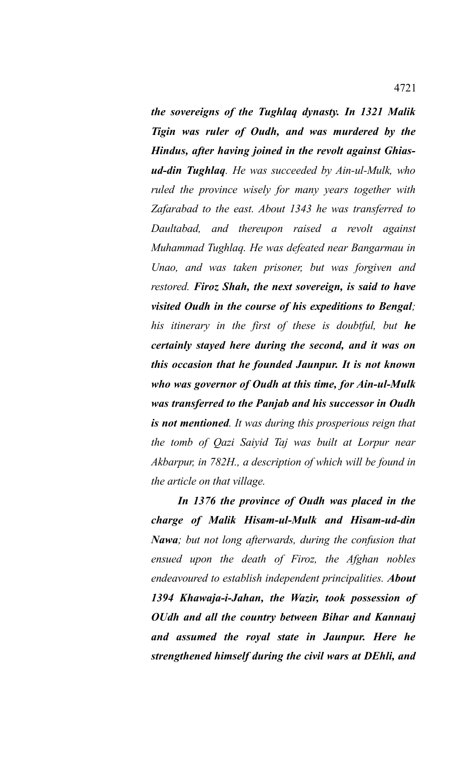*the sovereigns of the Tughlaq dynasty. In 1321 Malik Tigin was ruler of Oudh, and was murdered by the Hindus, after having joined in the revolt against Ghiasud-din Tughlaq. He was succeeded by Ain-ul-Mulk, who ruled the province wisely for many years together with Zafarabad to the east. About 1343 he was transferred to Daultabad, and thereupon raised a revolt against Muhammad Tughlaq. He was defeated near Bangarmau in Unao, and was taken prisoner, but was forgiven and restored. Firoz Shah, the next sovereign, is said to have visited Oudh in the course of his expeditions to Bengal; his itinerary in the first of these is doubtful, but he certainly stayed here during the second, and it was on this occasion that he founded Jaunpur. It is not known who was governor of Oudh at this time, for Ain-ul-Mulk was transferred to the Panjab and his successor in Oudh is not mentioned. It was during this prosperious reign that the tomb of Qazi Saiyid Taj was built at Lorpur near Akbarpur, in 782H., a description of which will be found in the article on that village.* 

*In 1376 the province of Oudh was placed in the charge of Malik Hisam-ul-Mulk and Hisam-ud-din Nawa; but not long afterwards, during the confusion that ensued upon the death of Firoz, the Afghan nobles endeavoured to establish independent principalities. About 1394 Khawaja-i-Jahan, the Wazir, took possession of OUdh and all the country between Bihar and Kannauj and assumed the royal state in Jaunpur. Here he strengthened himself during the civil wars at DEhli, and*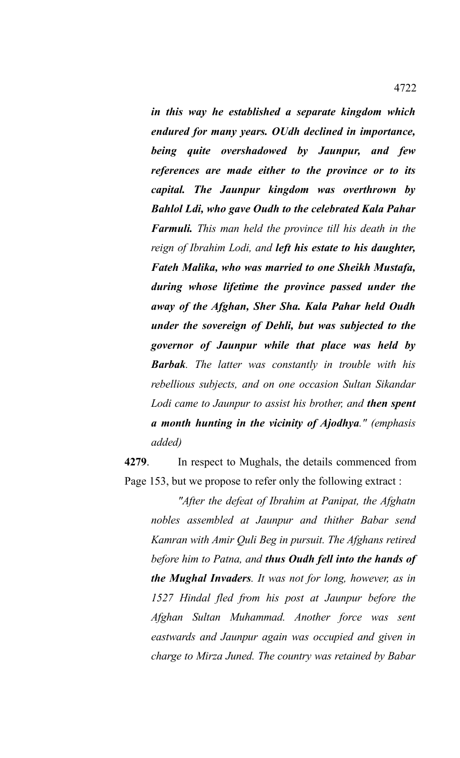*in this way he established a separate kingdom which endured for many years. OUdh declined in importance, being quite overshadowed by Jaunpur, and few references are made either to the province or to its capital. The Jaunpur kingdom was overthrown by Bahlol Ldi, who gave Oudh to the celebrated Kala Pahar Farmuli. This man held the province till his death in the reign of Ibrahim Lodi, and left his estate to his daughter, Fateh Malika, who was married to one Sheikh Mustafa, during whose lifetime the province passed under the away of the Afghan, Sher Sha. Kala Pahar held Oudh under the sovereign of Dehli, but was subjected to the governor of Jaunpur while that place was held by Barbak. The latter was constantly in trouble with his rebellious subjects, and on one occasion Sultan Sikandar Lodi came to Jaunpur to assist his brother, and then spent a month hunting in the vicinity of Ajodhya." (emphasis added)*

**4279**. In respect to Mughals, the details commenced from Page 153, but we propose to refer only the following extract :

*"After the defeat of Ibrahim at Panipat, the Afghatn nobles assembled at Jaunpur and thither Babar send Kamran with Amir Quli Beg in pursuit. The Afghans retired before him to Patna, and thus Oudh fell into the hands of the Mughal Invaders. It was not for long, however, as in 1527 Hindal fled from his post at Jaunpur before the Afghan Sultan Muhammad. Another force was sent eastwards and Jaunpur again was occupied and given in charge to Mirza Juned. The country was retained by Babar*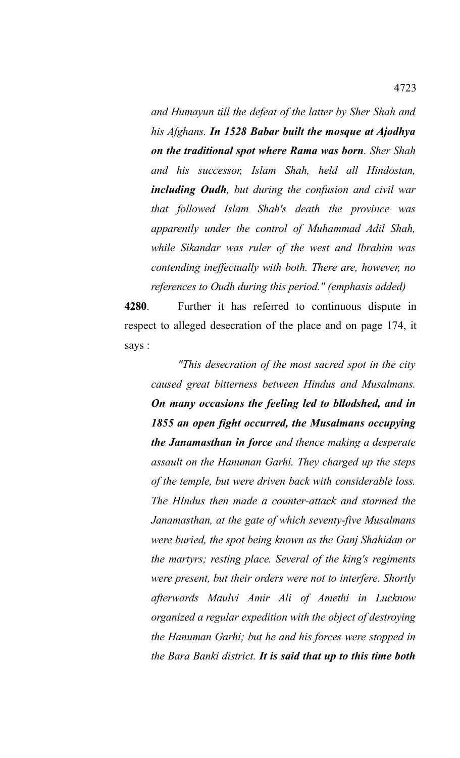*and Humayun till the defeat of the latter by Sher Shah and his Afghans. In 1528 Babar built the mosque at Ajodhya on the traditional spot where Rama was born. Sher Shah and his successor, Islam Shah, held all Hindostan, including Oudh, but during the confusion and civil war that followed Islam Shah's death the province was apparently under the control of Muhammad Adil Shah, while Sikandar was ruler of the west and Ibrahim was contending ineffectually with both. There are, however, no references to Oudh during this period." (emphasis added)*

**4280**. Further it has referred to continuous dispute in respect to alleged desecration of the place and on page 174, it says :

*"This desecration of the most sacred spot in the city caused great bitterness between Hindus and Musalmans. On many occasions the feeling led to bllodshed, and in 1855 an open fight occurred, the Musalmans occupying the Janamasthan in force and thence making a desperate assault on the Hanuman Garhi. They charged up the steps of the temple, but were driven back with considerable loss. The HIndus then made a counter-attack and stormed the Janamasthan, at the gate of which seventy-five Musalmans were buried, the spot being known as the Ganj Shahidan or the martyrs; resting place. Several of the king's regiments were present, but their orders were not to interfere. Shortly afterwards Maulvi Amir Ali of Amethi in Lucknow organized a regular expedition with the object of destroying the Hanuman Garhi; but he and his forces were stopped in the Bara Banki district. It is said that up to this time both*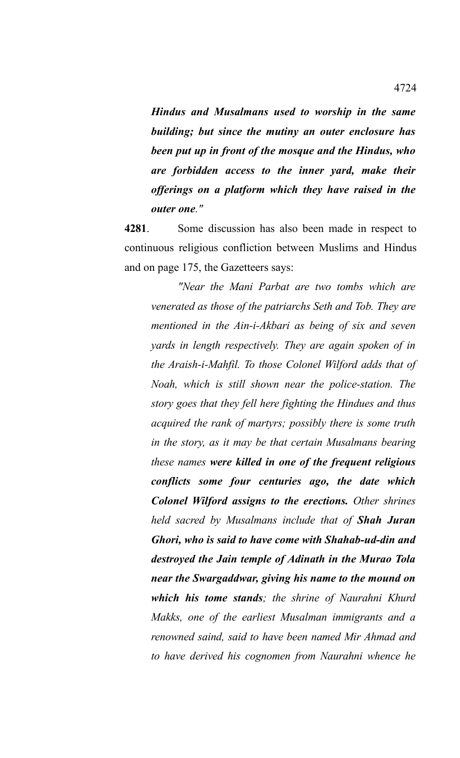*Hindus and Musalmans used to worship in the same building; but since the mutiny an outer enclosure has been put up in front of the mosque and the Hindus, who are forbidden access to the inner yard, make their offerings on a platform which they have raised in the outer one."*

**4281**. Some discussion has also been made in respect to continuous religious confliction between Muslims and Hindus and on page 175, the Gazetteers says:

*"Near the Mani Parbat are two tombs which are venerated as those of the patriarchs Seth and Tob. They are mentioned in the Ain-i-Akbari as being of six and seven yards in length respectively. They are again spoken of in the Araish-i-Mahfil. To those Colonel Wilford adds that of Noah, which is still shown near the police-station. The story goes that they fell here fighting the Hindues and thus acquired the rank of martyrs; possibly there is some truth in the story, as it may be that certain Musalmans bearing these names were killed in one of the frequent religious conflicts some four centuries ago, the date which Colonel Wilford assigns to the erections. Other shrines held sacred by Musalmans include that of Shah Juran Ghori, who is said to have come with Shahab-ud-din and destroyed the Jain temple of Adinath in the Murao Tola near the Swargaddwar, giving his name to the mound on which his tome stands; the shrine of Naurahni Khurd Makks, one of the earliest Musalman immigrants and a renowned saind, said to have been named Mir Ahmad and to have derived his cognomen from Naurahni whence he*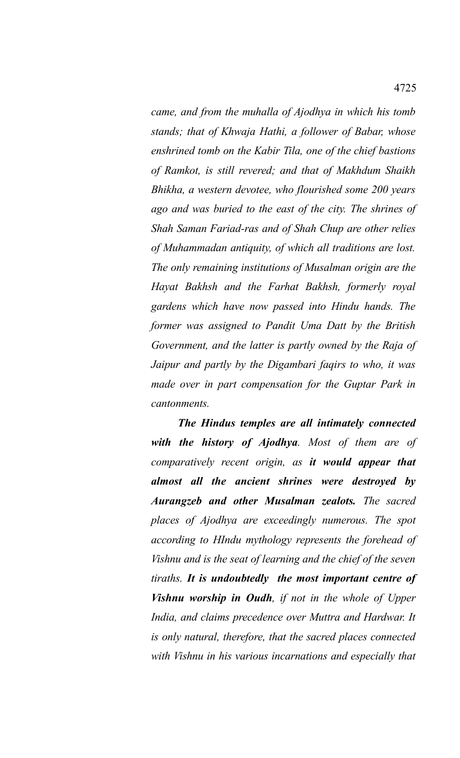*came, and from the muhalla of Ajodhya in which his tomb stands; that of Khwaja Hathi, a follower of Babar, whose enshrined tomb on the Kabir Tila, one of the chief bastions of Ramkot, is still revered; and that of Makhdum Shaikh Bhikha, a western devotee, who flourished some 200 years ago and was buried to the east of the city. The shrines of Shah Saman Fariad-ras and of Shah Chup are other relies of Muhammadan antiquity, of which all traditions are lost. The only remaining institutions of Musalman origin are the Hayat Bakhsh and the Farhat Bakhsh, formerly royal gardens which have now passed into Hindu hands. The former was assigned to Pandit Uma Datt by the British Government, and the latter is partly owned by the Raja of Jaipur and partly by the Digambari faqirs to who, it was made over in part compensation for the Guptar Park in cantonments.* 

*The Hindus temples are all intimately connected with the history of Ajodhya. Most of them are of comparatively recent origin, as it would appear that almost all the ancient shrines were destroyed by Aurangzeb and other Musalman zealots. The sacred places of Ajodhya are exceedingly numerous. The spot according to HIndu mythology represents the forehead of Vishnu and is the seat of learning and the chief of the seven tiraths. It is undoubtedly the most important centre of Vishnu worship in Oudh, if not in the whole of Upper India, and claims precedence over Muttra and Hardwar. It is only natural, therefore, that the sacred places connected with Vishnu in his various incarnations and especially that*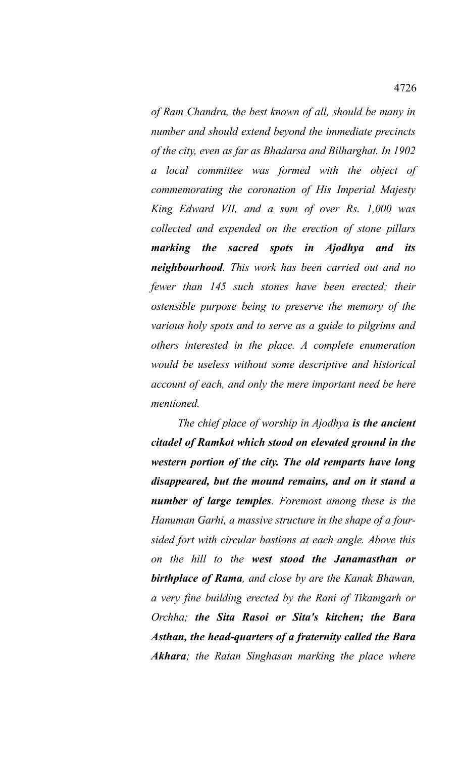*of Ram Chandra, the best known of all, should be many in number and should extend beyond the immediate precincts of the city, even as far as Bhadarsa and Bilharghat. In 1902 a local committee was formed with the object of commemorating the coronation of His Imperial Majesty King Edward VII, and a sum of over Rs. 1,000 was collected and expended on the erection of stone pillars marking the sacred spots in Ajodhya and its neighbourhood. This work has been carried out and no fewer than 145 such stones have been erected; their ostensible purpose being to preserve the memory of the various holy spots and to serve as a guide to pilgrims and others interested in the place. A complete enumeration would be useless without some descriptive and historical account of each, and only the mere important need be here mentioned.* 

*The chief place of worship in Ajodhya is the ancient citadel of Ramkot which stood on elevated ground in the western portion of the city. The old remparts have long disappeared, but the mound remains, and on it stand a number of large temples. Foremost among these is the Hanuman Garhi, a massive structure in the shape of a foursided fort with circular bastions at each angle. Above this on the hill to the west stood the Janamasthan or birthplace of Rama, and close by are the Kanak Bhawan, a very fine building erected by the Rani of Tikamgarh or Orchha; the Sita Rasoi or Sita's kitchen; the Bara Asthan, the head-quarters of a fraternity called the Bara Akhara; the Ratan Singhasan marking the place where*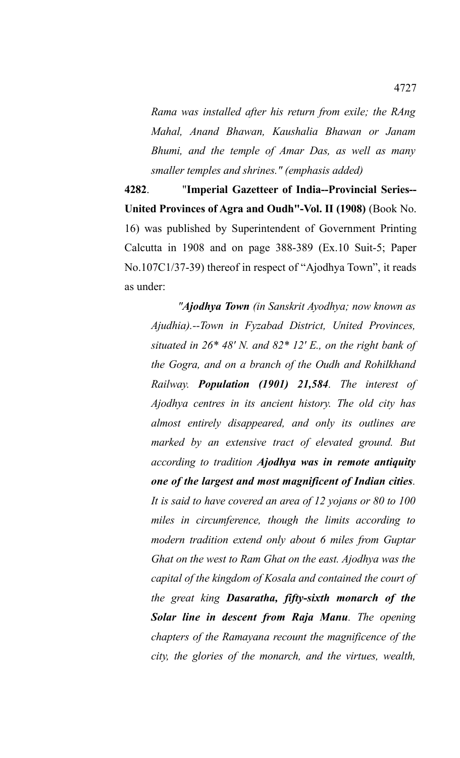*Rama was installed after his return from exile; the RAng Mahal, Anand Bhawan, Kaushalia Bhawan or Janam Bhumi, and the temple of Amar Das, as well as many smaller temples and shrines." (emphasis added)*

**4282**. "**Imperial Gazetteer of India--Provincial Series-- United Provinces of Agra and Oudh"-Vol. II (1908)** (Book No. 16) was published by Superintendent of Government Printing Calcutta in 1908 and on page 388-389 (Ex.10 Suit-5; Paper No.107C1/37-39) thereof in respect of "Ajodhya Town", it reads as under:

*"Ajodhya Town (in Sanskrit Ayodhya; now known as Ajudhia).--Town in Fyzabad District, United Provinces, situated in 26\* 48' N. and 82\* 12' E., on the right bank of the Gogra, and on a branch of the Oudh and Rohilkhand Railway. Population (1901) 21,584. The interest of Ajodhya centres in its ancient history. The old city has almost entirely disappeared, and only its outlines are marked by an extensive tract of elevated ground. But according to tradition Ajodhya was in remote antiquity one of the largest and most magnificent of Indian cities. It is said to have covered an area of 12 yojans or 80 to 100 miles in circumference, though the limits according to modern tradition extend only about 6 miles from Guptar Ghat on the west to Ram Ghat on the east. Ajodhya was the capital of the kingdom of Kosala and contained the court of the great king Dasaratha, fifty-sixth monarch of the Solar line in descent from Raja Manu. The opening chapters of the Ramayana recount the magnificence of the city, the glories of the monarch, and the virtues, wealth,*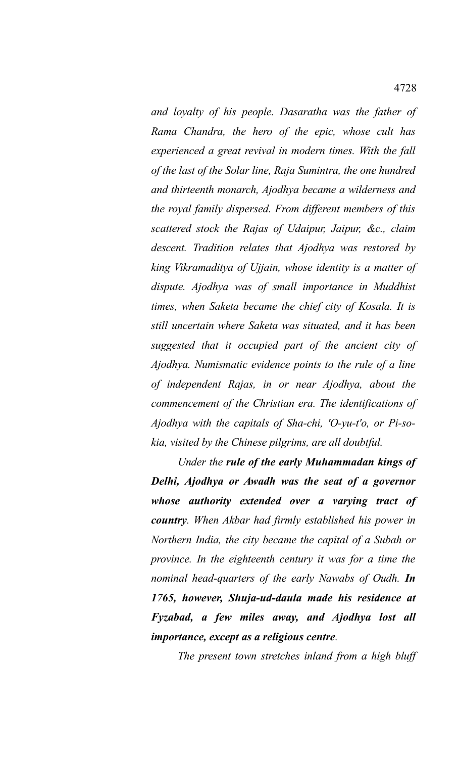*and loyalty of his people. Dasaratha was the father of Rama Chandra, the hero of the epic, whose cult has experienced a great revival in modern times. With the fall of the last of the Solar line, Raja Sumintra, the one hundred and thirteenth monarch, Ajodhya became a wilderness and the royal family dispersed. From different members of this scattered stock the Rajas of Udaipur, Jaipur, &c., claim descent. Tradition relates that Ajodhya was restored by king Vikramaditya of Ujjain, whose identity is a matter of dispute. Ajodhya was of small importance in Muddhist times, when Saketa became the chief city of Kosala. It is still uncertain where Saketa was situated, and it has been suggested that it occupied part of the ancient city of Ajodhya. Numismatic evidence points to the rule of a line of independent Rajas, in or near Ajodhya, about the commencement of the Christian era. The identifications of Ajodhya with the capitals of Sha-chi, 'O-yu-t'o, or Pi-sokia, visited by the Chinese pilgrims, are all doubtful.* 

*Under the rule of the early Muhammadan kings of Delhi, Ajodhya or Awadh was the seat of a governor whose authority extended over a varying tract of country. When Akbar had firmly established his power in Northern India, the city became the capital of a Subah or province. In the eighteenth century it was for a time the nominal head-quarters of the early Nawabs of Oudh. In 1765, however, Shuja-ud-daula made his residence at Fyzabad, a few miles away, and Ajodhya lost all importance, except as a religious centre.* 

*The present town stretches inland from a high bluff*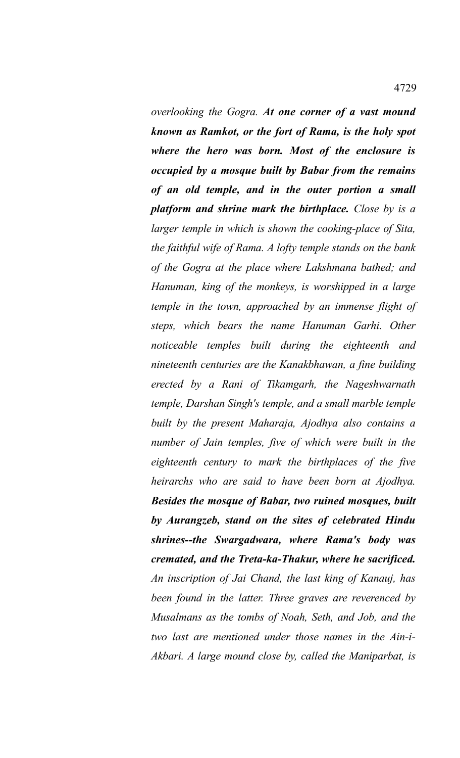*overlooking the Gogra. At one corner of a vast mound known as Ramkot, or the fort of Rama, is the holy spot where the hero was born. Most of the enclosure is occupied by a mosque built by Babar from the remains of an old temple, and in the outer portion a small platform and shrine mark the birthplace. Close by is a larger temple in which is shown the cooking-place of Sita, the faithful wife of Rama. A lofty temple stands on the bank of the Gogra at the place where Lakshmana bathed; and Hanuman, king of the monkeys, is worshipped in a large temple in the town, approached by an immense flight of steps, which bears the name Hanuman Garhi. Other noticeable temples built during the eighteenth and nineteenth centuries are the Kanakbhawan, a fine building erected by a Rani of Tikamgarh, the Nageshwarnath temple, Darshan Singh's temple, and a small marble temple built by the present Maharaja, Ajodhya also contains a number of Jain temples, five of which were built in the eighteenth century to mark the birthplaces of the five heirarchs who are said to have been born at Ajodhya. Besides the mosque of Babar, two ruined mosques, built by Aurangzeb, stand on the sites of celebrated Hindu shrines--the Swargadwara, where Rama's body was cremated, and the Treta-ka-Thakur, where he sacrificed. An inscription of Jai Chand, the last king of Kanauj, has been found in the latter. Three graves are reverenced by Musalmans as the tombs of Noah, Seth, and Job, and the two last are mentioned under those names in the Ain-i-Akbari. A large mound close by, called the Maniparbat, is*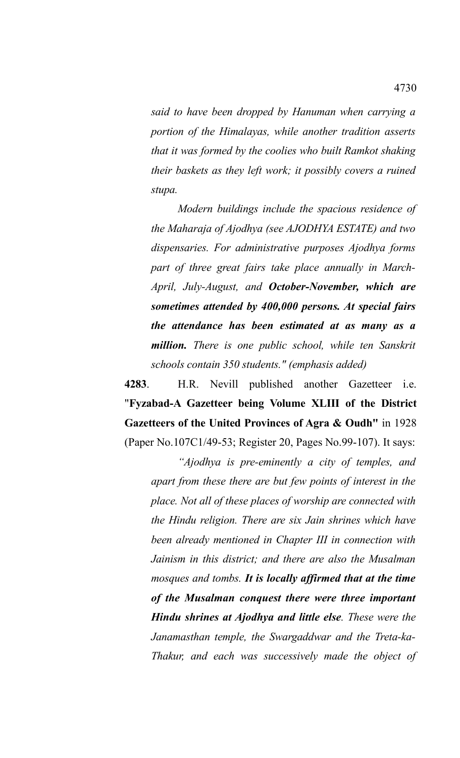*said to have been dropped by Hanuman when carrying a portion of the Himalayas, while another tradition asserts that it was formed by the coolies who built Ramkot shaking their baskets as they left work; it possibly covers a ruined stupa.* 

*Modern buildings include the spacious residence of the Maharaja of Ajodhya (see AJODHYA ESTATE) and two dispensaries. For administrative purposes Ajodhya forms part of three great fairs take place annually in March-April, July-August, and October-November, which are sometimes attended by 400,000 persons. At special fairs the attendance has been estimated at as many as a million. There is one public school, while ten Sanskrit schools contain 350 students." (emphasis added)*

**4283**. H.R. Nevill published another Gazetteer i.e. "**Fyzabad-A Gazetteer being Volume XLIII of the District Gazetteers of the United Provinces of Agra & Oudh"** in 1928 (Paper No.107C1/49-53; Register 20, Pages No.99-107). It says:

*"Ajodhya is pre-eminently a city of temples, and apart from these there are but few points of interest in the place. Not all of these places of worship are connected with the Hindu religion. There are six Jain shrines which have been already mentioned in Chapter III in connection with Jainism in this district; and there are also the Musalman mosques and tombs. It is locally affirmed that at the time of the Musalman conquest there were three important Hindu shrines at Ajodhya and little else. These were the Janamasthan temple, the Swargaddwar and the Treta-ka-Thakur, and each was successively made the object of*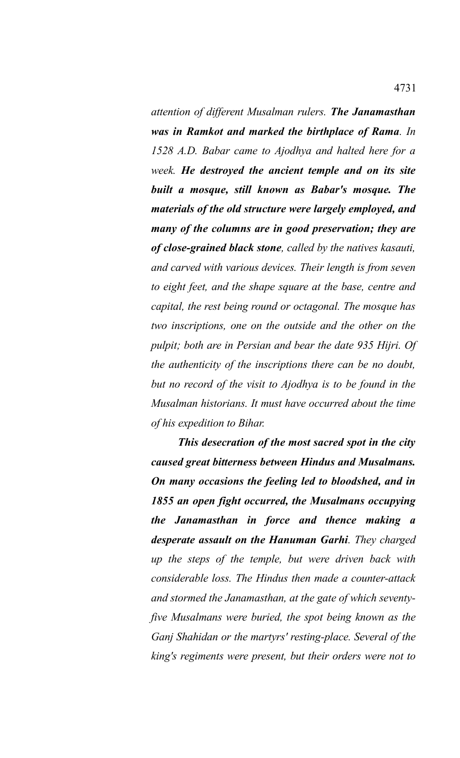*attention of different Musalman rulers. The Janamasthan was in Ramkot and marked the birthplace of Rama. In 1528 A.D. Babar came to Ajodhya and halted here for a week. He destroyed the ancient temple and on its site built a mosque, still known as Babar's mosque. The materials of the old structure were largely employed, and many of the columns are in good preservation; they are of close-grained black stone, called by the natives kasauti, and carved with various devices. Their length is from seven to eight feet, and the shape square at the base, centre and capital, the rest being round or octagonal. The mosque has two inscriptions, one on the outside and the other on the pulpit; both are in Persian and bear the date 935 Hijri. Of the authenticity of the inscriptions there can be no doubt, but no record of the visit to Ajodhya is to be found in the Musalman historians. It must have occurred about the time of his expedition to Bihar.*

*This desecration of the most sacred spot in the city caused great bitterness between Hindus and Musalmans. On many occasions the feeling led to bloodshed, and in 1855 an open fight occurred, the Musalmans occupying the Janamasthan in force and thence making a desperate assault on the Hanuman Garhi. They charged up the steps of the temple, but were driven back with considerable loss. The Hindus then made a counter-attack and stormed the Janamasthan, at the gate of which seventyfive Musalmans were buried, the spot being known as the Ganj Shahidan or the martyrs' resting-place. Several of the king's regiments were present, but their orders were not to*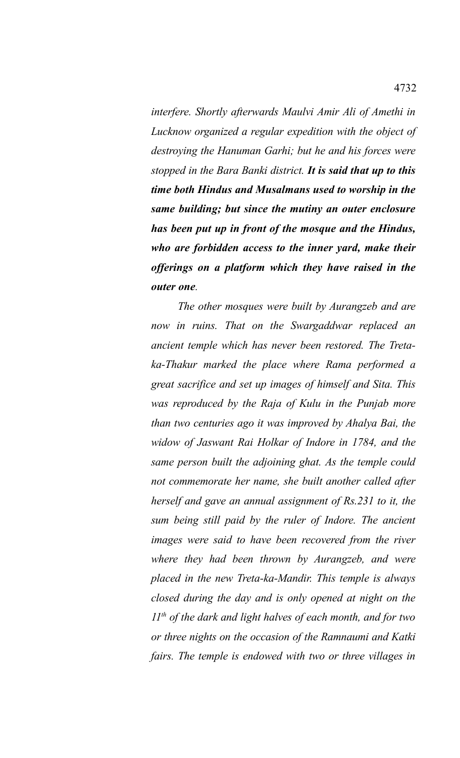*interfere. Shortly afterwards Maulvi Amir Ali of Amethi in Lucknow organized a regular expedition with the object of destroying the Hanuman Garhi; but he and his forces were stopped in the Bara Banki district. It is said that up to this time both Hindus and Musalmans used to worship in the same building; but since the mutiny an outer enclosure has been put up in front of the mosque and the Hindus, who are forbidden access to the inner yard, make their offerings on a platform which they have raised in the outer one.*

*The other mosques were built by Aurangzeb and are now in ruins. That on the Swargaddwar replaced an ancient temple which has never been restored. The Tretaka-Thakur marked the place where Rama performed a great sacrifice and set up images of himself and Sita. This was reproduced by the Raja of Kulu in the Punjab more than two centuries ago it was improved by Ahalya Bai, the widow of Jaswant Rai Holkar of Indore in 1784, and the same person built the adjoining ghat. As the temple could not commemorate her name, she built another called after herself and gave an annual assignment of Rs.231 to it, the sum being still paid by the ruler of Indore. The ancient images were said to have been recovered from the river where they had been thrown by Aurangzeb, and were placed in the new Treta-ka-Mandir. This temple is always closed during the day and is only opened at night on the 11th of the dark and light halves of each month, and for two or three nights on the occasion of the Ramnaumi and Katki fairs. The temple is endowed with two or three villages in*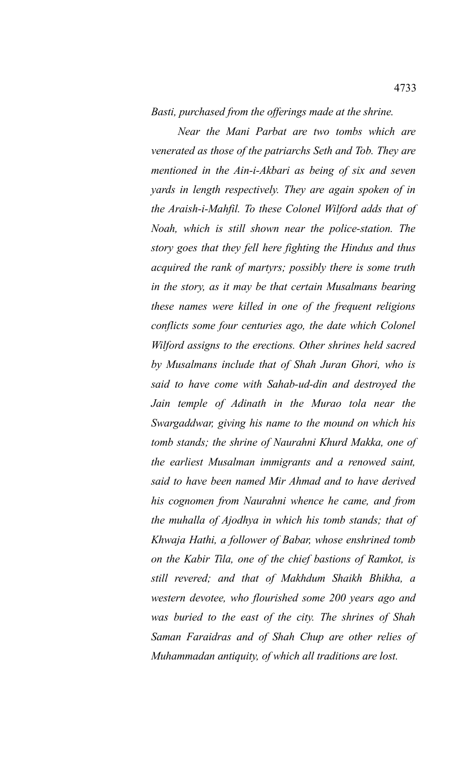*Basti, purchased from the offerings made at the shrine.*

*Near the Mani Parbat are two tombs which are venerated as those of the patriarchs Seth and Tob. They are mentioned in the Ain-i-Akbari as being of six and seven yards in length respectively. They are again spoken of in the Araish-i-Mahfil. To these Colonel Wilford adds that of Noah, which is still shown near the police-station. The story goes that they fell here fighting the Hindus and thus acquired the rank of martyrs; possibly there is some truth in the story, as it may be that certain Musalmans bearing these names were killed in one of the frequent religions conflicts some four centuries ago, the date which Colonel Wilford assigns to the erections. Other shrines held sacred by Musalmans include that of Shah Juran Ghori, who is said to have come with Sahab-ud-din and destroyed the Jain temple of Adinath in the Murao tola near the Swargaddwar, giving his name to the mound on which his tomb stands; the shrine of Naurahni Khurd Makka, one of the earliest Musalman immigrants and a renowed saint, said to have been named Mir Ahmad and to have derived his cognomen from Naurahni whence he came, and from the muhalla of Ajodhya in which his tomb stands; that of Khwaja Hathi, a follower of Babar, whose enshrined tomb on the Kabir Tila, one of the chief bastions of Ramkot, is still revered; and that of Makhdum Shaikh Bhikha, a western devotee, who flourished some 200 years ago and was buried to the east of the city. The shrines of Shah Saman Faraidras and of Shah Chup are other relies of Muhammadan antiquity, of which all traditions are lost.*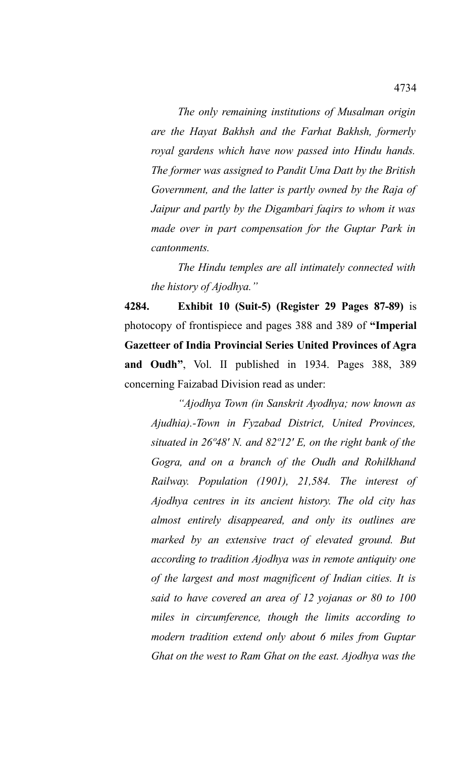*The only remaining institutions of Musalman origin are the Hayat Bakhsh and the Farhat Bakhsh, formerly royal gardens which have now passed into Hindu hands. The former was assigned to Pandit Uma Datt by the British Government, and the latter is partly owned by the Raja of Jaipur and partly by the Digambari faqirs to whom it was made over in part compensation for the Guptar Park in cantonments.*

*The Hindu temples are all intimately connected with the history of Ajodhya."*

**4284. Exhibit 10 (Suit-5) (Register 29 Pages 87-89)** is photocopy of frontispiece and pages 388 and 389 of **"Imperial Gazetteer of India Provincial Series United Provinces of Agra and Oudh"**, Vol. II published in 1934. Pages 388, 389 concerning Faizabad Division read as under:

*"Ajodhya Town (in Sanskrit Ayodhya; now known as Ajudhia).-Town in Fyzabad District, United Provinces, situated in 26º48' N. and 82º12' E, on the right bank of the Gogra, and on a branch of the Oudh and Rohilkhand Railway. Population (1901), 21,584. The interest of Ajodhya centres in its ancient history. The old city has almost entirely disappeared, and only its outlines are marked by an extensive tract of elevated ground. But according to tradition Ajodhya was in remote antiquity one of the largest and most magnificent of Indian cities. It is said to have covered an area of 12 yojanas or 80 to 100 miles in circumference, though the limits according to modern tradition extend only about 6 miles from Guptar Ghat on the west to Ram Ghat on the east. Ajodhya was the*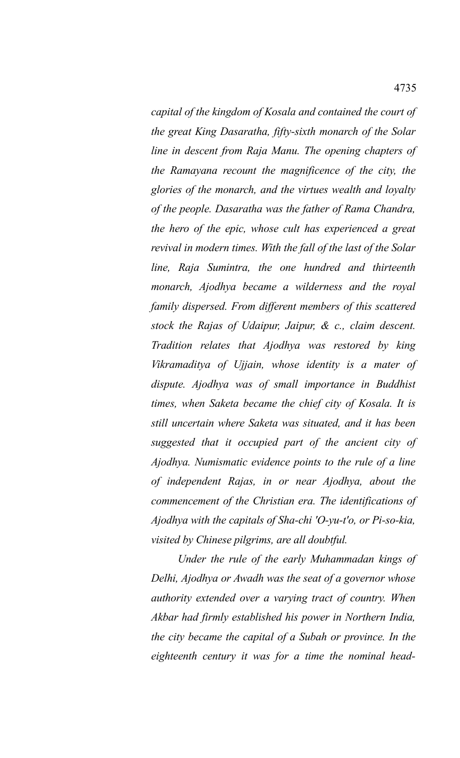*capital of the kingdom of Kosala and contained the court of the great King Dasaratha, fifty-sixth monarch of the Solar line in descent from Raja Manu. The opening chapters of the Ramayana recount the magnificence of the city, the glories of the monarch, and the virtues wealth and loyalty of the people. Dasaratha was the father of Rama Chandra, the hero of the epic, whose cult has experienced a great revival in modern times. With the fall of the last of the Solar line, Raja Sumintra, the one hundred and thirteenth monarch, Ajodhya became a wilderness and the royal family dispersed. From different members of this scattered stock the Rajas of Udaipur, Jaipur, & c., claim descent. Tradition relates that Ajodhya was restored by king Vikramaditya of Ujjain, whose identity is a mater of dispute. Ajodhya was of small importance in Buddhist times, when Saketa became the chief city of Kosala. It is still uncertain where Saketa was situated, and it has been suggested that it occupied part of the ancient city of Ajodhya. Numismatic evidence points to the rule of a line of independent Rajas, in or near Ajodhya, about the commencement of the Christian era. The identifications of Ajodhya with the capitals of Sha-chi 'O-yu-t'o, or Pi-so-kia, visited by Chinese pilgrims, are all doubtful.*

*Under the rule of the early Muhammadan kings of Delhi, Ajodhya or Awadh was the seat of a governor whose authority extended over a varying tract of country. When Akbar had firmly established his power in Northern India, the city became the capital of a Subah or province. In the eighteenth century it was for a time the nominal head-*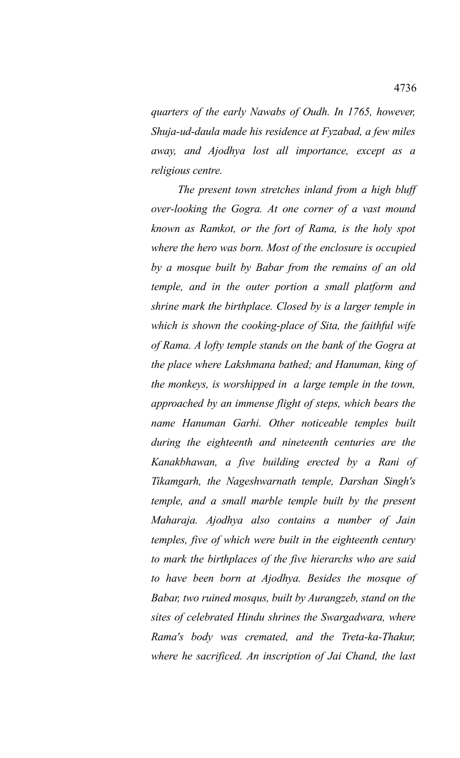*quarters of the early Nawabs of Oudh. In 1765, however, Shuja-ud-daula made his residence at Fyzabad, a few miles away, and Ajodhya lost all importance, except as a religious centre.*

*The present town stretches inland from a high bluff over-looking the Gogra. At one corner of a vast mound known as Ramkot, or the fort of Rama, is the holy spot where the hero was born. Most of the enclosure is occupied by a mosque built by Babar from the remains of an old temple, and in the outer portion a small platform and shrine mark the birthplace. Closed by is a larger temple in which is shown the cooking-place of Sita, the faithful wife of Rama. A lofty temple stands on the bank of the Gogra at the place where Lakshmana bathed; and Hanuman, king of the monkeys, is worshipped in a large temple in the town, approached by an immense flight of steps, which bears the name Hanuman Garhi. Other noticeable temples built during the eighteenth and nineteenth centuries are the Kanakbhawan, a five building erected by a Rani of Tikamgarh, the Nageshwarnath temple, Darshan Singh's temple, and a small marble temple built by the present Maharaja. Ajodhya also contains a number of Jain temples, five of which were built in the eighteenth century to mark the birthplaces of the five hierarchs who are said to have been born at Ajodhya. Besides the mosque of Babar, two ruined mosqus, built by Aurangzeb, stand on the sites of celebrated Hindu shrines the Swargadwara, where Rama's body was cremated, and the Treta-ka-Thakur, where he sacrificed. An inscription of Jai Chand, the last*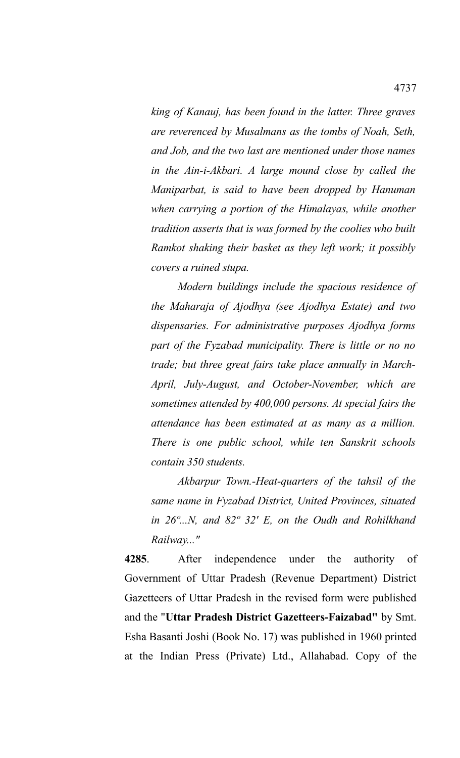*king of Kanauj, has been found in the latter. Three graves are reverenced by Musalmans as the tombs of Noah, Seth, and Job, and the two last are mentioned under those names in the Ain-i-Akbari. A large mound close by called the Maniparbat, is said to have been dropped by Hanuman when carrying a portion of the Himalayas, while another tradition asserts that is was formed by the coolies who built Ramkot shaking their basket as they left work; it possibly covers a ruined stupa.*

*Modern buildings include the spacious residence of the Maharaja of Ajodhya (see Ajodhya Estate) and two dispensaries. For administrative purposes Ajodhya forms part of the Fyzabad municipality. There is little or no no trade; but three great fairs take place annually in March-April, July-August, and October-November, which are sometimes attended by 400,000 persons. At special fairs the attendance has been estimated at as many as a million. There is one public school, while ten Sanskrit schools contain 350 students.*

*Akbarpur Town.-Heat-quarters of the tahsil of the same name in Fyzabad District, United Provinces, situated in 26º...N, and 82º 32' E, on the Oudh and Rohilkhand Railway..."*

**4285**. After independence under the authority of Government of Uttar Pradesh (Revenue Department) District Gazetteers of Uttar Pradesh in the revised form were published and the "**Uttar Pradesh District Gazetteers-Faizabad"** by Smt. Esha Basanti Joshi (Book No. 17) was published in 1960 printed at the Indian Press (Private) Ltd., Allahabad. Copy of the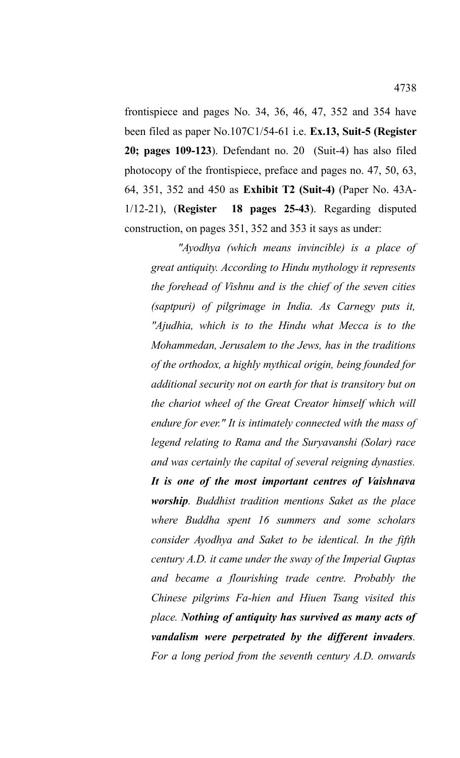frontispiece and pages No. 34, 36, 46, 47, 352 and 354 have been filed as paper No.107C1/54-61 i.e. **Ex.13, Suit-5 (Register 20; pages 109-123**). Defendant no. 20 (Suit-4) has also filed photocopy of the frontispiece, preface and pages no. 47, 50, 63, 64, 351, 352 and 450 as **Exhibit T2 (Suit-4)** (Paper No. 43A-1/12-21), (**Register 18 pages 25-43**). Regarding disputed construction, on pages 351, 352 and 353 it says as under:

*"Ayodhya (which means invincible) is a place of great antiquity. According to Hindu mythology it represents the forehead of Vishnu and is the chief of the seven cities (saptpuri) of pilgrimage in India. As Carnegy puts it, "Ajudhia, which is to the Hindu what Mecca is to the Mohammedan, Jerusalem to the Jews, has in the traditions of the orthodox, a highly mythical origin, being founded for additional security not on earth for that is transitory but on the chariot wheel of the Great Creator himself which will endure for ever." It is intimately connected with the mass of legend relating to Rama and the Suryavanshi (Solar) race and was certainly the capital of several reigning dynasties. It is one of the most important centres of Vaishnava worship. Buddhist tradition mentions Saket as the place where Buddha spent 16 summers and some scholars consider Ayodhya and Saket to be identical. In the fifth century A.D. it came under the sway of the Imperial Guptas and became a flourishing trade centre. Probably the Chinese pilgrims Fa-hien and Hiuen Tsang visited this place. Nothing of antiquity has survived as many acts of vandalism were perpetrated by the different invaders. For a long period from the seventh century A.D. onwards*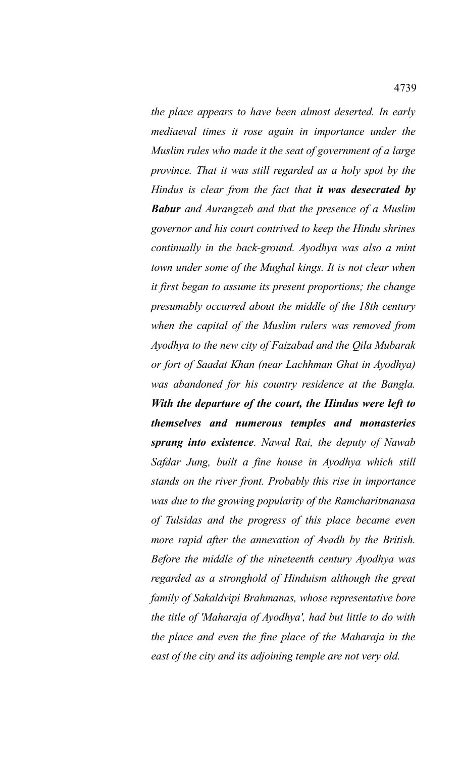*the place appears to have been almost deserted. In early mediaeval times it rose again in importance under the Muslim rules who made it the seat of government of a large province. That it was still regarded as a holy spot by the Hindus is clear from the fact that it was desecrated by Babur and Aurangzeb and that the presence of a Muslim governor and his court contrived to keep the Hindu shrines continually in the back-ground. Ayodhya was also a mint town under some of the Mughal kings. It is not clear when it first began to assume its present proportions; the change presumably occurred about the middle of the 18th century when the capital of the Muslim rulers was removed from Ayodhya to the new city of Faizabad and the Qila Mubarak or fort of Saadat Khan (near Lachhman Ghat in Ayodhya) was abandoned for his country residence at the Bangla. With the departure of the court, the Hindus were left to themselves and numerous temples and monasteries sprang into existence. Nawal Rai, the deputy of Nawab Safdar Jung, built a fine house in Ayodhya which still stands on the river front. Probably this rise in importance was due to the growing popularity of the Ramcharitmanasa of Tulsidas and the progress of this place became even more rapid after the annexation of Avadh by the British. Before the middle of the nineteenth century Ayodhya was regarded as a stronghold of Hinduism although the great family of Sakaldvipi Brahmanas, whose representative bore the title of 'Maharaja of Ayodhya', had but little to do with the place and even the fine place of the Maharaja in the east of the city and its adjoining temple are not very old.*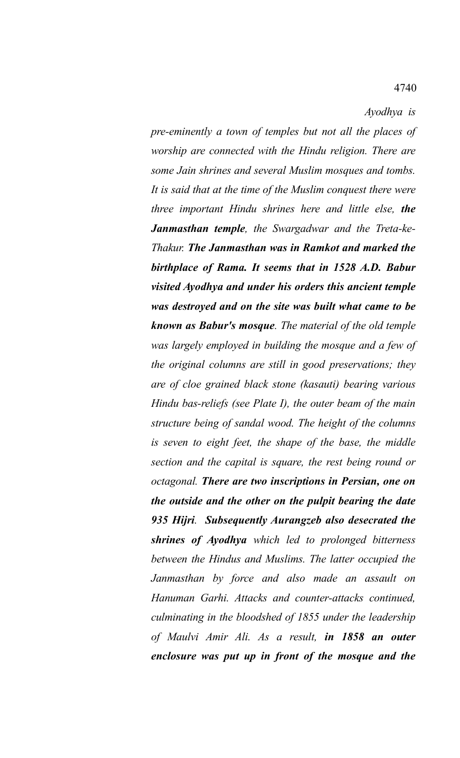*Ayodhya is*

*pre-eminently a town of temples but not all the places of worship are connected with the Hindu religion. There are some Jain shrines and several Muslim mosques and tombs. It is said that at the time of the Muslim conquest there were three important Hindu shrines here and little else, the Janmasthan temple, the Swargadwar and the Treta-ke-Thakur. The Janmasthan was in Ramkot and marked the birthplace of Rama. It seems that in 1528 A.D. Babur visited Ayodhya and under his orders this ancient temple was destroyed and on the site was built what came to be known as Babur's mosque. The material of the old temple was largely employed in building the mosque and a few of the original columns are still in good preservations; they are of cloe grained black stone (kasauti) bearing various Hindu bas-reliefs (see Plate I), the outer beam of the main structure being of sandal wood. The height of the columns is seven to eight feet, the shape of the base, the middle section and the capital is square, the rest being round or octagonal. There are two inscriptions in Persian, one on the outside and the other on the pulpit bearing the date 935 Hijri. Subsequently Aurangzeb also desecrated the shrines of Ayodhya which led to prolonged bitterness between the Hindus and Muslims. The latter occupied the Janmasthan by force and also made an assault on Hanuman Garhi. Attacks and counter-attacks continued, culminating in the bloodshed of 1855 under the leadership of Maulvi Amir Ali. As a result, in 1858 an outer enclosure was put up in front of the mosque and the*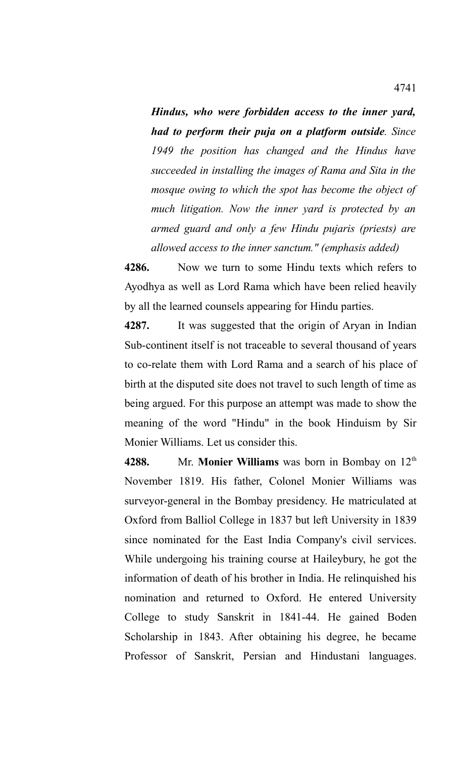*Hindus, who were forbidden access to the inner yard, had to perform their puja on a platform outside. Since 1949 the position has changed and the Hindus have succeeded in installing the images of Rama and Sita in the mosque owing to which the spot has become the object of much litigation. Now the inner yard is protected by an armed guard and only a few Hindu pujaris (priests) are allowed access to the inner sanctum." (emphasis added)*

**4286.** Now we turn to some Hindu texts which refers to Ayodhya as well as Lord Rama which have been relied heavily by all the learned counsels appearing for Hindu parties.

**4287.** It was suggested that the origin of Aryan in Indian Sub-continent itself is not traceable to several thousand of years to co-relate them with Lord Rama and a search of his place of birth at the disputed site does not travel to such length of time as being argued. For this purpose an attempt was made to show the meaning of the word "Hindu" in the book Hinduism by Sir Monier Williams. Let us consider this.

**4288.** Mr. **Monier Williams** was born in Bombay on 12th November 1819. His father, Colonel Monier Williams was surveyor-general in the Bombay presidency. He matriculated at Oxford from Balliol College in 1837 but left University in 1839 since nominated for the East India Company's civil services. While undergoing his training course at Haileybury, he got the information of death of his brother in India. He relinquished his nomination and returned to Oxford. He entered University College to study Sanskrit in 1841-44. He gained Boden Scholarship in 1843. After obtaining his degree, he became Professor of Sanskrit, Persian and Hindustani languages.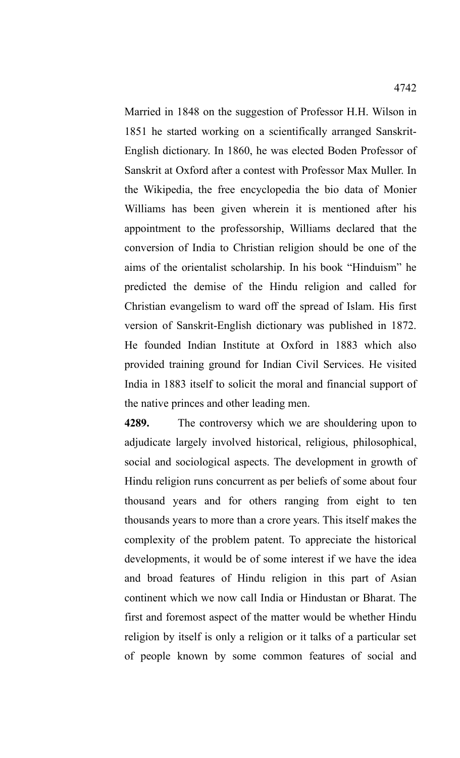Married in 1848 on the suggestion of Professor H.H. Wilson in 1851 he started working on a scientifically arranged Sanskrit-English dictionary. In 1860, he was elected Boden Professor of Sanskrit at Oxford after a contest with Professor Max Muller. In the Wikipedia, the free encyclopedia the bio data of Monier Williams has been given wherein it is mentioned after his appointment to the professorship, Williams declared that the conversion of India to Christian religion should be one of the aims of the orientalist scholarship. In his book "Hinduism" he predicted the demise of the Hindu religion and called for Christian evangelism to ward off the spread of Islam. His first version of Sanskrit-English dictionary was published in 1872. He founded Indian Institute at Oxford in 1883 which also provided training ground for Indian Civil Services. He visited India in 1883 itself to solicit the moral and financial support of the native princes and other leading men.

**4289.** The controversy which we are shouldering upon to adjudicate largely involved historical, religious, philosophical, social and sociological aspects. The development in growth of Hindu religion runs concurrent as per beliefs of some about four thousand years and for others ranging from eight to ten thousands years to more than a crore years. This itself makes the complexity of the problem patent. To appreciate the historical developments, it would be of some interest if we have the idea and broad features of Hindu religion in this part of Asian continent which we now call India or Hindustan or Bharat. The first and foremost aspect of the matter would be whether Hindu religion by itself is only a religion or it talks of a particular set of people known by some common features of social and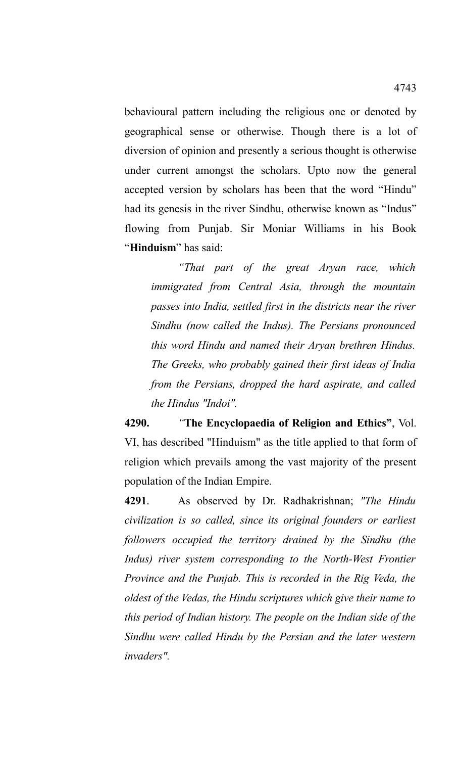behavioural pattern including the religious one or denoted by geographical sense or otherwise. Though there is a lot of diversion of opinion and presently a serious thought is otherwise under current amongst the scholars. Upto now the general accepted version by scholars has been that the word "Hindu" had its genesis in the river Sindhu, otherwise known as "Indus" flowing from Punjab. Sir Moniar Williams in his Book "**Hinduism**" has said:

*"That part of the great Aryan race, which immigrated from Central Asia, through the mountain passes into India, settled first in the districts near the river Sindhu (now called the Indus). The Persians pronounced this word Hindu and named their Aryan brethren Hindus. The Greeks, who probably gained their first ideas of India from the Persians, dropped the hard aspirate, and called the Hindus "Indoi".*

**4290.** *"***The Encyclopaedia of Religion and Ethics"**, Vol. VI, has described "Hinduism" as the title applied to that form of religion which prevails among the vast majority of the present population of the Indian Empire.

**4291**. As observed by Dr. Radhakrishnan; *"The Hindu civilization is so called, since its original founders or earliest followers occupied the territory drained by the Sindhu (the Indus) river system corresponding to the North-West Frontier Province and the Punjab. This is recorded in the Rig Veda, the oldest of the Vedas, the Hindu scriptures which give their name to this period of Indian history. The people on the Indian side of the Sindhu were called Hindu by the Persian and the later western invaders".*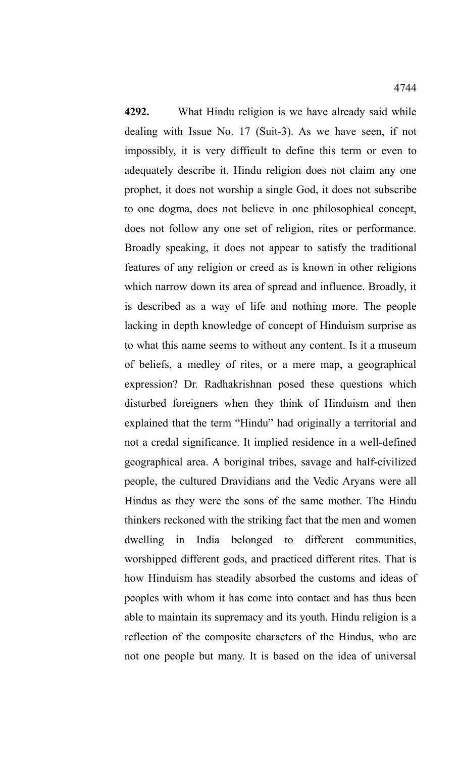**4292.** What Hindu religion is we have already said while dealing with Issue No. 17 (Suit-3). As we have seen, if not impossibly, it is very difficult to define this term or even to adequately describe it. Hindu religion does not claim any one prophet, it does not worship a single God, it does not subscribe to one dogma, does not believe in one philosophical concept, does not follow any one set of religion, rites or performance. Broadly speaking, it does not appear to satisfy the traditional features of any religion or creed as is known in other religions which narrow down its area of spread and influence. Broadly, it is described as a way of life and nothing more. The people lacking in depth knowledge of concept of Hinduism surprise as to what this name seems to without any content. Is it a museum of beliefs, a medley of rites, or a mere map, a geographical expression? Dr. Radhakrishnan posed these questions which disturbed foreigners when they think of Hinduism and then explained that the term "Hindu" had originally a territorial and not a credal significance. It implied residence in a well-defined geographical area. A boriginal tribes, savage and half-civilized people, the cultured Dravidians and the Vedic Aryans were all Hindus as they were the sons of the same mother. The Hindu thinkers reckoned with the striking fact that the men and women dwelling in India belonged to different communities, worshipped different gods, and practiced different rites. That is how Hinduism has steadily absorbed the customs and ideas of peoples with whom it has come into contact and has thus been able to maintain its supremacy and its youth. Hindu religion is a reflection of the composite characters of the Hindus, who are not one people but many. It is based on the idea of universal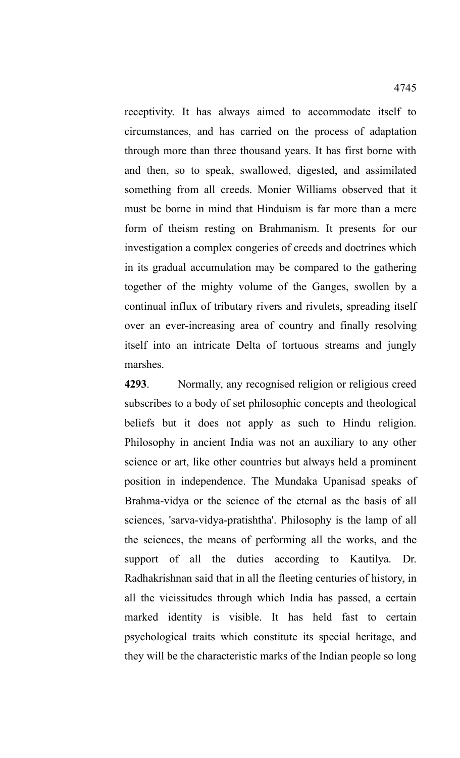receptivity. It has always aimed to accommodate itself to circumstances, and has carried on the process of adaptation through more than three thousand years. It has first borne with and then, so to speak, swallowed, digested, and assimilated something from all creeds. Monier Williams observed that it must be borne in mind that Hinduism is far more than a mere form of theism resting on Brahmanism. It presents for our investigation a complex congeries of creeds and doctrines which in its gradual accumulation may be compared to the gathering together of the mighty volume of the Ganges, swollen by a continual influx of tributary rivers and rivulets, spreading itself over an ever-increasing area of country and finally resolving itself into an intricate Delta of tortuous streams and jungly marshes.

**4293**. Normally, any recognised religion or religious creed subscribes to a body of set philosophic concepts and theological beliefs but it does not apply as such to Hindu religion. Philosophy in ancient India was not an auxiliary to any other science or art, like other countries but always held a prominent position in independence. The Mundaka Upanisad speaks of Brahma-vidya or the science of the eternal as the basis of all sciences, 'sarva-vidya-pratishtha'. Philosophy is the lamp of all the sciences, the means of performing all the works, and the support of all the duties according to Kautilya. Dr. Radhakrishnan said that in all the fleeting centuries of history, in all the vicissitudes through which India has passed, a certain marked identity is visible. It has held fast to certain psychological traits which constitute its special heritage, and they will be the characteristic marks of the Indian people so long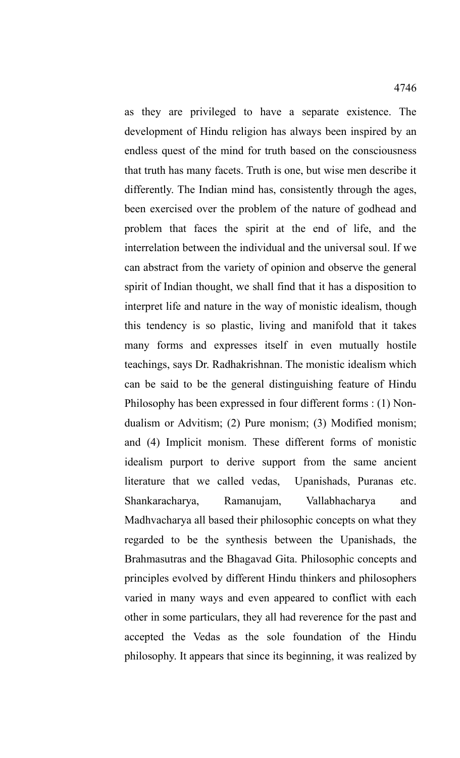as they are privileged to have a separate existence. The development of Hindu religion has always been inspired by an endless quest of the mind for truth based on the consciousness that truth has many facets. Truth is one, but wise men describe it differently. The Indian mind has, consistently through the ages, been exercised over the problem of the nature of godhead and problem that faces the spirit at the end of life, and the interrelation between the individual and the universal soul. If we can abstract from the variety of opinion and observe the general spirit of Indian thought, we shall find that it has a disposition to interpret life and nature in the way of monistic idealism, though this tendency is so plastic, living and manifold that it takes many forms and expresses itself in even mutually hostile teachings, says Dr. Radhakrishnan. The monistic idealism which can be said to be the general distinguishing feature of Hindu Philosophy has been expressed in four different forms : (1) Nondualism or Advitism; (2) Pure monism; (3) Modified monism; and (4) Implicit monism. These different forms of monistic idealism purport to derive support from the same ancient literature that we called vedas, Upanishads, Puranas etc. Shankaracharya, Ramanujam, Vallabhacharya and Madhvacharya all based their philosophic concepts on what they regarded to be the synthesis between the Upanishads, the Brahmasutras and the Bhagavad Gita. Philosophic concepts and principles evolved by different Hindu thinkers and philosophers varied in many ways and even appeared to conflict with each other in some particulars, they all had reverence for the past and accepted the Vedas as the sole foundation of the Hindu philosophy. It appears that since its beginning, it was realized by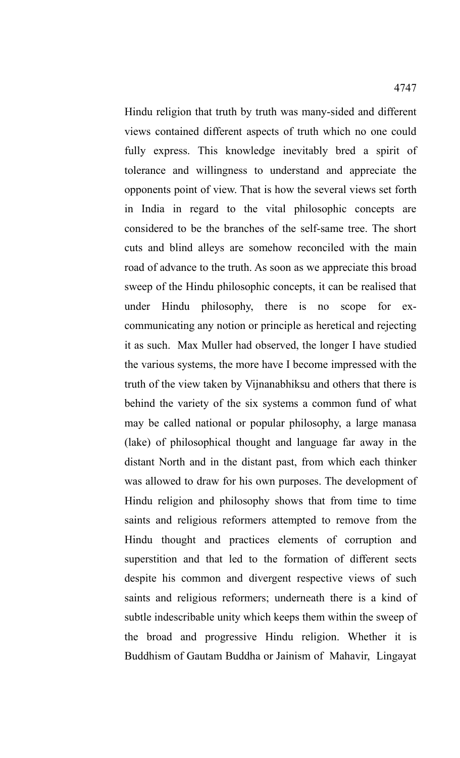Hindu religion that truth by truth was many-sided and different views contained different aspects of truth which no one could fully express. This knowledge inevitably bred a spirit of tolerance and willingness to understand and appreciate the opponents point of view. That is how the several views set forth in India in regard to the vital philosophic concepts are considered to be the branches of the self-same tree. The short cuts and blind alleys are somehow reconciled with the main road of advance to the truth. As soon as we appreciate this broad sweep of the Hindu philosophic concepts, it can be realised that under Hindu philosophy, there is no scope for excommunicating any notion or principle as heretical and rejecting it as such. Max Muller had observed, the longer I have studied the various systems, the more have I become impressed with the truth of the view taken by Vijnanabhiksu and others that there is behind the variety of the six systems a common fund of what may be called national or popular philosophy, a large manasa (lake) of philosophical thought and language far away in the distant North and in the distant past, from which each thinker was allowed to draw for his own purposes. The development of Hindu religion and philosophy shows that from time to time saints and religious reformers attempted to remove from the Hindu thought and practices elements of corruption and superstition and that led to the formation of different sects despite his common and divergent respective views of such saints and religious reformers; underneath there is a kind of subtle indescribable unity which keeps them within the sweep of the broad and progressive Hindu religion. Whether it is Buddhism of Gautam Buddha or Jainism of Mahavir, Lingayat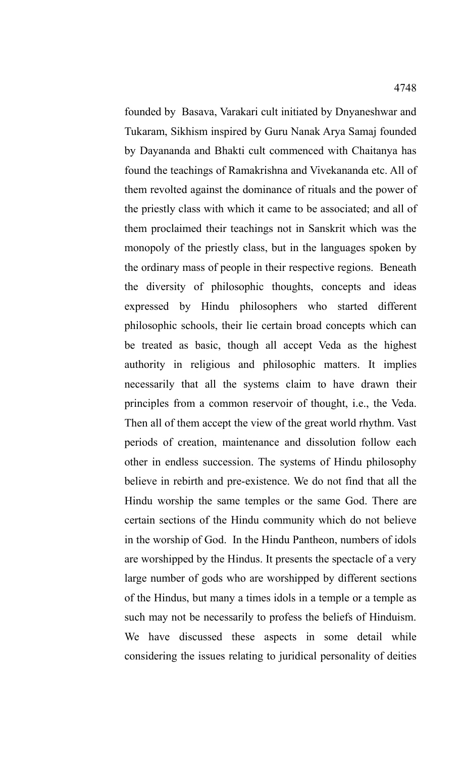founded by Basava, Varakari cult initiated by Dnyaneshwar and Tukaram, Sikhism inspired by Guru Nanak Arya Samaj founded by Dayananda and Bhakti cult commenced with Chaitanya has found the teachings of Ramakrishna and Vivekananda etc. All of them revolted against the dominance of rituals and the power of the priestly class with which it came to be associated; and all of them proclaimed their teachings not in Sanskrit which was the monopoly of the priestly class, but in the languages spoken by the ordinary mass of people in their respective regions. Beneath the diversity of philosophic thoughts, concepts and ideas expressed by Hindu philosophers who started different philosophic schools, their lie certain broad concepts which can be treated as basic, though all accept Veda as the highest authority in religious and philosophic matters. It implies necessarily that all the systems claim to have drawn their principles from a common reservoir of thought, i.e., the Veda. Then all of them accept the view of the great world rhythm. Vast periods of creation, maintenance and dissolution follow each other in endless succession. The systems of Hindu philosophy believe in rebirth and pre-existence. We do not find that all the Hindu worship the same temples or the same God. There are certain sections of the Hindu community which do not believe in the worship of God. In the Hindu Pantheon, numbers of idols are worshipped by the Hindus. It presents the spectacle of a very large number of gods who are worshipped by different sections of the Hindus, but many a times idols in a temple or a temple as such may not be necessarily to profess the beliefs of Hinduism. We have discussed these aspects in some detail while considering the issues relating to juridical personality of deities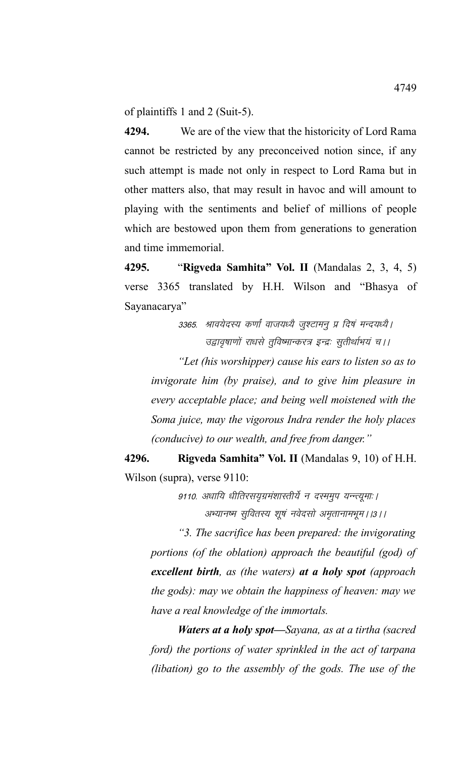of plaintiffs 1 and 2 (Suit-5).

**4294.** We are of the view that the historicity of Lord Rama cannot be restricted by any preconceived notion since, if any such attempt is made not only in respect to Lord Rama but in other matters also, that may result in havoc and will amount to playing with the sentiments and belief of millions of people which are bestowed upon them from generations to generation and time immemorial.

**4295.** "**Rigveda Samhita" Vol. II** (Mandalas 2, 3, 4, 5) verse 3365 translated by H.H. Wilson and "Bhasya of Sayanacarya"

> 3365. श्रावयेदस्य कर्णां वाजयध्यै जुश्टामन् प्र दिषं मन्दयध्यै | उद्वावृषाणों राधसे तुविष्मान्करत्र इन्द्रः सुतीर्थाभयं च।।

*"Let (his worshipper) cause his ears to listen so as to invigorate him (by praise), and to give him pleasure in every acceptable place; and being well moistened with the Soma juice, may the vigorous Indra render the holy places (conducive) to our wealth, and free from danger."*

**4296. Rigveda Samhita" Vol. II** (Mandalas 9, 10) of H.H. Wilson (supra), verse 9110:

> 9110. अधायि धीतिरसयुग्रमंशास्तीर्ये न दरममुप यन्न्त्यूमाः । अभ्यानष्म सुवितस्य शूषं नवेदसो अमृतानामभूम । ।३ । ।

*"3. The sacrifice has been prepared: the invigorating portions (of the oblation) approach the beautiful (god) of excellent birth, as (the waters) at a holy spot (approach the gods): may we obtain the happiness of heaven: may we have a real knowledge of the immortals.*

*Waters at a holy spot—Sayana, as at a tirtha (sacred ford) the portions of water sprinkled in the act of tarpana (libation) go to the assembly of the gods. The use of the*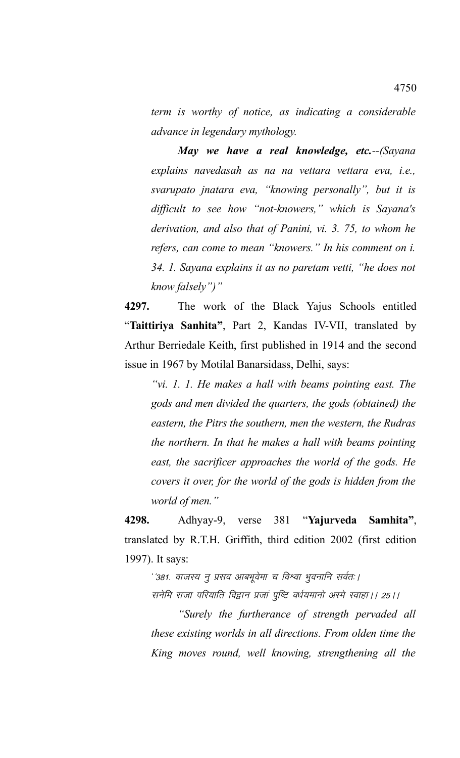*term is worthy of notice, as indicating a considerable advance in legendary mythology.*

*May we have a real knowledge, etc.--(Sayana explains navedasah as na na vettara vettara eva, i.e., svarupato jnatara eva, "knowing personally", but it is difficult to see how "not-knowers," which is Sayana's derivation, and also that of Panini, vi. 3. 75, to whom he refers, can come to mean "knowers." In his comment on i. 34. 1. Sayana explains it as no paretam vetti, "he does not know falsely")"*

**4297.** The work of the Black Yajus Schools entitled "**Taittiriya Sanhita"**, Part 2, Kandas IV-VII, translated by Arthur Berriedale Keith, first published in 1914 and the second issue in 1967 by Motilal Banarsidass, Delhi, says:

*"vi. 1. 1. He makes a hall with beams pointing east. The gods and men divided the quarters, the gods (obtained) the eastern, the Pitrs the southern, men the western, the Rudras the northern. In that he makes a hall with beams pointing east, the sacrificer approaches the world of the gods. He covers it over, for the world of the gods is hidden from the world of men."*

**4298.** Adhyay-9, verse 381 "**Yajurveda Samhita"**, translated by R.T.H. Griffith, third edition 2002 (first edition 1997). It says:

' '381. वाजस्य न् प्रसव आबभूवेमा च विश्वा भूवनानि सर्वतः ।

सनेमि राजा परियाति विद्वान प्रजां पृष्टि वर्धयमानो अस्मे स्वाहा । २५।।

*"Surely the furtherance of strength pervaded all these existing worlds in all directions. From olden time the King moves round, well knowing, strengthening all the*